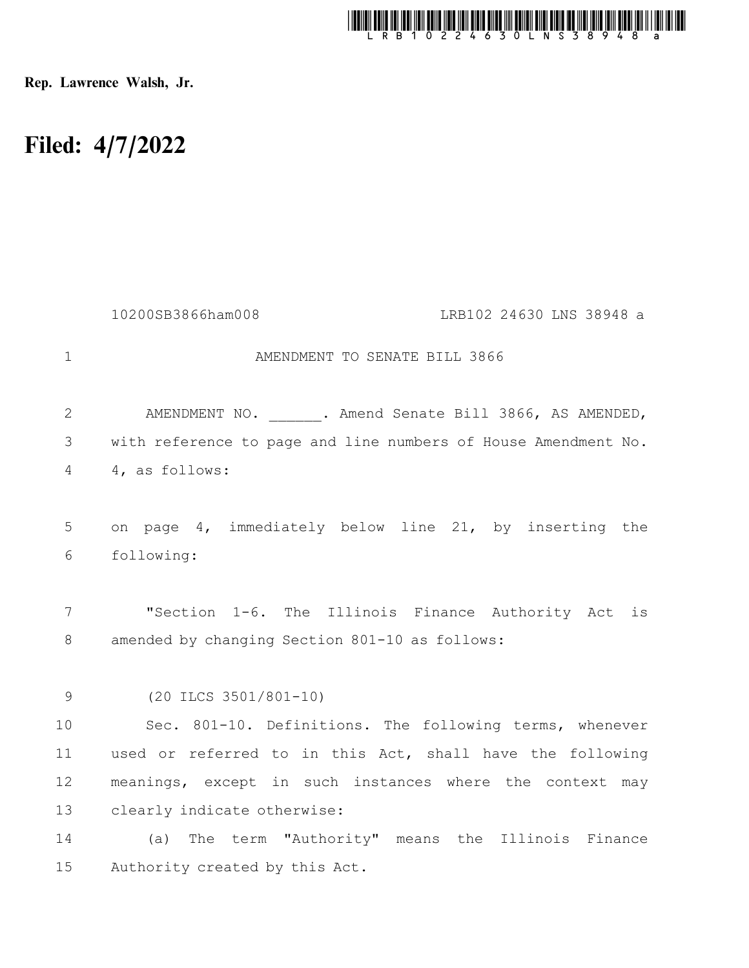

Rep. Lawrence Walsh, Jr.

## Filed: 4/7/2022

|                | LRB102 24630 LNS 38948 a<br>10200SB3866ham008                  |
|----------------|----------------------------------------------------------------|
| $\mathbf 1$    | AMENDMENT TO SENATE BILL 3866                                  |
| 2              | AMENDMENT NO. . Amend Senate Bill 3866, AS AMENDED,            |
| 3              | with reference to page and line numbers of House Amendment No. |
| $\overline{4}$ | 4, as follows:                                                 |
|                |                                                                |
| 5              | on page 4, immediately below line 21, by inserting the         |
| 6              | following:                                                     |
|                |                                                                |
| 7              | "Section 1-6. The Illinois Finance Authority Act<br>is         |
| 8              | amended by changing Section 801-10 as follows:                 |
|                |                                                                |
| 9              | (20 ILCS 3501/801-10)                                          |
| 10             | Sec. 801-10. Definitions. The following terms, whenever        |
| 11             | used or referred to in this Act, shall have the following      |
| 12             | meanings, except in such instances where the context may       |
| 13             | clearly indicate otherwise:                                    |
| 14             | (a) The term "Authority" means the Illinois Finance            |
| 15             | Authority created by this Act.                                 |
|                |                                                                |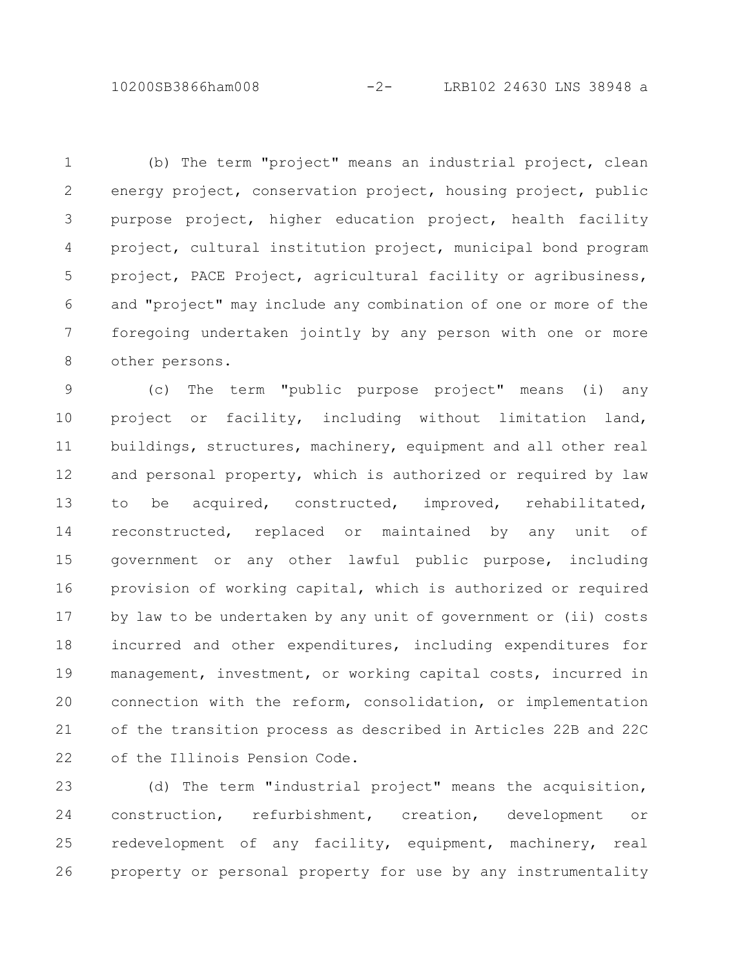10200SB3866ham008 -2- LRB102 24630 LNS 38948 a

(b) The term "project" means an industrial project, clean energy project, conservation project, housing project, public purpose project, higher education project, health facility project, cultural institution project, municipal bond program project, PACE Project, agricultural facility or agribusiness, and "project" may include any combination of one or more of the foregoing undertaken jointly by any person with one or more other persons. 1 2 3 4 5 6 7 8

(c) The term "public purpose project" means (i) any project or facility, including without limitation land, buildings, structures, machinery, equipment and all other real and personal property, which is authorized or required by law to be acquired, constructed, improved, rehabilitated, reconstructed, replaced or maintained by any unit of government or any other lawful public purpose, including provision of working capital, which is authorized or required by law to be undertaken by any unit of government or (ii) costs incurred and other expenditures, including expenditures for management, investment, or working capital costs, incurred in connection with the reform, consolidation, or implementation of the transition process as described in Articles 22B and 22C of the Illinois Pension Code. 9 10 11 12 13 14 15 16 17 18 19 20 21 22

(d) The term "industrial project" means the acquisition, construction, refurbishment, creation, development or redevelopment of any facility, equipment, machinery, real property or personal property for use by any instrumentality 23 24 25 26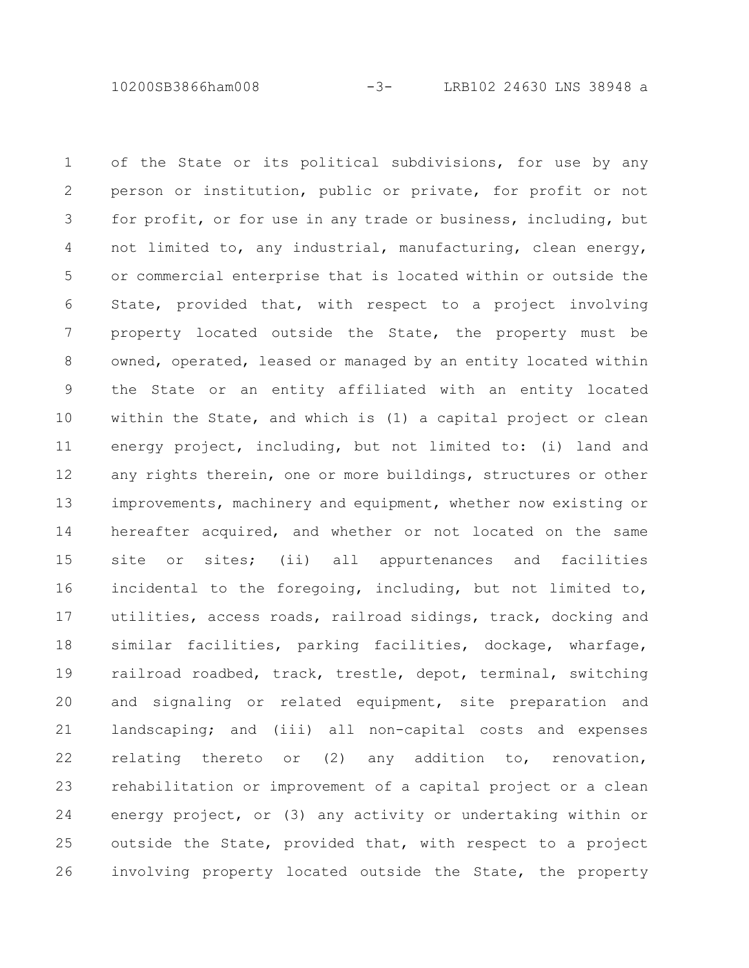10200SB3866ham008 -3- LRB102 24630 LNS 38948 a

of the State or its political subdivisions, for use by any person or institution, public or private, for profit or not for profit, or for use in any trade or business, including, but not limited to, any industrial, manufacturing, clean energy, or commercial enterprise that is located within or outside the State, provided that, with respect to a project involving property located outside the State, the property must be owned, operated, leased or managed by an entity located within the State or an entity affiliated with an entity located within the State, and which is (1) a capital project or clean energy project, including, but not limited to: (i) land and any rights therein, one or more buildings, structures or other improvements, machinery and equipment, whether now existing or hereafter acquired, and whether or not located on the same site or sites; (ii) all appurtenances and facilities incidental to the foregoing, including, but not limited to, utilities, access roads, railroad sidings, track, docking and similar facilities, parking facilities, dockage, wharfage, railroad roadbed, track, trestle, depot, terminal, switching and signaling or related equipment, site preparation and landscaping; and (iii) all non-capital costs and expenses relating thereto or (2) any addition to, renovation, rehabilitation or improvement of a capital project or a clean energy project, or (3) any activity or undertaking within or outside the State, provided that, with respect to a project involving property located outside the State, the property 1 2 3 4 5 6 7 8 9 10 11 12 13 14 15 16 17 18 19 20 21 22 23 24 25 26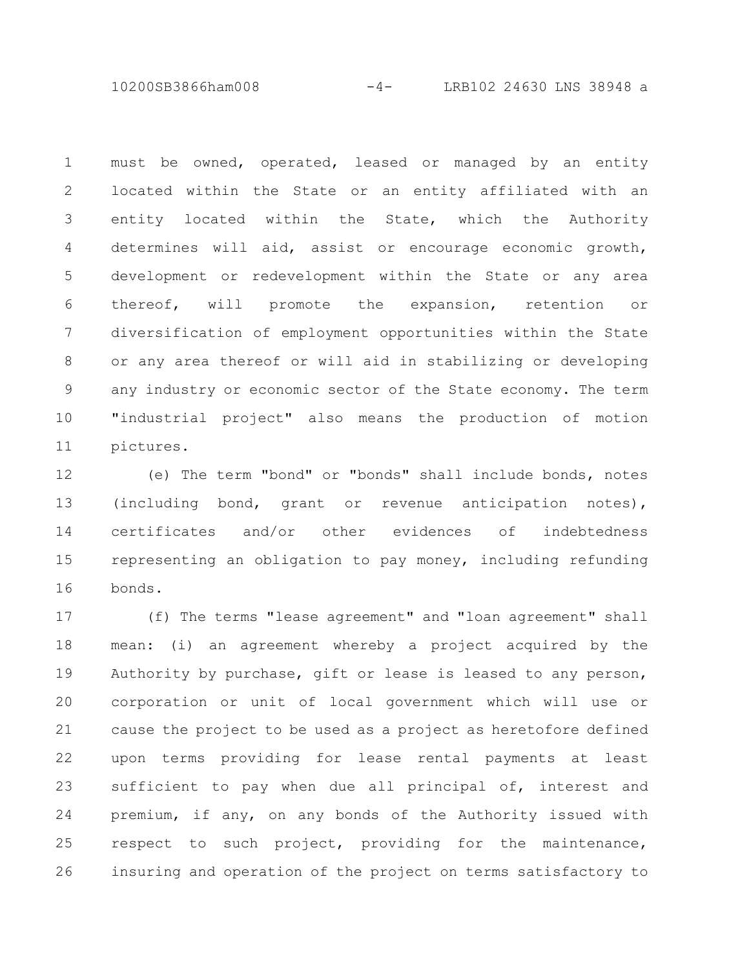10200SB3866ham008 -4- LRB102 24630 LNS 38948 a

must be owned, operated, leased or managed by an entity located within the State or an entity affiliated with an entity located within the State, which the Authority determines will aid, assist or encourage economic growth, development or redevelopment within the State or any area thereof, will promote the expansion, retention or diversification of employment opportunities within the State or any area thereof or will aid in stabilizing or developing any industry or economic sector of the State economy. The term "industrial project" also means the production of motion pictures. 1 2 3 4 5 6 7 8 9 10 11

(e) The term "bond" or "bonds" shall include bonds, notes (including bond, grant or revenue anticipation notes), certificates and/or other evidences of indebtedness representing an obligation to pay money, including refunding bonds. 12 13 14 15 16

(f) The terms "lease agreement" and "loan agreement" shall mean: (i) an agreement whereby a project acquired by the Authority by purchase, gift or lease is leased to any person, corporation or unit of local government which will use or cause the project to be used as a project as heretofore defined upon terms providing for lease rental payments at least sufficient to pay when due all principal of, interest and premium, if any, on any bonds of the Authority issued with respect to such project, providing for the maintenance, insuring and operation of the project on terms satisfactory to 17 18 19 20 21 22 23 24 25 26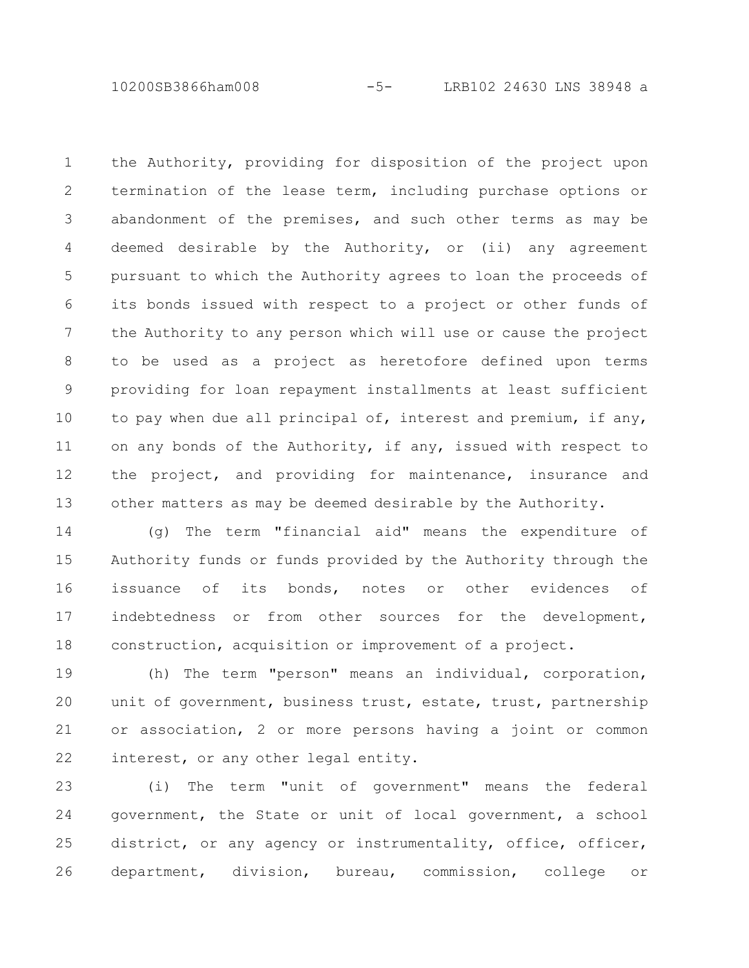10200SB3866ham008 -5- LRB102 24630 LNS 38948 a

the Authority, providing for disposition of the project upon termination of the lease term, including purchase options or abandonment of the premises, and such other terms as may be deemed desirable by the Authority, or (ii) any agreement pursuant to which the Authority agrees to loan the proceeds of its bonds issued with respect to a project or other funds of the Authority to any person which will use or cause the project to be used as a project as heretofore defined upon terms providing for loan repayment installments at least sufficient to pay when due all principal of, interest and premium, if any, on any bonds of the Authority, if any, issued with respect to the project, and providing for maintenance, insurance and other matters as may be deemed desirable by the Authority. 1 2 3 4 5 6 7 8 9 10 11 12 13

(g) The term "financial aid" means the expenditure of Authority funds or funds provided by the Authority through the issuance of its bonds, notes or other evidences of indebtedness or from other sources for the development, construction, acquisition or improvement of a project. 14 15 16 17 18

(h) The term "person" means an individual, corporation, unit of government, business trust, estate, trust, partnership or association, 2 or more persons having a joint or common interest, or any other legal entity. 19 20 21 22

(i) The term "unit of government" means the federal government, the State or unit of local government, a school district, or any agency or instrumentality, office, officer, department, division, bureau, commission, college or 23 24 25 26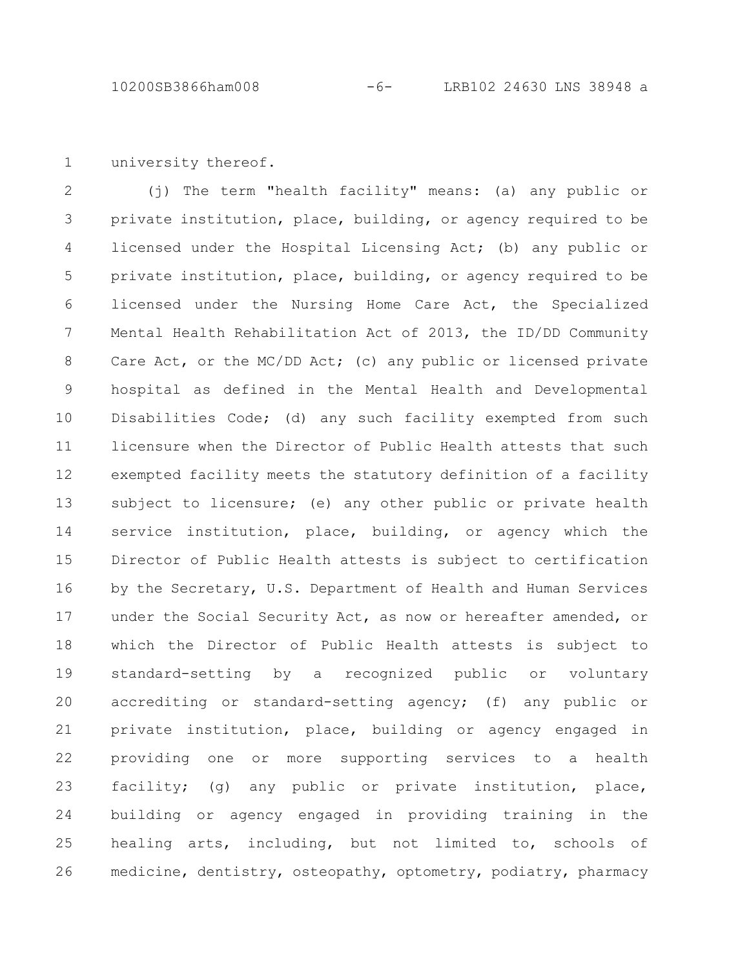university thereof. 1

(j) The term "health facility" means: (a) any public or private institution, place, building, or agency required to be licensed under the Hospital Licensing Act; (b) any public or private institution, place, building, or agency required to be licensed under the Nursing Home Care Act, the Specialized Mental Health Rehabilitation Act of 2013, the ID/DD Community Care Act, or the MC/DD Act; (c) any public or licensed private hospital as defined in the Mental Health and Developmental Disabilities Code; (d) any such facility exempted from such licensure when the Director of Public Health attests that such exempted facility meets the statutory definition of a facility subject to licensure; (e) any other public or private health service institution, place, building, or agency which the Director of Public Health attests is subject to certification by the Secretary, U.S. Department of Health and Human Services under the Social Security Act, as now or hereafter amended, or which the Director of Public Health attests is subject to standard-setting by a recognized public or voluntary accrediting or standard-setting agency; (f) any public or private institution, place, building or agency engaged in providing one or more supporting services to a health facility; (g) any public or private institution, place, building or agency engaged in providing training in the healing arts, including, but not limited to, schools of medicine, dentistry, osteopathy, optometry, podiatry, pharmacy 2 3 4 5 6 7 8 9 10 11 12 13 14 15 16 17 18 19 20 21 22 23 24 25 26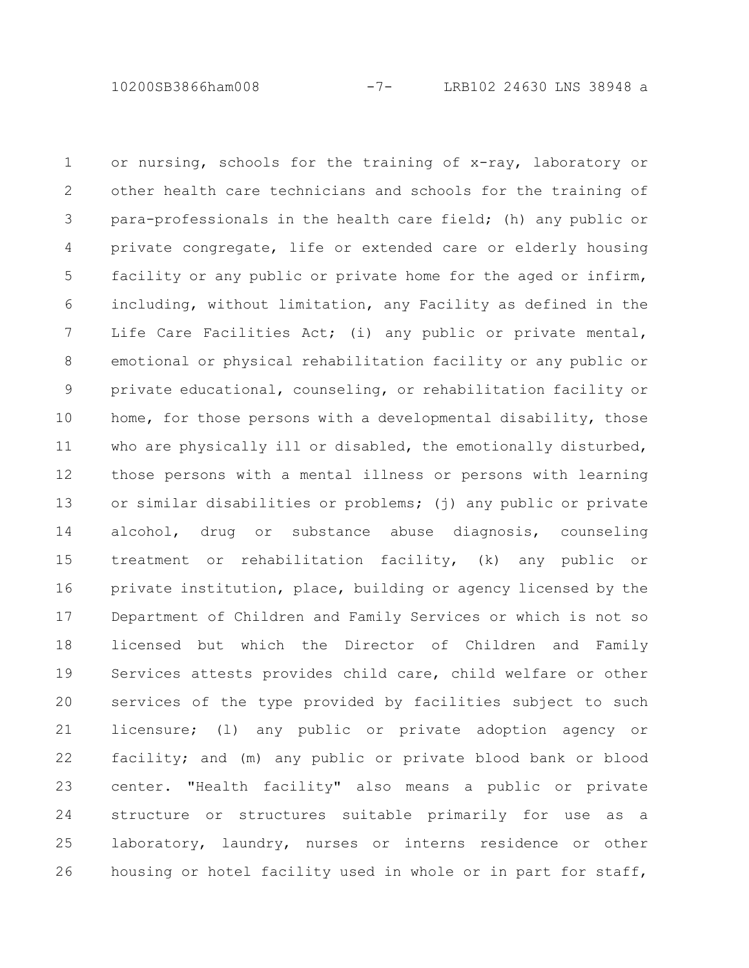10200SB3866ham008 -7- LRB102 24630 LNS 38948 a

or nursing, schools for the training of x-ray, laboratory or other health care technicians and schools for the training of para-professionals in the health care field; (h) any public or private congregate, life or extended care or elderly housing facility or any public or private home for the aged or infirm, including, without limitation, any Facility as defined in the Life Care Facilities Act; (i) any public or private mental, emotional or physical rehabilitation facility or any public or private educational, counseling, or rehabilitation facility or home, for those persons with a developmental disability, those who are physically ill or disabled, the emotionally disturbed, those persons with a mental illness or persons with learning or similar disabilities or problems; (j) any public or private alcohol, drug or substance abuse diagnosis, counseling treatment or rehabilitation facility, (k) any public or private institution, place, building or agency licensed by the Department of Children and Family Services or which is not so licensed but which the Director of Children and Family Services attests provides child care, child welfare or other services of the type provided by facilities subject to such licensure; (l) any public or private adoption agency or facility; and (m) any public or private blood bank or blood center. "Health facility" also means a public or private structure or structures suitable primarily for use as a laboratory, laundry, nurses or interns residence or other housing or hotel facility used in whole or in part for staff, 1 2 3 4 5 6 7 8 9 10 11 12 13 14 15 16 17 18 19 20 21 22 23 24 25 26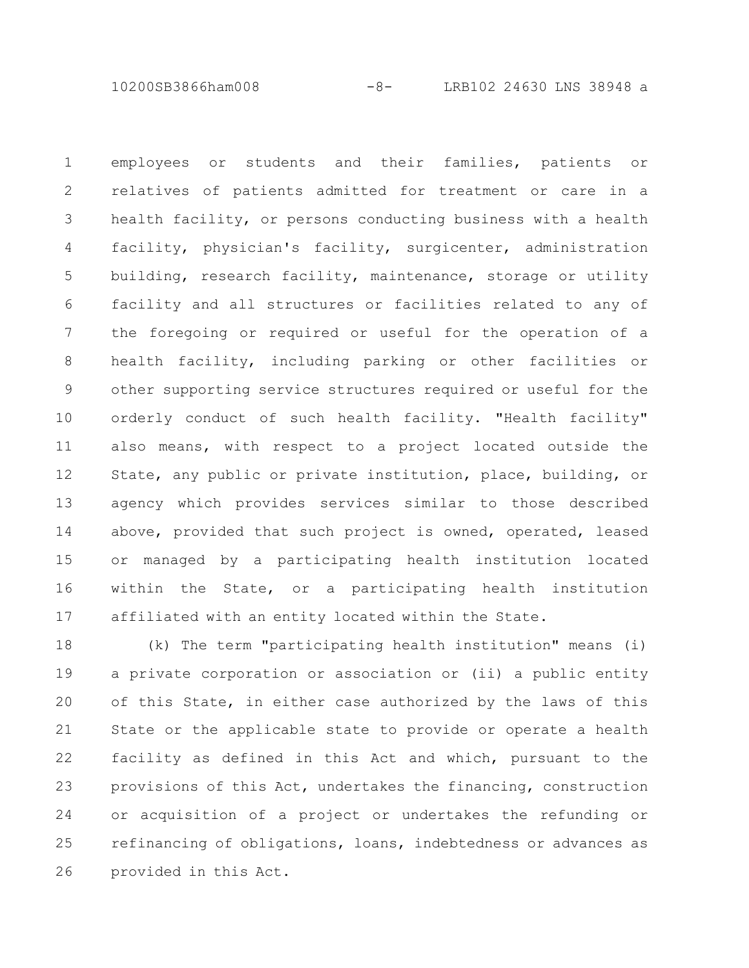10200SB3866ham008 -8- LRB102 24630 LNS 38948 a

employees or students and their families, patients or relatives of patients admitted for treatment or care in a health facility, or persons conducting business with a health facility, physician's facility, surgicenter, administration building, research facility, maintenance, storage or utility facility and all structures or facilities related to any of the foregoing or required or useful for the operation of a health facility, including parking or other facilities or other supporting service structures required or useful for the orderly conduct of such health facility. "Health facility" also means, with respect to a project located outside the State, any public or private institution, place, building, or agency which provides services similar to those described above, provided that such project is owned, operated, leased or managed by a participating health institution located within the State, or a participating health institution affiliated with an entity located within the State. 1 2 3 4 5 6 7 8 9 10 11 12 13 14 15 16 17

(k) The term "participating health institution" means (i) a private corporation or association or (ii) a public entity of this State, in either case authorized by the laws of this State or the applicable state to provide or operate a health facility as defined in this Act and which, pursuant to the provisions of this Act, undertakes the financing, construction or acquisition of a project or undertakes the refunding or refinancing of obligations, loans, indebtedness or advances as provided in this Act. 18 19 20 21 22 23 24 25 26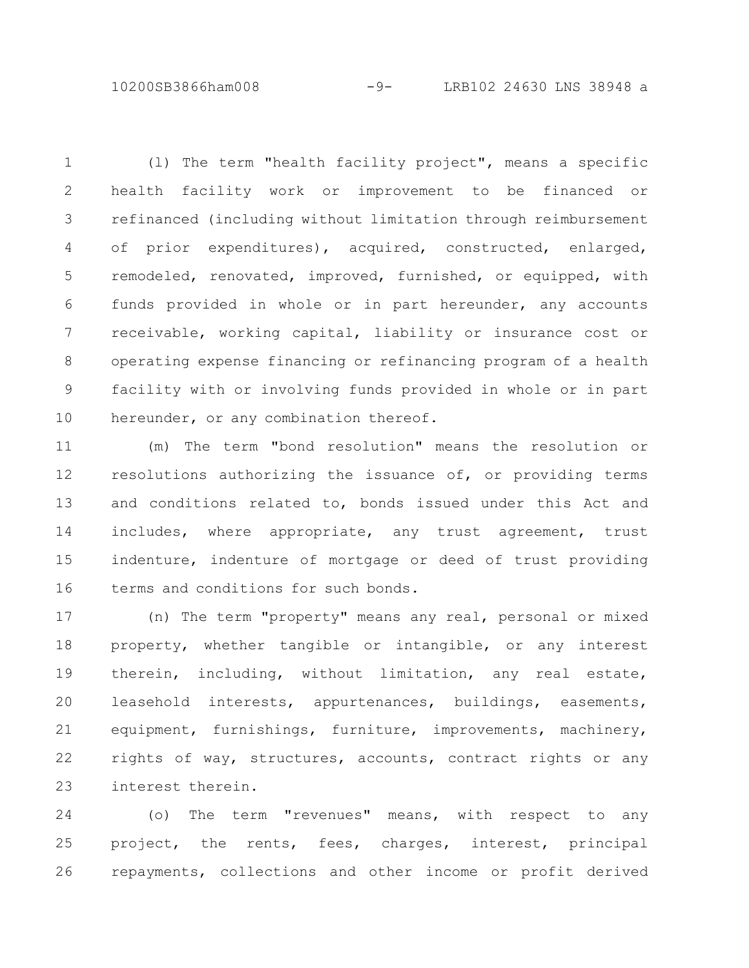10200SB3866ham008 -9- LRB102 24630 LNS 38948 a

(l) The term "health facility project", means a specific health facility work or improvement to be financed or refinanced (including without limitation through reimbursement of prior expenditures), acquired, constructed, enlarged, remodeled, renovated, improved, furnished, or equipped, with funds provided in whole or in part hereunder, any accounts receivable, working capital, liability or insurance cost or operating expense financing or refinancing program of a health facility with or involving funds provided in whole or in part hereunder, or any combination thereof. 1 2 3 4 5 6 7 8 9 10

(m) The term "bond resolution" means the resolution or resolutions authorizing the issuance of, or providing terms and conditions related to, bonds issued under this Act and includes, where appropriate, any trust agreement, trust indenture, indenture of mortgage or deed of trust providing terms and conditions for such bonds. 11 12 13 14 15 16

(n) The term "property" means any real, personal or mixed property, whether tangible or intangible, or any interest therein, including, without limitation, any real estate, leasehold interests, appurtenances, buildings, easements, equipment, furnishings, furniture, improvements, machinery, rights of way, structures, accounts, contract rights or any interest therein. 17 18 19 20 21 22 23

(o) The term "revenues" means, with respect to any project, the rents, fees, charges, interest, principal repayments, collections and other income or profit derived 24 25 26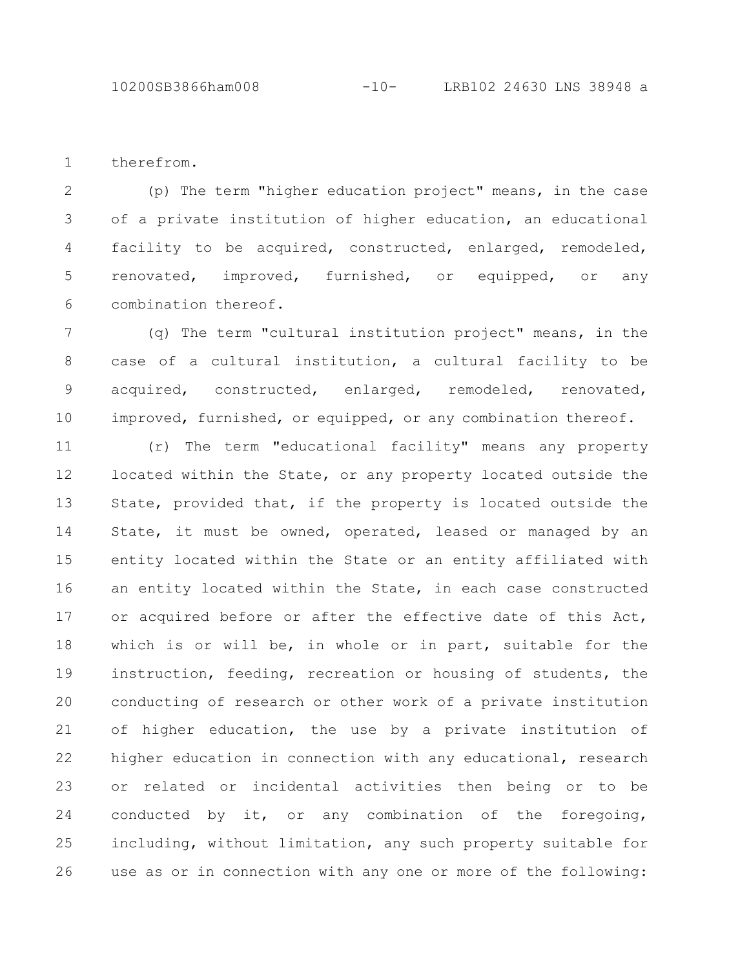therefrom. 1

(p) The term "higher education project" means, in the case of a private institution of higher education, an educational facility to be acquired, constructed, enlarged, remodeled, renovated, improved, furnished, or equipped, or any combination thereof. 2 3 4 5 6

(q) The term "cultural institution project" means, in the case of a cultural institution, a cultural facility to be acquired, constructed, enlarged, remodeled, renovated, improved, furnished, or equipped, or any combination thereof. 7 8 9 10

(r) The term "educational facility" means any property located within the State, or any property located outside the State, provided that, if the property is located outside the State, it must be owned, operated, leased or managed by an entity located within the State or an entity affiliated with an entity located within the State, in each case constructed or acquired before or after the effective date of this Act, which is or will be, in whole or in part, suitable for the instruction, feeding, recreation or housing of students, the conducting of research or other work of a private institution of higher education, the use by a private institution of higher education in connection with any educational, research or related or incidental activities then being or to be conducted by it, or any combination of the foregoing, including, without limitation, any such property suitable for use as or in connection with any one or more of the following: 11 12 13 14 15 16 17 18 19 20 21 22 23 24 25 26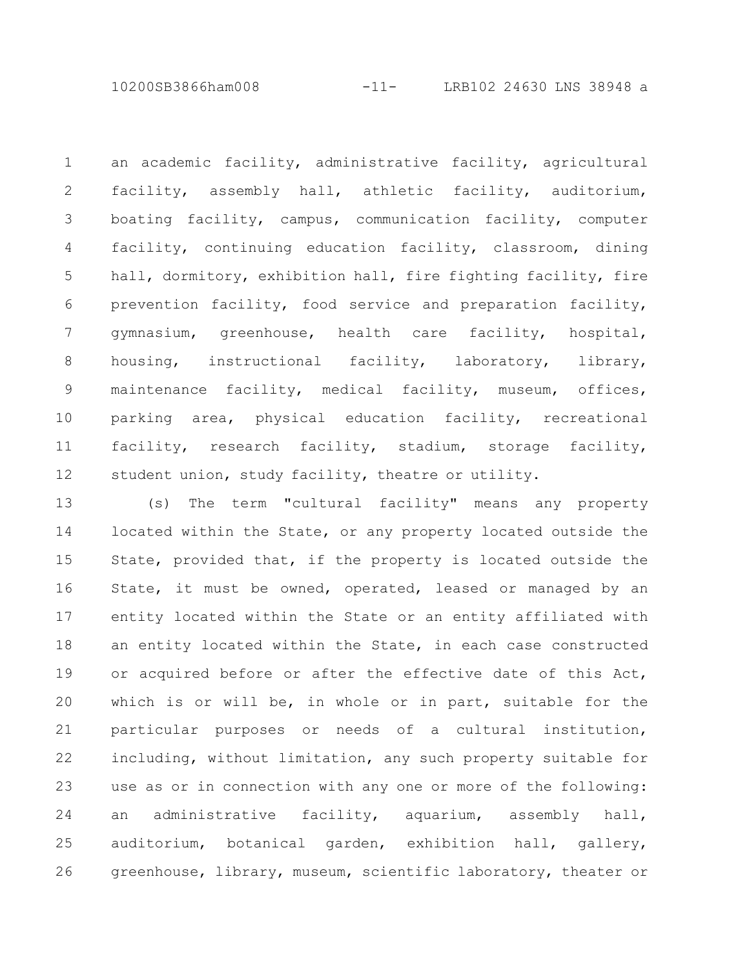10200SB3866ham008 -11- LRB102 24630 LNS 38948 a

an academic facility, administrative facility, agricultural facility, assembly hall, athletic facility, auditorium, boating facility, campus, communication facility, computer facility, continuing education facility, classroom, dining hall, dormitory, exhibition hall, fire fighting facility, fire prevention facility, food service and preparation facility, gymnasium, greenhouse, health care facility, hospital, housing, instructional facility, laboratory, library, maintenance facility, medical facility, museum, offices, parking area, physical education facility, recreational facility, research facility, stadium, storage facility, student union, study facility, theatre or utility. 1 2 3 4 5 6 7 8 9 10 11 12

(s) The term "cultural facility" means any property located within the State, or any property located outside the State, provided that, if the property is located outside the State, it must be owned, operated, leased or managed by an entity located within the State or an entity affiliated with an entity located within the State, in each case constructed or acquired before or after the effective date of this Act, which is or will be, in whole or in part, suitable for the particular purposes or needs of a cultural institution, including, without limitation, any such property suitable for use as or in connection with any one or more of the following: an administrative facility, aquarium, assembly hall, auditorium, botanical garden, exhibition hall, gallery, greenhouse, library, museum, scientific laboratory, theater or 13 14 15 16 17 18 19 20 21 22 23 24 25 26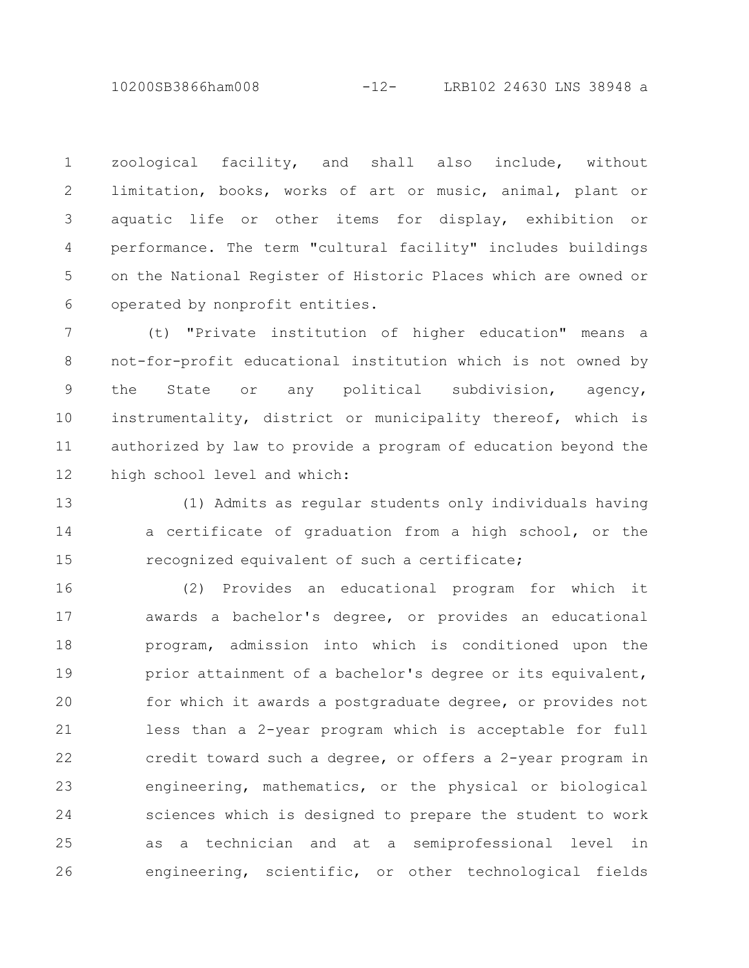10200SB3866ham008 -12- LRB102 24630 LNS 38948 a

zoological facility, and shall also include, without limitation, books, works of art or music, animal, plant or aquatic life or other items for display, exhibition or performance. The term "cultural facility" includes buildings on the National Register of Historic Places which are owned or operated by nonprofit entities. 1 2 3 4 5 6

(t) "Private institution of higher education" means a not-for-profit educational institution which is not owned by the State or any political subdivision, agency, instrumentality, district or municipality thereof, which is authorized by law to provide a program of education beyond the high school level and which: 7 8 9 10 11 12

(1) Admits as regular students only individuals having a certificate of graduation from a high school, or the recognized equivalent of such a certificate; 13 14 15

(2) Provides an educational program for which it awards a bachelor's degree, or provides an educational program, admission into which is conditioned upon the prior attainment of a bachelor's degree or its equivalent, for which it awards a postgraduate degree, or provides not less than a 2-year program which is acceptable for full credit toward such a degree, or offers a 2-year program in engineering, mathematics, or the physical or biological sciences which is designed to prepare the student to work as a technician and at a semiprofessional level in engineering, scientific, or other technological fields 16 17 18 19 20 21 22 23 24 25 26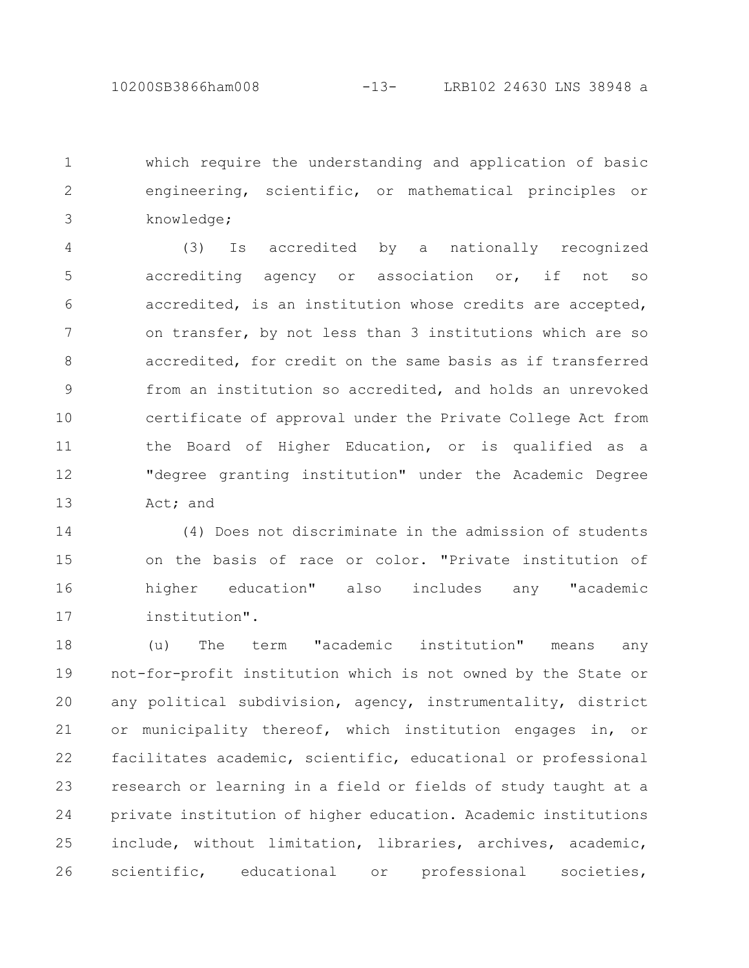which require the understanding and application of basic engineering, scientific, or mathematical principles or knowledge; 1 2 3

(3) Is accredited by a nationally recognized accrediting agency or association or, if not so accredited, is an institution whose credits are accepted, on transfer, by not less than 3 institutions which are so accredited, for credit on the same basis as if transferred from an institution so accredited, and holds an unrevoked certificate of approval under the Private College Act from the Board of Higher Education, or is qualified as a "degree granting institution" under the Academic Degree Act; and 4 5 6 7 8 9 10 11 12 13

(4) Does not discriminate in the admission of students on the basis of race or color. "Private institution of higher education" also includes any "academic institution". 14 15 16 17

(u) The term "academic institution" means any not-for-profit institution which is not owned by the State or any political subdivision, agency, instrumentality, district or municipality thereof, which institution engages in, or facilitates academic, scientific, educational or professional research or learning in a field or fields of study taught at a private institution of higher education. Academic institutions include, without limitation, libraries, archives, academic, scientific, educational or professional societies, 18 19 20 21 22 23 24 25 26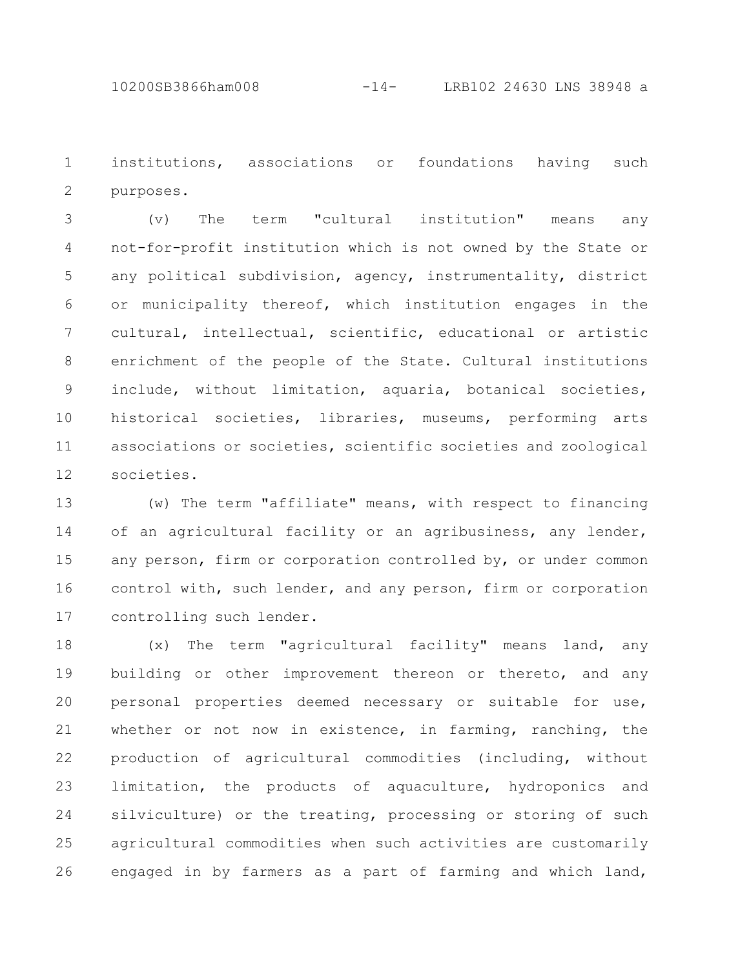institutions, associations or foundations having such purposes. 1 2

(v) The term "cultural institution" means any not-for-profit institution which is not owned by the State or any political subdivision, agency, instrumentality, district or municipality thereof, which institution engages in the cultural, intellectual, scientific, educational or artistic enrichment of the people of the State. Cultural institutions include, without limitation, aquaria, botanical societies, historical societies, libraries, museums, performing arts associations or societies, scientific societies and zoological societies. 3 4 5 6 7 8 9 10 11 12

(w) The term "affiliate" means, with respect to financing of an agricultural facility or an agribusiness, any lender, any person, firm or corporation controlled by, or under common control with, such lender, and any person, firm or corporation controlling such lender. 13 14 15 16 17

(x) The term "agricultural facility" means land, any building or other improvement thereon or thereto, and any personal properties deemed necessary or suitable for use, whether or not now in existence, in farming, ranching, the production of agricultural commodities (including, without limitation, the products of aquaculture, hydroponics and silviculture) or the treating, processing or storing of such agricultural commodities when such activities are customarily engaged in by farmers as a part of farming and which land, 18 19 20 21 22 23 24 25 26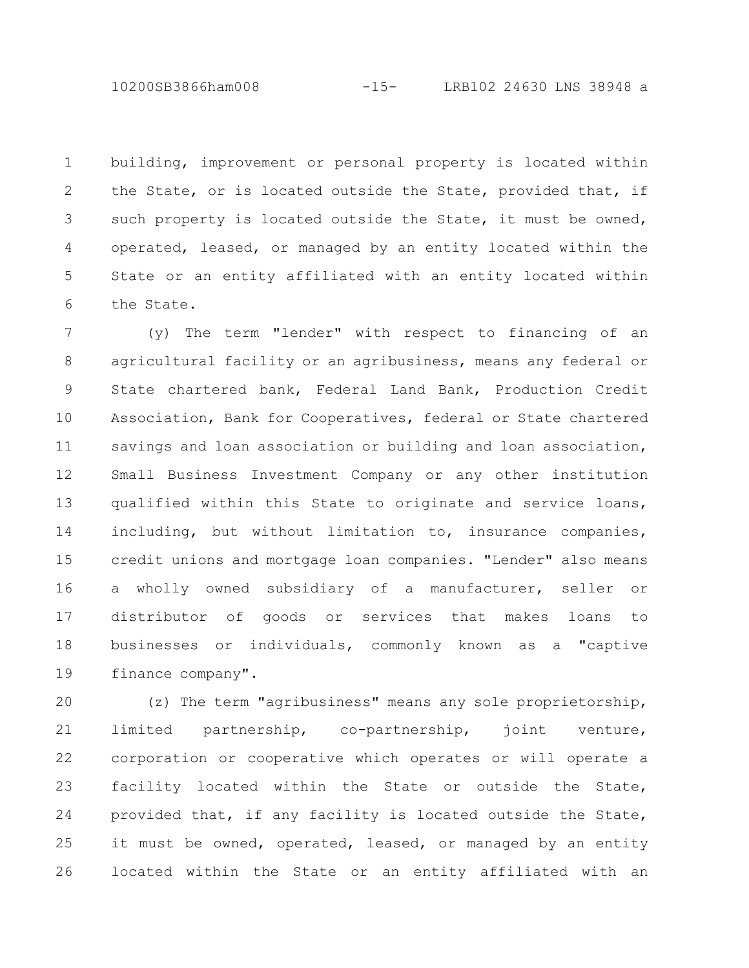10200SB3866ham008 -15- LRB102 24630 LNS 38948 a

building, improvement or personal property is located within the State, or is located outside the State, provided that, if such property is located outside the State, it must be owned, operated, leased, or managed by an entity located within the State or an entity affiliated with an entity located within the State. 1 2 3 4 5 6

(y) The term "lender" with respect to financing of an agricultural facility or an agribusiness, means any federal or State chartered bank, Federal Land Bank, Production Credit Association, Bank for Cooperatives, federal or State chartered savings and loan association or building and loan association, Small Business Investment Company or any other institution qualified within this State to originate and service loans, including, but without limitation to, insurance companies, credit unions and mortgage loan companies. "Lender" also means a wholly owned subsidiary of a manufacturer, seller or distributor of goods or services that makes loans to businesses or individuals, commonly known as a "captive finance company". 7 8 9 10 11 12 13 14 15 16 17 18 19

(z) The term "agribusiness" means any sole proprietorship, limited partnership, co-partnership, joint venture, corporation or cooperative which operates or will operate a facility located within the State or outside the State, provided that, if any facility is located outside the State, it must be owned, operated, leased, or managed by an entity located within the State or an entity affiliated with an 20 21 22 23 24 25 26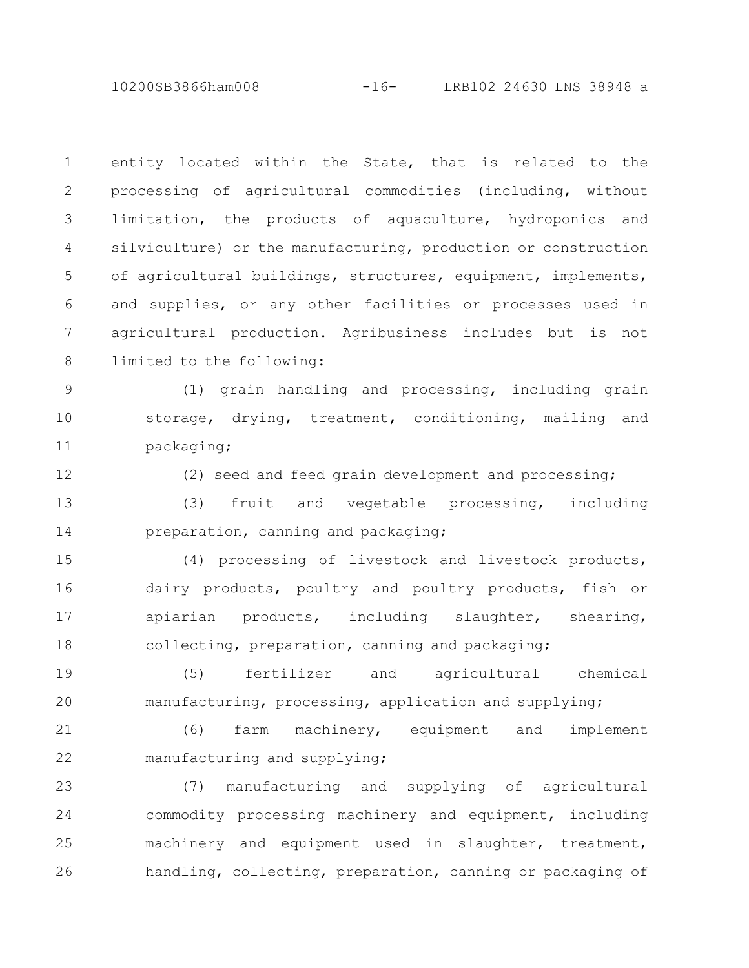10200SB3866ham008 -16- LRB102 24630 LNS 38948 a

entity located within the State, that is related to the processing of agricultural commodities (including, without limitation, the products of aquaculture, hydroponics and silviculture) or the manufacturing, production or construction of agricultural buildings, structures, equipment, implements, and supplies, or any other facilities or processes used in agricultural production. Agribusiness includes but is not limited to the following: 1 2 3 4 5 6 7 8

(1) grain handling and processing, including grain storage, drying, treatment, conditioning, mailing and packaging; 9 10 11

(2) seed and feed grain development and processing;

12

(3) fruit and vegetable processing, including preparation, canning and packaging; 13 14

(4) processing of livestock and livestock products, dairy products, poultry and poultry products, fish or apiarian products, including slaughter, shearing, collecting, preparation, canning and packaging; 15 16 17 18

(5) fertilizer and agricultural chemical manufacturing, processing, application and supplying; 19 20

(6) farm machinery, equipment and implement manufacturing and supplying; 21 22

(7) manufacturing and supplying of agricultural commodity processing machinery and equipment, including machinery and equipment used in slaughter, treatment, handling, collecting, preparation, canning or packaging of 23 24 25 26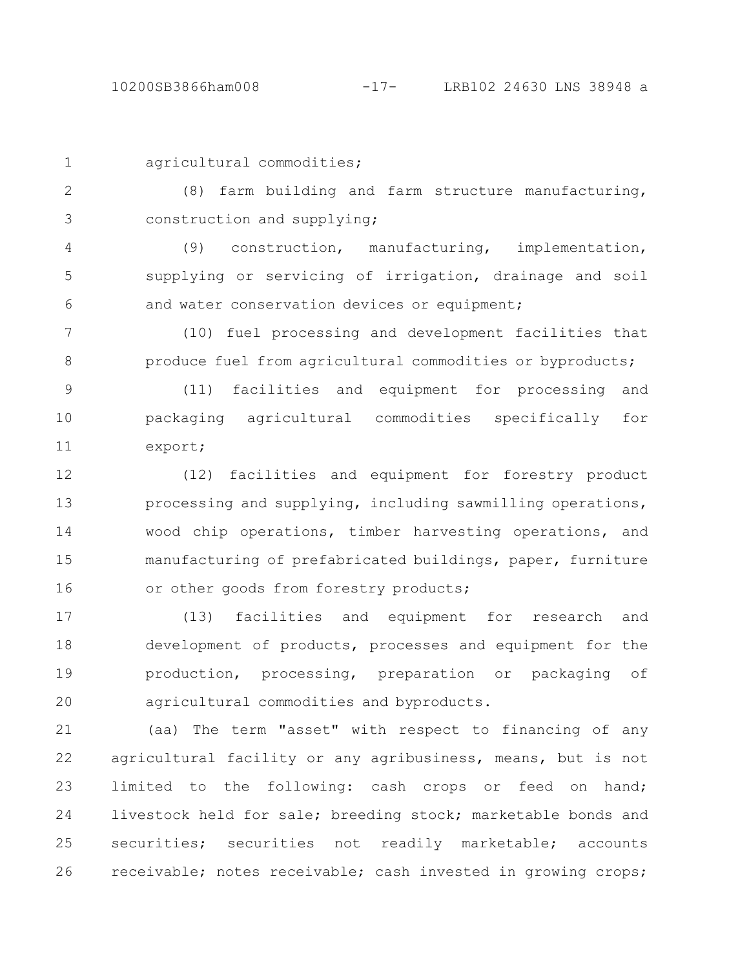agricultural commodities; (8) farm building and farm structure manufacturing, construction and supplying; (9) construction, manufacturing, implementation, supplying or servicing of irrigation, drainage and soil and water conservation devices or equipment; (10) fuel processing and development facilities that 1 2 3 4 5 6 7

produce fuel from agricultural commodities or byproducts; 8

(11) facilities and equipment for processing and packaging agricultural commodities specifically for export; 9 10 11

(12) facilities and equipment for forestry product processing and supplying, including sawmilling operations, wood chip operations, timber harvesting operations, and manufacturing of prefabricated buildings, paper, furniture or other goods from forestry products; 12 13 14 15 16

(13) facilities and equipment for research and development of products, processes and equipment for the production, processing, preparation or packaging of agricultural commodities and byproducts. 17 18 19 20

(aa) The term "asset" with respect to financing of any agricultural facility or any agribusiness, means, but is not limited to the following: cash crops or feed on hand; livestock held for sale; breeding stock; marketable bonds and securities; securities not readily marketable; accounts receivable; notes receivable; cash invested in growing crops; 21 22 23 24 25 26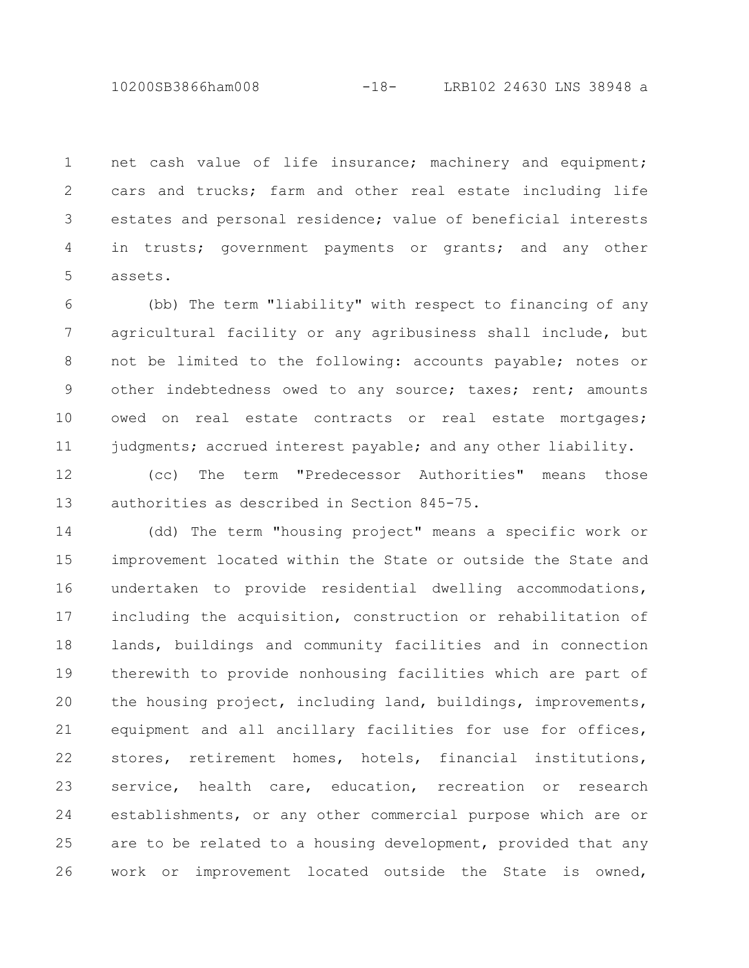10200SB3866ham008 -18- LRB102 24630 LNS 38948 a

net cash value of life insurance; machinery and equipment; cars and trucks; farm and other real estate including life estates and personal residence; value of beneficial interests in trusts; government payments or grants; and any other assets. 1 2 3 4 5

(bb) The term "liability" with respect to financing of any agricultural facility or any agribusiness shall include, but not be limited to the following: accounts payable; notes or other indebtedness owed to any source; taxes; rent; amounts owed on real estate contracts or real estate mortgages; judgments; accrued interest payable; and any other liability. 6 7 8 9 10 11

(cc) The term "Predecessor Authorities" means those authorities as described in Section 845-75. 12 13

(dd) The term "housing project" means a specific work or improvement located within the State or outside the State and undertaken to provide residential dwelling accommodations, including the acquisition, construction or rehabilitation of lands, buildings and community facilities and in connection therewith to provide nonhousing facilities which are part of the housing project, including land, buildings, improvements, equipment and all ancillary facilities for use for offices, stores, retirement homes, hotels, financial institutions, service, health care, education, recreation or research establishments, or any other commercial purpose which are or are to be related to a housing development, provided that any work or improvement located outside the State is owned, 14 15 16 17 18 19 20 21 22 23 24 25 26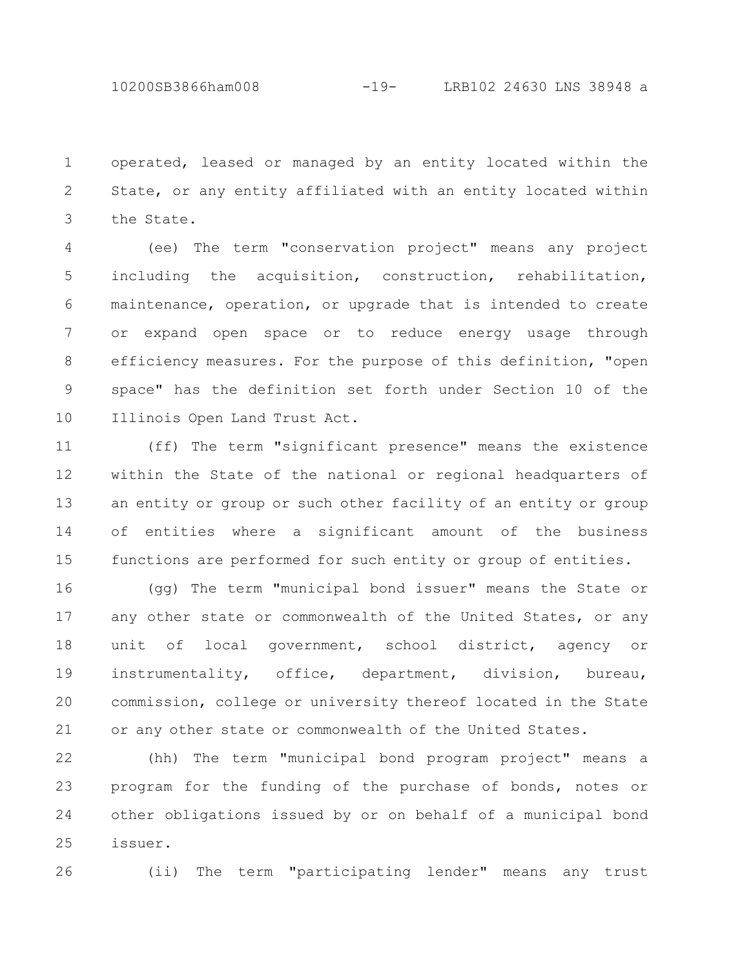10200SB3866ham008 -19- LRB102 24630 LNS 38948 a

operated, leased or managed by an entity located within the State, or any entity affiliated with an entity located within the State. 1 2 3

(ee) The term "conservation project" means any project including the acquisition, construction, rehabilitation, maintenance, operation, or upgrade that is intended to create or expand open space or to reduce energy usage through efficiency measures. For the purpose of this definition, "open space" has the definition set forth under Section 10 of the Illinois Open Land Trust Act. 4 5 6 7 8 9 10

(ff) The term "significant presence" means the existence within the State of the national or regional headquarters of an entity or group or such other facility of an entity or group of entities where a significant amount of the business functions are performed for such entity or group of entities. 11 12 13 14 15

(gg) The term "municipal bond issuer" means the State or any other state or commonwealth of the United States, or any unit of local government, school district, agency or instrumentality, office, department, division, bureau, commission, college or university thereof located in the State or any other state or commonwealth of the United States. 16 17 18 19 20 21

(hh) The term "municipal bond program project" means a program for the funding of the purchase of bonds, notes or other obligations issued by or on behalf of a municipal bond issuer. 22 23 24 25

(ii) The term "participating lender" means any trust 26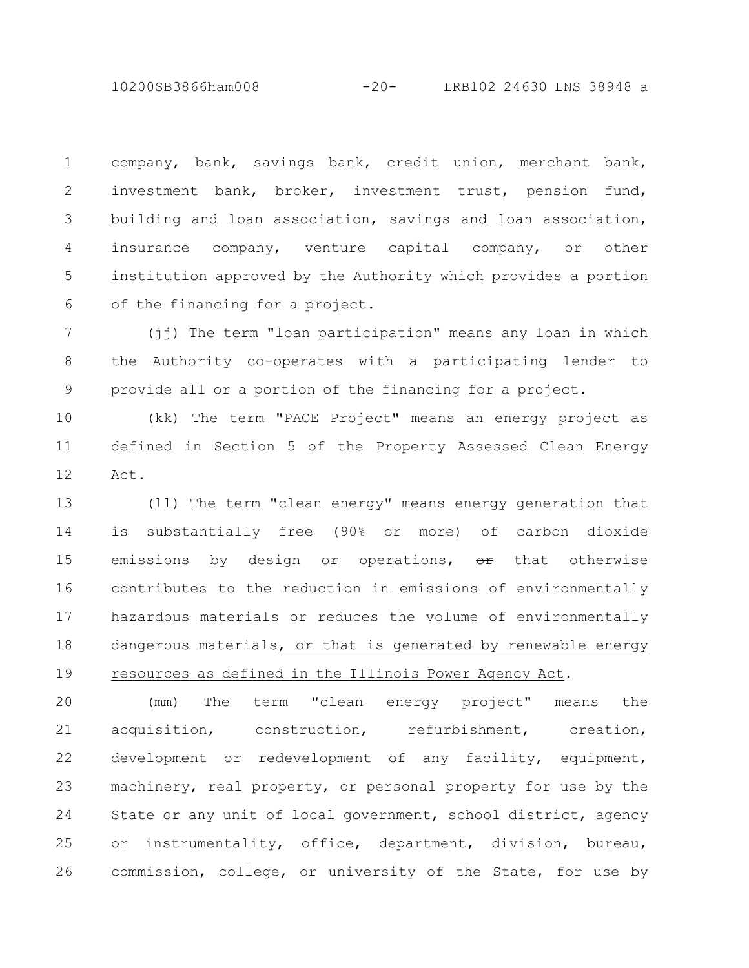10200SB3866ham008 -20- LRB102 24630 LNS 38948 a

company, bank, savings bank, credit union, merchant bank, investment bank, broker, investment trust, pension fund, building and loan association, savings and loan association, insurance company, venture capital company, or other institution approved by the Authority which provides a portion of the financing for a project. 1 2 3 4 5 6

(ii) The term "loan participation" means any loan in which the Authority co-operates with a participating lender to provide all or a portion of the financing for a project. 7 8 9

(kk) The term "PACE Project" means an energy project as defined in Section 5 of the Property Assessed Clean Energy Act. 10 11 12

(ll) The term "clean energy" means energy generation that is substantially free (90% or more) of carbon dioxide emissions by design or operations,  $\Theta$ r that otherwise contributes to the reduction in emissions of environmentally hazardous materials or reduces the volume of environmentally dangerous materials, or that is generated by renewable energy resources as defined in the Illinois Power Agency Act. 13 14 15 16 17 18 19

(mm) The term "clean energy project" means the acquisition, construction, refurbishment, creation, development or redevelopment of any facility, equipment, machinery, real property, or personal property for use by the State or any unit of local government, school district, agency or instrumentality, office, department, division, bureau, commission, college, or university of the State, for use by 20 21 22 23 24 25 26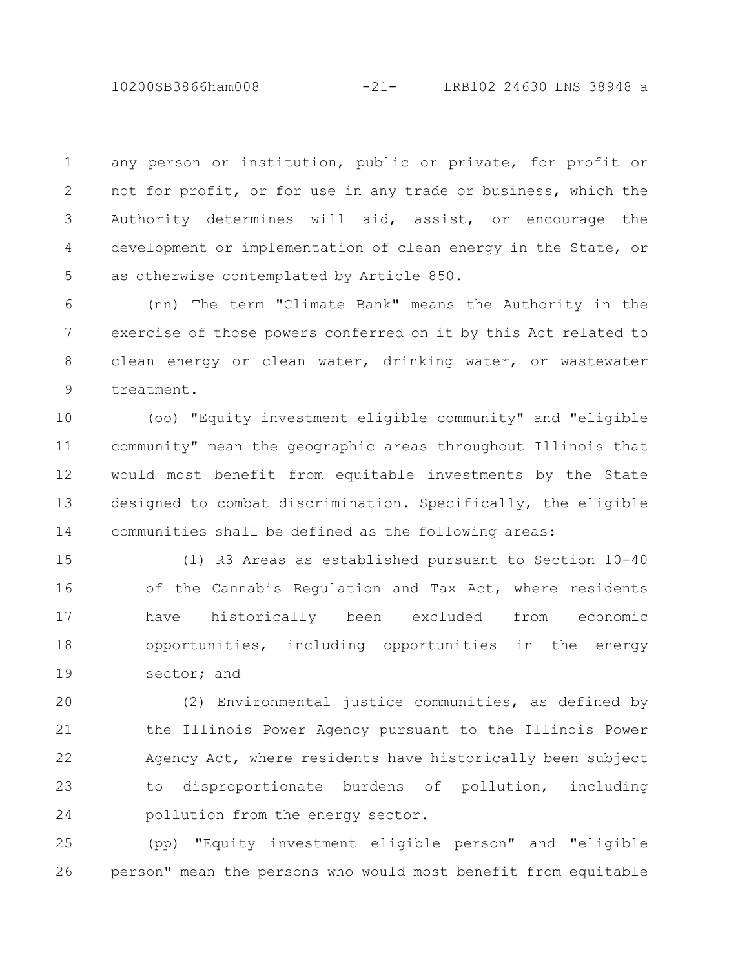10200SB3866ham008 -21- LRB102 24630 LNS 38948 a

any person or institution, public or private, for profit or not for profit, or for use in any trade or business, which the Authority determines will aid, assist, or encourage the development or implementation of clean energy in the State, or as otherwise contemplated by Article 850. 1 2 3 4 5

(nn) The term "Climate Bank" means the Authority in the exercise of those powers conferred on it by this Act related to clean energy or clean water, drinking water, or wastewater treatment. 6 7 8 9

(oo) "Equity investment eligible community" and "eligible community" mean the geographic areas throughout Illinois that would most benefit from equitable investments by the State designed to combat discrimination. Specifically, the eligible communities shall be defined as the following areas: 10 11 12 13 14

(1) R3 Areas as established pursuant to Section 10-40 of the Cannabis Regulation and Tax Act, where residents have historically been excluded from economic opportunities, including opportunities in the energy sector; and 15 16 17 18 19

(2) Environmental justice communities, as defined by the Illinois Power Agency pursuant to the Illinois Power Agency Act, where residents have historically been subject to disproportionate burdens of pollution, including pollution from the energy sector. 20 21 22 23 24

(pp) "Equity investment eligible person" and "eligible person" mean the persons who would most benefit from equitable 25 26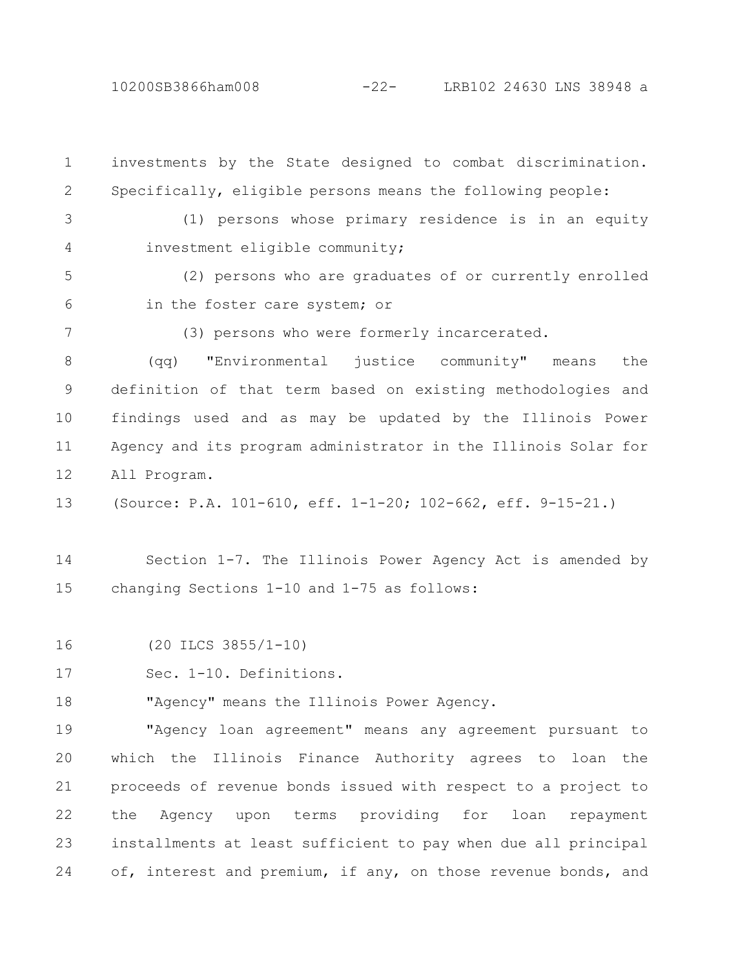10200SB3866ham008 -22- LRB102 24630 LNS 38948 a

investments by the State designed to combat discrimination. Specifically, eligible persons means the following people: 1 2

- (1) persons whose primary residence is in an equity investment eligible community; 3 4
- (2) persons who are graduates of or currently enrolled in the foster care system; or 5 6
- 7

(3) persons who were formerly incarcerated.

(qq) "Environmental justice community" means the definition of that term based on existing methodologies and findings used and as may be updated by the Illinois Power Agency and its program administrator in the Illinois Solar for All Program. 8 9 10 11 12

(Source: P.A. 101-610, eff. 1-1-20; 102-662, eff. 9-15-21.) 13

Section 1-7. The Illinois Power Agency Act is amended by changing Sections 1-10 and 1-75 as follows: 14 15

- (20 ILCS 3855/1-10) 16
- Sec. 1-10. Definitions. 17

"Agency" means the Illinois Power Agency. 18

"Agency loan agreement" means any agreement pursuant to which the Illinois Finance Authority agrees to loan the proceeds of revenue bonds issued with respect to a project to the Agency upon terms providing for loan repayment installments at least sufficient to pay when due all principal of, interest and premium, if any, on those revenue bonds, and 19 20 21 22 23 24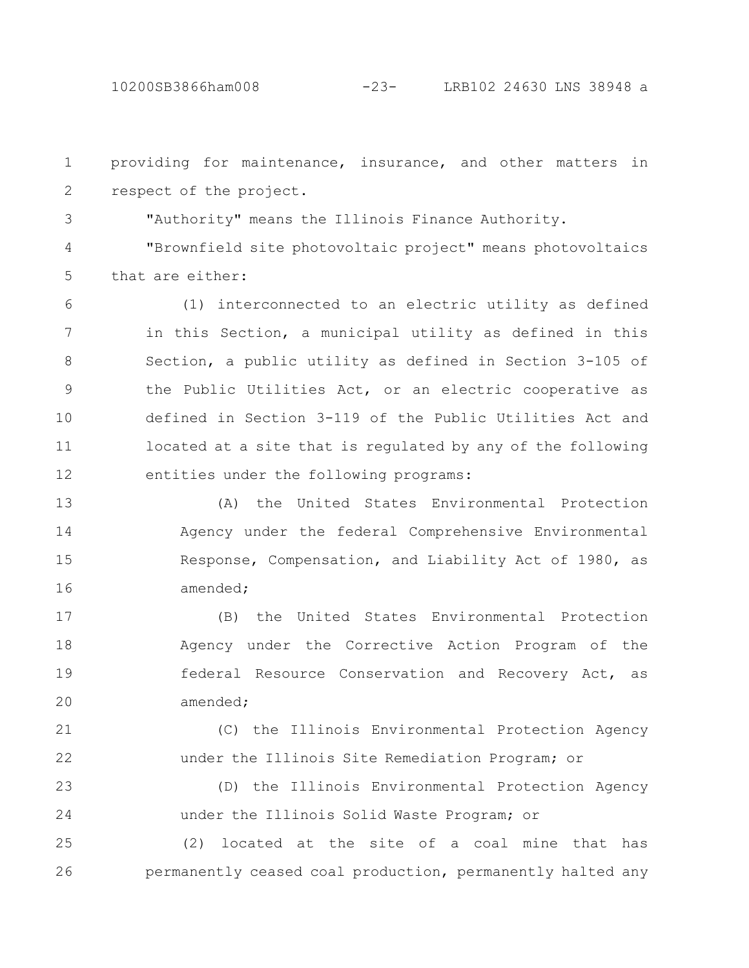providing for maintenance, insurance, and other matters in respect of the project. 1 2

"Authority" means the Illinois Finance Authority. 3

"Brownfield site photovoltaic project" means photovoltaics that are either: 4 5

(1) interconnected to an electric utility as defined in this Section, a municipal utility as defined in this Section, a public utility as defined in Section 3-105 of the Public Utilities Act, or an electric cooperative as defined in Section 3-119 of the Public Utilities Act and located at a site that is regulated by any of the following entities under the following programs: 6 7 8 9 10 11 12

(A) the United States Environmental Protection Agency under the federal Comprehensive Environmental Response, Compensation, and Liability Act of 1980, as amended; 13 14 15 16

(B) the United States Environmental Protection Agency under the Corrective Action Program of the federal Resource Conservation and Recovery Act, as amended; 17 18 19 20

(C) the Illinois Environmental Protection Agency under the Illinois Site Remediation Program; or 21 22

(D) the Illinois Environmental Protection Agency under the Illinois Solid Waste Program; or 23 24

(2) located at the site of a coal mine that has permanently ceased coal production, permanently halted any 25 26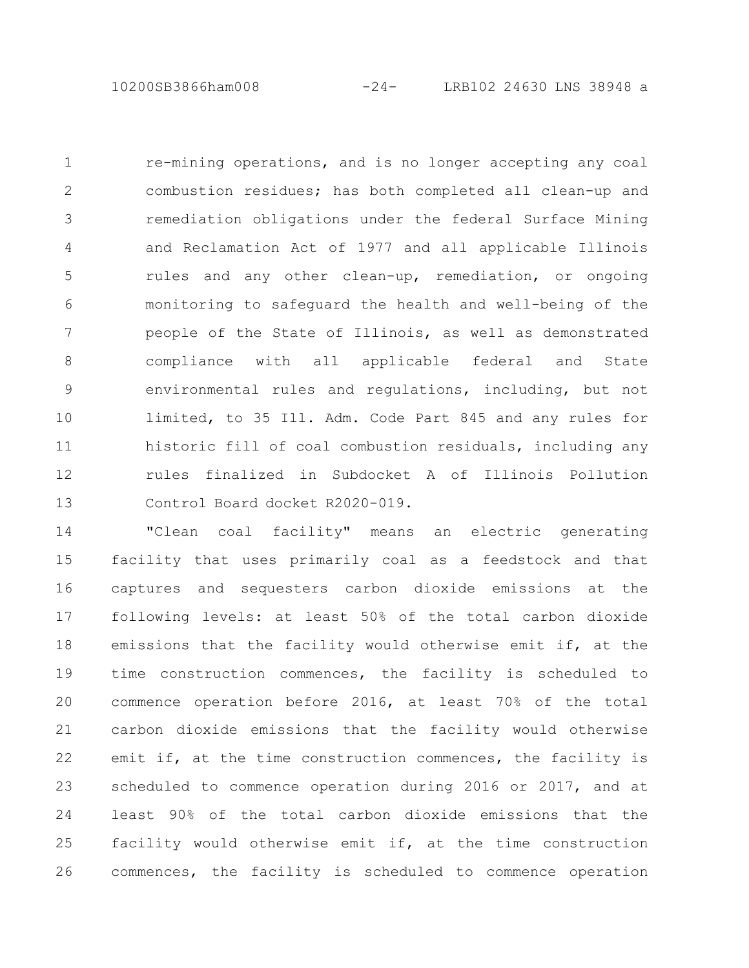10200SB3866ham008 -24- LRB102 24630 LNS 38948 a

re-mining operations, and is no longer accepting any coal combustion residues; has both completed all clean-up and remediation obligations under the federal Surface Mining and Reclamation Act of 1977 and all applicable Illinois rules and any other clean-up, remediation, or ongoing monitoring to safeguard the health and well-being of the people of the State of Illinois, as well as demonstrated compliance with all applicable federal and State environmental rules and regulations, including, but not limited, to 35 Ill. Adm. Code Part 845 and any rules for historic fill of coal combustion residuals, including any rules finalized in Subdocket A of Illinois Pollution Control Board docket R2020-019. 1 2 3 4 5 6 7 8 9 10 11 12 13

"Clean coal facility" means an electric generating facility that uses primarily coal as a feedstock and that captures and sequesters carbon dioxide emissions at the following levels: at least 50% of the total carbon dioxide emissions that the facility would otherwise emit if, at the time construction commences, the facility is scheduled to commence operation before 2016, at least 70% of the total carbon dioxide emissions that the facility would otherwise emit if, at the time construction commences, the facility is scheduled to commence operation during 2016 or 2017, and at least 90% of the total carbon dioxide emissions that the facility would otherwise emit if, at the time construction commences, the facility is scheduled to commence operation 14 15 16 17 18 19 20 21 22 23 24 25 26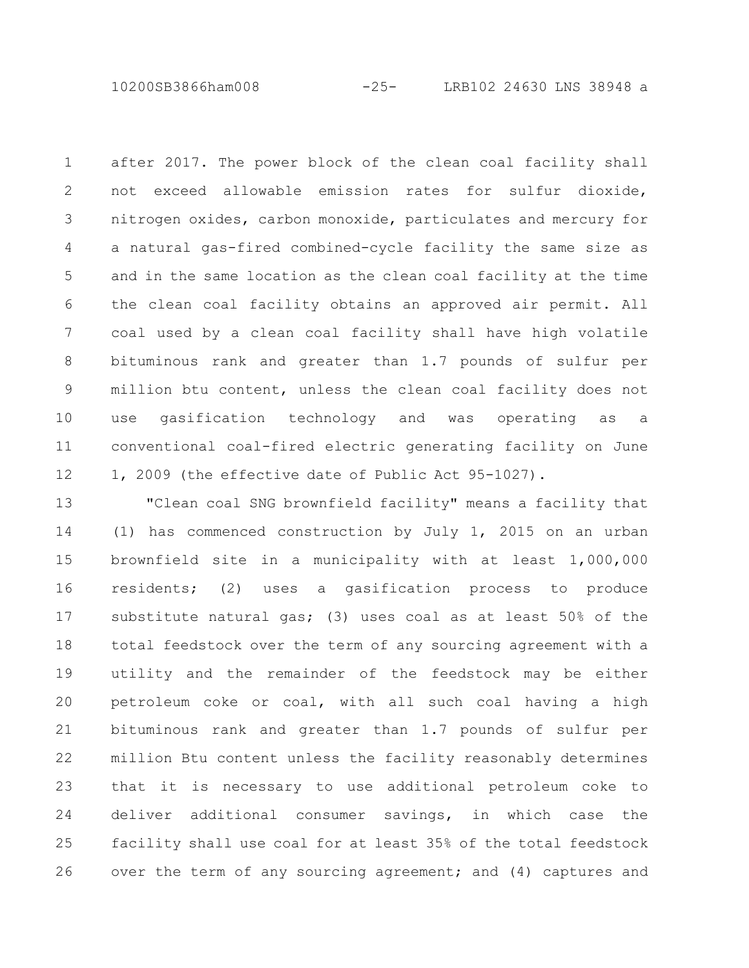10200SB3866ham008 -25- LRB102 24630 LNS 38948 a

after 2017. The power block of the clean coal facility shall not exceed allowable emission rates for sulfur dioxide, nitrogen oxides, carbon monoxide, particulates and mercury for a natural gas-fired combined-cycle facility the same size as and in the same location as the clean coal facility at the time the clean coal facility obtains an approved air permit. All coal used by a clean coal facility shall have high volatile bituminous rank and greater than 1.7 pounds of sulfur per million btu content, unless the clean coal facility does not use gasification technology and was operating as a conventional coal-fired electric generating facility on June 1, 2009 (the effective date of Public Act 95-1027). 1 2 3 4 5 6 7 8 9 10 11 12

"Clean coal SNG brownfield facility" means a facility that (1) has commenced construction by July 1, 2015 on an urban brownfield site in a municipality with at least 1,000,000 residents; (2) uses a gasification process to produce substitute natural gas; (3) uses coal as at least 50% of the total feedstock over the term of any sourcing agreement with a utility and the remainder of the feedstock may be either petroleum coke or coal, with all such coal having a high bituminous rank and greater than 1.7 pounds of sulfur per million Btu content unless the facility reasonably determines that it is necessary to use additional petroleum coke to deliver additional consumer savings, in which case the facility shall use coal for at least 35% of the total feedstock over the term of any sourcing agreement; and (4) captures and 13 14 15 16 17 18 19 20 21 22 23 24 25 26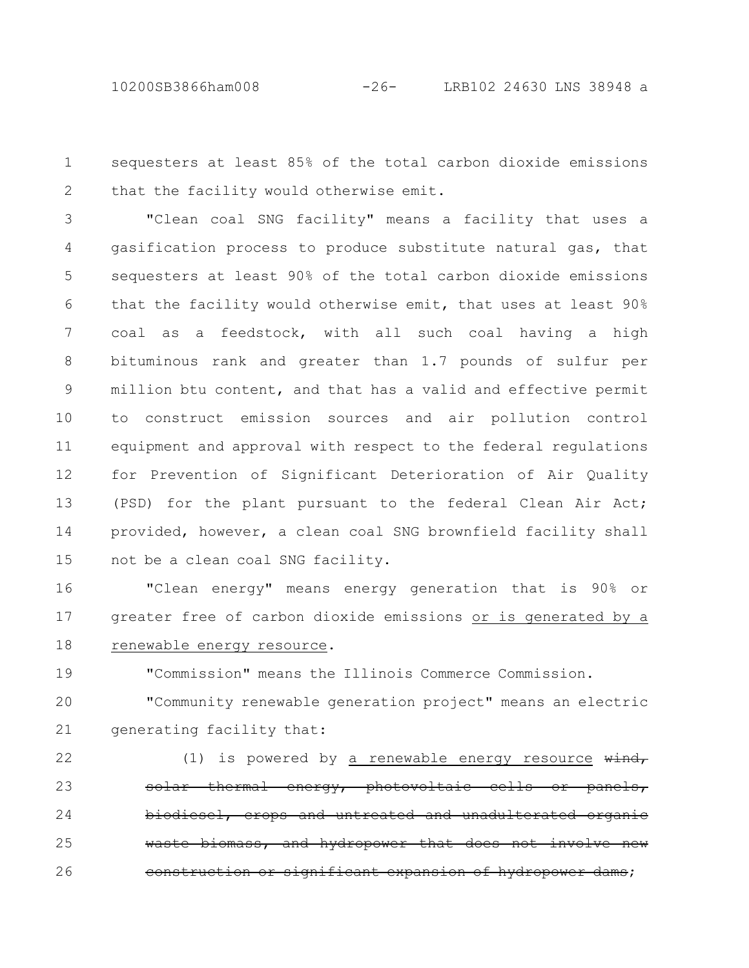19

sequesters at least 85% of the total carbon dioxide emissions that the facility would otherwise emit. 1 2

"Clean coal SNG facility" means a facility that uses a gasification process to produce substitute natural gas, that sequesters at least 90% of the total carbon dioxide emissions that the facility would otherwise emit, that uses at least 90% coal as a feedstock, with all such coal having a high bituminous rank and greater than 1.7 pounds of sulfur per million btu content, and that has a valid and effective permit to construct emission sources and air pollution control equipment and approval with respect to the federal regulations for Prevention of Significant Deterioration of Air Quality (PSD) for the plant pursuant to the federal Clean Air Act; provided, however, a clean coal SNG brownfield facility shall not be a clean coal SNG facility. 3 4 5 6 7 8 9 10 11 12 13 14 15

"Clean energy" means energy generation that is 90% or greater free of carbon dioxide emissions or is generated by a renewable energy resource. 16 17 18

"Commission" means the Illinois Commerce Commission.

"Community renewable generation project" means an electric generating facility that: 20 21

(1) is powered by a renewable energy resource  $\theta$ thermal energy, photovoltaic cells or panels, biodiesel, crops and untreated and unadulterated organic biomass, and hydropower that does construction or significant expansion of hydropower dams; 22 23 24 25 26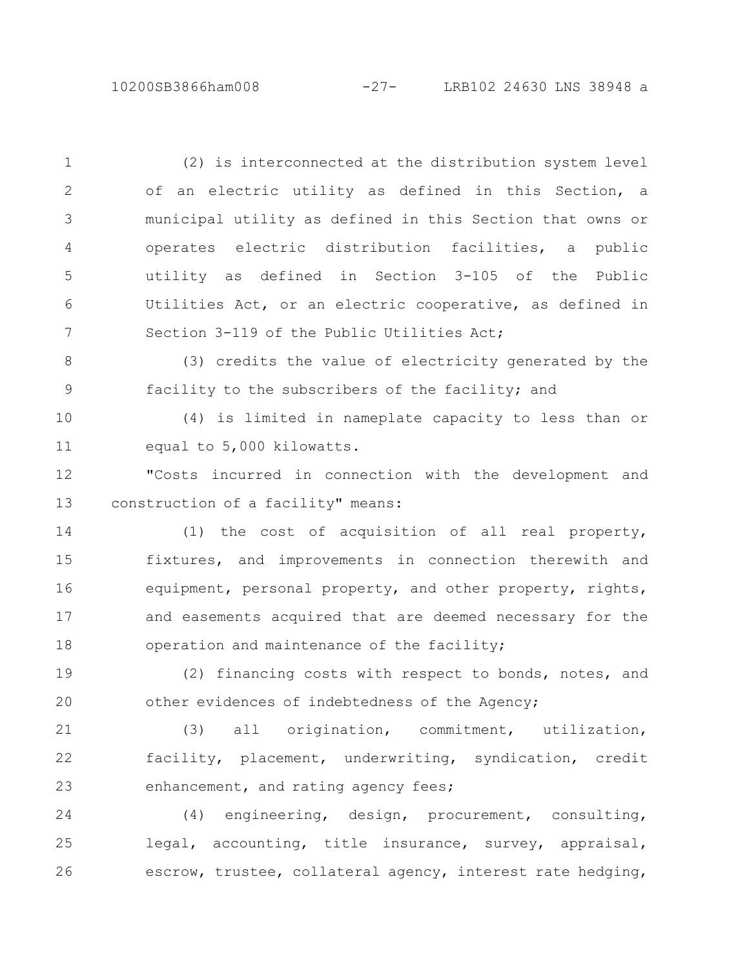(2) is interconnected at the distribution system level of an electric utility as defined in this Section, a municipal utility as defined in this Section that owns or operates electric distribution facilities, a public utility as defined in Section 3-105 of the Public Utilities Act, or an electric cooperative, as defined in Section 3-119 of the Public Utilities Act; 1 2 3 4 5 6 7

(3) credits the value of electricity generated by the facility to the subscribers of the facility; and 8 9

(4) is limited in nameplate capacity to less than or equal to 5,000 kilowatts. 10 11

"Costs incurred in connection with the development and construction of a facility" means: 12 13

(1) the cost of acquisition of all real property, fixtures, and improvements in connection therewith and equipment, personal property, and other property, rights, and easements acquired that are deemed necessary for the operation and maintenance of the facility; 14 15 16 17 18

(2) financing costs with respect to bonds, notes, and other evidences of indebtedness of the Agency; 19 20

(3) all origination, commitment, utilization, facility, placement, underwriting, syndication, credit enhancement, and rating agency fees; 21 22 23

(4) engineering, design, procurement, consulting, legal, accounting, title insurance, survey, appraisal, escrow, trustee, collateral agency, interest rate hedging, 24 25 26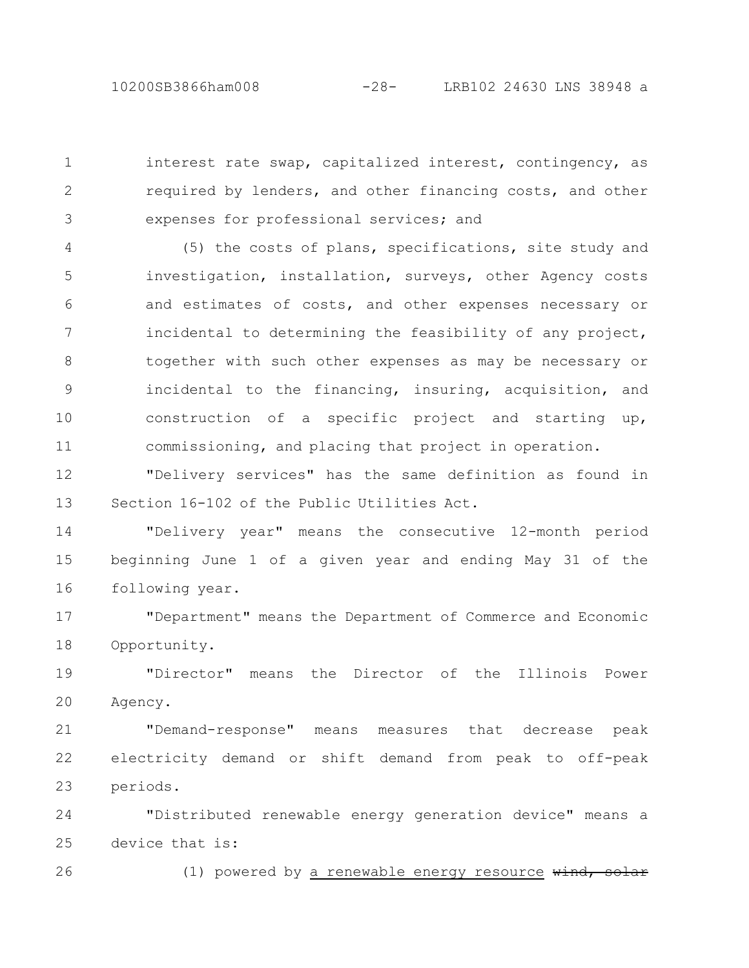10200SB3866ham008 -28- LRB102 24630 LNS 38948 a

interest rate swap, capitalized interest, contingency, as required by lenders, and other financing costs, and other expenses for professional services; and 1 2 3

(5) the costs of plans, specifications, site study and investigation, installation, surveys, other Agency costs and estimates of costs, and other expenses necessary or incidental to determining the feasibility of any project, together with such other expenses as may be necessary or incidental to the financing, insuring, acquisition, and construction of a specific project and starting up, commissioning, and placing that project in operation. 4 5 6 7 8 9 10 11

"Delivery services" has the same definition as found in Section 16-102 of the Public Utilities Act. 12 13

"Delivery year" means the consecutive 12-month period beginning June 1 of a given year and ending May 31 of the following year. 14 15 16

"Department" means the Department of Commerce and Economic Opportunity. 17 18

"Director" means the Director of the Illinois Power Agency. 19 20

"Demand-response" means measures that decrease peak electricity demand or shift demand from peak to off-peak periods. 21 22 23

"Distributed renewable energy generation device" means a device that is: 24 25

26

(1) powered by a renewable energy resource  $\theta$ ,  $\theta$ ,  $\theta$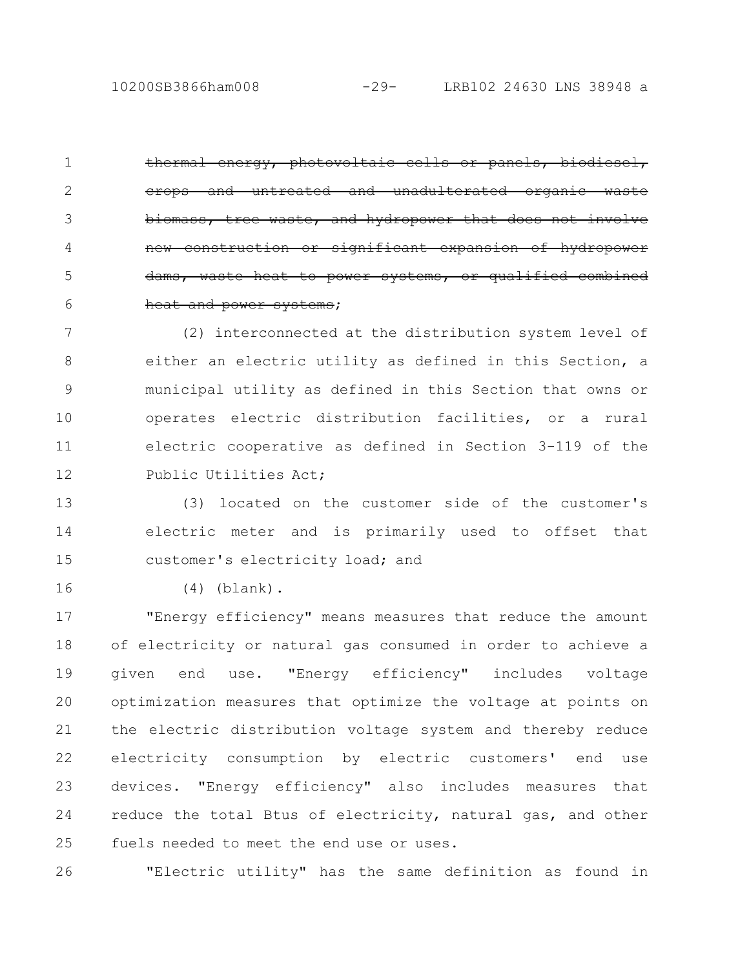thermal energy, photovoltaic cells or panels, biodiesel, crops and untreated and unadulterated organic waste biomass, tree waste, and hydropower that does not involve new construction or significant expansion dams, waste heat to power systems, or qualified heat and power systems; 1 2 3 4 5 6

(2) interconnected at the distribution system level of either an electric utility as defined in this Section, a municipal utility as defined in this Section that owns or operates electric distribution facilities, or a rural electric cooperative as defined in Section 3-119 of the Public Utilities Act; 7 8 9 10 11 12

(3) located on the customer side of the customer's electric meter and is primarily used to offset that customer's electricity load; and 13 14 15

(4) (blank). 16

"Energy efficiency" means measures that reduce the amount of electricity or natural gas consumed in order to achieve a given end use. "Energy efficiency" includes voltage optimization measures that optimize the voltage at points on the electric distribution voltage system and thereby reduce electricity consumption by electric customers' end use devices. "Energy efficiency" also includes measures that reduce the total Btus of electricity, natural gas, and other fuels needed to meet the end use or uses. 17 18 19 20 21 22 23 24 25

"Electric utility" has the same definition as found in 26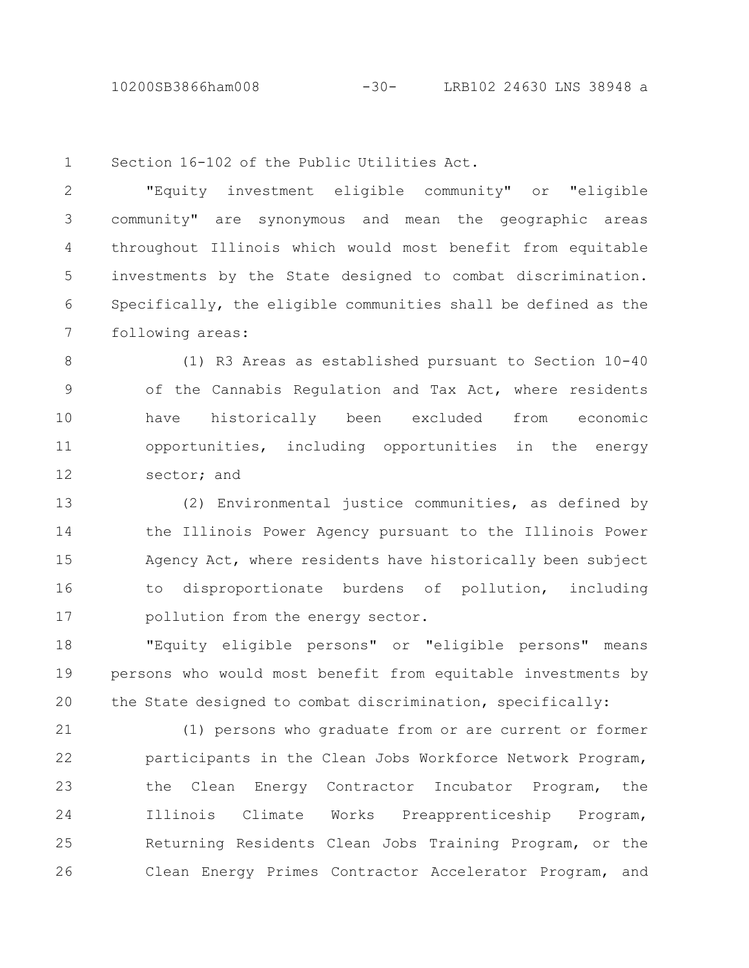10200SB3866ham008 -30- LRB102 24630 LNS 38948 a

1

Section 16-102 of the Public Utilities Act.

"Equity investment eligible community" or "eligible community" are synonymous and mean the geographic areas throughout Illinois which would most benefit from equitable investments by the State designed to combat discrimination. Specifically, the eligible communities shall be defined as the following areas: 2 3 4 5 6 7

(1) R3 Areas as established pursuant to Section 10-40 of the Cannabis Regulation and Tax Act, where residents have historically been excluded from economic opportunities, including opportunities in the energy sector; and 8 9 10 11 12

(2) Environmental justice communities, as defined by the Illinois Power Agency pursuant to the Illinois Power Agency Act, where residents have historically been subject to disproportionate burdens of pollution, including pollution from the energy sector. 13 14 15 16 17

"Equity eligible persons" or "eligible persons" means persons who would most benefit from equitable investments by the State designed to combat discrimination, specifically: 18 19 20

(1) persons who graduate from or are current or former participants in the Clean Jobs Workforce Network Program, the Clean Energy Contractor Incubator Program, the Illinois Climate Works Preapprenticeship Program, Returning Residents Clean Jobs Training Program, or the Clean Energy Primes Contractor Accelerator Program, and 21 22 23 24 25 26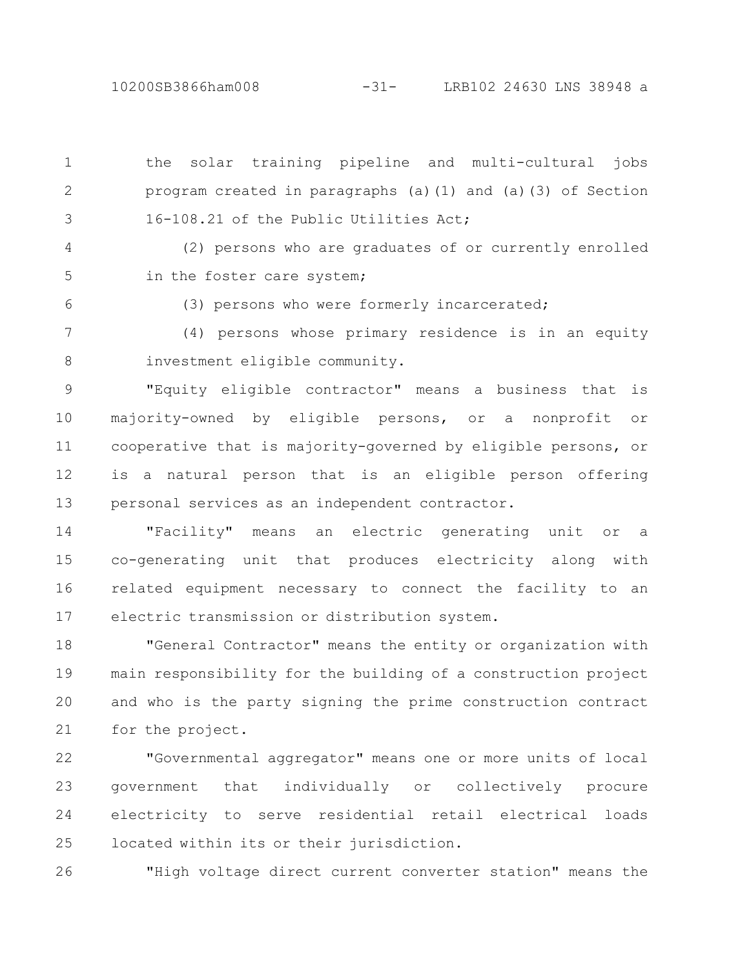10200SB3866ham008 -31- LRB102 24630 LNS 38948 a

the solar training pipeline and multi-cultural jobs program created in paragraphs (a)(1) and (a)(3) of Section 16-108.21 of the Public Utilities Act; 1 2 3

(2) persons who are graduates of or currently enrolled in the foster care system; 4 5

6

(3) persons who were formerly incarcerated;

(4) persons whose primary residence is in an equity investment eligible community. 7 8

"Equity eligible contractor" means a business that is majority-owned by eligible persons, or a nonprofit or cooperative that is majority-governed by eligible persons, or is a natural person that is an eligible person offering personal services as an independent contractor. 9 10 11 12 13

"Facility" means an electric generating unit or a co-generating unit that produces electricity along with related equipment necessary to connect the facility to an electric transmission or distribution system. 14 15 16 17

"General Contractor" means the entity or organization with main responsibility for the building of a construction project and who is the party signing the prime construction contract for the project. 18 19 20 21

"Governmental aggregator" means one or more units of local government that individually or collectively procure electricity to serve residential retail electrical loads located within its or their jurisdiction. 22 23 24 25

26

"High voltage direct current converter station" means the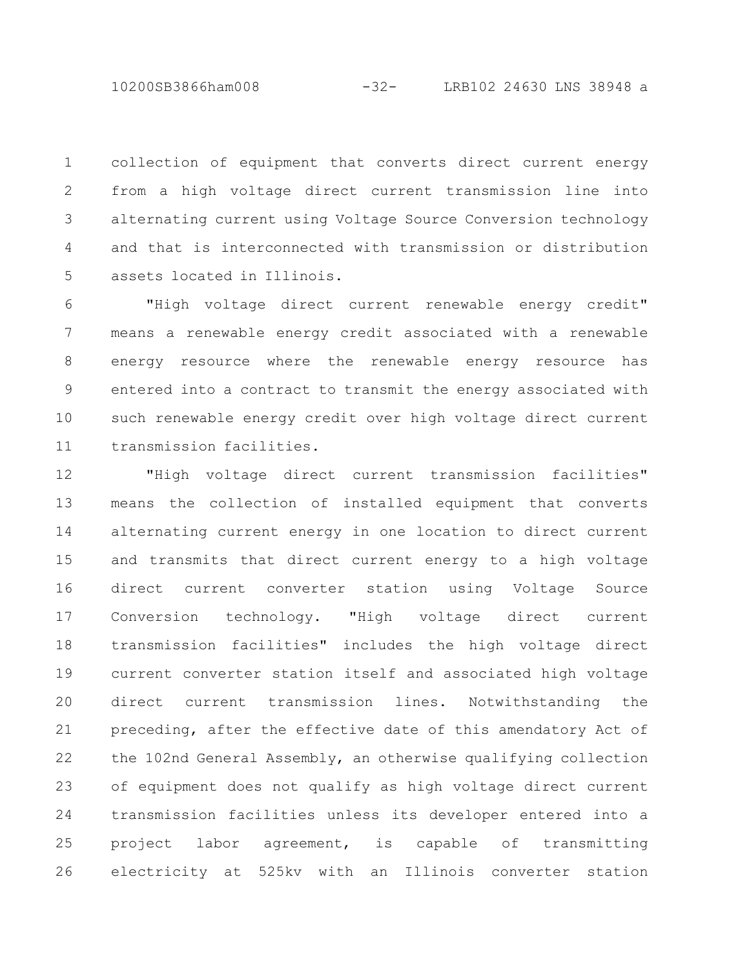10200SB3866ham008 -32- LRB102 24630 LNS 38948 a

collection of equipment that converts direct current energy from a high voltage direct current transmission line into alternating current using Voltage Source Conversion technology and that is interconnected with transmission or distribution assets located in Illinois. 1 2 3 4 5

"High voltage direct current renewable energy credit" means a renewable energy credit associated with a renewable energy resource where the renewable energy resource has entered into a contract to transmit the energy associated with such renewable energy credit over high voltage direct current transmission facilities. 6 7 8 9 10 11

"High voltage direct current transmission facilities" means the collection of installed equipment that converts alternating current energy in one location to direct current and transmits that direct current energy to a high voltage direct current converter station using Voltage Source Conversion technology. "High voltage direct current transmission facilities" includes the high voltage direct current converter station itself and associated high voltage direct current transmission lines. Notwithstanding the preceding, after the effective date of this amendatory Act of the 102nd General Assembly, an otherwise qualifying collection of equipment does not qualify as high voltage direct current transmission facilities unless its developer entered into a project labor agreement, is capable of transmitting electricity at 525kv with an Illinois converter station 12 13 14 15 16 17 18 19 20 21 22 23 24 25 26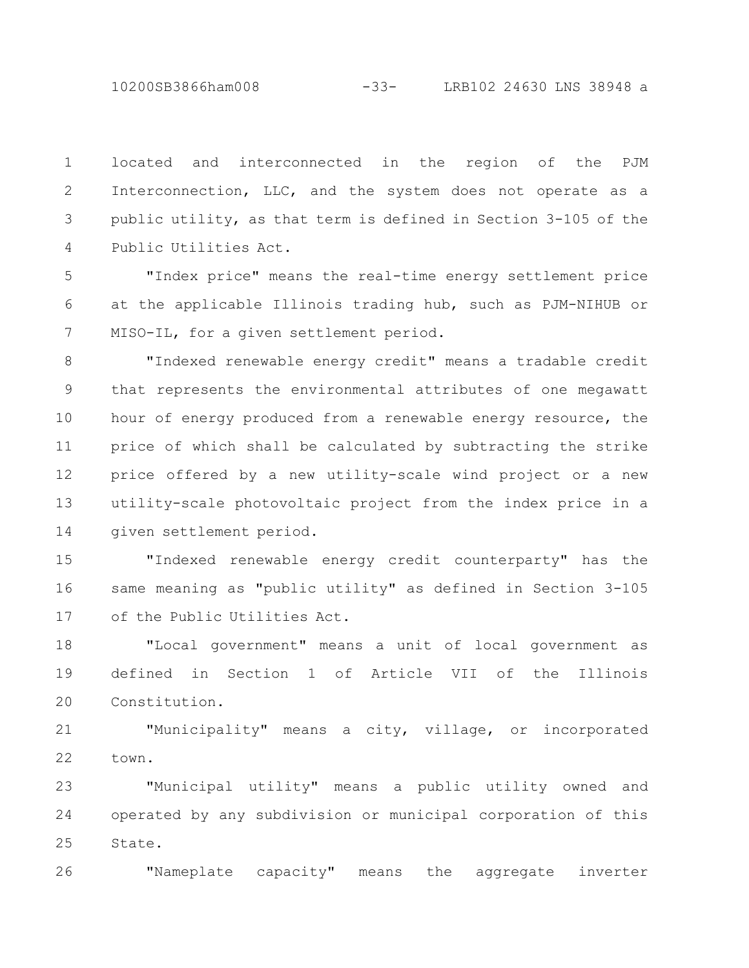10200SB3866ham008 -33- LRB102 24630 LNS 38948 a

located and interconnected in the region of the PJM Interconnection, LLC, and the system does not operate as a public utility, as that term is defined in Section 3-105 of the Public Utilities Act. 1 2 3 4

"Index price" means the real-time energy settlement price at the applicable Illinois trading hub, such as PJM-NIHUB or MISO-IL, for a given settlement period. 5 6 7

"Indexed renewable energy credit" means a tradable credit that represents the environmental attributes of one megawatt hour of energy produced from a renewable energy resource, the price of which shall be calculated by subtracting the strike price offered by a new utility-scale wind project or a new utility-scale photovoltaic project from the index price in a given settlement period. 8 9 10 11 12 13 14

"Indexed renewable energy credit counterparty" has the same meaning as "public utility" as defined in Section 3-105 of the Public Utilities Act. 15 16 17

"Local government" means a unit of local government as defined in Section 1 of Article VII of the Illinois Constitution. 18 19 20

"Municipality" means a city, village, or incorporated town. 21 22

"Municipal utility" means a public utility owned and operated by any subdivision or municipal corporation of this State. 23 24 25

"Nameplate capacity" means the aggregate inverter 26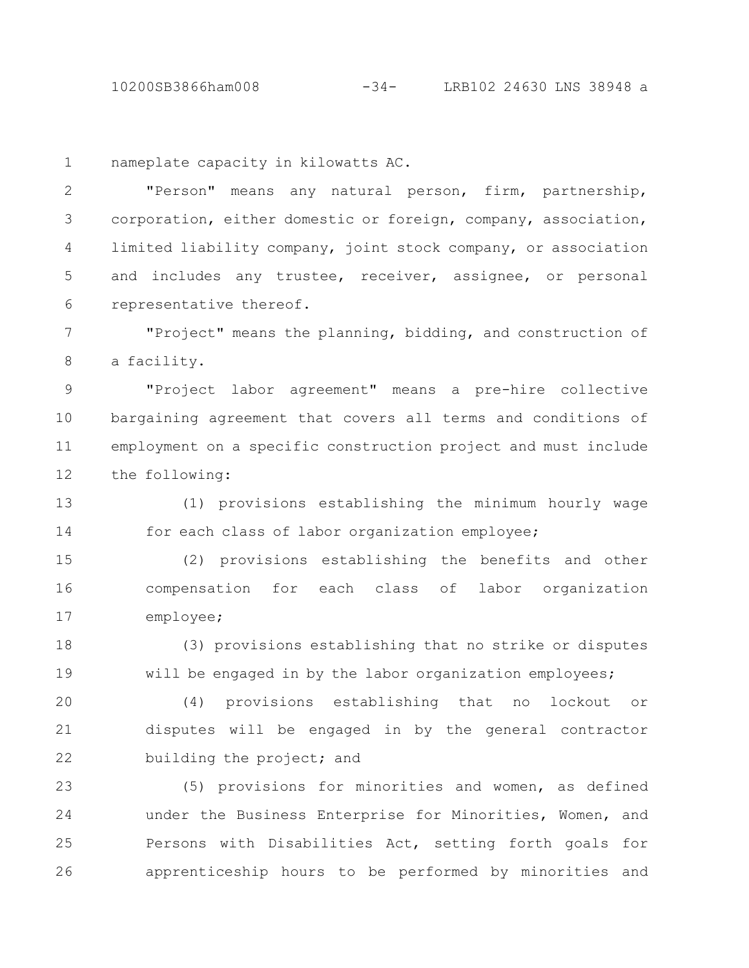10200SB3866ham008 -34- LRB102 24630 LNS 38948 a

nameplate capacity in kilowatts AC. 1

"Person" means any natural person, firm, partnership, corporation, either domestic or foreign, company, association, limited liability company, joint stock company, or association and includes any trustee, receiver, assignee, or personal representative thereof. 2 3 4 5 6

"Project" means the planning, bidding, and construction of a facility. 7 8

"Project labor agreement" means a pre-hire collective bargaining agreement that covers all terms and conditions of employment on a specific construction project and must include the following: 9 10 11 12

(1) provisions establishing the minimum hourly wage for each class of labor organization employee; 13 14

(2) provisions establishing the benefits and other compensation for each class of labor organization employee; 15 16 17

(3) provisions establishing that no strike or disputes will be engaged in by the labor organization employees; 18 19

(4) provisions establishing that no lockout or disputes will be engaged in by the general contractor building the project; and 20 21 22

(5) provisions for minorities and women, as defined under the Business Enterprise for Minorities, Women, and Persons with Disabilities Act, setting forth goals for apprenticeship hours to be performed by minorities and 23 24 25 26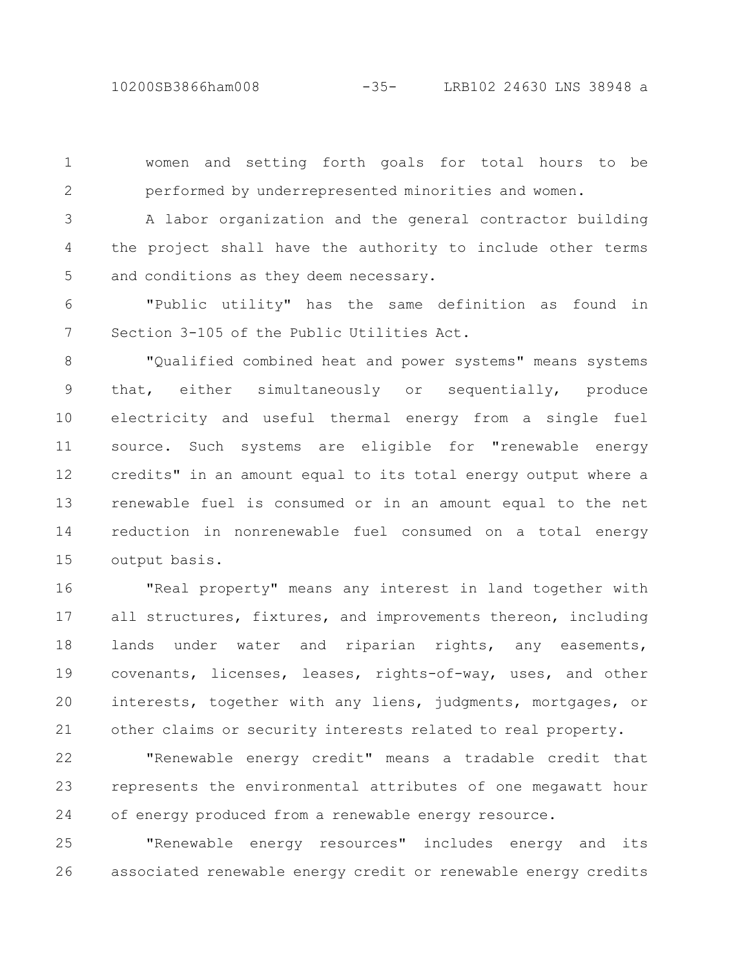10200SB3866ham008 -35- LRB102 24630 LNS 38948 a

women and setting forth goals for total hours to be performed by underrepresented minorities and women. 1 2

A labor organization and the general contractor building the project shall have the authority to include other terms and conditions as they deem necessary. 3 4 5

"Public utility" has the same definition as found in Section 3-105 of the Public Utilities Act. 6 7

"Qualified combined heat and power systems" means systems that, either simultaneously or sequentially, produce electricity and useful thermal energy from a single fuel source. Such systems are eligible for "renewable energy credits" in an amount equal to its total energy output where a renewable fuel is consumed or in an amount equal to the net reduction in nonrenewable fuel consumed on a total energy output basis. 8 9 10 11 12 13 14 15

"Real property" means any interest in land together with all structures, fixtures, and improvements thereon, including lands under water and riparian rights, any easements, covenants, licenses, leases, rights-of-way, uses, and other interests, together with any liens, judgments, mortgages, or other claims or security interests related to real property. 16 17 18 19 20 21

"Renewable energy credit" means a tradable credit that represents the environmental attributes of one megawatt hour of energy produced from a renewable energy resource. 22 23 24

"Renewable energy resources" includes energy and its associated renewable energy credit or renewable energy credits 25 26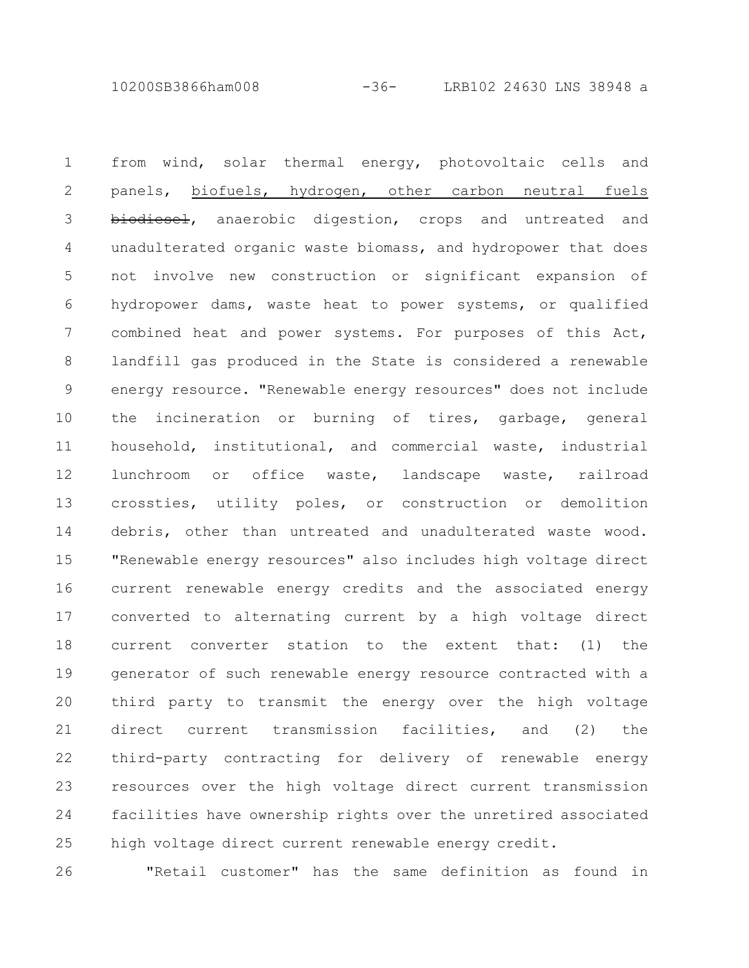10200SB3866ham008 -36- LRB102 24630 LNS 38948 a

from wind, solar thermal energy, photovoltaic cells and panels, biofuels, hydrogen, other carbon neutral fuels biodiesel, anaerobic digestion, crops and untreated and unadulterated organic waste biomass, and hydropower that does not involve new construction or significant expansion of hydropower dams, waste heat to power systems, or qualified combined heat and power systems. For purposes of this Act, landfill gas produced in the State is considered a renewable energy resource. "Renewable energy resources" does not include the incineration or burning of tires, garbage, general household, institutional, and commercial waste, industrial lunchroom or office waste, landscape waste, railroad crossties, utility poles, or construction or demolition debris, other than untreated and unadulterated waste wood. "Renewable energy resources" also includes high voltage direct current renewable energy credits and the associated energy converted to alternating current by a high voltage direct current converter station to the extent that: (1) the generator of such renewable energy resource contracted with a third party to transmit the energy over the high voltage direct current transmission facilities, and (2) the third-party contracting for delivery of renewable energy resources over the high voltage direct current transmission facilities have ownership rights over the unretired associated high voltage direct current renewable energy credit. 1 2 3 4 5 6 7 8 9 10 11 12 13 14 15 16 17 18 19 20 21 22 23 24 25

26

"Retail customer" has the same definition as found in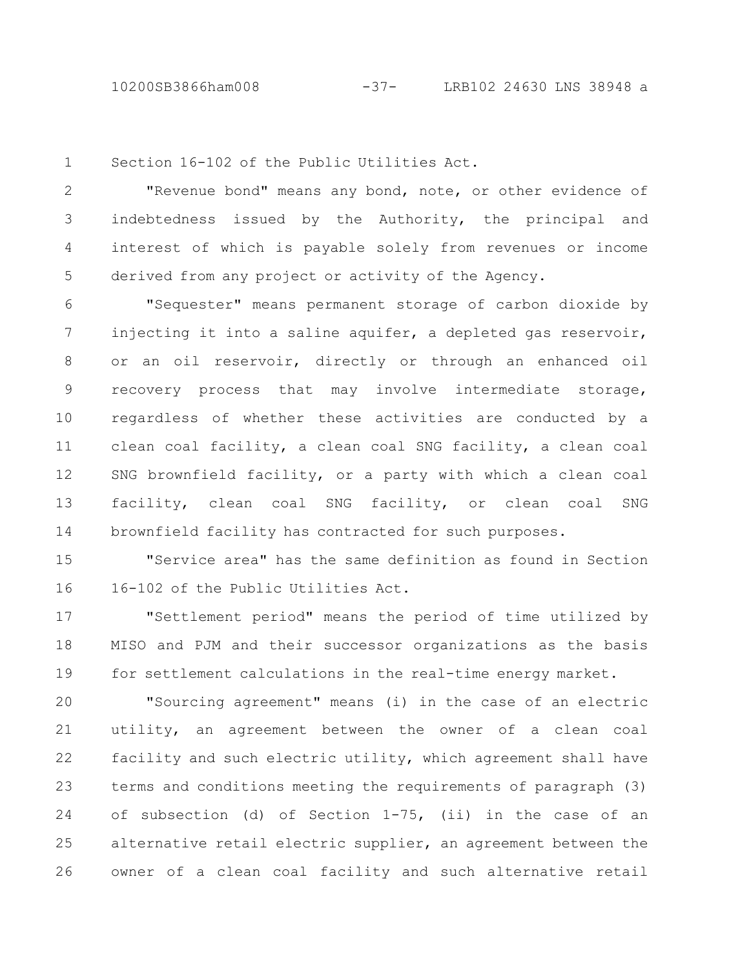10200SB3866ham008 -37- LRB102 24630 LNS 38948 a

Section 16-102 of the Public Utilities Act. 1

"Revenue bond" means any bond, note, or other evidence of indebtedness issued by the Authority, the principal and interest of which is payable solely from revenues or income derived from any project or activity of the Agency. 2 3 4 5

"Sequester" means permanent storage of carbon dioxide by injecting it into a saline aquifer, a depleted gas reservoir, or an oil reservoir, directly or through an enhanced oil recovery process that may involve intermediate storage, regardless of whether these activities are conducted by a clean coal facility, a clean coal SNG facility, a clean coal SNG brownfield facility, or a party with which a clean coal facility, clean coal SNG facility, or clean coal SNG brownfield facility has contracted for such purposes. 6 7 8 9 10 11 12 13 14

"Service area" has the same definition as found in Section 16-102 of the Public Utilities Act. 15 16

"Settlement period" means the period of time utilized by MISO and PJM and their successor organizations as the basis for settlement calculations in the real-time energy market. 17 18 19

"Sourcing agreement" means (i) in the case of an electric utility, an agreement between the owner of a clean coal facility and such electric utility, which agreement shall have terms and conditions meeting the requirements of paragraph (3) of subsection (d) of Section 1-75, (ii) in the case of an alternative retail electric supplier, an agreement between the owner of a clean coal facility and such alternative retail 20 21 22 23 24 25 26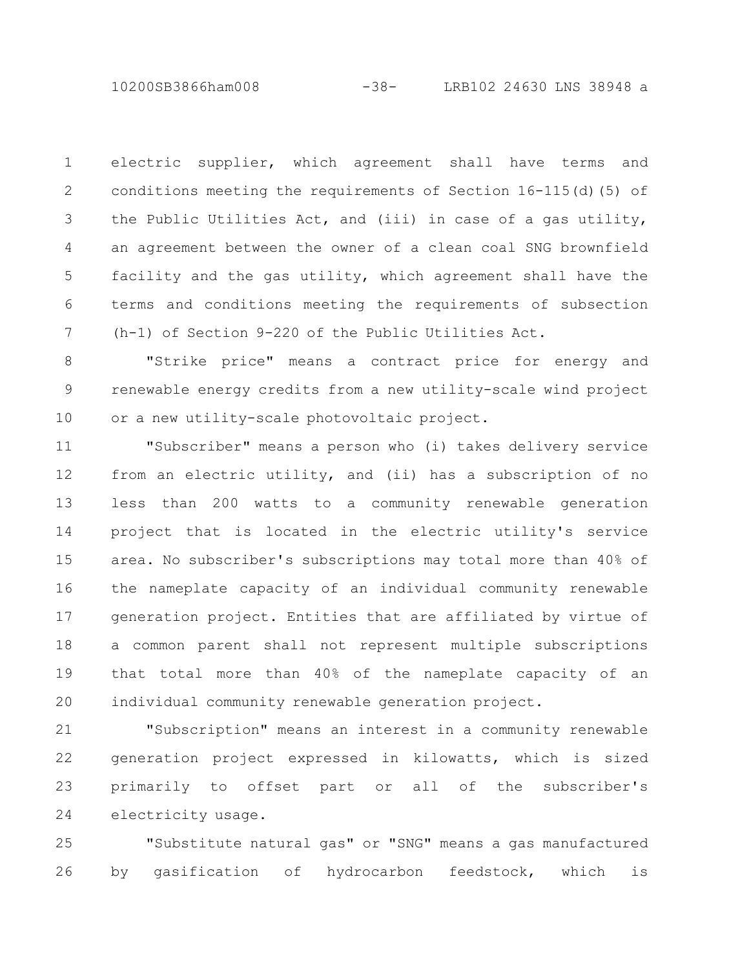10200SB3866ham008 -38- LRB102 24630 LNS 38948 a

electric supplier, which agreement shall have terms and conditions meeting the requirements of Section 16-115(d)(5) of the Public Utilities Act, and (iii) in case of a gas utility, an agreement between the owner of a clean coal SNG brownfield facility and the gas utility, which agreement shall have the terms and conditions meeting the requirements of subsection (h-1) of Section 9-220 of the Public Utilities Act. 1 2 3 4 5 6 7

"Strike price" means a contract price for energy and renewable energy credits from a new utility-scale wind project or a new utility-scale photovoltaic project. 8 9 10

"Subscriber" means a person who (i) takes delivery service from an electric utility, and (ii) has a subscription of no less than 200 watts to a community renewable generation project that is located in the electric utility's service area. No subscriber's subscriptions may total more than 40% of the nameplate capacity of an individual community renewable generation project. Entities that are affiliated by virtue of a common parent shall not represent multiple subscriptions that total more than 40% of the nameplate capacity of an individual community renewable generation project. 11 12 13 14 15 16 17 18 19 20

"Subscription" means an interest in a community renewable generation project expressed in kilowatts, which is sized primarily to offset part or all of the subscriber's electricity usage. 21 22 23 24

"Substitute natural gas" or "SNG" means a gas manufactured by gasification of hydrocarbon feedstock, which is 25 26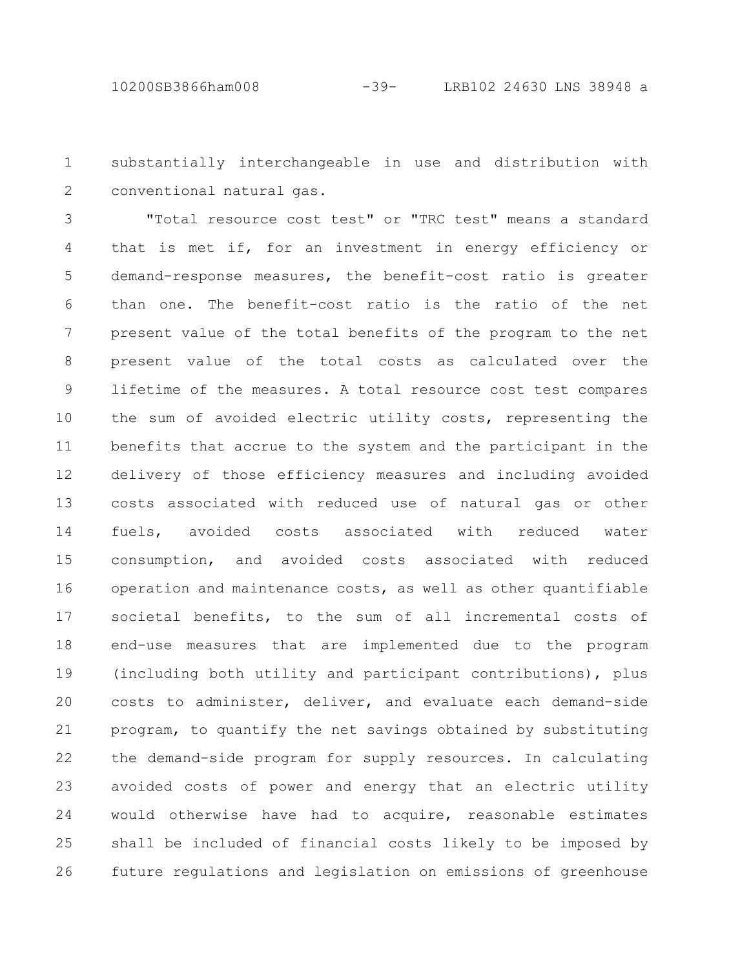substantially interchangeable in use and distribution with conventional natural gas. 1 2

"Total resource cost test" or "TRC test" means a standard that is met if, for an investment in energy efficiency or demand-response measures, the benefit-cost ratio is greater than one. The benefit-cost ratio is the ratio of the net present value of the total benefits of the program to the net present value of the total costs as calculated over the lifetime of the measures. A total resource cost test compares the sum of avoided electric utility costs, representing the benefits that accrue to the system and the participant in the delivery of those efficiency measures and including avoided costs associated with reduced use of natural gas or other fuels, avoided costs associated with reduced water consumption, and avoided costs associated with reduced operation and maintenance costs, as well as other quantifiable societal benefits, to the sum of all incremental costs of end-use measures that are implemented due to the program (including both utility and participant contributions), plus costs to administer, deliver, and evaluate each demand-side program, to quantify the net savings obtained by substituting the demand-side program for supply resources. In calculating avoided costs of power and energy that an electric utility would otherwise have had to acquire, reasonable estimates shall be included of financial costs likely to be imposed by future regulations and legislation on emissions of greenhouse 3 4 5 6 7 8 9 10 11 12 13 14 15 16 17 18 19 20 21 22 23 24 25 26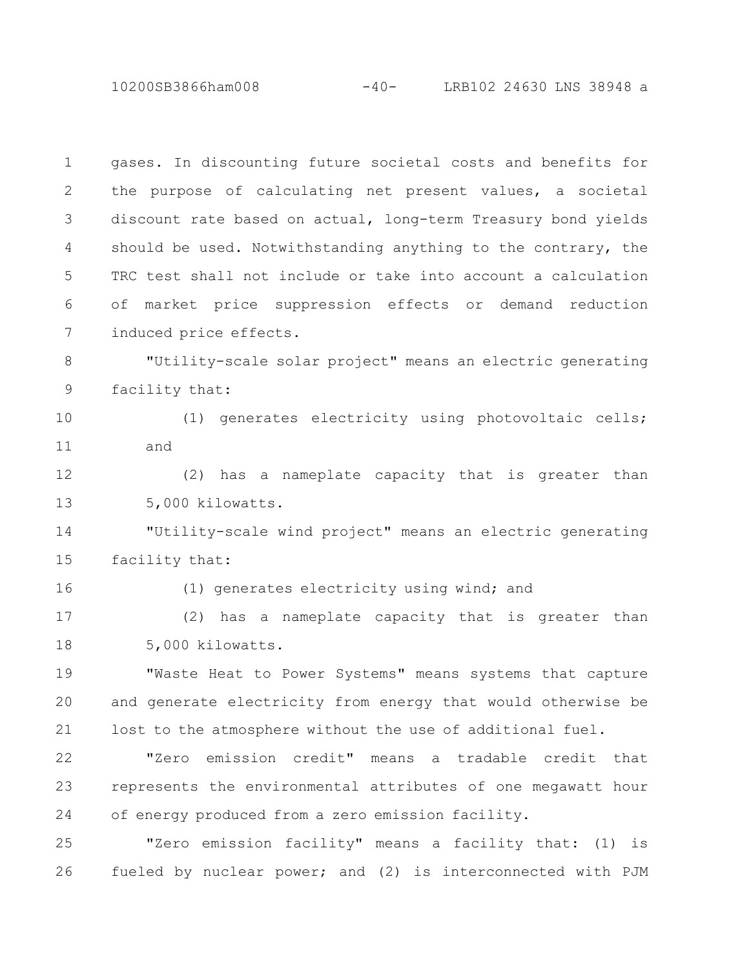10200SB3866ham008 -40- LRB102 24630 LNS 38948 a

gases. In discounting future societal costs and benefits for the purpose of calculating net present values, a societal discount rate based on actual, long-term Treasury bond yields should be used. Notwithstanding anything to the contrary, the TRC test shall not include or take into account a calculation of market price suppression effects or demand reduction induced price effects. "Utility-scale solar project" means an electric generating facility that: (1) generates electricity using photovoltaic cells; and (2) has a nameplate capacity that is greater than 5,000 kilowatts. "Utility-scale wind project" means an electric generating 1 2 3 4 5 6 7 8 9 10 11 12 13 14

facility that: 15

16

(1) generates electricity using wind; and

(2) has a nameplate capacity that is greater than 5,000 kilowatts. 17 18

"Waste Heat to Power Systems" means systems that capture and generate electricity from energy that would otherwise be lost to the atmosphere without the use of additional fuel. 19 20 21

"Zero emission credit" means a tradable credit that represents the environmental attributes of one megawatt hour of energy produced from a zero emission facility. 22 23 24

"Zero emission facility" means a facility that: (1) is fueled by nuclear power; and (2) is interconnected with PJM 25 26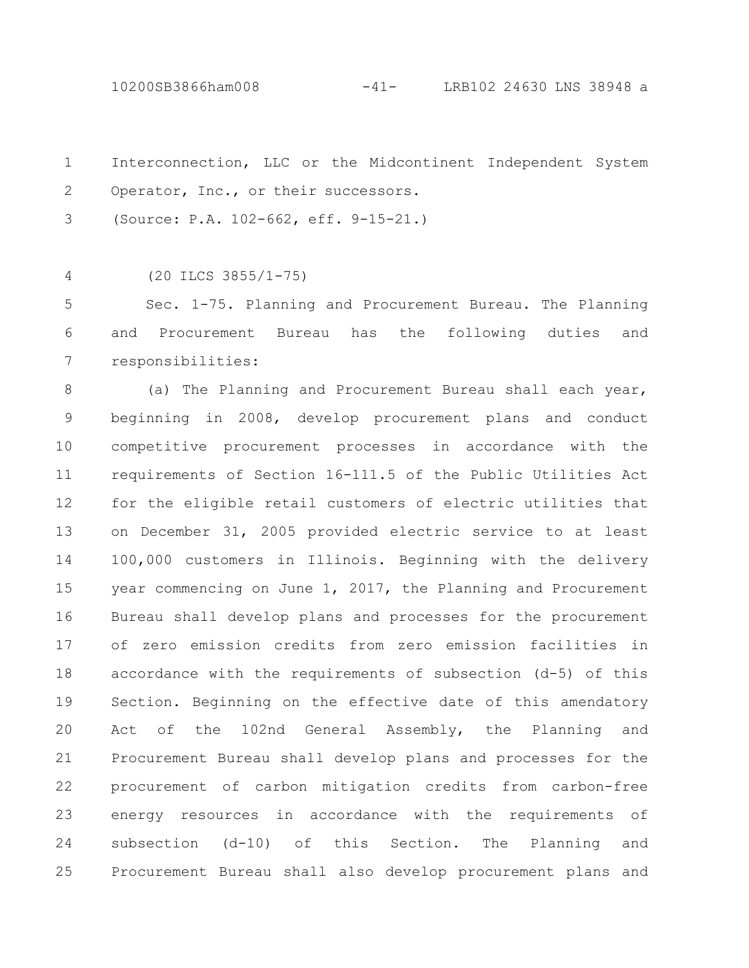Interconnection, LLC or the Midcontinent Independent System Operator, Inc., or their successors. 1 2

(Source: P.A. 102-662, eff. 9-15-21.) 3

(20 ILCS 3855/1-75) 4

Sec. 1-75. Planning and Procurement Bureau. The Planning and Procurement Bureau has the following duties and responsibilities: 5 6 7

(a) The Planning and Procurement Bureau shall each year, beginning in 2008, develop procurement plans and conduct competitive procurement processes in accordance with the requirements of Section 16-111.5 of the Public Utilities Act for the eligible retail customers of electric utilities that on December 31, 2005 provided electric service to at least 100,000 customers in Illinois. Beginning with the delivery year commencing on June 1, 2017, the Planning and Procurement Bureau shall develop plans and processes for the procurement of zero emission credits from zero emission facilities in accordance with the requirements of subsection (d-5) of this Section. Beginning on the effective date of this amendatory Act of the 102nd General Assembly, the Planning and Procurement Bureau shall develop plans and processes for the procurement of carbon mitigation credits from carbon-free energy resources in accordance with the requirements of subsection (d-10) of this Section. The Planning and Procurement Bureau shall also develop procurement plans and 8 9 10 11 12 13 14 15 16 17 18 19  $20$ 21 22 23 24 25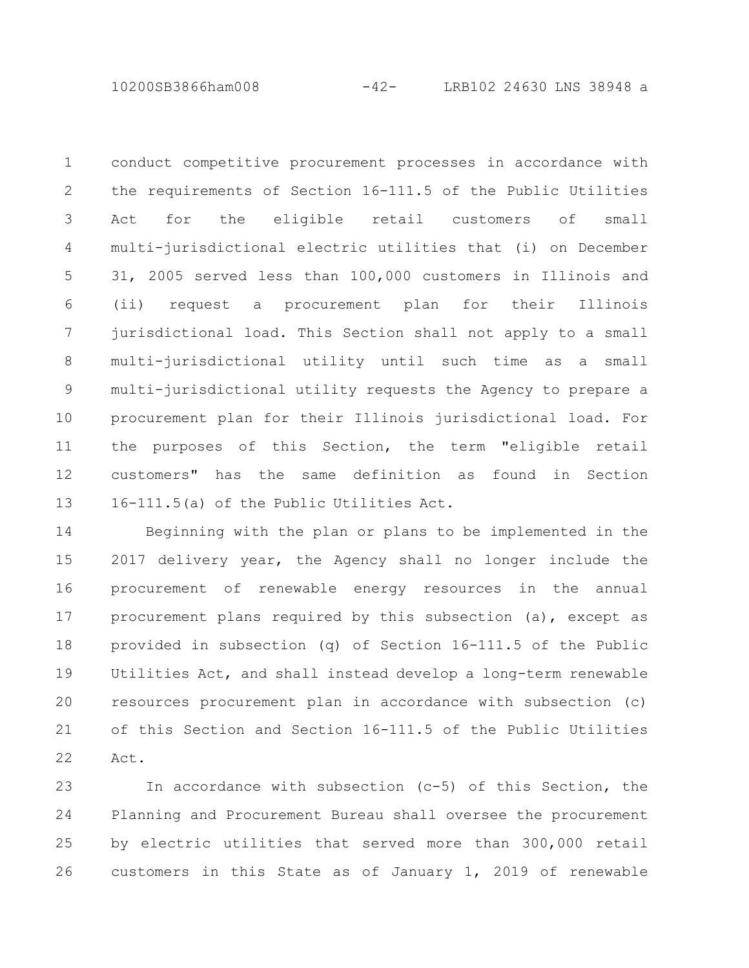10200SB3866ham008 -42- LRB102 24630 LNS 38948 a

conduct competitive procurement processes in accordance with the requirements of Section 16-111.5 of the Public Utilities Act for the eligible retail customers of small multi-jurisdictional electric utilities that (i) on December 31, 2005 served less than 100,000 customers in Illinois and (ii) request a procurement plan for their Illinois jurisdictional load. This Section shall not apply to a small multi-jurisdictional utility until such time as a small multi-jurisdictional utility requests the Agency to prepare a procurement plan for their Illinois jurisdictional load. For the purposes of this Section, the term "eligible retail customers" has the same definition as found in Section 16-111.5(a) of the Public Utilities Act. 1 2 3 4 5 6 7 8 9 10 11 12 13

Beginning with the plan or plans to be implemented in the 2017 delivery year, the Agency shall no longer include the procurement of renewable energy resources in the annual procurement plans required by this subsection (a), except as provided in subsection (q) of Section 16-111.5 of the Public Utilities Act, and shall instead develop a long-term renewable resources procurement plan in accordance with subsection (c) of this Section and Section 16-111.5 of the Public Utilities Act. 14 15 16 17 18 19 20 21 22

In accordance with subsection (c-5) of this Section, the Planning and Procurement Bureau shall oversee the procurement by electric utilities that served more than 300,000 retail customers in this State as of January 1, 2019 of renewable 23 24 25 26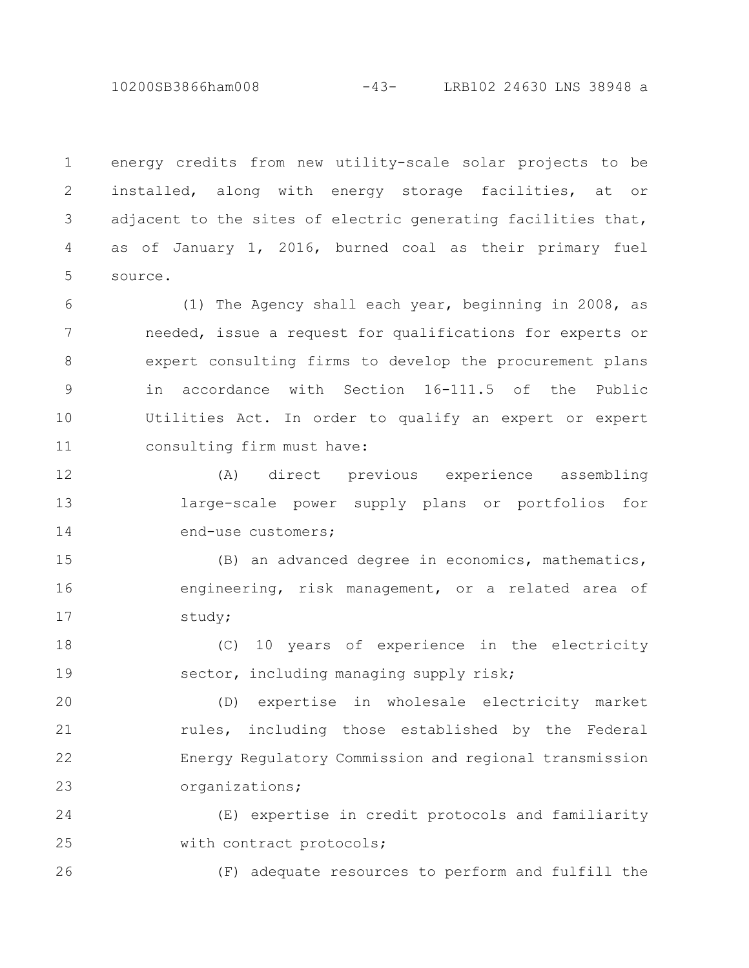10200SB3866ham008 -43- LRB102 24630 LNS 38948 a

energy credits from new utility-scale solar projects to be installed, along with energy storage facilities, at or adjacent to the sites of electric generating facilities that, as of January 1, 2016, burned coal as their primary fuel source. 1 2 3 4 5

(1) The Agency shall each year, beginning in 2008, as needed, issue a request for qualifications for experts or expert consulting firms to develop the procurement plans in accordance with Section 16-111.5 of the Public Utilities Act. In order to qualify an expert or expert consulting firm must have: 6 7 8 9 10 11

(A) direct previous experience assembling large-scale power supply plans or portfolios for end-use customers; 12 13 14

(B) an advanced degree in economics, mathematics, engineering, risk management, or a related area of study; 15 16 17

(C) 10 years of experience in the electricity sector, including managing supply risk; 18 19

(D) expertise in wholesale electricity market rules, including those established by the Federal Energy Regulatory Commission and regional transmission organizations; 20 21 22 23

(E) expertise in credit protocols and familiarity with contract protocols; 24 25

26

(F) adequate resources to perform and fulfill the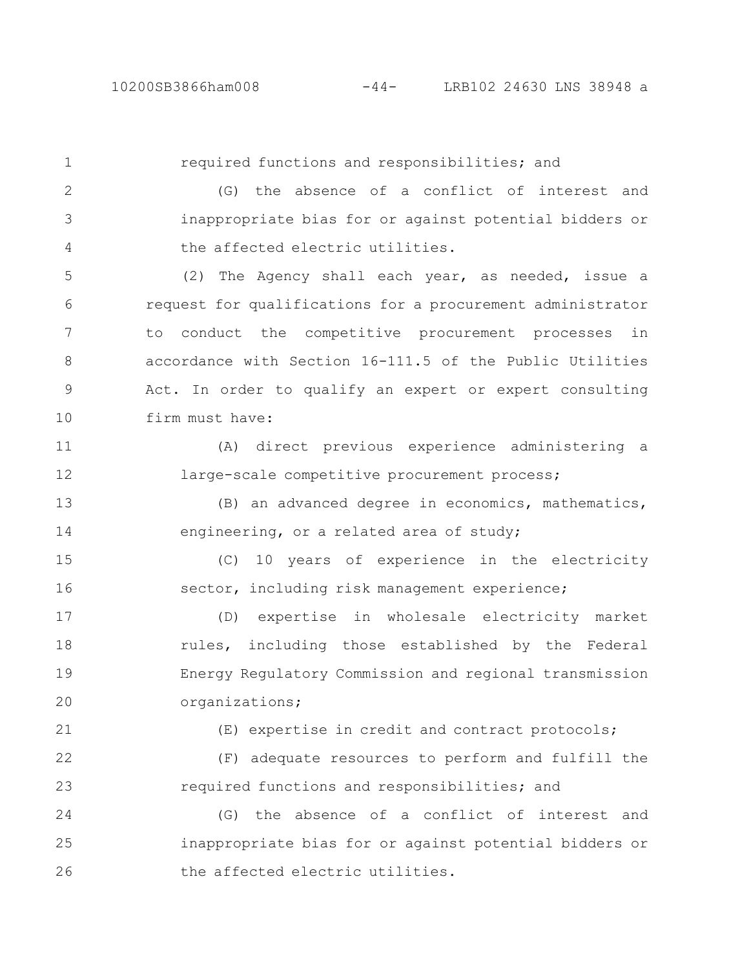## 10200SB3866ham008 -44- LRB102 24630 LNS 38948 a

required functions and responsibilities; and (G) the absence of a conflict of interest and inappropriate bias for or against potential bidders or the affected electric utilities. (2) The Agency shall each year, as needed, issue a request for qualifications for a procurement administrator to conduct the competitive procurement processes in accordance with Section 16-111.5 of the Public Utilities Act. In order to qualify an expert or expert consulting firm must have: (A) direct previous experience administering a large-scale competitive procurement process; (B) an advanced degree in economics, mathematics, engineering, or a related area of study; (C) 10 years of experience in the electricity sector, including risk management experience; (D) expertise in wholesale electricity market rules, including those established by the Federal Energy Regulatory Commission and regional transmission organizations; (E) expertise in credit and contract protocols; (F) adequate resources to perform and fulfill the required functions and responsibilities; and (G) the absence of a conflict of interest and inappropriate bias for or against potential bidders or the affected electric utilities. 1 2 3 4 5 6 7 8 9 10 11 12 13 14 15 16 17 18 19 20 21 22 23 24 25 26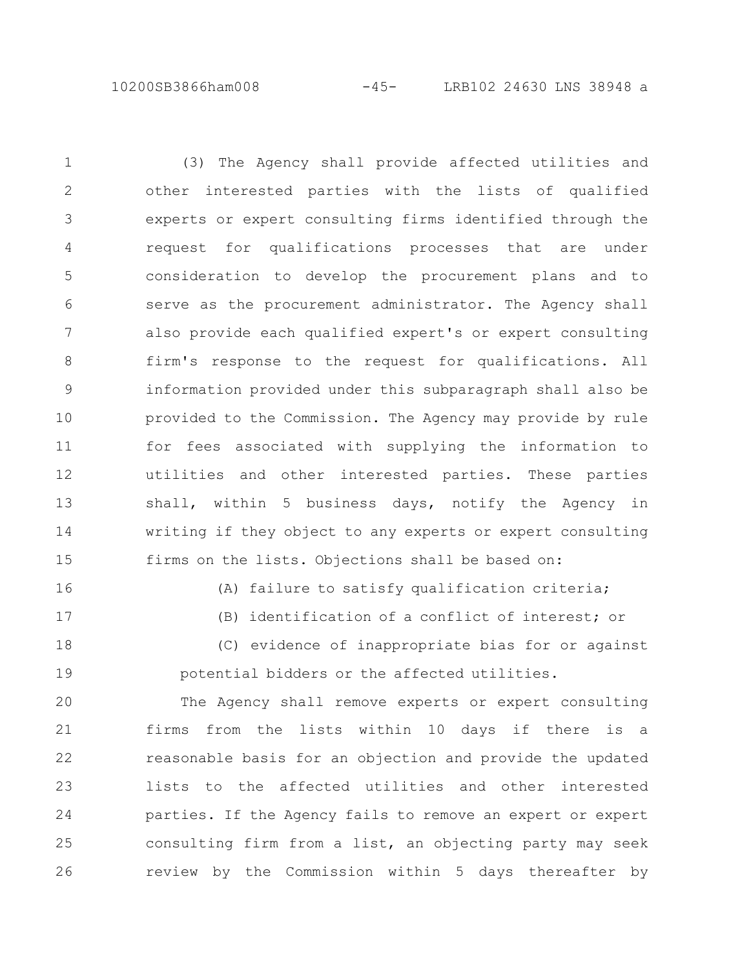10200SB3866ham008 -45- LRB102 24630 LNS 38948 a

(3) The Agency shall provide affected utilities and other interested parties with the lists of qualified experts or expert consulting firms identified through the request for qualifications processes that are under consideration to develop the procurement plans and to serve as the procurement administrator. The Agency shall also provide each qualified expert's or expert consulting firm's response to the request for qualifications. All information provided under this subparagraph shall also be provided to the Commission. The Agency may provide by rule for fees associated with supplying the information to utilities and other interested parties. These parties shall, within 5 business days, notify the Agency in writing if they object to any experts or expert consulting firms on the lists. Objections shall be based on: 1 2 3 4 5 6 7 8 9 10 11 12 13 14 15

16

(A) failure to satisfy qualification criteria;

17

(B) identification of a conflict of interest; or

(C) evidence of inappropriate bias for or against potential bidders or the affected utilities. 18 19

The Agency shall remove experts or expert consulting firms from the lists within 10 days if there is a reasonable basis for an objection and provide the updated lists to the affected utilities and other interested parties. If the Agency fails to remove an expert or expert consulting firm from a list, an objecting party may seek review by the Commission within 5 days thereafter by 20 21 22 23 24 25 26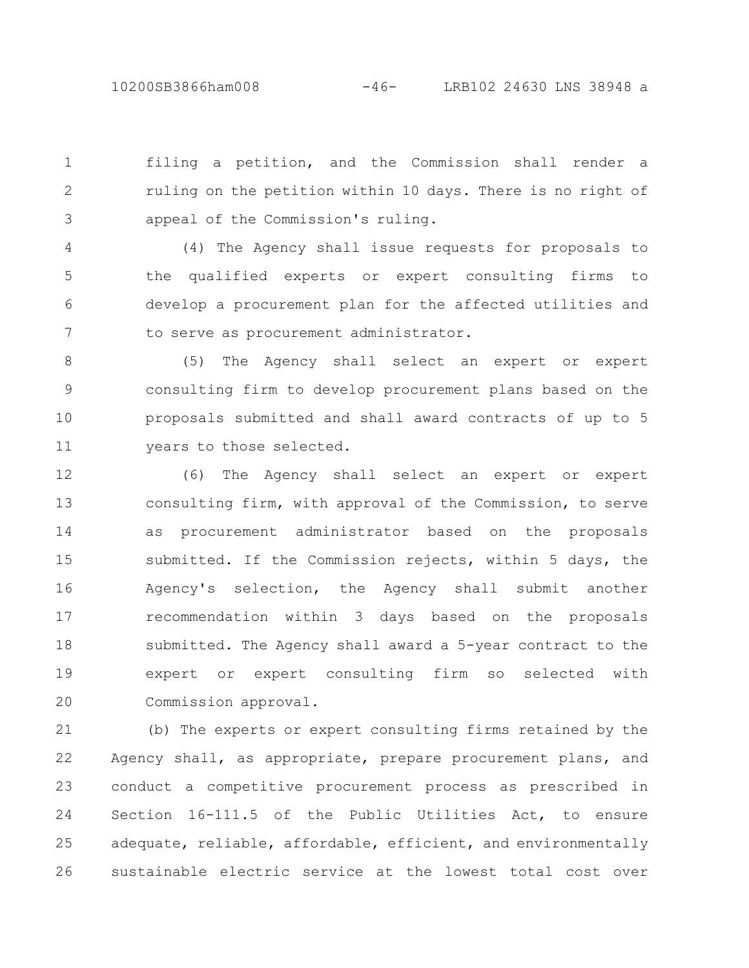filing a petition, and the Commission shall render a ruling on the petition within 10 days. There is no right of appeal of the Commission's ruling. 1 2 3

(4) The Agency shall issue requests for proposals to the qualified experts or expert consulting firms to develop a procurement plan for the affected utilities and to serve as procurement administrator. 4 5 6 7

(5) The Agency shall select an expert or expert consulting firm to develop procurement plans based on the proposals submitted and shall award contracts of up to 5 years to those selected. 8 9 10 11

(6) The Agency shall select an expert or expert consulting firm, with approval of the Commission, to serve as procurement administrator based on the proposals submitted. If the Commission rejects, within 5 days, the Agency's selection, the Agency shall submit another recommendation within 3 days based on the proposals submitted. The Agency shall award a 5-year contract to the expert or expert consulting firm so selected with Commission approval. 12 13 14 15 16 17 18 19 20

(b) The experts or expert consulting firms retained by the Agency shall, as appropriate, prepare procurement plans, and conduct a competitive procurement process as prescribed in Section 16-111.5 of the Public Utilities Act, to ensure adequate, reliable, affordable, efficient, and environmentally sustainable electric service at the lowest total cost over 21 22 23 24 25 26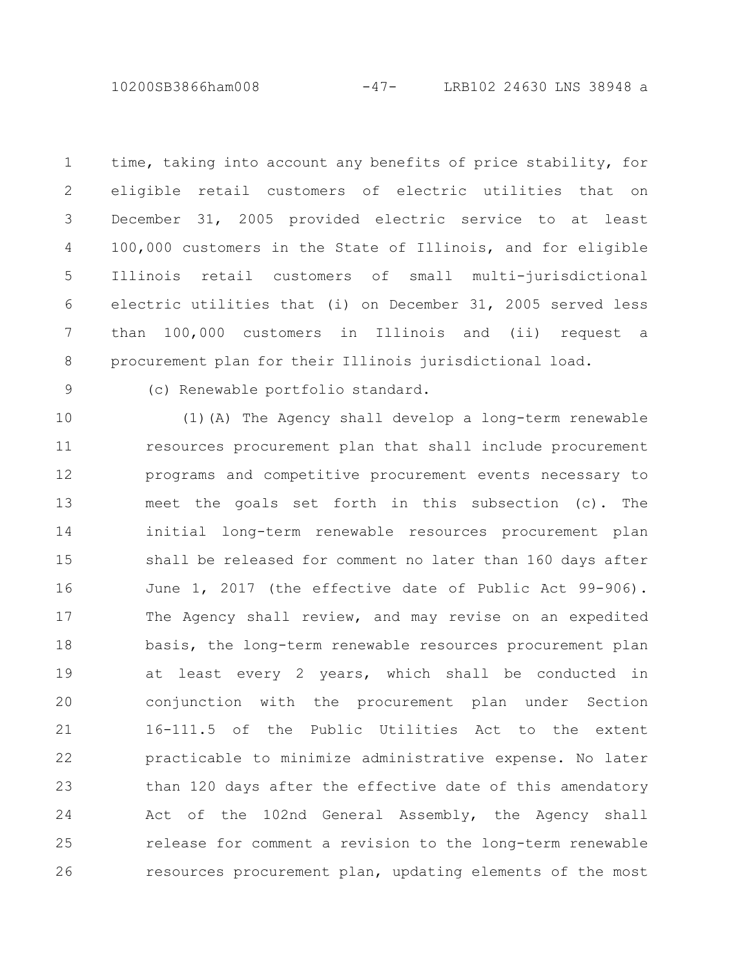10200SB3866ham008 -47- LRB102 24630 LNS 38948 a

time, taking into account any benefits of price stability, for eligible retail customers of electric utilities that on December 31, 2005 provided electric service to at least 100,000 customers in the State of Illinois, and for eligible Illinois retail customers of small multi-jurisdictional electric utilities that (i) on December 31, 2005 served less than 100,000 customers in Illinois and (ii) request a procurement plan for their Illinois jurisdictional load. 1 2 3 4 5 6 7 8

9

(c) Renewable portfolio standard.

(1)(A) The Agency shall develop a long-term renewable resources procurement plan that shall include procurement programs and competitive procurement events necessary to meet the goals set forth in this subsection (c). The initial long-term renewable resources procurement plan shall be released for comment no later than 160 days after June 1, 2017 (the effective date of Public Act 99-906). The Agency shall review, and may revise on an expedited basis, the long-term renewable resources procurement plan at least every 2 years, which shall be conducted in conjunction with the procurement plan under Section 16-111.5 of the Public Utilities Act to the extent practicable to minimize administrative expense. No later than 120 days after the effective date of this amendatory Act of the 102nd General Assembly, the Agency shall release for comment a revision to the long-term renewable resources procurement plan, updating elements of the most 10 11 12 13 14 15 16 17 18 19 20 21 22 23 24 25 26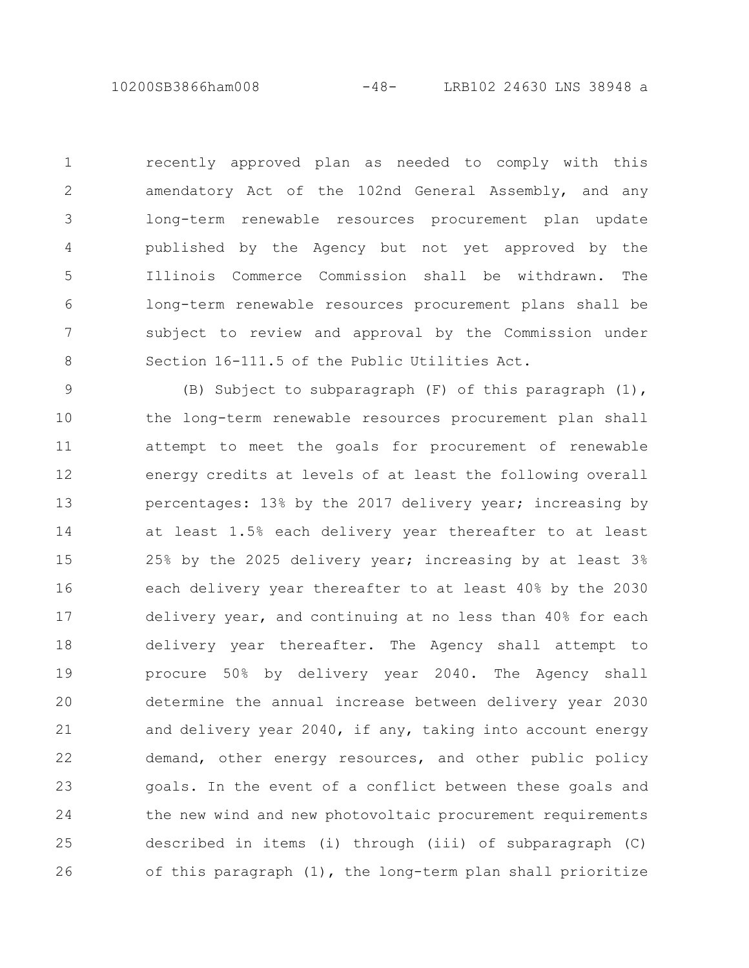10200SB3866ham008 -48- LRB102 24630 LNS 38948 a

recently approved plan as needed to comply with this amendatory Act of the 102nd General Assembly, and any long-term renewable resources procurement plan update published by the Agency but not yet approved by the Illinois Commerce Commission shall be withdrawn. The long-term renewable resources procurement plans shall be subject to review and approval by the Commission under Section 16-111.5 of the Public Utilities Act. 1 2 3 4 5 6 7 8

(B) Subject to subparagraph (F) of this paragraph (1), the long-term renewable resources procurement plan shall attempt to meet the goals for procurement of renewable energy credits at levels of at least the following overall percentages: 13% by the 2017 delivery year; increasing by at least 1.5% each delivery year thereafter to at least 25% by the 2025 delivery year; increasing by at least 3% each delivery year thereafter to at least 40% by the 2030 delivery year, and continuing at no less than 40% for each delivery year thereafter. The Agency shall attempt to procure 50% by delivery year 2040. The Agency shall determine the annual increase between delivery year 2030 and delivery year 2040, if any, taking into account energy demand, other energy resources, and other public policy goals. In the event of a conflict between these goals and the new wind and new photovoltaic procurement requirements described in items (i) through (iii) of subparagraph (C) of this paragraph (1), the long-term plan shall prioritize 9 10 11 12 13 14 15 16 17 18 19 20 21 22 23 24 25 26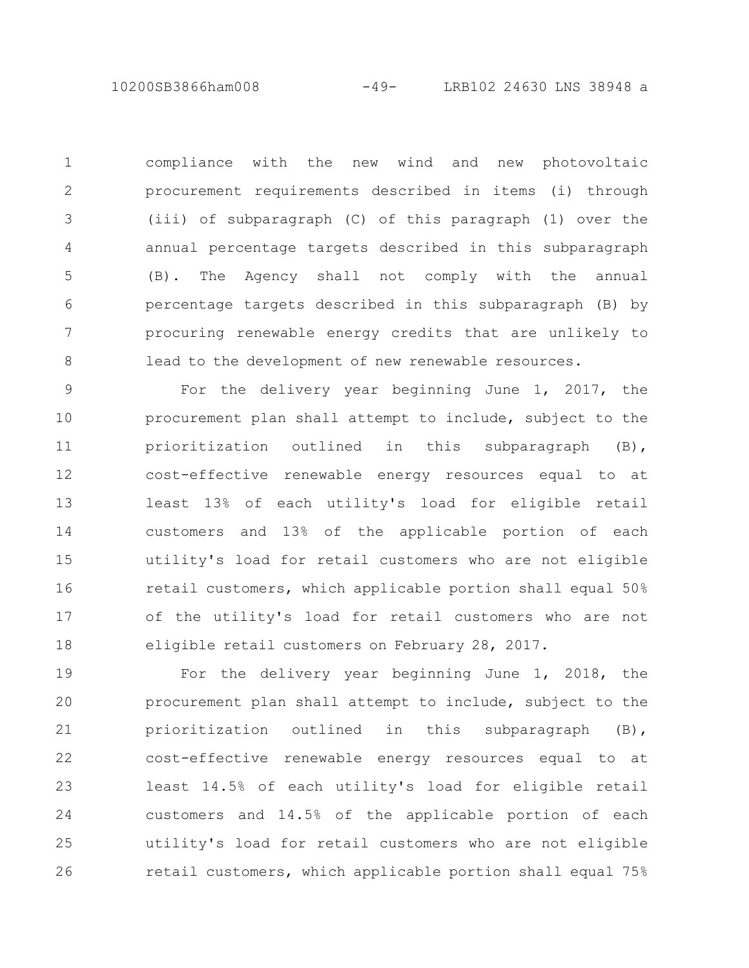10200SB3866ham008 -49- LRB102 24630 LNS 38948 a

compliance with the new wind and new photovoltaic procurement requirements described in items (i) through (iii) of subparagraph (C) of this paragraph (1) over the annual percentage targets described in this subparagraph (B). The Agency shall not comply with the annual percentage targets described in this subparagraph (B) by procuring renewable energy credits that are unlikely to lead to the development of new renewable resources. 1 2 3 4 5 6 7 8

For the delivery year beginning June 1, 2017, the procurement plan shall attempt to include, subject to the prioritization outlined in this subparagraph (B), cost-effective renewable energy resources equal to at least 13% of each utility's load for eligible retail customers and 13% of the applicable portion of each utility's load for retail customers who are not eligible retail customers, which applicable portion shall equal 50% of the utility's load for retail customers who are not eligible retail customers on February 28, 2017. 9 10 11 12 13 14 15 16 17 18

For the delivery year beginning June 1, 2018, the procurement plan shall attempt to include, subject to the prioritization outlined in this subparagraph (B), cost-effective renewable energy resources equal to at least 14.5% of each utility's load for eligible retail customers and 14.5% of the applicable portion of each utility's load for retail customers who are not eligible retail customers, which applicable portion shall equal 75% 19 20 21 22 23 24 25 26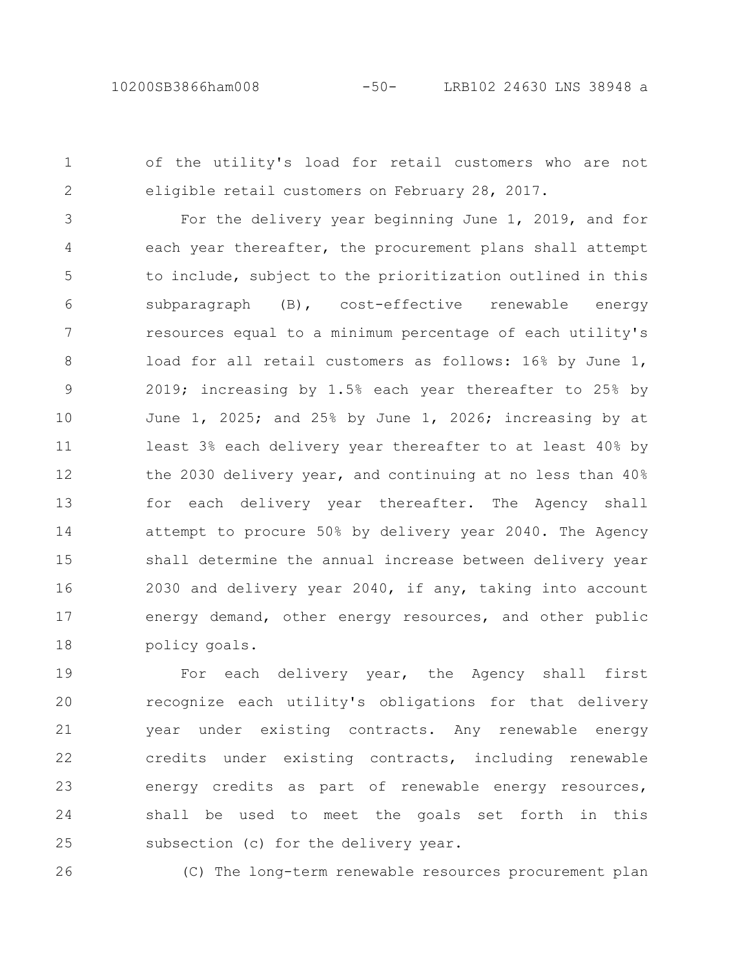1

2

of the utility's load for retail customers who are not eligible retail customers on February 28, 2017.

For the delivery year beginning June 1, 2019, and for each year thereafter, the procurement plans shall attempt to include, subject to the prioritization outlined in this subparagraph (B), cost-effective renewable energy resources equal to a minimum percentage of each utility's load for all retail customers as follows: 16% by June 1, 2019; increasing by 1.5% each year thereafter to 25% by June 1, 2025; and 25% by June 1, 2026; increasing by at least 3% each delivery year thereafter to at least 40% by the 2030 delivery year, and continuing at no less than 40% for each delivery year thereafter. The Agency shall attempt to procure 50% by delivery year 2040. The Agency shall determine the annual increase between delivery year 2030 and delivery year 2040, if any, taking into account energy demand, other energy resources, and other public policy goals. 3 4 5 6 7 8 9 10 11 12 13 14 15 16 17 18

For each delivery year, the Agency shall first recognize each utility's obligations for that delivery year under existing contracts. Any renewable energy credits under existing contracts, including renewable energy credits as part of renewable energy resources, shall be used to meet the goals set forth in this subsection (c) for the delivery year. 19 20 21 22 23 24 25

26

(C) The long-term renewable resources procurement plan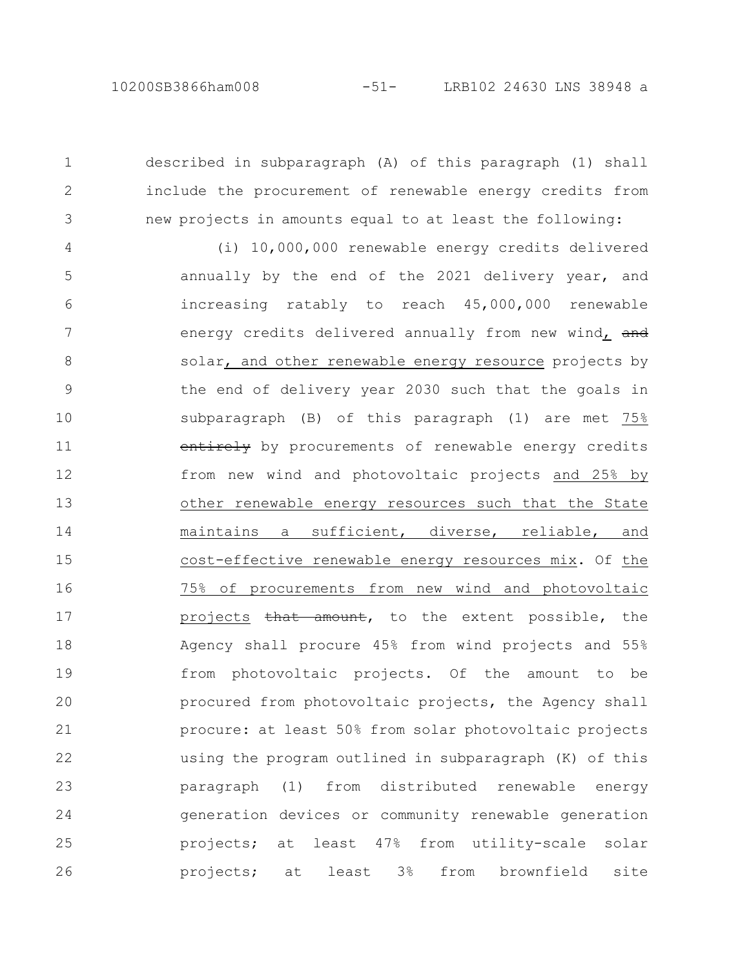described in subparagraph (A) of this paragraph (1) shall include the procurement of renewable energy credits from new projects in amounts equal to at least the following: 1 2 3

(i) 10,000,000 renewable energy credits delivered annually by the end of the 2021 delivery year, and increasing ratably to reach 45,000,000 renewable energy credits delivered annually from new wind, and solar, and other renewable energy resource projects by the end of delivery year 2030 such that the goals in subparagraph (B) of this paragraph (1) are met 75% entirely by procurements of renewable energy credits from new wind and photovoltaic projects and 25% by other renewable energy resources such that the State maintains a sufficient, diverse, reliable, and cost-effective renewable energy resources mix. Of the 75% of procurements from new wind and photovoltaic projects that amount, to the extent possible, the Agency shall procure 45% from wind projects and 55% from photovoltaic projects. Of the amount to be procured from photovoltaic projects, the Agency shall procure: at least 50% from solar photovoltaic projects using the program outlined in subparagraph (K) of this paragraph (1) from distributed renewable energy generation devices or community renewable generation projects; at least 47% from utility-scale solar projects; at least 3% from brownfield site 4 5 6 7 8 9 10 11 12 13 14 15 16 17 18 19 20 21 22 23 24 25 26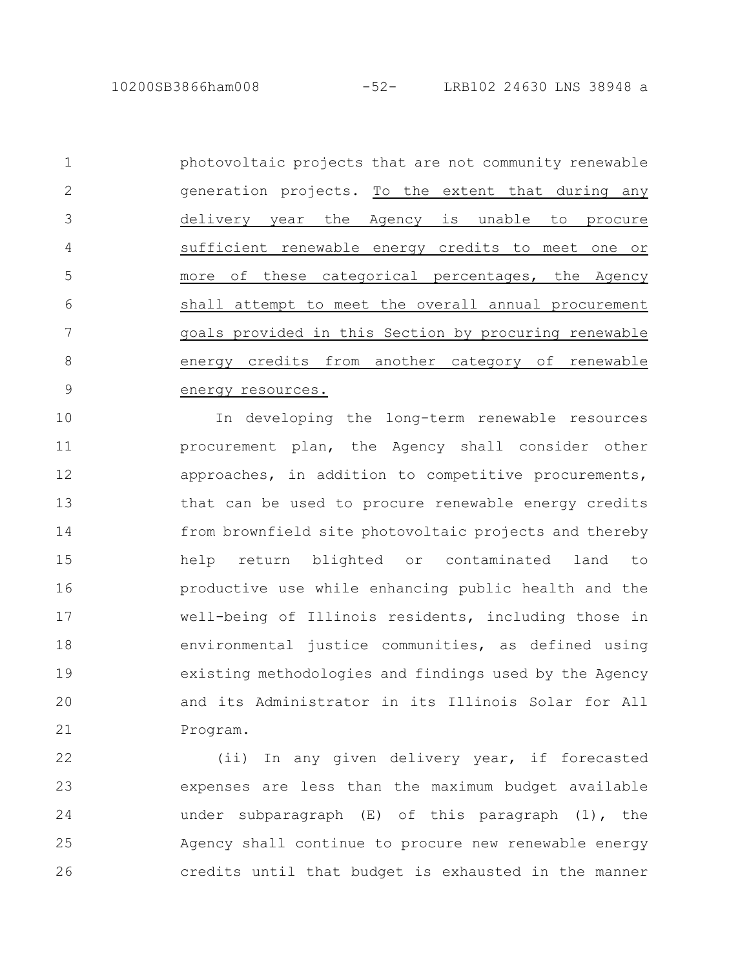photovoltaic projects that are not community renewable generation projects. To the extent that during any delivery year the Agency is unable to procure sufficient renewable energy credits to meet one or more of these categorical percentages, the Agency shall attempt to meet the overall annual procurement goals provided in this Section by procuring renewable energy credits from another category of renewable energy resources. 1 2 3 4 5 6 7 8 9

In developing the long-term renewable resources procurement plan, the Agency shall consider other approaches, in addition to competitive procurements, that can be used to procure renewable energy credits from brownfield site photovoltaic projects and thereby help return blighted or contaminated land to productive use while enhancing public health and the well-being of Illinois residents, including those in environmental justice communities, as defined using existing methodologies and findings used by the Agency and its Administrator in its Illinois Solar for All Program. 10 11 12 13 14 15 16 17 18 19 20 21

(ii) In any given delivery year, if forecasted expenses are less than the maximum budget available under subparagraph (E) of this paragraph (1), the Agency shall continue to procure new renewable energy credits until that budget is exhausted in the manner 22 23 24 25 26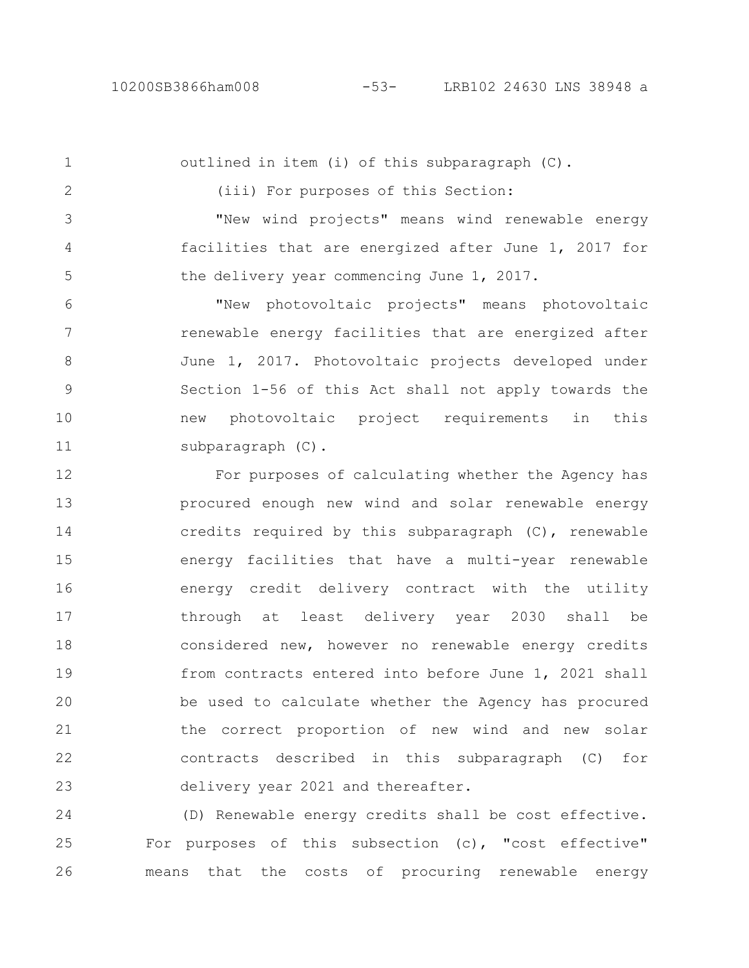outlined in item (i) of this subparagraph (C). (iii) For purposes of this Section: "New wind projects" means wind renewable energy facilities that are energized after June 1, 2017 for the delivery year commencing June 1, 2017. "New photovoltaic projects" means photovoltaic renewable energy facilities that are energized after June 1, 2017. Photovoltaic projects developed under Section 1-56 of this Act shall not apply towards the new photovoltaic project requirements in this subparagraph (C). For purposes of calculating whether the Agency has procured enough new wind and solar renewable energy credits required by this subparagraph (C), renewable energy facilities that have a multi-year renewable energy credit delivery contract with the utility through at least delivery year 2030 shall be considered new, however no renewable energy credits from contracts entered into before June 1, 2021 shall be used to calculate whether the Agency has procured the correct proportion of new wind and new solar contracts described in this subparagraph (C) for delivery year 2021 and thereafter. 1 2 3 4 5 6 7 8 9 10 11 12 13 14 15 16 17 18 19 20 21 22 23

(D) Renewable energy credits shall be cost effective. For purposes of this subsection (c), "cost effective" means that the costs of procuring renewable energy 24 25 26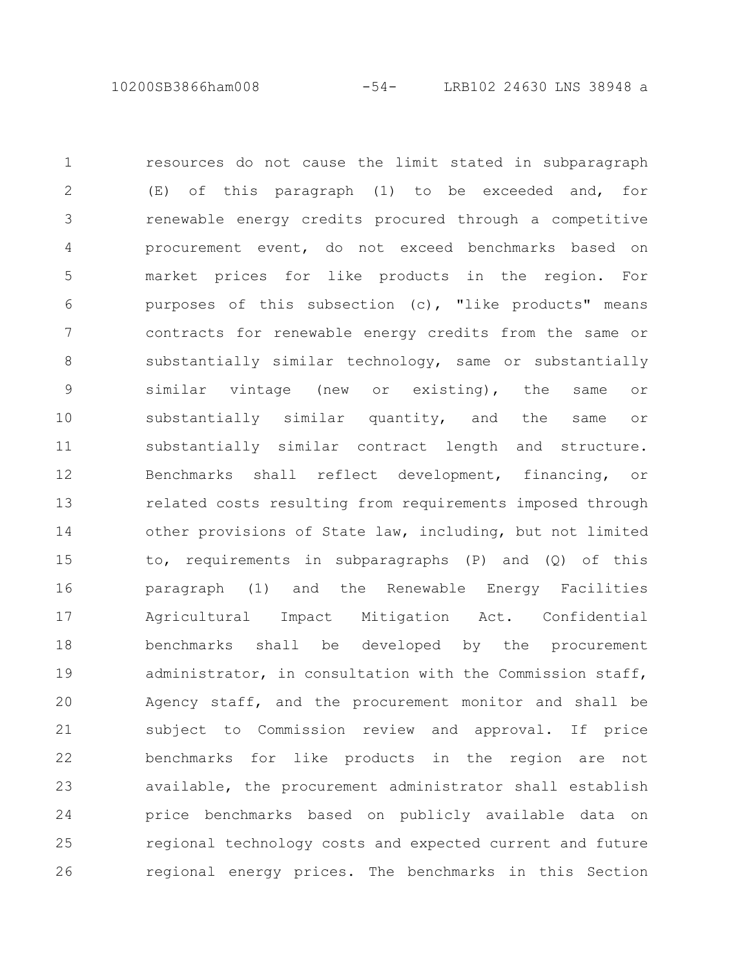10200SB3866ham008 -54- LRB102 24630 LNS 38948 a

resources do not cause the limit stated in subparagraph (E) of this paragraph (1) to be exceeded and, for renewable energy credits procured through a competitive procurement event, do not exceed benchmarks based on market prices for like products in the region. For purposes of this subsection (c), "like products" means contracts for renewable energy credits from the same or substantially similar technology, same or substantially similar vintage (new or existing), the same or substantially similar quantity, and the same or substantially similar contract length and structure. Benchmarks shall reflect development, financing, or related costs resulting from requirements imposed through other provisions of State law, including, but not limited to, requirements in subparagraphs (P) and (Q) of this paragraph (1) and the Renewable Energy Facilities Agricultural Impact Mitigation Act. Confidential benchmarks shall be developed by the procurement administrator, in consultation with the Commission staff, Agency staff, and the procurement monitor and shall be subject to Commission review and approval. If price benchmarks for like products in the region are not available, the procurement administrator shall establish price benchmarks based on publicly available data on regional technology costs and expected current and future regional energy prices. The benchmarks in this Section 1 2 3 4 5 6 7 8 9 10 11 12 13 14 15 16 17 18 19 20 21 22 23 24 25 26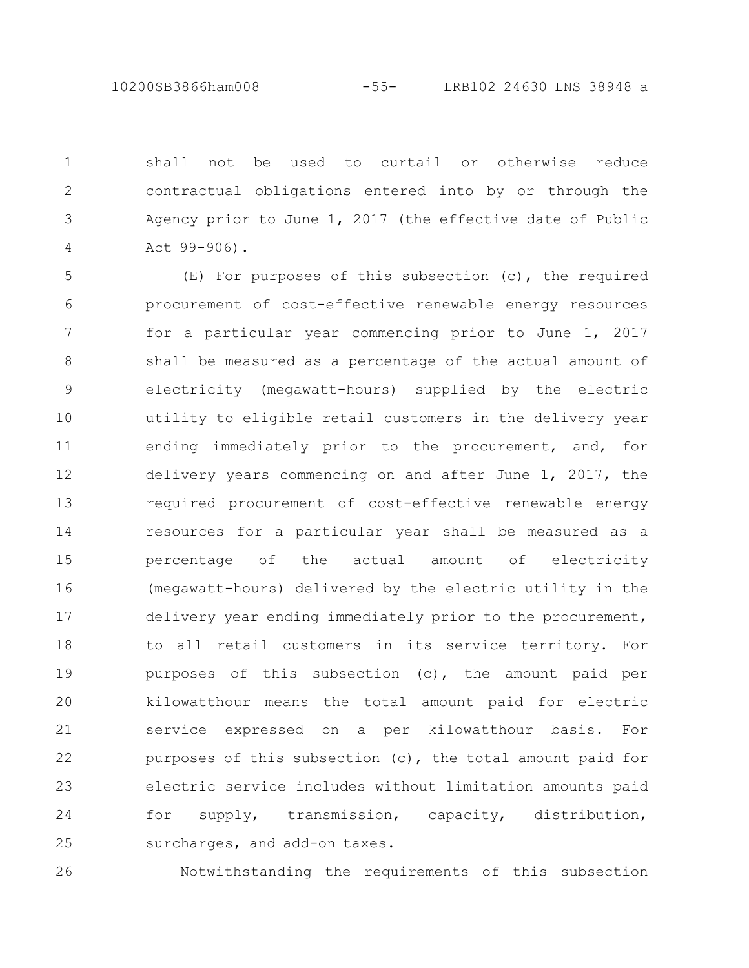shall not be used to curtail or otherwise reduce contractual obligations entered into by or through the Agency prior to June 1, 2017 (the effective date of Public Act 99-906). 1 2 3 4

(E) For purposes of this subsection (c), the required procurement of cost-effective renewable energy resources for a particular year commencing prior to June 1, 2017 shall be measured as a percentage of the actual amount of electricity (megawatt-hours) supplied by the electric utility to eligible retail customers in the delivery year ending immediately prior to the procurement, and, for delivery years commencing on and after June 1, 2017, the required procurement of cost-effective renewable energy resources for a particular year shall be measured as a percentage of the actual amount of electricity (megawatt-hours) delivered by the electric utility in the delivery year ending immediately prior to the procurement, to all retail customers in its service territory. For purposes of this subsection (c), the amount paid per kilowatthour means the total amount paid for electric service expressed on a per kilowatthour basis. For purposes of this subsection (c), the total amount paid for electric service includes without limitation amounts paid for supply, transmission, capacity, distribution, surcharges, and add-on taxes. 5 6 7 8 9 10 11 12 13 14 15 16 17 18 19 20 21 22 23 24 25

26

Notwithstanding the requirements of this subsection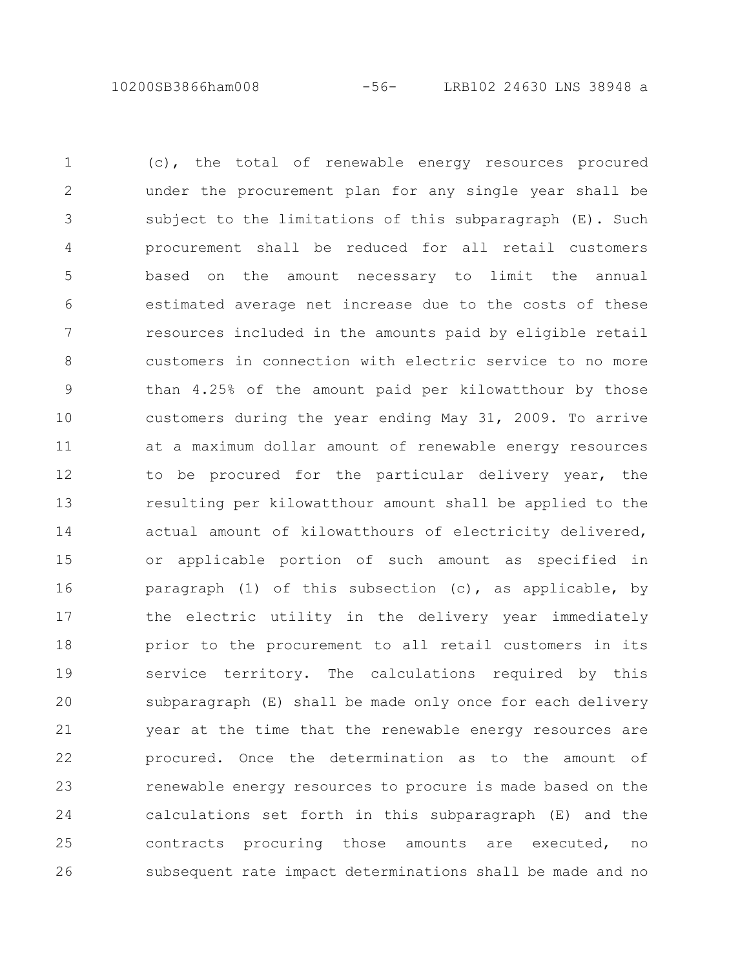10200SB3866ham008 -56- LRB102 24630 LNS 38948 a

(c), the total of renewable energy resources procured under the procurement plan for any single year shall be subject to the limitations of this subparagraph (E). Such procurement shall be reduced for all retail customers based on the amount necessary to limit the annual estimated average net increase due to the costs of these resources included in the amounts paid by eligible retail customers in connection with electric service to no more than 4.25% of the amount paid per kilowatthour by those customers during the year ending May 31, 2009. To arrive at a maximum dollar amount of renewable energy resources to be procured for the particular delivery year, the resulting per kilowatthour amount shall be applied to the actual amount of kilowatthours of electricity delivered, or applicable portion of such amount as specified in paragraph (1) of this subsection (c), as applicable, by the electric utility in the delivery year immediately prior to the procurement to all retail customers in its service territory. The calculations required by this subparagraph (E) shall be made only once for each delivery year at the time that the renewable energy resources are procured. Once the determination as to the amount of renewable energy resources to procure is made based on the calculations set forth in this subparagraph (E) and the contracts procuring those amounts are executed, no subsequent rate impact determinations shall be made and no 1 2 3 4 5 6 7 8 9 10 11 12 13 14 15 16 17 18 19 20 21 22 23 24 25 26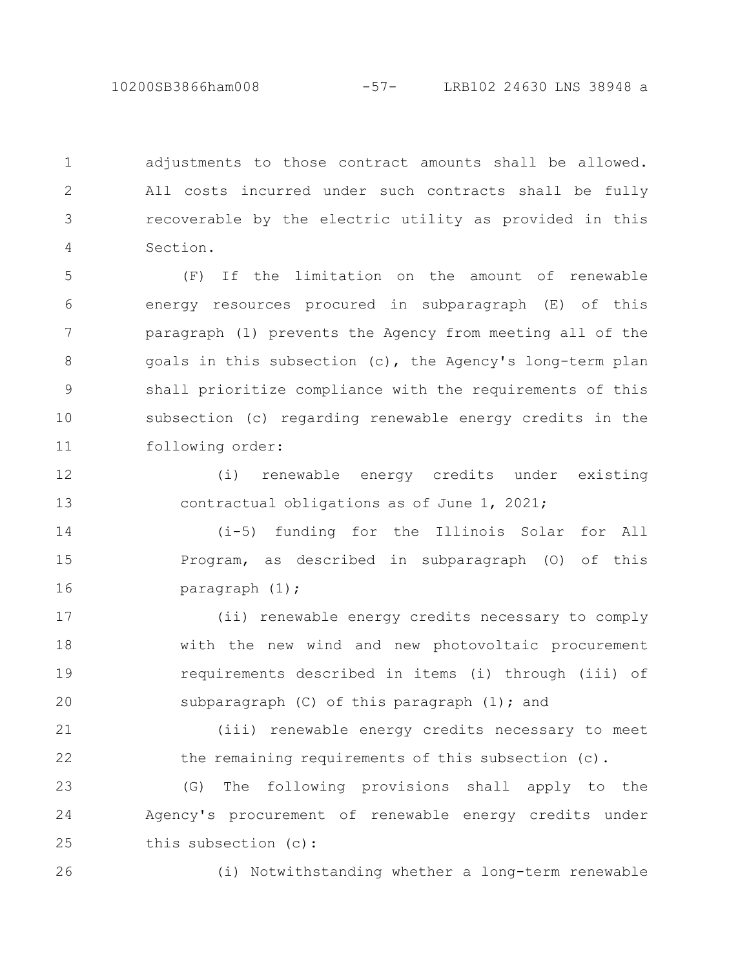10200SB3866ham008 -57- LRB102 24630 LNS 38948 a

adjustments to those contract amounts shall be allowed. All costs incurred under such contracts shall be fully recoverable by the electric utility as provided in this Section. 1 2 3 4

(F) If the limitation on the amount of renewable energy resources procured in subparagraph (E) of this paragraph (1) prevents the Agency from meeting all of the goals in this subsection (c), the Agency's long-term plan shall prioritize compliance with the requirements of this subsection (c) regarding renewable energy credits in the following order: 5 6 7 8 9 10 11

(i) renewable energy credits under existing contractual obligations as of June 1, 2021; 12 13

(i-5) funding for the Illinois Solar for All Program, as described in subparagraph (O) of this paragraph (1); 14 15 16

(ii) renewable energy credits necessary to comply with the new wind and new photovoltaic procurement requirements described in items (i) through (iii) of subparagraph (C) of this paragraph (1); and 17 18 19 20

(iii) renewable energy credits necessary to meet the remaining requirements of this subsection (c). 21 22

(G) The following provisions shall apply to the Agency's procurement of renewable energy credits under this subsection (c): 23 24 25

26

(i) Notwithstanding whether a long-term renewable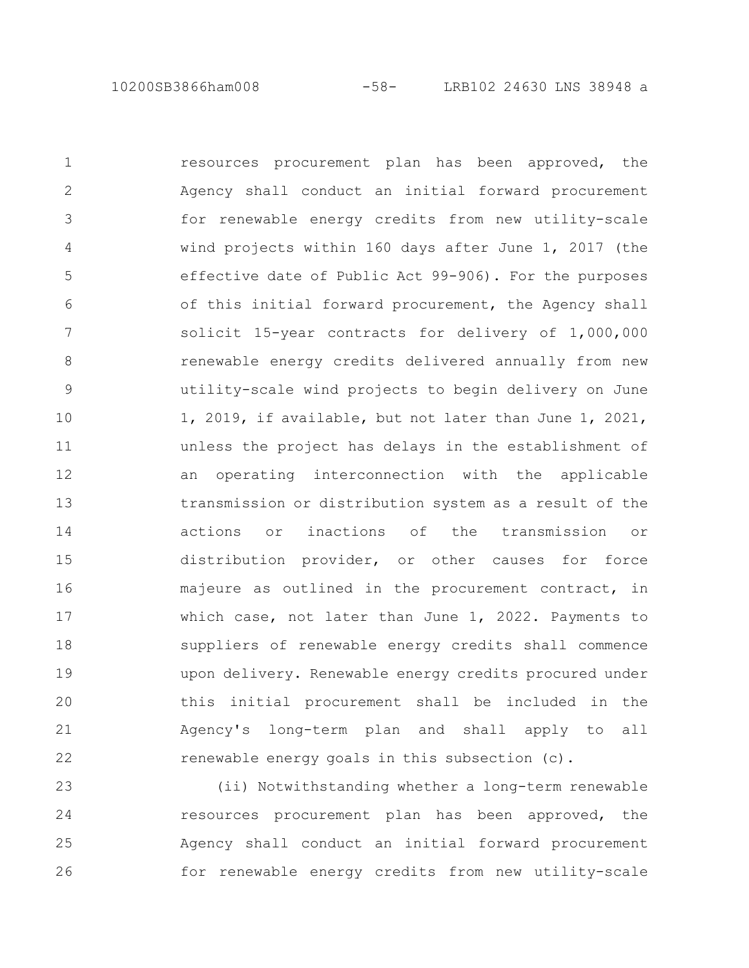10200SB3866ham008 -58- LRB102 24630 LNS 38948 a

resources procurement plan has been approved, the Agency shall conduct an initial forward procurement for renewable energy credits from new utility-scale wind projects within 160 days after June 1, 2017 (the effective date of Public Act 99-906). For the purposes of this initial forward procurement, the Agency shall solicit 15-year contracts for delivery of 1,000,000 renewable energy credits delivered annually from new utility-scale wind projects to begin delivery on June 1, 2019, if available, but not later than June 1, 2021, unless the project has delays in the establishment of an operating interconnection with the applicable transmission or distribution system as a result of the actions or inactions of the transmission or distribution provider, or other causes for force majeure as outlined in the procurement contract, in which case, not later than June 1, 2022. Payments to suppliers of renewable energy credits shall commence upon delivery. Renewable energy credits procured under this initial procurement shall be included in the Agency's long-term plan and shall apply to all renewable energy goals in this subsection (c). 1 2 3 4 5 6 7 8 9 10 11 12 13 14 15 16 17 18 19 20 21 22

(ii) Notwithstanding whether a long-term renewable resources procurement plan has been approved, the Agency shall conduct an initial forward procurement for renewable energy credits from new utility-scale 23 24 25 26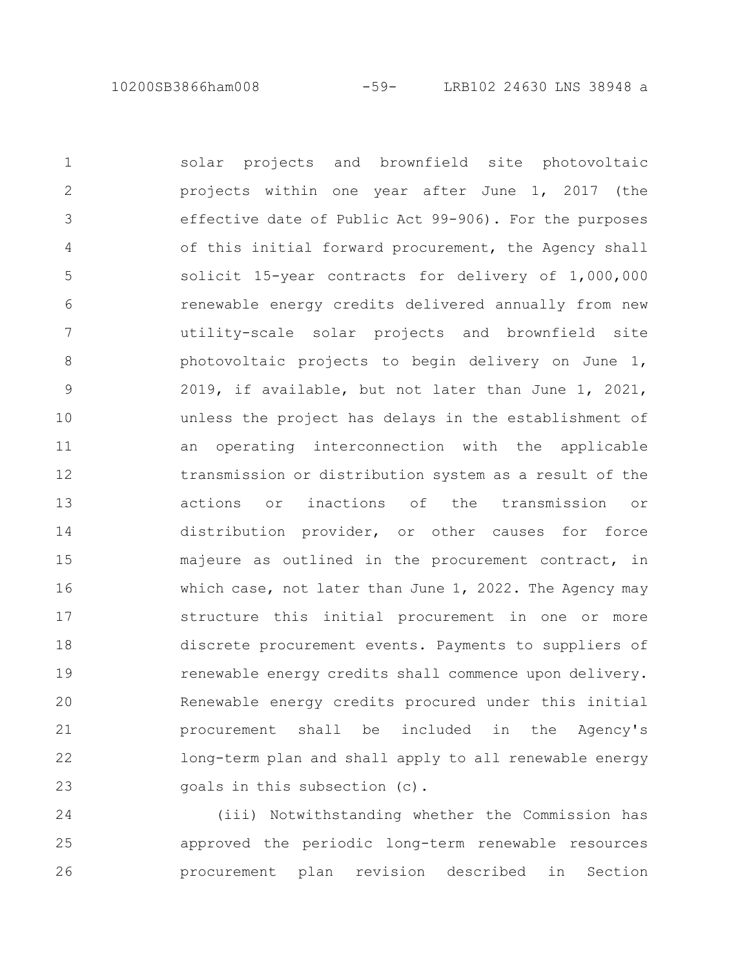10200SB3866ham008 -59- LRB102 24630 LNS 38948 a

solar projects and brownfield site photovoltaic projects within one year after June 1, 2017 (the effective date of Public Act 99-906). For the purposes of this initial forward procurement, the Agency shall solicit 15-year contracts for delivery of 1,000,000 renewable energy credits delivered annually from new utility-scale solar projects and brownfield site photovoltaic projects to begin delivery on June 1, 2019, if available, but not later than June 1, 2021, unless the project has delays in the establishment of an operating interconnection with the applicable transmission or distribution system as a result of the actions or inactions of the transmission or distribution provider, or other causes for force majeure as outlined in the procurement contract, in which case, not later than June 1, 2022. The Agency may structure this initial procurement in one or more discrete procurement events. Payments to suppliers of renewable energy credits shall commence upon delivery. Renewable energy credits procured under this initial procurement shall be included in the Agency's long-term plan and shall apply to all renewable energy goals in this subsection (c). 1 2 3 4 5 6 7 8 9 10 11 12 13 14 15 16 17 18 19 20 21 22 23

(iii) Notwithstanding whether the Commission has approved the periodic long-term renewable resources procurement plan revision described in Section 24 25 26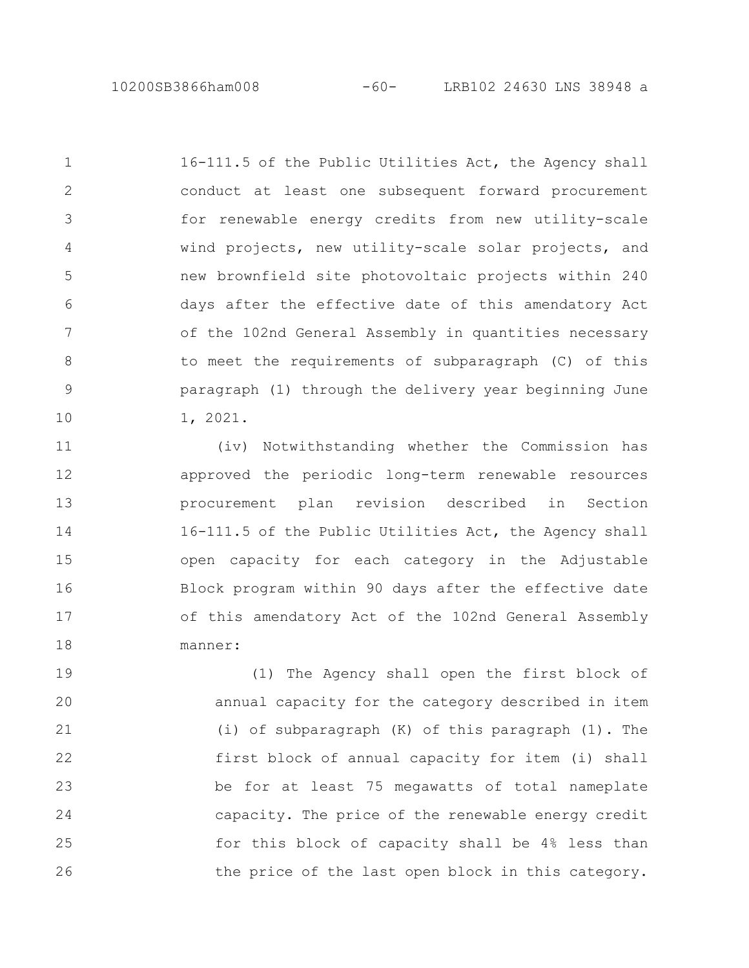10200SB3866ham008 -60- LRB102 24630 LNS 38948 a

16-111.5 of the Public Utilities Act, the Agency shall conduct at least one subsequent forward procurement for renewable energy credits from new utility-scale wind projects, new utility-scale solar projects, and new brownfield site photovoltaic projects within 240 days after the effective date of this amendatory Act of the 102nd General Assembly in quantities necessary to meet the requirements of subparagraph (C) of this paragraph (1) through the delivery year beginning June 1, 2021. 1 2 3 4 5 6 7 8 9 10

(iv) Notwithstanding whether the Commission has approved the periodic long-term renewable resources procurement plan revision described in Section 16-111.5 of the Public Utilities Act, the Agency shall open capacity for each category in the Adjustable Block program within 90 days after the effective date of this amendatory Act of the 102nd General Assembly manner: 11 12 13 14 15 16 17 18

(1) The Agency shall open the first block of annual capacity for the category described in item (i) of subparagraph (K) of this paragraph (1). The first block of annual capacity for item (i) shall be for at least 75 megawatts of total nameplate capacity. The price of the renewable energy credit for this block of capacity shall be 4% less than the price of the last open block in this category. 19 20 21 22 23 24 25 26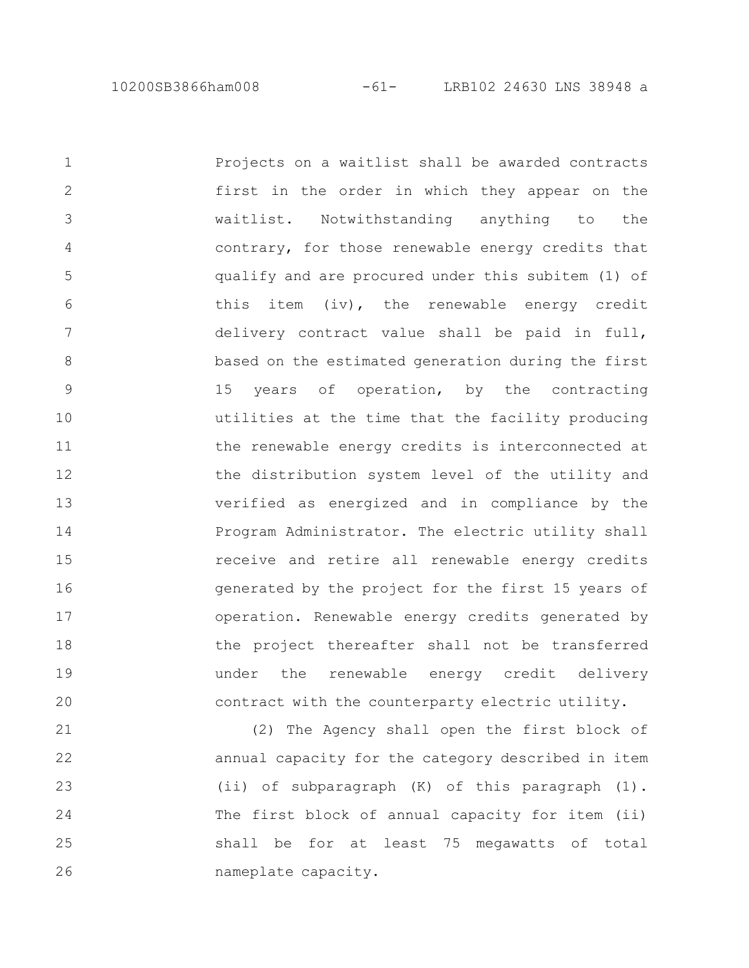Projects on a waitlist shall be awarded contracts first in the order in which they appear on the waitlist. Notwithstanding anything to the contrary, for those renewable energy credits that qualify and are procured under this subitem (1) of this item (iv), the renewable energy credit delivery contract value shall be paid in full, based on the estimated generation during the first 15 years of operation, by the contracting utilities at the time that the facility producing the renewable energy credits is interconnected at the distribution system level of the utility and verified as energized and in compliance by the Program Administrator. The electric utility shall receive and retire all renewable energy credits generated by the project for the first 15 years of operation. Renewable energy credits generated by the project thereafter shall not be transferred under the renewable energy credit delivery contract with the counterparty electric utility. 1 2 3 4 5 6 7 8 9 10 11 12 13 14 15 16 17 18 19 20

(2) The Agency shall open the first block of annual capacity for the category described in item (ii) of subparagraph (K) of this paragraph (1). The first block of annual capacity for item (ii) shall be for at least 75 megawatts of total nameplate capacity. 21 22 23 24 25 26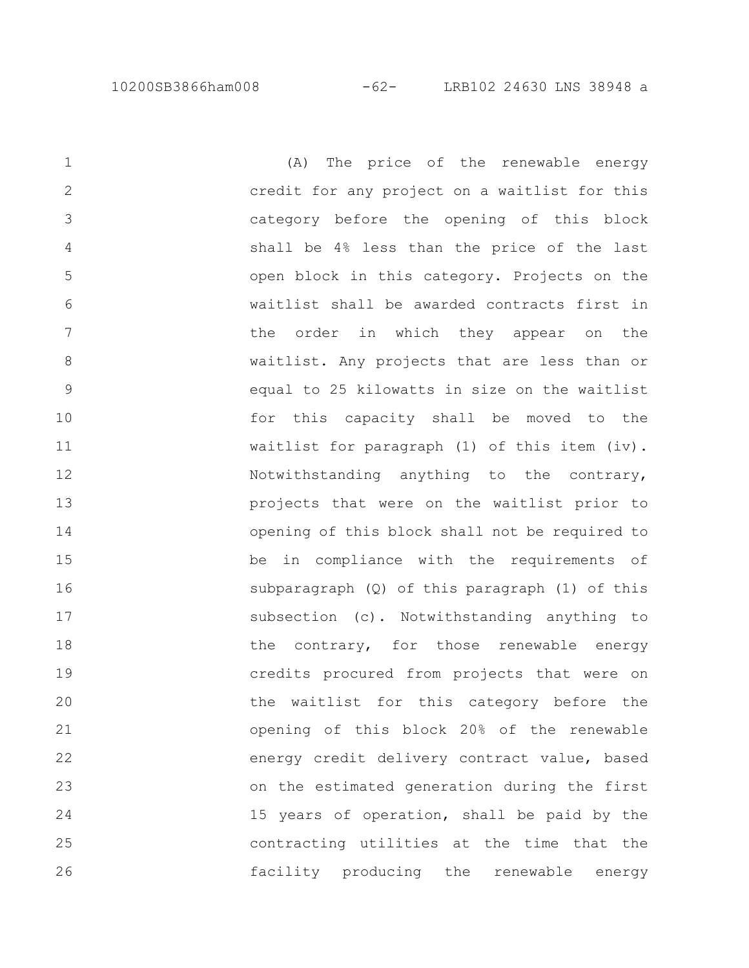10200SB3866ham008 -62- LRB102 24630 LNS 38948 a

(A) The price of the renewable energy credit for any project on a waitlist for this category before the opening of this block shall be 4% less than the price of the last open block in this category. Projects on the waitlist shall be awarded contracts first in the order in which they appear on the waitlist. Any projects that are less than or equal to 25 kilowatts in size on the waitlist for this capacity shall be moved to the waitlist for paragraph (1) of this item (iv). Notwithstanding anything to the contrary, projects that were on the waitlist prior to opening of this block shall not be required to be in compliance with the requirements of subparagraph (Q) of this paragraph (1) of this subsection (c). Notwithstanding anything to the contrary, for those renewable energy credits procured from projects that were on the waitlist for this category before the opening of this block 20% of the renewable energy credit delivery contract value, based on the estimated generation during the first 15 years of operation, shall be paid by the contracting utilities at the time that the facility producing the renewable energy 1 2 3 4 5 6 7 8 9 10 11 12 13 14 15 16 17 18 19 20 21 22 23 24 25 26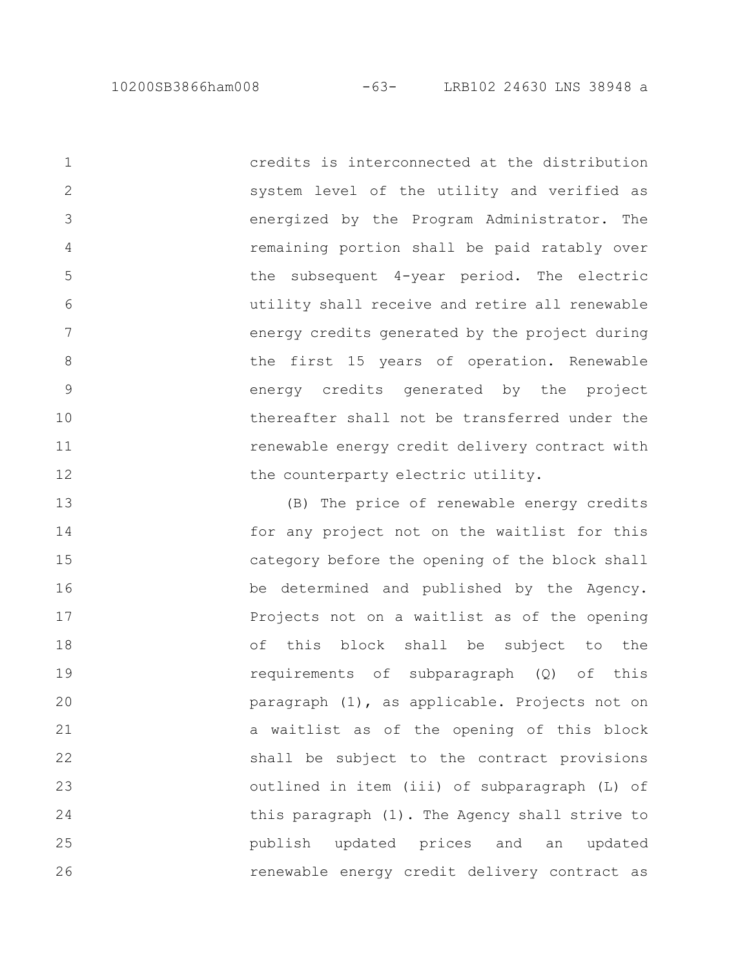10200SB3866ham008 -63- LRB102 24630 LNS 38948 a

2

3

4

5

6

7

8

9

10

11

12

credits is interconnected at the distribution system level of the utility and verified as energized by the Program Administrator. The remaining portion shall be paid ratably over the subsequent 4-year period. The electric utility shall receive and retire all renewable energy credits generated by the project during the first 15 years of operation. Renewable energy credits generated by the project thereafter shall not be transferred under the renewable energy credit delivery contract with the counterparty electric utility. 1

(B) The price of renewable energy credits for any project not on the waitlist for this category before the opening of the block shall be determined and published by the Agency. Projects not on a waitlist as of the opening of this block shall be subject to the requirements of subparagraph (Q) of this paragraph (1), as applicable. Projects not on a waitlist as of the opening of this block shall be subject to the contract provisions outlined in item (iii) of subparagraph (L) of this paragraph (1). The Agency shall strive to publish updated prices and an updated renewable energy credit delivery contract as 13 14 15 16 17 18 19 20 21 22 23 24 25 26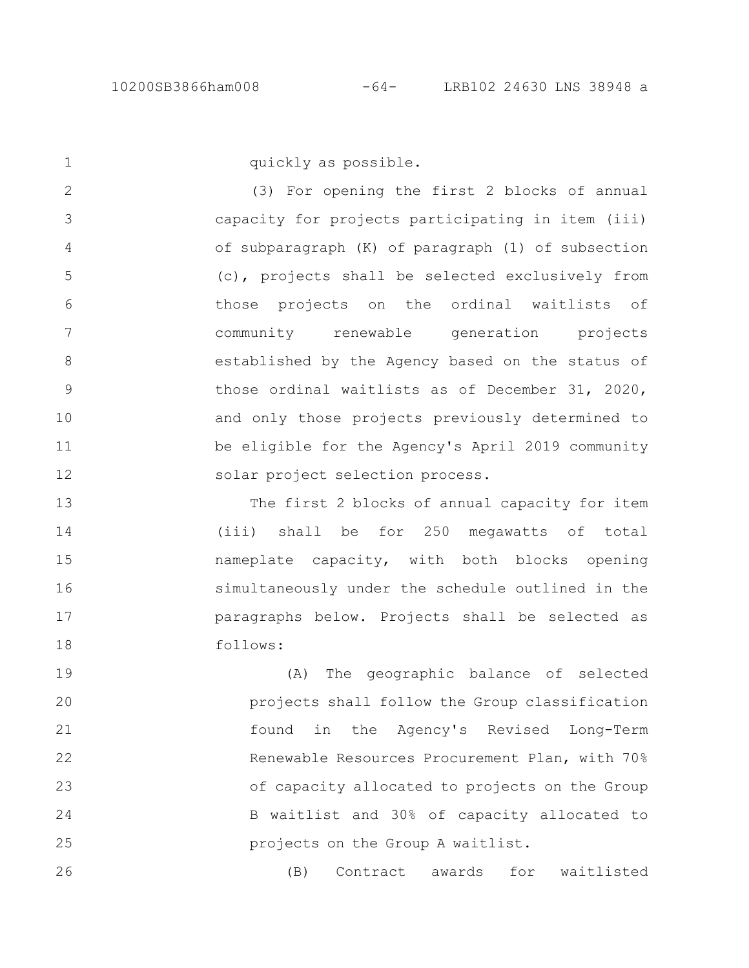1

quickly as possible.

(3) For opening the first 2 blocks of annual capacity for projects participating in item (iii) of subparagraph (K) of paragraph (1) of subsection (c), projects shall be selected exclusively from those projects on the ordinal waitlists of community renewable generation projects established by the Agency based on the status of those ordinal waitlists as of December 31, 2020, and only those projects previously determined to be eligible for the Agency's April 2019 community solar project selection process. 2 3 4 5 6 7 8 9 10 11 12

The first 2 blocks of annual capacity for item (iii) shall be for 250 megawatts of total nameplate capacity, with both blocks opening simultaneously under the schedule outlined in the paragraphs below. Projects shall be selected as follows: 13 14 15 16 17 18

(A) The geographic balance of selected projects shall follow the Group classification found in the Agency's Revised Long-Term Renewable Resources Procurement Plan, with 70% of capacity allocated to projects on the Group B waitlist and 30% of capacity allocated to projects on the Group A waitlist. 19 20 21 22 23 24 25

(B) Contract awards for waitlisted 26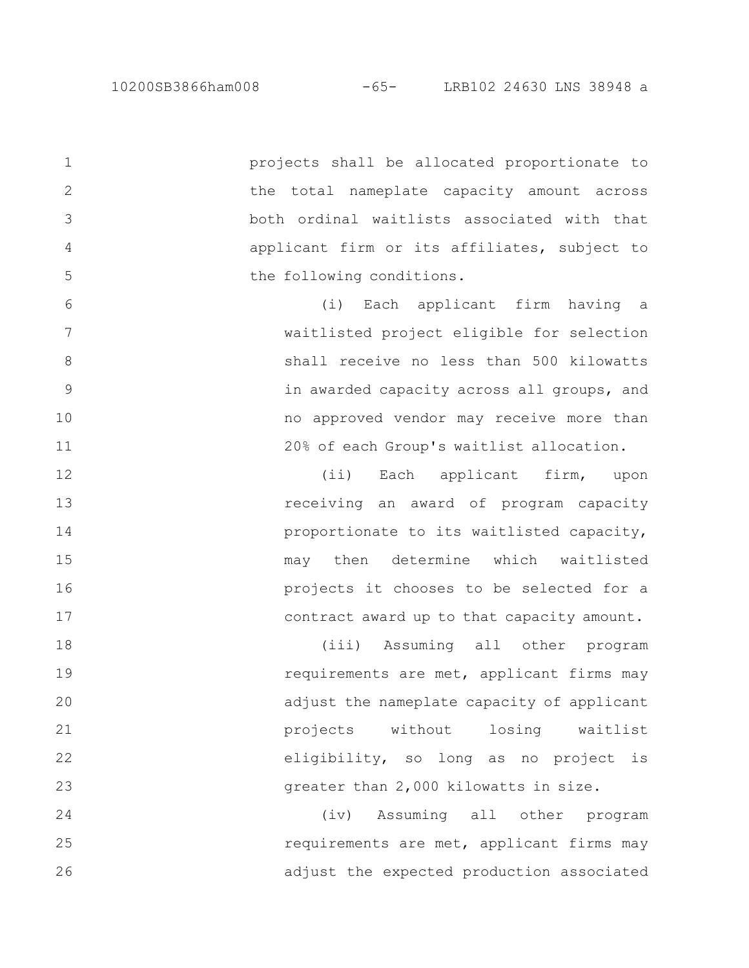projects shall be allocated proportionate to the total nameplate capacity amount across both ordinal waitlists associated with that applicant firm or its affiliates, subject to the following conditions. (i) Each applicant firm having a waitlisted project eligible for selection shall receive no less than 500 kilowatts in awarded capacity across all groups, and no approved vendor may receive more than 20% of each Group's waitlist allocation. (ii) Each applicant firm, upon receiving an award of program capacity proportionate to its waitlisted capacity, may then determine which waitlisted projects it chooses to be selected for a contract award up to that capacity amount. (iii) Assuming all other program requirements are met, applicant firms may adjust the nameplate capacity of applicant projects without losing waitlist eligibility, so long as no project is greater than 2,000 kilowatts in size. (iv) Assuming all other program requirements are met, applicant firms may adjust the expected production associated 1 2 3 4 5 6 7 8 9 10 11 12 13 14 15 16 17 18 19 20 21 22 23 24 25 26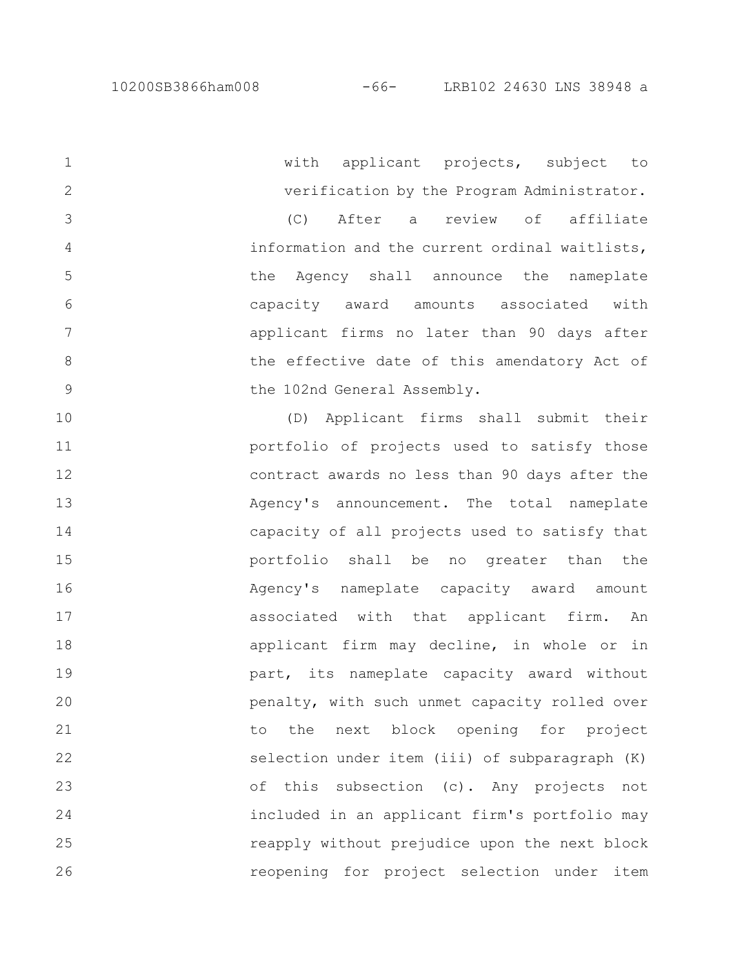with applicant projects, subject to verification by the Program Administrator. (C) After a review of affiliate information and the current ordinal waitlists, the Agency shall announce the nameplate capacity award amounts associated with applicant firms no later than 90 days after the effective date of this amendatory Act of the 102nd General Assembly. (D) Applicant firms shall submit their portfolio of projects used to satisfy those contract awards no less than 90 days after the Agency's announcement. The total nameplate capacity of all projects used to satisfy that portfolio shall be no greater than the Agency's nameplate capacity award amount associated with that applicant firm. An applicant firm may decline, in whole or in part, its nameplate capacity award without penalty, with such unmet capacity rolled over to the next block opening for project selection under item (iii) of subparagraph (K) of this subsection (c). Any projects not included in an applicant firm's portfolio may reapply without prejudice upon the next block reopening for project selection under item 1 2 3 4 5 6 7 8 9 10 11 12 13 14 15 16 17 18 19 20 21 22 23 24 25 26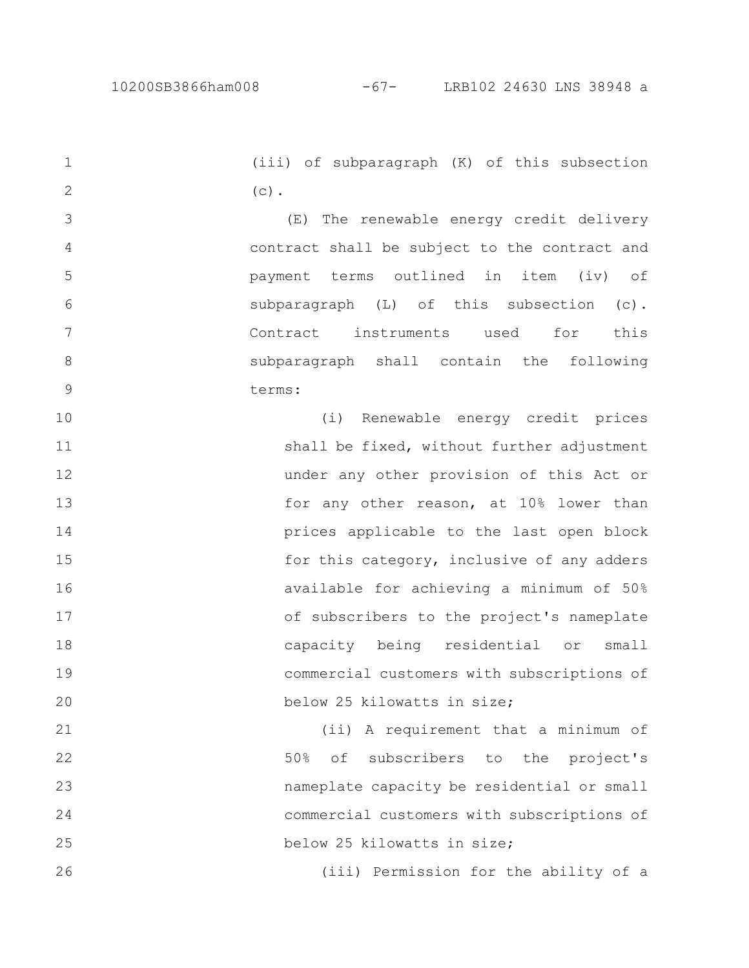26

(iii) of subparagraph (K) of this subsection  $(c)$ . 1 2

(E) The renewable energy credit delivery contract shall be subject to the contract and payment terms outlined in item (iv) of subparagraph (L) of this subsection (c). Contract instruments used for this subparagraph shall contain the following terms: 3 4 5 6 7 8 9

(i) Renewable energy credit prices shall be fixed, without further adjustment under any other provision of this Act or for any other reason, at 10% lower than prices applicable to the last open block for this category, inclusive of any adders available for achieving a minimum of 50% of subscribers to the project's nameplate capacity being residential or small commercial customers with subscriptions of below 25 kilowatts in size; 10 11 12 13 14 15 16 17 18 19 20

(ii) A requirement that a minimum of 50% of subscribers to the project's nameplate capacity be residential or small commercial customers with subscriptions of below 25 kilowatts in size; 21 22 23 24 25

(iii) Permission for the ability of a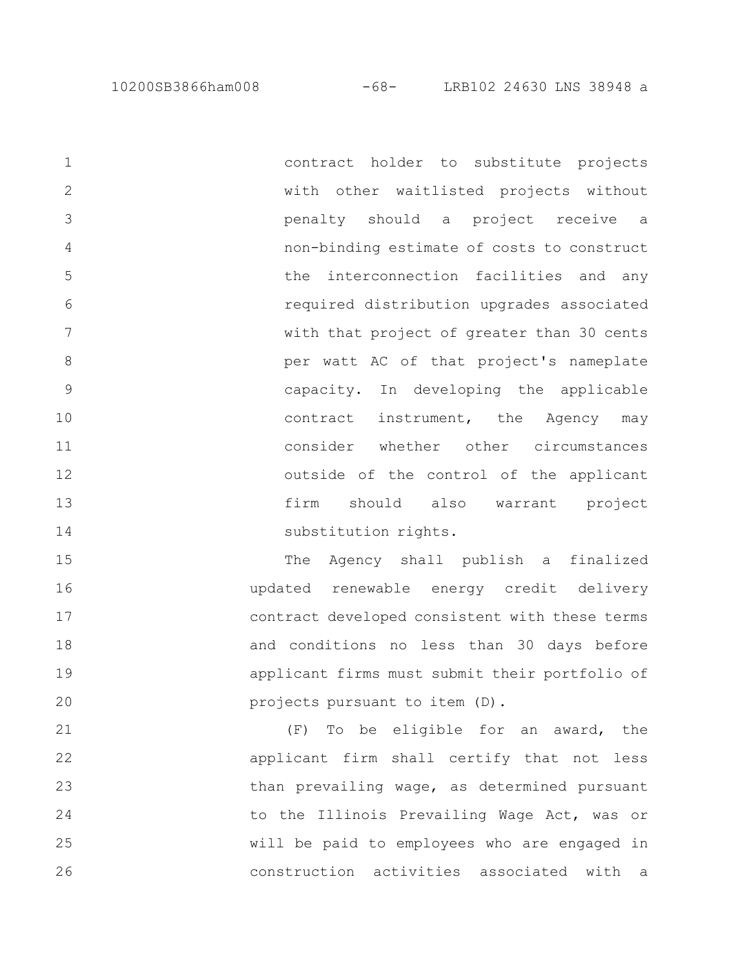10200SB3866ham008 -68- LRB102 24630 LNS 38948 a

contract holder to substitute projects with other waitlisted projects without penalty should a project receive a non-binding estimate of costs to construct the interconnection facilities and any required distribution upgrades associated with that project of greater than 30 cents per watt AC of that project's nameplate capacity. In developing the applicable contract instrument, the Agency may consider whether other circumstances outside of the control of the applicant firm should also warrant project substitution rights. 1 2 3 4 5 6 7 8 9 10 11 12 13 14

The Agency shall publish a finalized updated renewable energy credit delivery contract developed consistent with these terms and conditions no less than 30 days before applicant firms must submit their portfolio of projects pursuant to item (D). 15 16 17 18 19 20

(F) To be eligible for an award, the applicant firm shall certify that not less than prevailing wage, as determined pursuant to the Illinois Prevailing Wage Act, was or will be paid to employees who are engaged in construction activities associated with a 21 22 23 24 25 26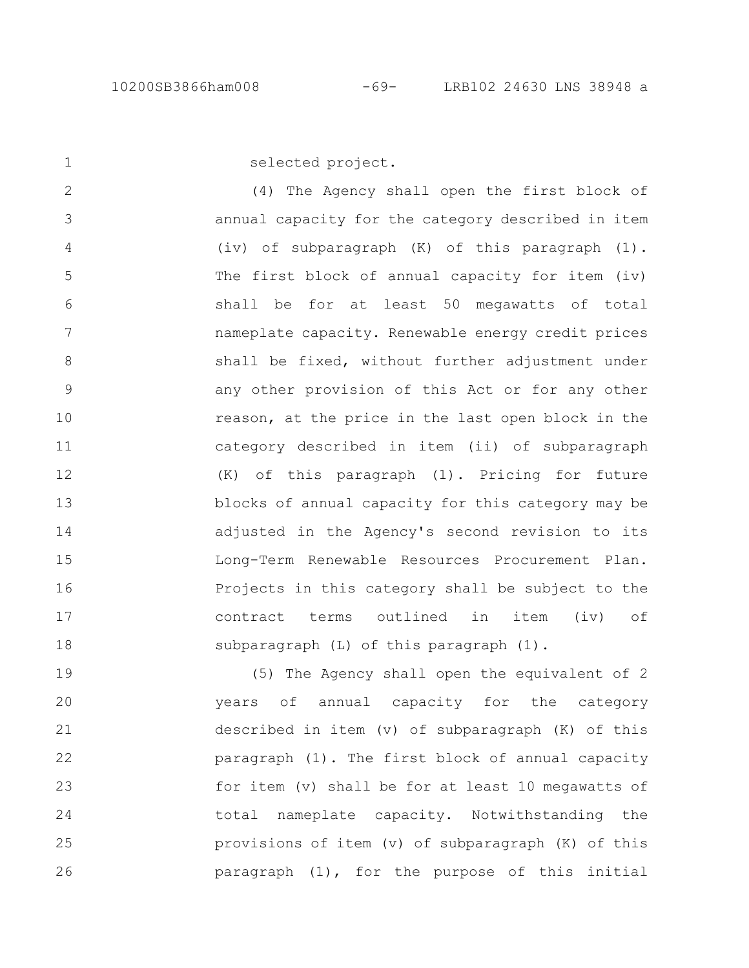1

selected project.

(4) The Agency shall open the first block of annual capacity for the category described in item (iv) of subparagraph (K) of this paragraph (1). The first block of annual capacity for item (iv) shall be for at least 50 megawatts of total nameplate capacity. Renewable energy credit prices shall be fixed, without further adjustment under any other provision of this Act or for any other reason, at the price in the last open block in the category described in item (ii) of subparagraph (K) of this paragraph (1). Pricing for future blocks of annual capacity for this category may be adjusted in the Agency's second revision to its Long-Term Renewable Resources Procurement Plan. Projects in this category shall be subject to the contract terms outlined in item (iv) of subparagraph (L) of this paragraph (1). 2 3 4 5 6 7 8 9 10 11 12 13 14 15 16 17 18

(5) The Agency shall open the equivalent of 2 years of annual capacity for the category described in item (v) of subparagraph (K) of this paragraph (1). The first block of annual capacity for item (v) shall be for at least 10 megawatts of total nameplate capacity. Notwithstanding the provisions of item (v) of subparagraph (K) of this paragraph (1), for the purpose of this initial 19 20 21 22 23 24 25 26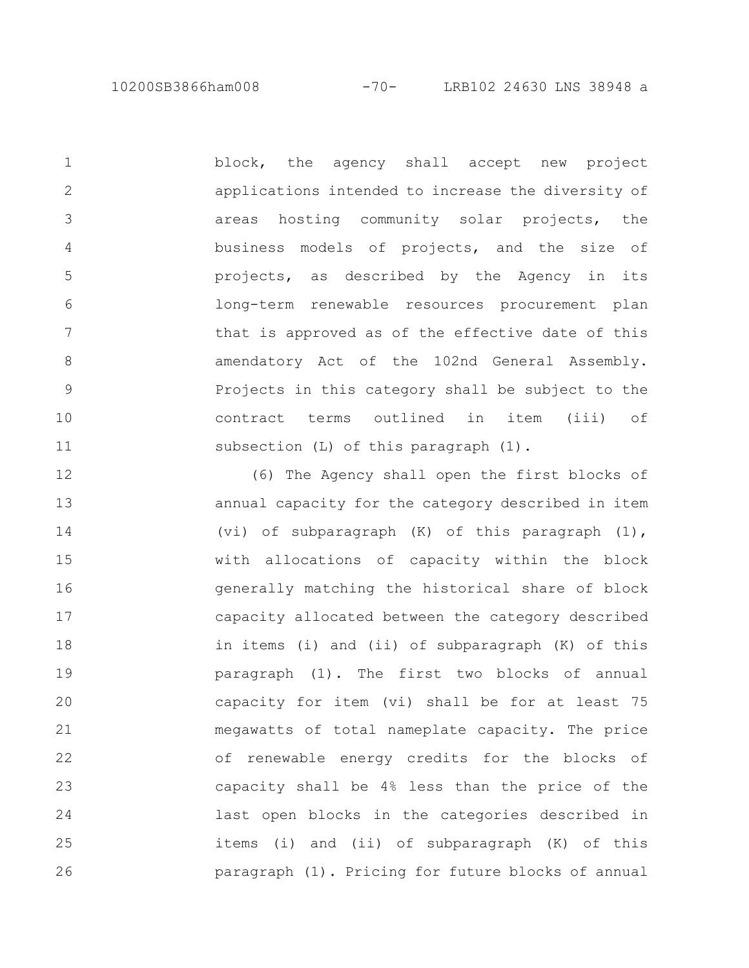10200SB3866ham008 -70- LRB102 24630 LNS 38948 a

block, the agency shall accept new project applications intended to increase the diversity of areas hosting community solar projects, the business models of projects, and the size of projects, as described by the Agency in its long-term renewable resources procurement plan that is approved as of the effective date of this amendatory Act of the 102nd General Assembly. Projects in this category shall be subject to the contract terms outlined in item (iii) of subsection (L) of this paragraph (1). 1 2 3 4 5 6 7 8 9 10 11

(6) The Agency shall open the first blocks of annual capacity for the category described in item (vi) of subparagraph (K) of this paragraph (1), with allocations of capacity within the block generally matching the historical share of block capacity allocated between the category described in items (i) and (ii) of subparagraph (K) of this paragraph (1). The first two blocks of annual capacity for item (vi) shall be for at least 75 megawatts of total nameplate capacity. The price of renewable energy credits for the blocks of capacity shall be 4% less than the price of the last open blocks in the categories described in items (i) and (ii) of subparagraph (K) of this paragraph (1). Pricing for future blocks of annual 12 13 14 15 16 17 18 19 20 21 22 23 24 25 26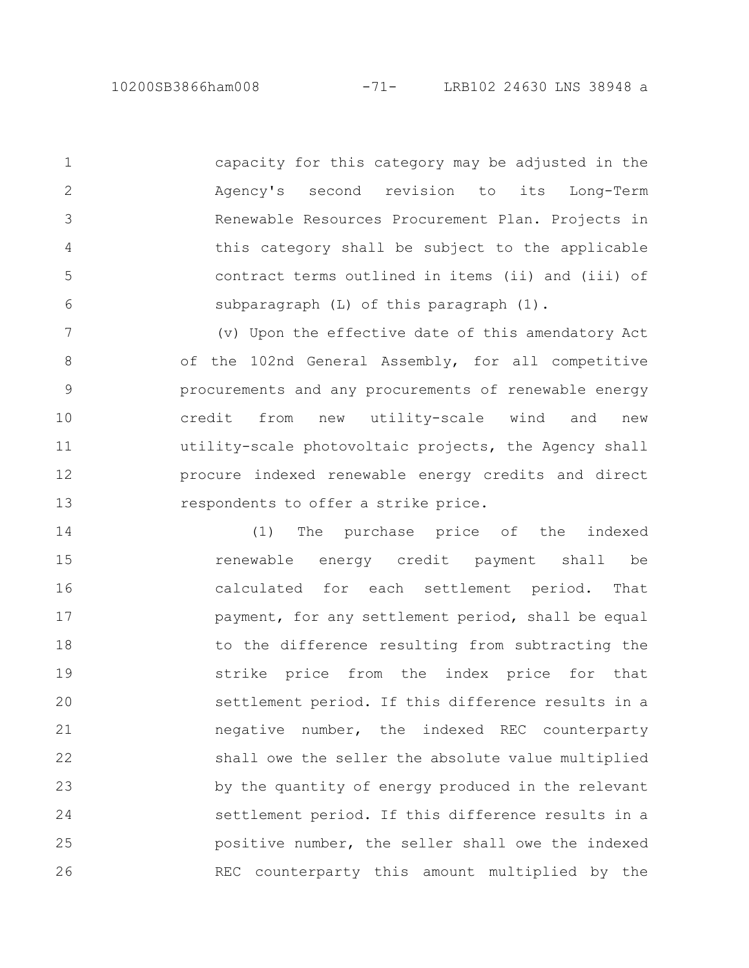capacity for this category may be adjusted in the Agency's second revision to its Long-Term Renewable Resources Procurement Plan. Projects in this category shall be subject to the applicable contract terms outlined in items (ii) and (iii) of subparagraph (L) of this paragraph (1). 1 2 3 4 5 6

(v) Upon the effective date of this amendatory Act of the 102nd General Assembly, for all competitive procurements and any procurements of renewable energy credit from new utility-scale wind and new utility-scale photovoltaic projects, the Agency shall procure indexed renewable energy credits and direct respondents to offer a strike price. 7 8 9 10 11 12 13

(1) The purchase price of the indexed renewable energy credit payment shall be calculated for each settlement period. That payment, for any settlement period, shall be equal to the difference resulting from subtracting the strike price from the index price for that settlement period. If this difference results in a negative number, the indexed REC counterparty shall owe the seller the absolute value multiplied by the quantity of energy produced in the relevant settlement period. If this difference results in a positive number, the seller shall owe the indexed REC counterparty this amount multiplied by the 14 15 16 17 18 19 20 21 22 23 24 25 26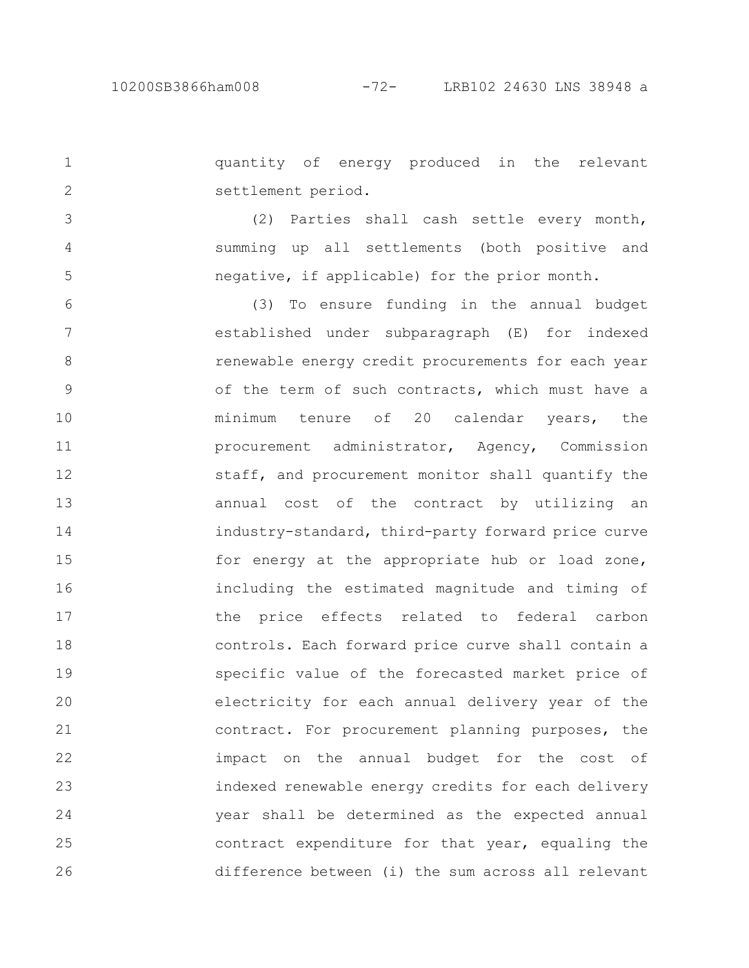1

2

quantity of energy produced in the relevant settlement period.

(2) Parties shall cash settle every month, summing up all settlements (both positive and negative, if applicable) for the prior month. 3 4 5

(3) To ensure funding in the annual budget established under subparagraph (E) for indexed renewable energy credit procurements for each year of the term of such contracts, which must have a minimum tenure of 20 calendar years, the procurement administrator, Agency, Commission staff, and procurement monitor shall quantify the annual cost of the contract by utilizing an industry-standard, third-party forward price curve for energy at the appropriate hub or load zone, including the estimated magnitude and timing of the price effects related to federal carbon controls. Each forward price curve shall contain a specific value of the forecasted market price of electricity for each annual delivery year of the contract. For procurement planning purposes, the impact on the annual budget for the cost of indexed renewable energy credits for each delivery year shall be determined as the expected annual contract expenditure for that year, equaling the difference between (i) the sum across all relevant 6 7 8 9 10 11 12 13 14 15 16 17 18 19 20 21 22 23 24 25 26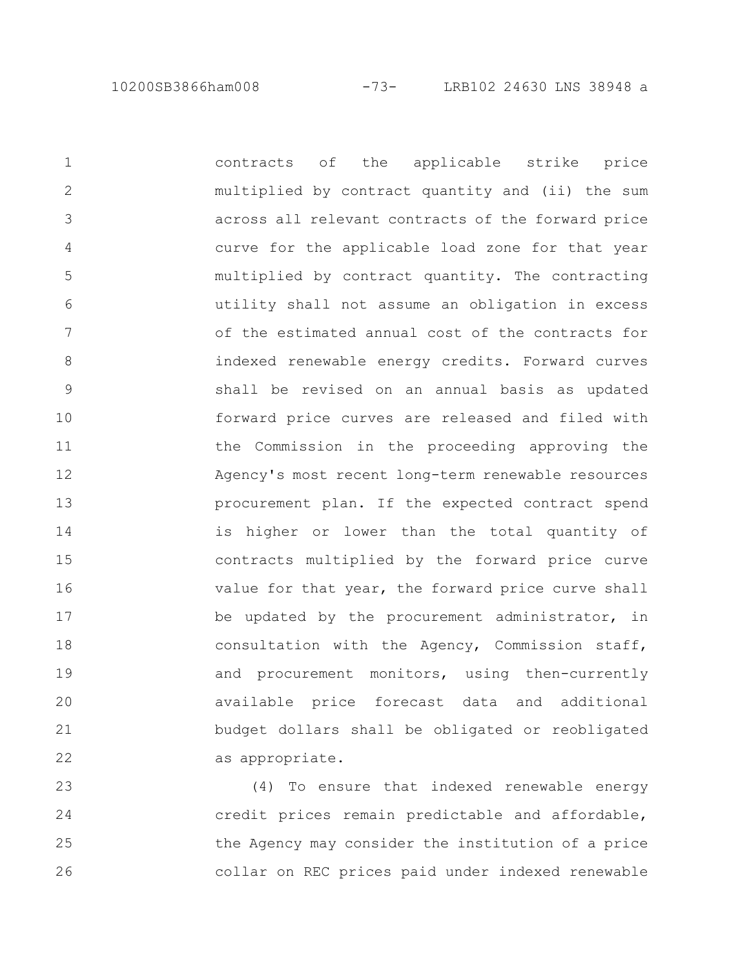contracts of the applicable strike price multiplied by contract quantity and (ii) the sum across all relevant contracts of the forward price curve for the applicable load zone for that year multiplied by contract quantity. The contracting utility shall not assume an obligation in excess of the estimated annual cost of the contracts for indexed renewable energy credits. Forward curves shall be revised on an annual basis as updated forward price curves are released and filed with the Commission in the proceeding approving the Agency's most recent long-term renewable resources procurement plan. If the expected contract spend is higher or lower than the total quantity of contracts multiplied by the forward price curve value for that year, the forward price curve shall be updated by the procurement administrator, in consultation with the Agency, Commission staff, and procurement monitors, using then-currently available price forecast data and additional budget dollars shall be obligated or reobligated as appropriate. 1 2 3 4 5 6 7 8 9 10 11 12 13 14 15 16 17 18 19 20 21 22

(4) To ensure that indexed renewable energy credit prices remain predictable and affordable, the Agency may consider the institution of a price collar on REC prices paid under indexed renewable 23 24 25 26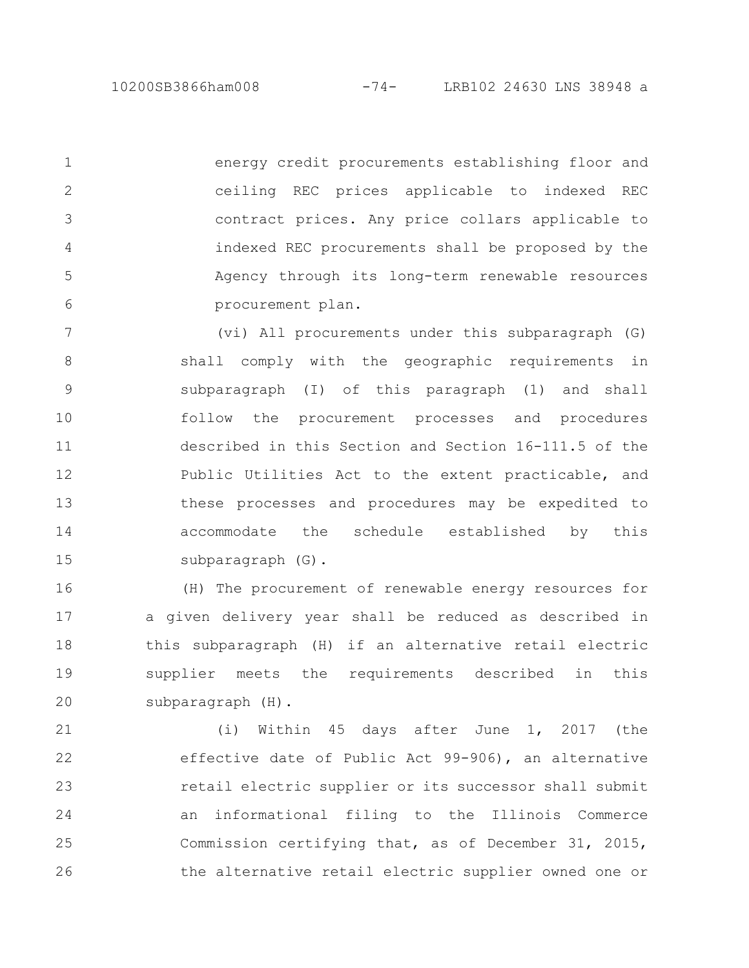energy credit procurements establishing floor and ceiling REC prices applicable to indexed REC contract prices. Any price collars applicable to indexed REC procurements shall be proposed by the Agency through its long-term renewable resources procurement plan. 1 2 3 4 5 6

(vi) All procurements under this subparagraph (G) shall comply with the geographic requirements in subparagraph (I) of this paragraph (1) and shall follow the procurement processes and procedures described in this Section and Section 16-111.5 of the Public Utilities Act to the extent practicable, and these processes and procedures may be expedited to accommodate the schedule established by this subparagraph (G). 7 8 9 10 11 12 13 14 15

(H) The procurement of renewable energy resources for a given delivery year shall be reduced as described in this subparagraph (H) if an alternative retail electric supplier meets the requirements described in this subparagraph (H). 16 17 18 19 20

(i) Within 45 days after June 1, 2017 (the effective date of Public Act 99-906), an alternative retail electric supplier or its successor shall submit an informational filing to the Illinois Commerce Commission certifying that, as of December 31, 2015, the alternative retail electric supplier owned one or 21 22 23 24 25 26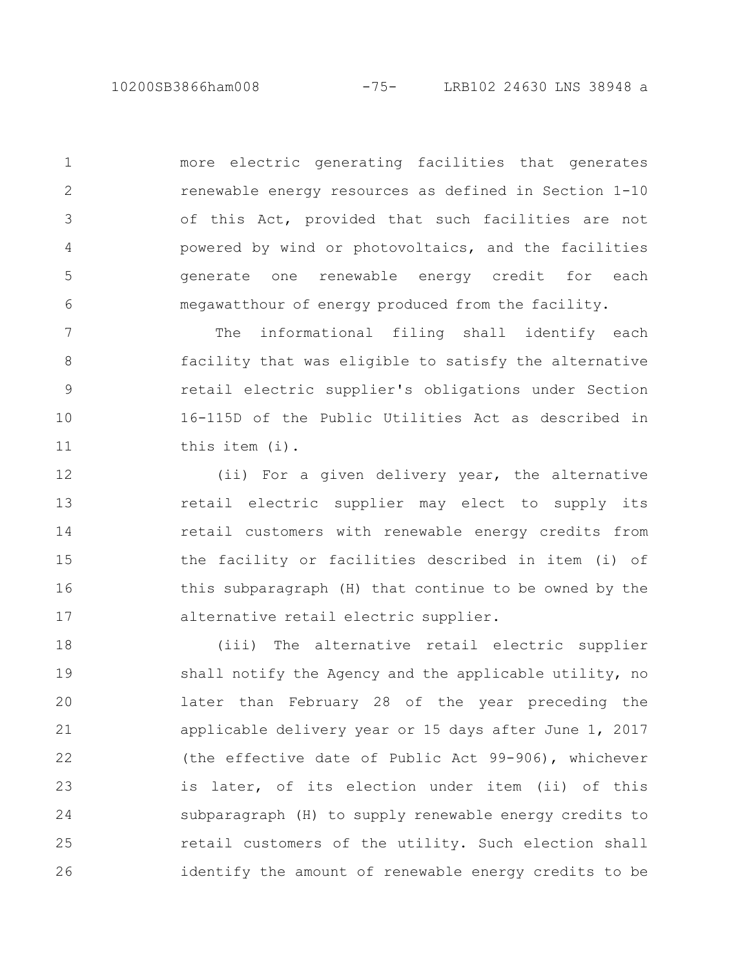more electric generating facilities that generates renewable energy resources as defined in Section 1-10 of this Act, provided that such facilities are not powered by wind or photovoltaics, and the facilities generate one renewable energy credit for each megawatthour of energy produced from the facility. 1 2 3 4 5 6

The informational filing shall identify each facility that was eligible to satisfy the alternative retail electric supplier's obligations under Section 16-115D of the Public Utilities Act as described in this item (i). 7 8 9 10 11

(ii) For a given delivery year, the alternative retail electric supplier may elect to supply its retail customers with renewable energy credits from the facility or facilities described in item (i) of this subparagraph (H) that continue to be owned by the alternative retail electric supplier. 12 13 14 15 16 17

(iii) The alternative retail electric supplier shall notify the Agency and the applicable utility, no later than February 28 of the year preceding the applicable delivery year or 15 days after June 1, 2017 (the effective date of Public Act 99-906), whichever is later, of its election under item (ii) of this subparagraph (H) to supply renewable energy credits to retail customers of the utility. Such election shall identify the amount of renewable energy credits to be 18 19 20 21 22 23 24 25 26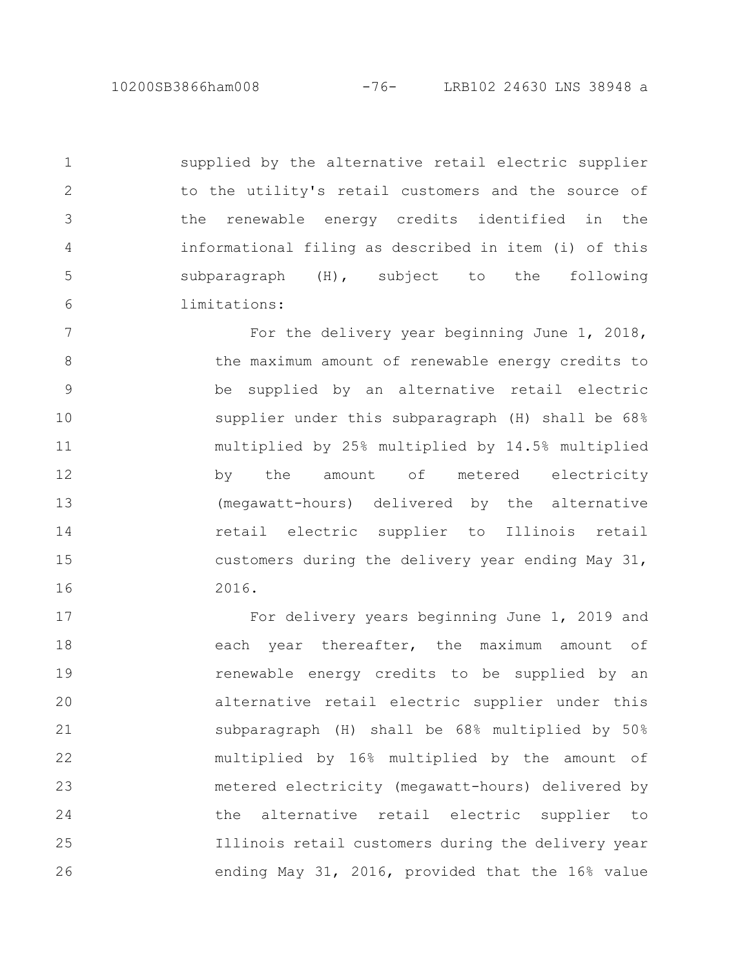10200SB3866ham008 -76- LRB102 24630 LNS 38948 a

supplied by the alternative retail electric supplier to the utility's retail customers and the source of the renewable energy credits identified in the informational filing as described in item (i) of this subparagraph (H), subject to the following limitations: 1 2 3 4 5 6

For the delivery year beginning June 1, 2018, the maximum amount of renewable energy credits to be supplied by an alternative retail electric supplier under this subparagraph (H) shall be 68% multiplied by 25% multiplied by 14.5% multiplied by the amount of metered electricity (megawatt-hours) delivered by the alternative retail electric supplier to Illinois retail customers during the delivery year ending May 31, 2016. 7 8 9 10 11 12 13 14 15 16

For delivery years beginning June 1, 2019 and each year thereafter, the maximum amount of renewable energy credits to be supplied by an alternative retail electric supplier under this subparagraph (H) shall be 68% multiplied by 50% multiplied by 16% multiplied by the amount of metered electricity (megawatt-hours) delivered by the alternative retail electric supplier to Illinois retail customers during the delivery year ending May 31, 2016, provided that the 16% value 17 18 19 20 21 22 23 24 25 26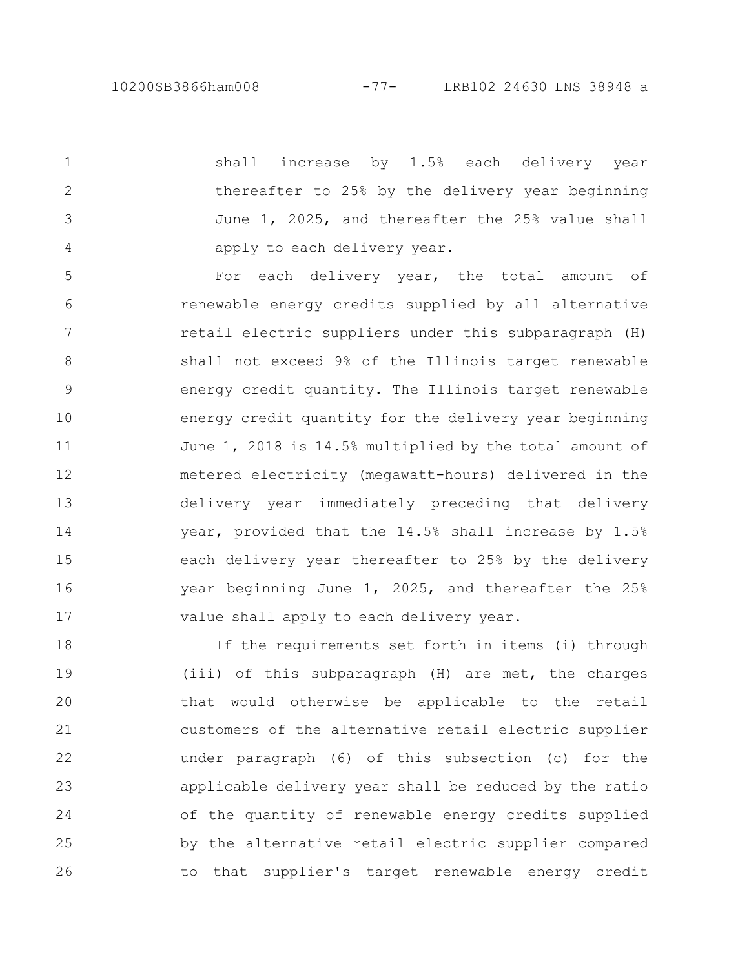1

2

3

4

shall increase by 1.5% each delivery year thereafter to 25% by the delivery year beginning June 1, 2025, and thereafter the 25% value shall apply to each delivery year.

For each delivery year, the total amount of renewable energy credits supplied by all alternative retail electric suppliers under this subparagraph (H) shall not exceed 9% of the Illinois target renewable energy credit quantity. The Illinois target renewable energy credit quantity for the delivery year beginning June 1, 2018 is 14.5% multiplied by the total amount of metered electricity (megawatt-hours) delivered in the delivery year immediately preceding that delivery year, provided that the 14.5% shall increase by 1.5% each delivery year thereafter to 25% by the delivery year beginning June 1, 2025, and thereafter the 25% value shall apply to each delivery year. 5 6 7 8 9 10 11 12 13 14 15 16 17

If the requirements set forth in items (i) through (iii) of this subparagraph (H) are met, the charges that would otherwise be applicable to the retail customers of the alternative retail electric supplier under paragraph (6) of this subsection (c) for the applicable delivery year shall be reduced by the ratio of the quantity of renewable energy credits supplied by the alternative retail electric supplier compared to that supplier's target renewable energy credit 18 19 20 21 22 23 24 25 26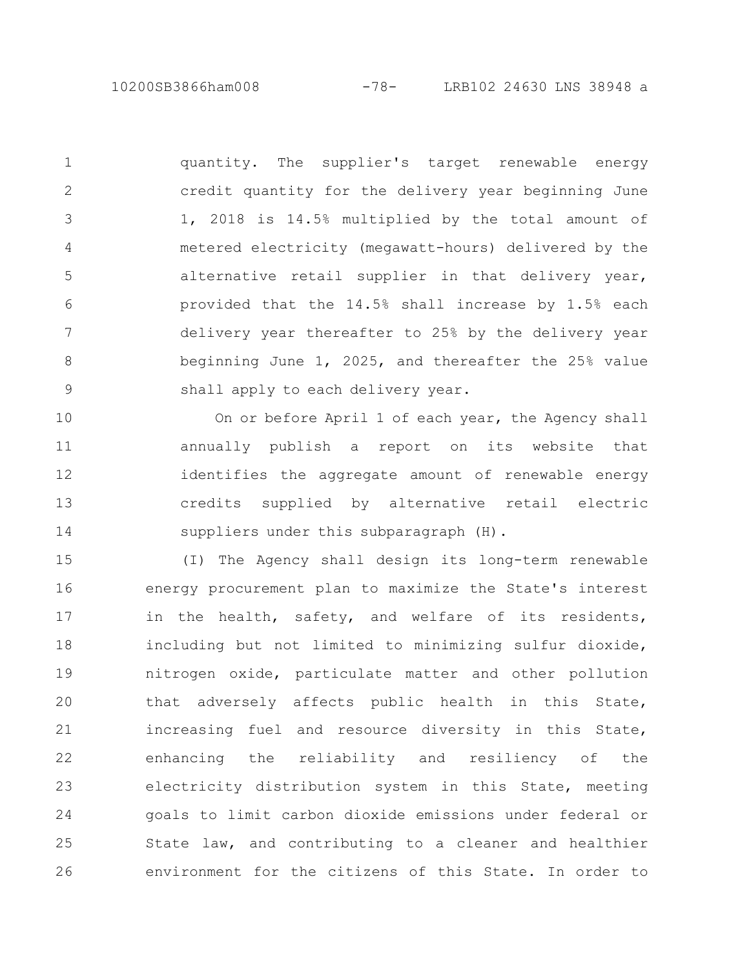quantity. The supplier's target renewable energy credit quantity for the delivery year beginning June 1, 2018 is 14.5% multiplied by the total amount of metered electricity (megawatt-hours) delivered by the alternative retail supplier in that delivery year, provided that the 14.5% shall increase by 1.5% each delivery year thereafter to 25% by the delivery year beginning June 1, 2025, and thereafter the 25% value shall apply to each delivery year. 1 2 3 4 5 6 7 8 9

On or before April 1 of each year, the Agency shall annually publish a report on its website that identifies the aggregate amount of renewable energy credits supplied by alternative retail electric suppliers under this subparagraph (H). 10 11 12 13 14

(I) The Agency shall design its long-term renewable energy procurement plan to maximize the State's interest in the health, safety, and welfare of its residents, including but not limited to minimizing sulfur dioxide, nitrogen oxide, particulate matter and other pollution that adversely affects public health in this State, increasing fuel and resource diversity in this State, enhancing the reliability and resiliency of the electricity distribution system in this State, meeting goals to limit carbon dioxide emissions under federal or State law, and contributing to a cleaner and healthier environment for the citizens of this State. In order to 15 16 17 18 19 20 21 22 23 24 25 26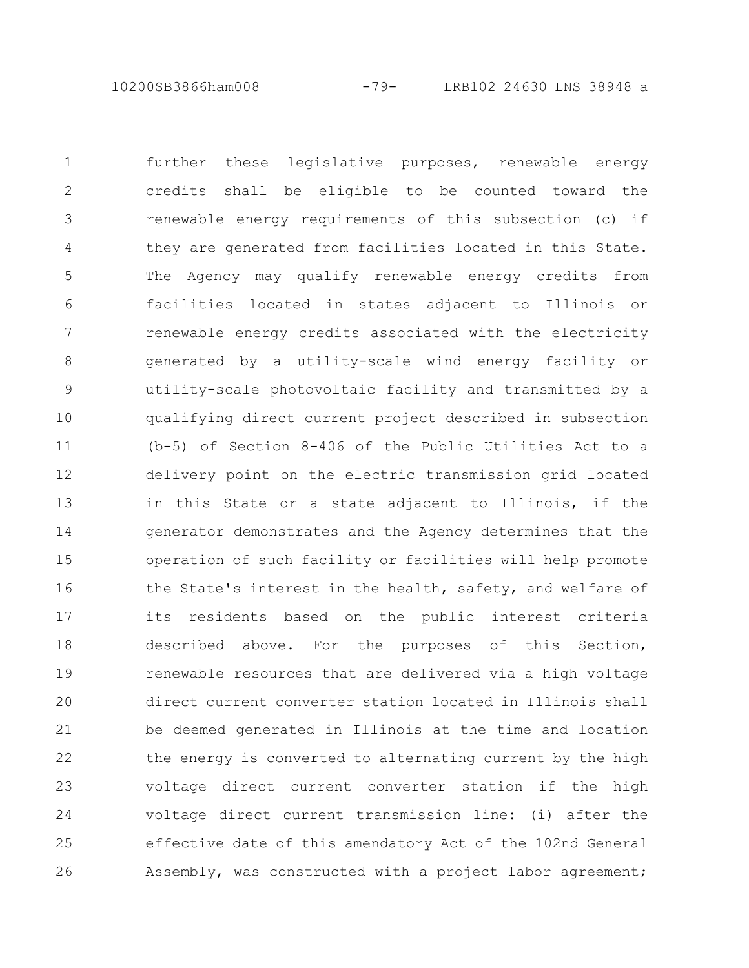10200SB3866ham008 -79- LRB102 24630 LNS 38948 a

further these legislative purposes, renewable energy credits shall be eligible to be counted toward the renewable energy requirements of this subsection (c) if they are generated from facilities located in this State. The Agency may qualify renewable energy credits from facilities located in states adjacent to Illinois or renewable energy credits associated with the electricity generated by a utility-scale wind energy facility or utility-scale photovoltaic facility and transmitted by a qualifying direct current project described in subsection (b-5) of Section 8-406 of the Public Utilities Act to a delivery point on the electric transmission grid located in this State or a state adjacent to Illinois, if the generator demonstrates and the Agency determines that the operation of such facility or facilities will help promote the State's interest in the health, safety, and welfare of its residents based on the public interest criteria described above. For the purposes of this Section, renewable resources that are delivered via a high voltage direct current converter station located in Illinois shall be deemed generated in Illinois at the time and location the energy is converted to alternating current by the high voltage direct current converter station if the high voltage direct current transmission line: (i) after the effective date of this amendatory Act of the 102nd General Assembly, was constructed with a project labor agreement; 1 2 3 4 5 6 7 8 9 10 11 12 13 14 15 16 17 18 19 20 21 22 23 24 25 26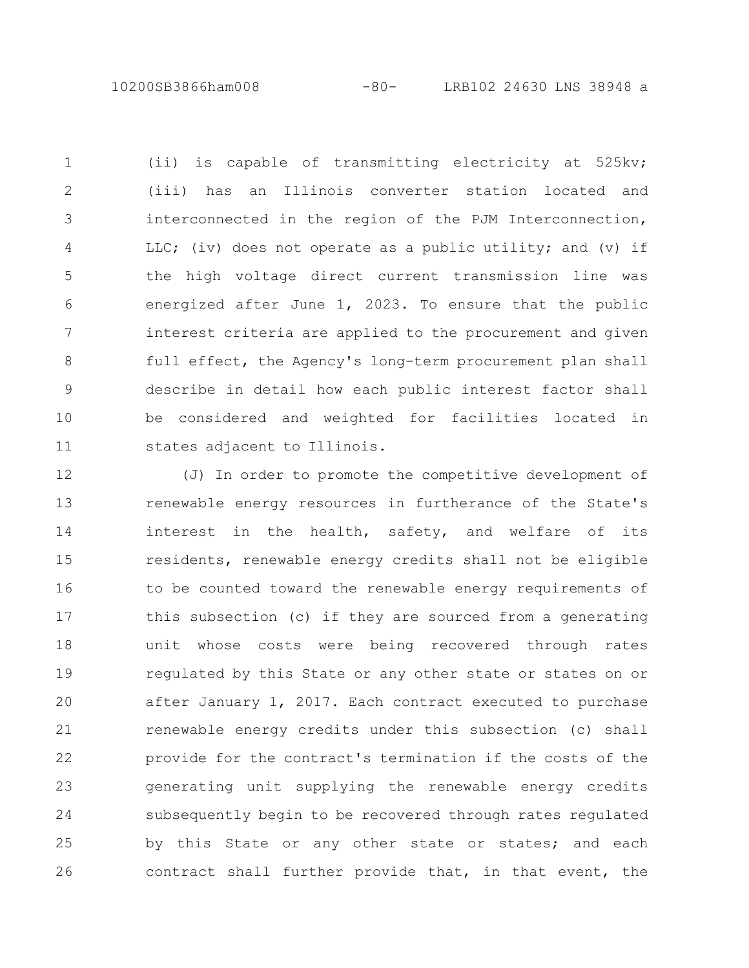10200SB3866ham008 -80- LRB102 24630 LNS 38948 a

(ii) is capable of transmitting electricity at 525kv; (iii) has an Illinois converter station located and interconnected in the region of the PJM Interconnection, LLC; (iv) does not operate as a public utility; and (v) if the high voltage direct current transmission line was energized after June 1, 2023. To ensure that the public interest criteria are applied to the procurement and given full effect, the Agency's long-term procurement plan shall describe in detail how each public interest factor shall be considered and weighted for facilities located in states adjacent to Illinois. 1 2 3 4 5 6 7 8 9 10 11

(J) In order to promote the competitive development of renewable energy resources in furtherance of the State's interest in the health, safety, and welfare of its residents, renewable energy credits shall not be eligible to be counted toward the renewable energy requirements of this subsection (c) if they are sourced from a generating unit whose costs were being recovered through rates regulated by this State or any other state or states on or after January 1, 2017. Each contract executed to purchase renewable energy credits under this subsection (c) shall provide for the contract's termination if the costs of the generating unit supplying the renewable energy credits subsequently begin to be recovered through rates regulated by this State or any other state or states; and each contract shall further provide that, in that event, the 12 13 14 15 16 17 18 19 20 21 22 23 24 25 26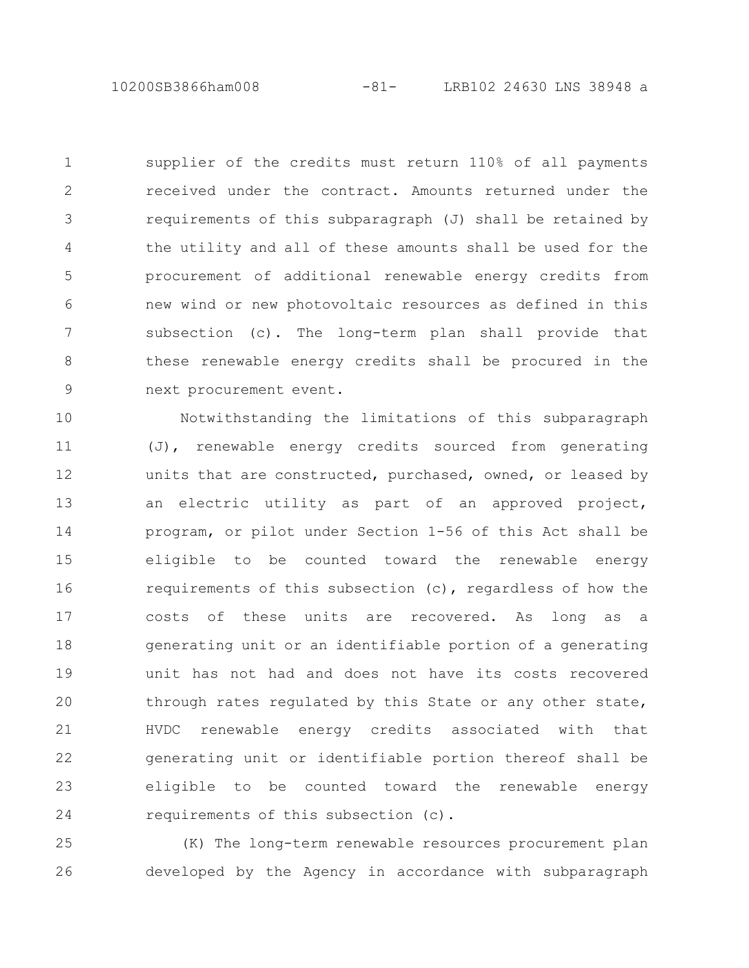10200SB3866ham008 -81- LRB102 24630 LNS 38948 a

supplier of the credits must return 110% of all payments received under the contract. Amounts returned under the requirements of this subparagraph (J) shall be retained by the utility and all of these amounts shall be used for the procurement of additional renewable energy credits from new wind or new photovoltaic resources as defined in this subsection (c). The long-term plan shall provide that these renewable energy credits shall be procured in the next procurement event. 1 2 3 4 5 6 7 8 9

Notwithstanding the limitations of this subparagraph (J), renewable energy credits sourced from generating units that are constructed, purchased, owned, or leased by an electric utility as part of an approved project, program, or pilot under Section 1-56 of this Act shall be eligible to be counted toward the renewable energy requirements of this subsection (c), regardless of how the costs of these units are recovered. As long as a generating unit or an identifiable portion of a generating unit has not had and does not have its costs recovered through rates regulated by this State or any other state, HVDC renewable energy credits associated with that generating unit or identifiable portion thereof shall be eligible to be counted toward the renewable energy requirements of this subsection (c). 10 11 12 13 14 15 16 17 18 19 20 21 22 23 24

(K) The long-term renewable resources procurement plan developed by the Agency in accordance with subparagraph 25 26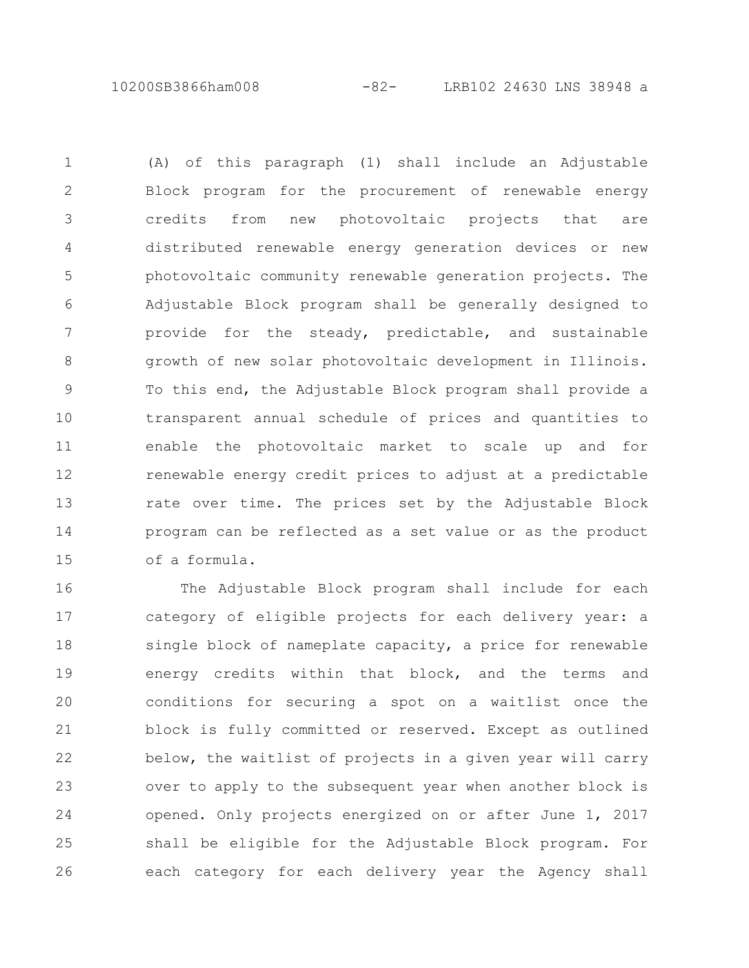10200SB3866ham008 -82- LRB102 24630 LNS 38948 a

(A) of this paragraph (1) shall include an Adjustable Block program for the procurement of renewable energy credits from new photovoltaic projects that are distributed renewable energy generation devices or new photovoltaic community renewable generation projects. The Adjustable Block program shall be generally designed to provide for the steady, predictable, and sustainable growth of new solar photovoltaic development in Illinois. To this end, the Adjustable Block program shall provide a transparent annual schedule of prices and quantities to enable the photovoltaic market to scale up and for renewable energy credit prices to adjust at a predictable rate over time. The prices set by the Adjustable Block program can be reflected as a set value or as the product of a formula. 1 2 3 4 5 6 7 8 9 10 11 12 13 14 15

The Adjustable Block program shall include for each category of eligible projects for each delivery year: a single block of nameplate capacity, a price for renewable energy credits within that block, and the terms and conditions for securing a spot on a waitlist once the block is fully committed or reserved. Except as outlined below, the waitlist of projects in a given year will carry over to apply to the subsequent year when another block is opened. Only projects energized on or after June 1, 2017 shall be eligible for the Adjustable Block program. For each category for each delivery year the Agency shall 16 17 18 19 20 21 22 23 24 25 26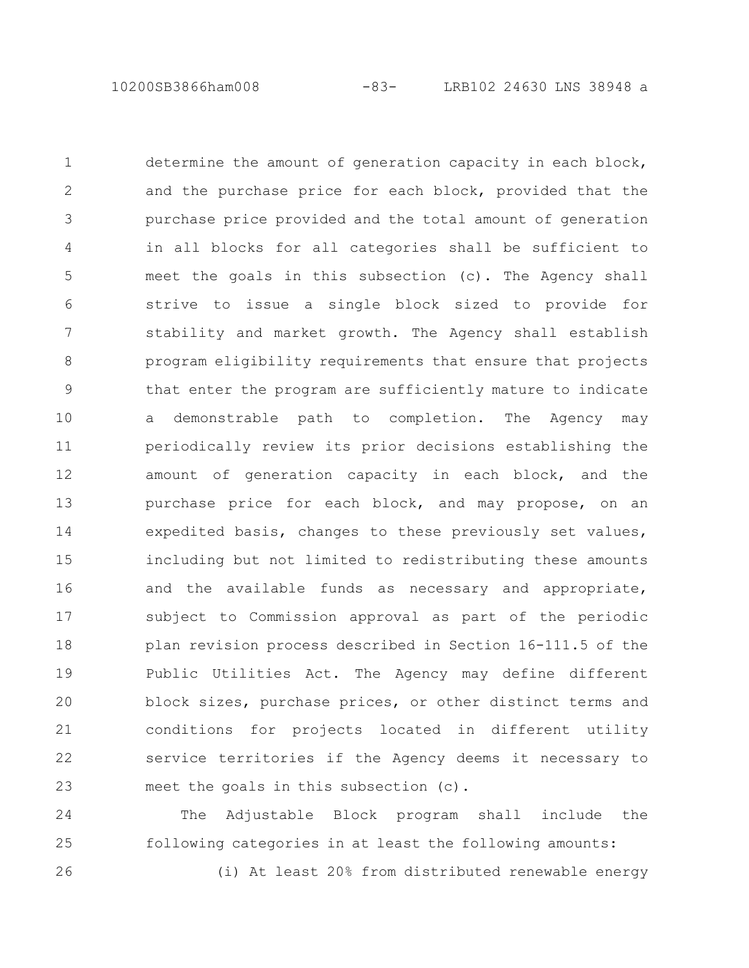10200SB3866ham008 -83- LRB102 24630 LNS 38948 a

determine the amount of generation capacity in each block, and the purchase price for each block, provided that the purchase price provided and the total amount of generation in all blocks for all categories shall be sufficient to meet the goals in this subsection (c). The Agency shall strive to issue a single block sized to provide for stability and market growth. The Agency shall establish program eligibility requirements that ensure that projects that enter the program are sufficiently mature to indicate a demonstrable path to completion. The Agency may periodically review its prior decisions establishing the amount of generation capacity in each block, and the purchase price for each block, and may propose, on an expedited basis, changes to these previously set values, including but not limited to redistributing these amounts and the available funds as necessary and appropriate, subject to Commission approval as part of the periodic plan revision process described in Section 16-111.5 of the Public Utilities Act. The Agency may define different block sizes, purchase prices, or other distinct terms and conditions for projects located in different utility service territories if the Agency deems it necessary to meet the goals in this subsection (c). 1 2 3 4 5 6 7 8 9 10 11 12 13 14 15 16 17 18 19 20 21 22 23

The Adjustable Block program shall include the following categories in at least the following amounts: 24 25

26

(i) At least 20% from distributed renewable energy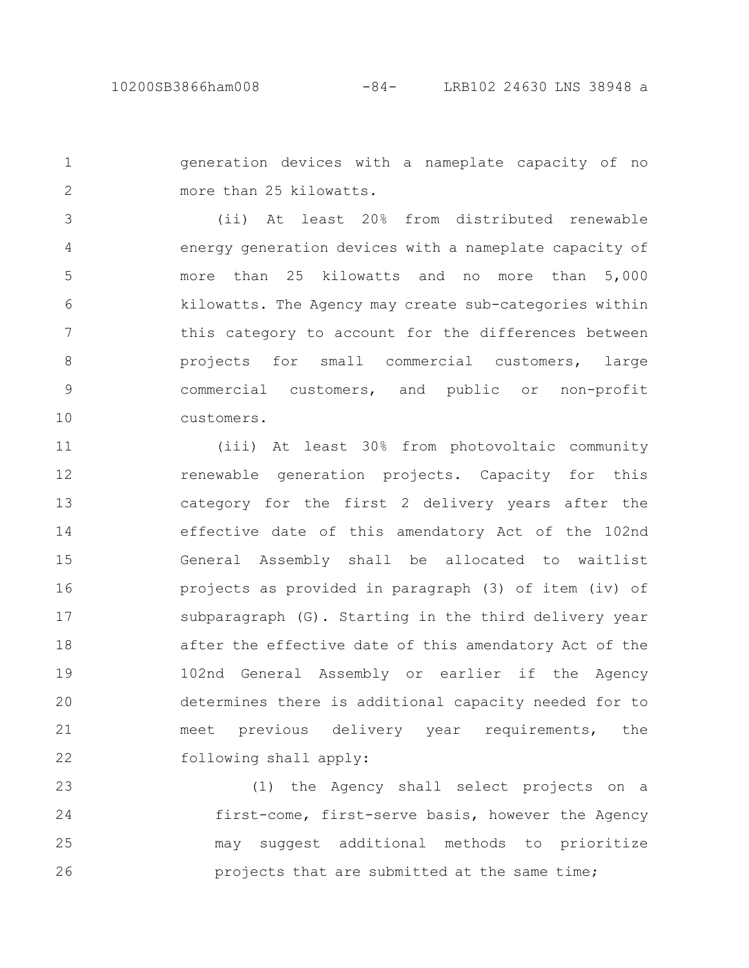generation devices with a nameplate capacity of no more than 25 kilowatts. 1 2

(ii) At least 20% from distributed renewable energy generation devices with a nameplate capacity of more than 25 kilowatts and no more than 5,000 kilowatts. The Agency may create sub-categories within this category to account for the differences between projects for small commercial customers, large commercial customers, and public or non-profit customers. 3 4 5 6 7 8 9 10

(iii) At least 30% from photovoltaic community renewable generation projects. Capacity for this category for the first 2 delivery years after the effective date of this amendatory Act of the 102nd General Assembly shall be allocated to waitlist projects as provided in paragraph (3) of item (iv) of subparagraph (G). Starting in the third delivery year after the effective date of this amendatory Act of the 102nd General Assembly or earlier if the Agency determines there is additional capacity needed for to meet previous delivery year requirements, the following shall apply: 11 12 13 14 15 16 17 18 19 20 21 22

(1) the Agency shall select projects on a first-come, first-serve basis, however the Agency may suggest additional methods to prioritize projects that are submitted at the same time; 23 24 25 26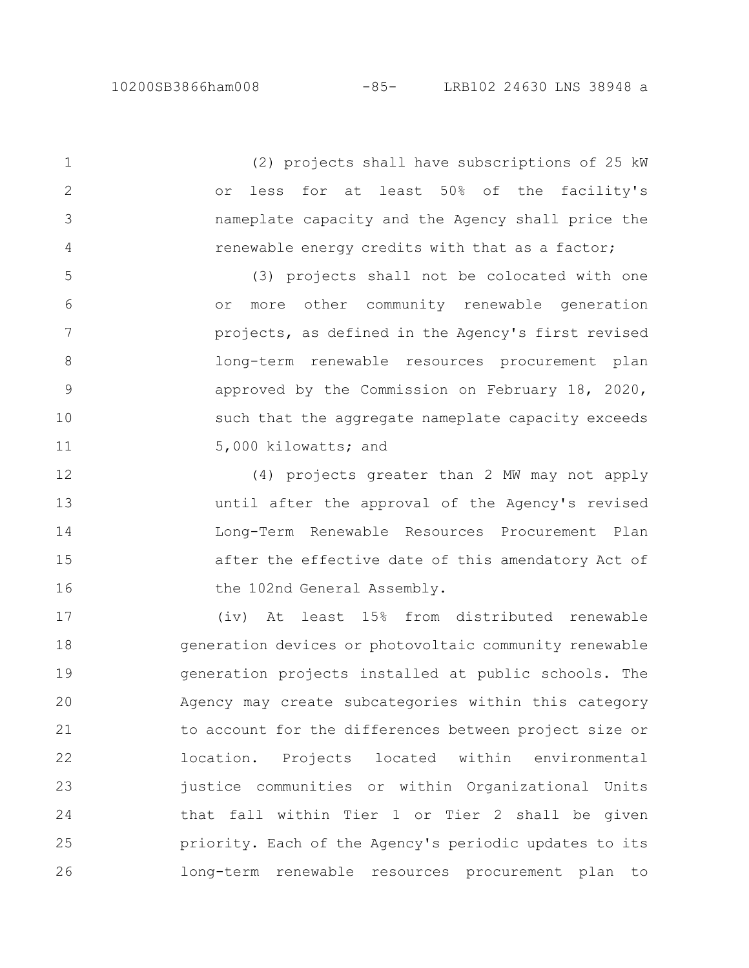1

2

3

4

(2) projects shall have subscriptions of 25 kW or less for at least 50% of the facility's nameplate capacity and the Agency shall price the renewable energy credits with that as a factor;

(3) projects shall not be colocated with one or more other community renewable generation projects, as defined in the Agency's first revised long-term renewable resources procurement plan approved by the Commission on February 18, 2020, such that the aggregate nameplate capacity exceeds 5,000 kilowatts; and 5 6 7 8 9 10 11

(4) projects greater than 2 MW may not apply until after the approval of the Agency's revised Long-Term Renewable Resources Procurement Plan after the effective date of this amendatory Act of the 102nd General Assembly. 12 13 14 15 16

(iv) At least 15% from distributed renewable generation devices or photovoltaic community renewable generation projects installed at public schools. The Agency may create subcategories within this category to account for the differences between project size or location. Projects located within environmental justice communities or within Organizational Units that fall within Tier 1 or Tier 2 shall be given priority. Each of the Agency's periodic updates to its long-term renewable resources procurement plan to 17 18 19 20 21 22 23 24 25 26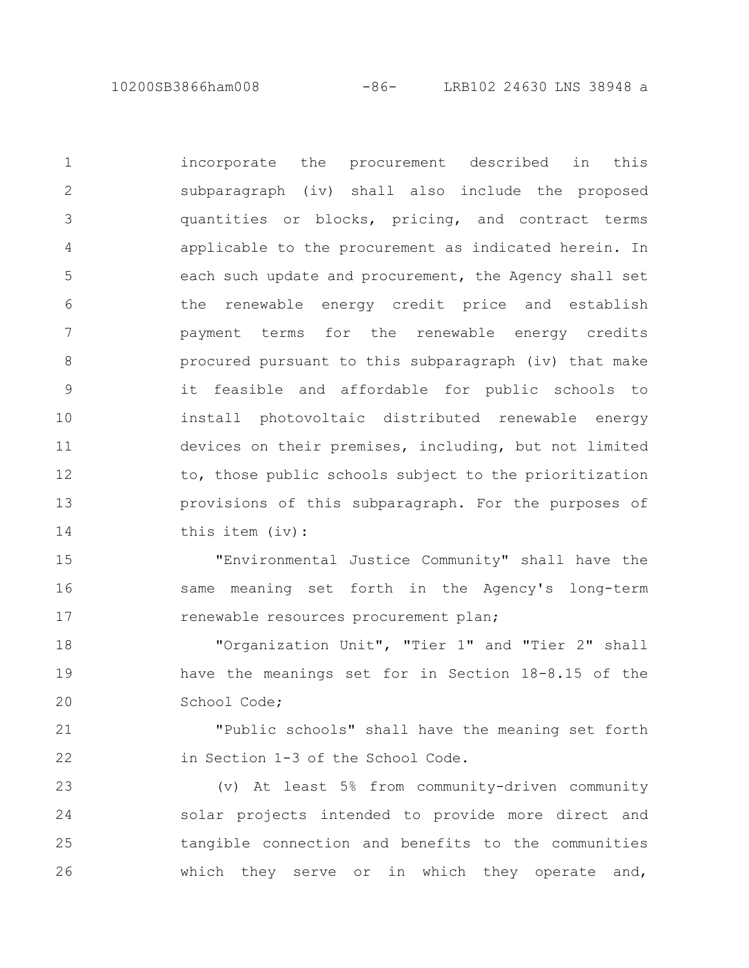10200SB3866ham008 -86- LRB102 24630 LNS 38948 a

21

22

incorporate the procurement described in this subparagraph (iv) shall also include the proposed quantities or blocks, pricing, and contract terms applicable to the procurement as indicated herein. In each such update and procurement, the Agency shall set the renewable energy credit price and establish payment terms for the renewable energy credits procured pursuant to this subparagraph (iv) that make it feasible and affordable for public schools to install photovoltaic distributed renewable energy devices on their premises, including, but not limited to, those public schools subject to the prioritization provisions of this subparagraph. For the purposes of this item (iv): 1 2 3 4 5 6 7 8 9 10 11 12 13 14

"Environmental Justice Community" shall have the same meaning set forth in the Agency's long-term renewable resources procurement plan; 15 16 17

"Organization Unit", "Tier 1" and "Tier 2" shall have the meanings set for in Section 18-8.15 of the School Code; 18 19 20

"Public schools" shall have the meaning set forth in Section 1-3 of the School Code.

(v) At least 5% from community-driven community solar projects intended to provide more direct and tangible connection and benefits to the communities which they serve or in which they operate and, 23 24 25 26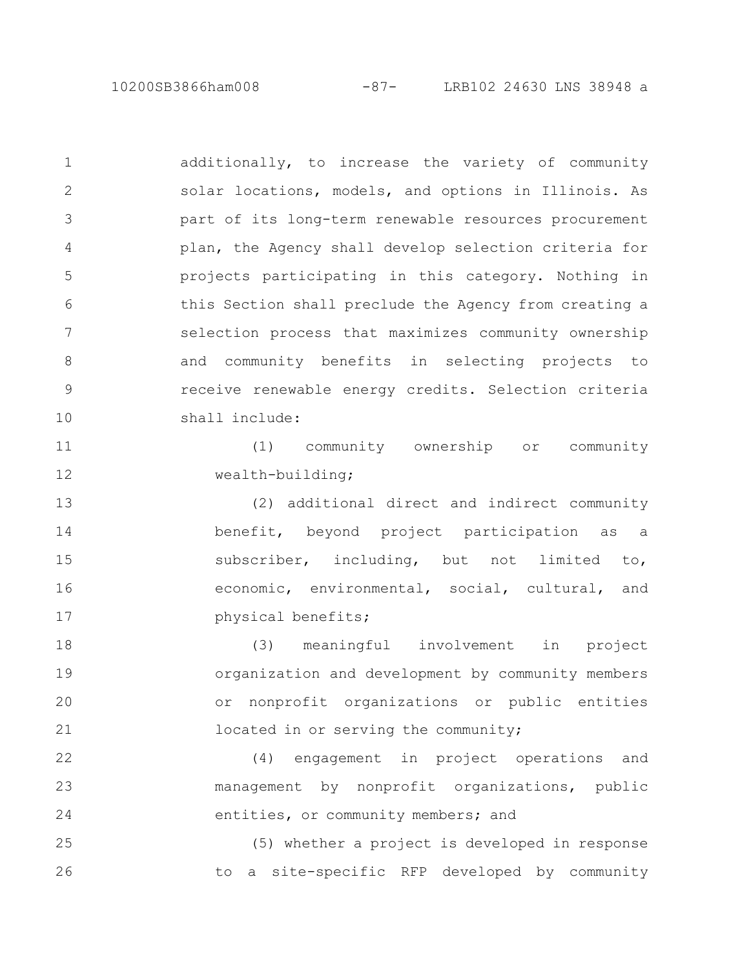10200SB3866ham008 -87- LRB102 24630 LNS 38948 a

additionally, to increase the variety of community solar locations, models, and options in Illinois. As part of its long-term renewable resources procurement plan, the Agency shall develop selection criteria for projects participating in this category. Nothing in this Section shall preclude the Agency from creating a selection process that maximizes community ownership and community benefits in selecting projects to receive renewable energy credits. Selection criteria shall include: 1 2 3 4 5 6 7 8 9 10

(1) community ownership or community wealth-building; 11 12

(2) additional direct and indirect community benefit, beyond project participation as a subscriber, including, but not limited to, economic, environmental, social, cultural, and physical benefits; 13 14 15 16 17

(3) meaningful involvement in project organization and development by community members or nonprofit organizations or public entities located in or serving the community; 18 19 20 21

(4) engagement in project operations and management by nonprofit organizations, public entities, or community members; and 22 23 24

(5) whether a project is developed in response to a site-specific RFP developed by community 25 26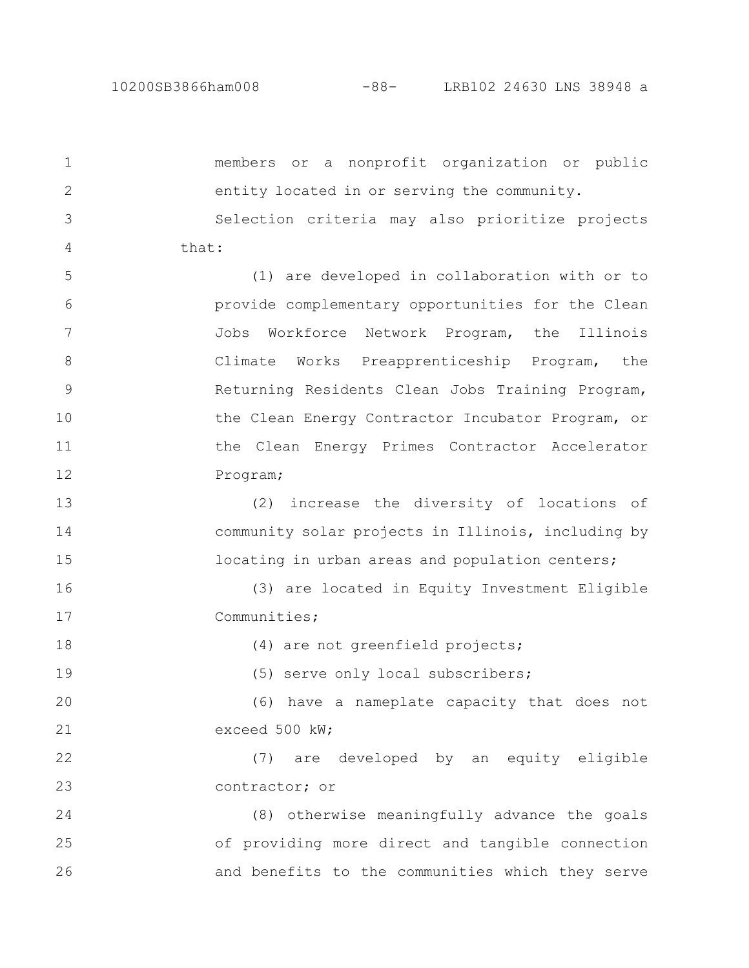10200SB3866ham008 -88- LRB102 24630 LNS 38948 a

members or a nonprofit organization or public entity located in or serving the community. Selection criteria may also prioritize projects that: (1) are developed in collaboration with or to provide complementary opportunities for the Clean Jobs Workforce Network Program, the Illinois Climate Works Preapprenticeship Program, the Returning Residents Clean Jobs Training Program, the Clean Energy Contractor Incubator Program, or the Clean Energy Primes Contractor Accelerator Program; (2) increase the diversity of locations of community solar projects in Illinois, including by locating in urban areas and population centers; (3) are located in Equity Investment Eligible Communities; (4) are not greenfield projects; (5) serve only local subscribers; (6) have a nameplate capacity that does not exceed 500 kW; (7) are developed by an equity eligible contractor; or (8) otherwise meaningfully advance the goals of providing more direct and tangible connection and benefits to the communities which they serve 1 2 3 4 5 6 7 8 9 10 11 12 13 14 15 16 17 18 19 20 21 22 23 24 25 26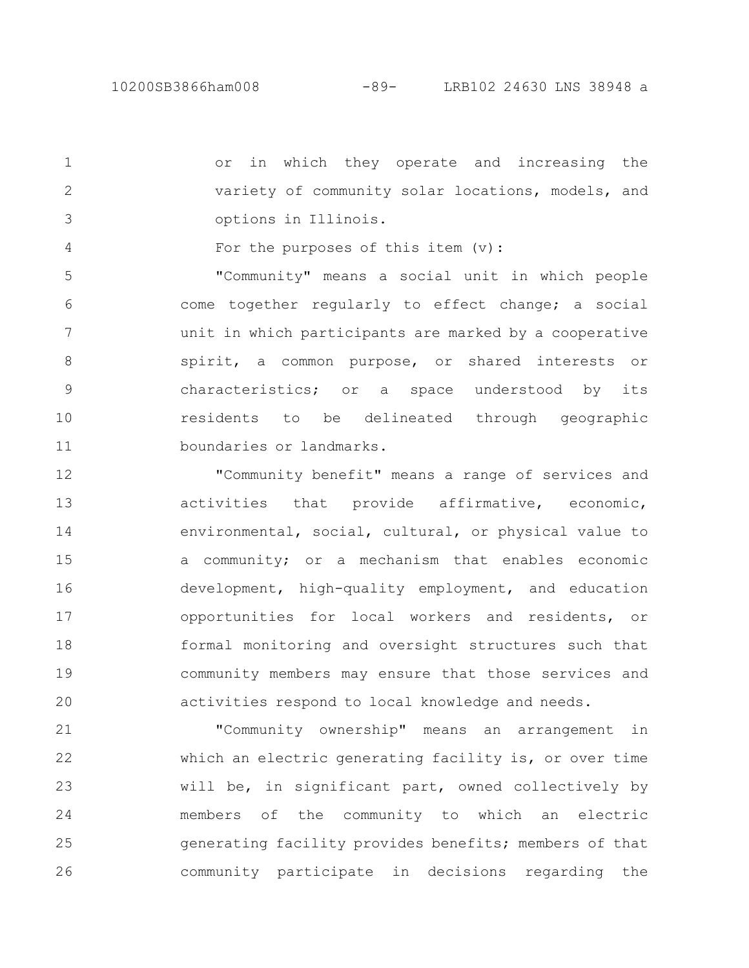4

or in which they operate and increasing the variety of community solar locations, models, and options in Illinois. 1 2 3

For the purposes of this item (v):

"Community" means a social unit in which people come together regularly to effect change; a social unit in which participants are marked by a cooperative spirit, a common purpose, or shared interests or characteristics; or a space understood by its residents to be delineated through geographic boundaries or landmarks. 5 6 7 8 9 10 11

"Community benefit" means a range of services and activities that provide affirmative, economic, environmental, social, cultural, or physical value to a community; or a mechanism that enables economic development, high-quality employment, and education opportunities for local workers and residents, or formal monitoring and oversight structures such that community members may ensure that those services and activities respond to local knowledge and needs. 12 13 14 15 16 17 18 19 20

"Community ownership" means an arrangement in which an electric generating facility is, or over time will be, in significant part, owned collectively by members of the community to which an electric generating facility provides benefits; members of that community participate in decisions regarding the 21 22 23 24 25 26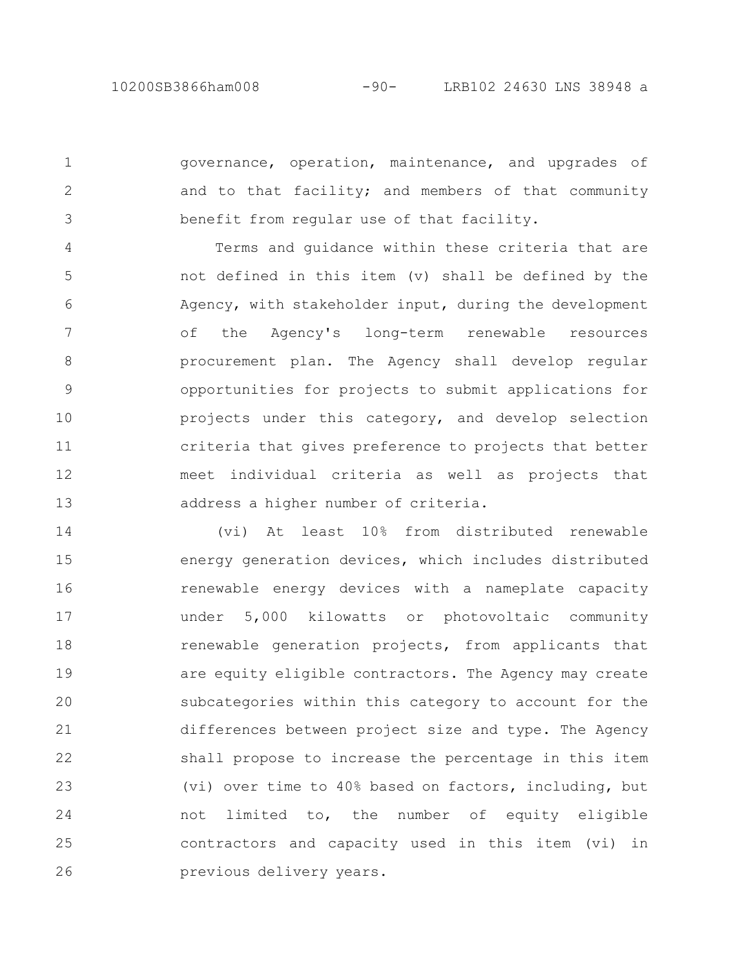1

2

3

governance, operation, maintenance, and upgrades of and to that facility; and members of that community benefit from regular use of that facility.

Terms and guidance within these criteria that are not defined in this item (v) shall be defined by the Agency, with stakeholder input, during the development of the Agency's long-term renewable resources procurement plan. The Agency shall develop regular opportunities for projects to submit applications for projects under this category, and develop selection criteria that gives preference to projects that better meet individual criteria as well as projects that address a higher number of criteria. 4 5 6 7 8 9 10 11 12 13

(vi) At least 10% from distributed renewable energy generation devices, which includes distributed renewable energy devices with a nameplate capacity under 5,000 kilowatts or photovoltaic community renewable generation projects, from applicants that are equity eligible contractors. The Agency may create subcategories within this category to account for the differences between project size and type. The Agency shall propose to increase the percentage in this item (vi) over time to 40% based on factors, including, but not limited to, the number of equity eligible contractors and capacity used in this item (vi) in previous delivery years. 14 15 16 17 18 19 20 21 22 23 24 25 26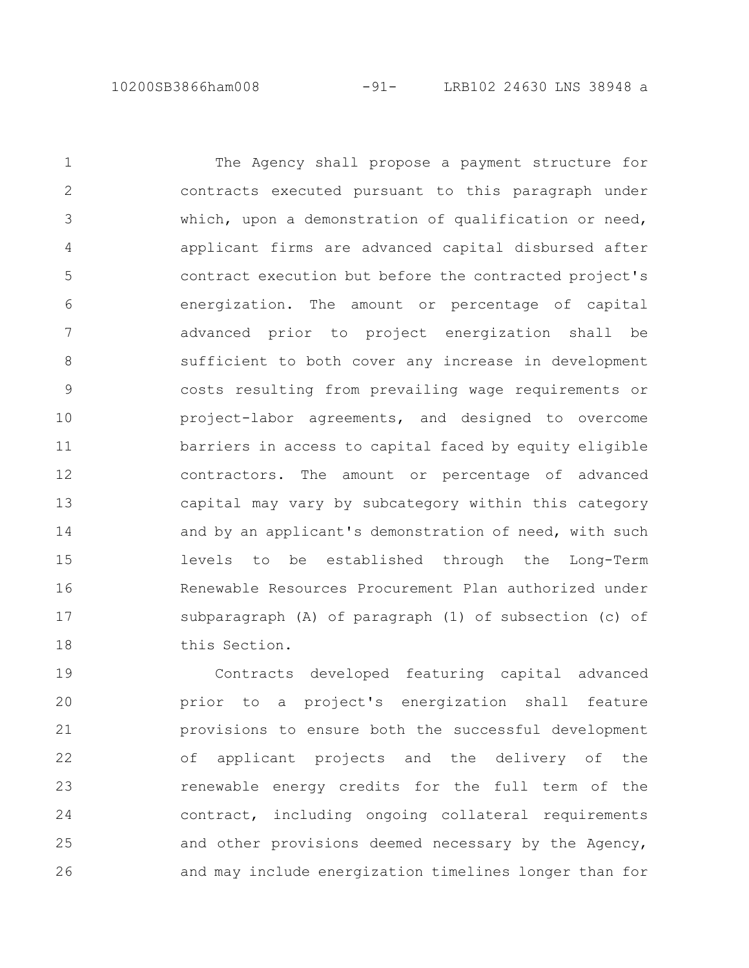10200SB3866ham008 -91- LRB102 24630 LNS 38948 a

The Agency shall propose a payment structure for contracts executed pursuant to this paragraph under which, upon a demonstration of qualification or need, applicant firms are advanced capital disbursed after contract execution but before the contracted project's energization. The amount or percentage of capital advanced prior to project energization shall be sufficient to both cover any increase in development costs resulting from prevailing wage requirements or project-labor agreements, and designed to overcome barriers in access to capital faced by equity eligible contractors. The amount or percentage of advanced capital may vary by subcategory within this category and by an applicant's demonstration of need, with such levels to be established through the Long-Term Renewable Resources Procurement Plan authorized under subparagraph (A) of paragraph (1) of subsection (c) of this Section. 1 2 3 4 5 6 7 8 9 10 11 12 13 14 15 16 17 18

Contracts developed featuring capital advanced prior to a project's energization shall feature provisions to ensure both the successful development of applicant projects and the delivery of the renewable energy credits for the full term of the contract, including ongoing collateral requirements and other provisions deemed necessary by the Agency, and may include energization timelines longer than for 19 20 21 22 23 24 25 26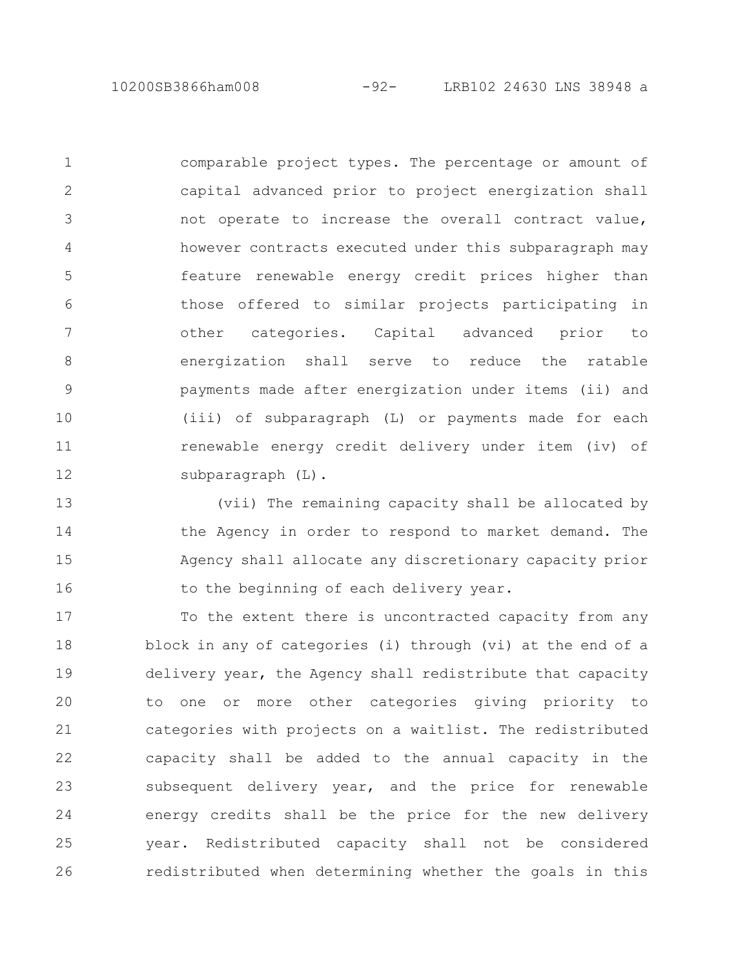10200SB3866ham008 -92- LRB102 24630 LNS 38948 a

comparable project types. The percentage or amount of capital advanced prior to project energization shall not operate to increase the overall contract value, however contracts executed under this subparagraph may feature renewable energy credit prices higher than those offered to similar projects participating in other categories. Capital advanced prior to energization shall serve to reduce the ratable payments made after energization under items (ii) and (iii) of subparagraph (L) or payments made for each renewable energy credit delivery under item (iv) of subparagraph (L). 1 2 3 4 5 6 7 8 9 10 11 12

(vii) The remaining capacity shall be allocated by the Agency in order to respond to market demand. The Agency shall allocate any discretionary capacity prior to the beginning of each delivery year. 13 14 15 16

To the extent there is uncontracted capacity from any block in any of categories (i) through (vi) at the end of a delivery year, the Agency shall redistribute that capacity to one or more other categories giving priority to categories with projects on a waitlist. The redistributed capacity shall be added to the annual capacity in the subsequent delivery year, and the price for renewable energy credits shall be the price for the new delivery year. Redistributed capacity shall not be considered redistributed when determining whether the goals in this 17 18 19 20 21 22 23 24 25 26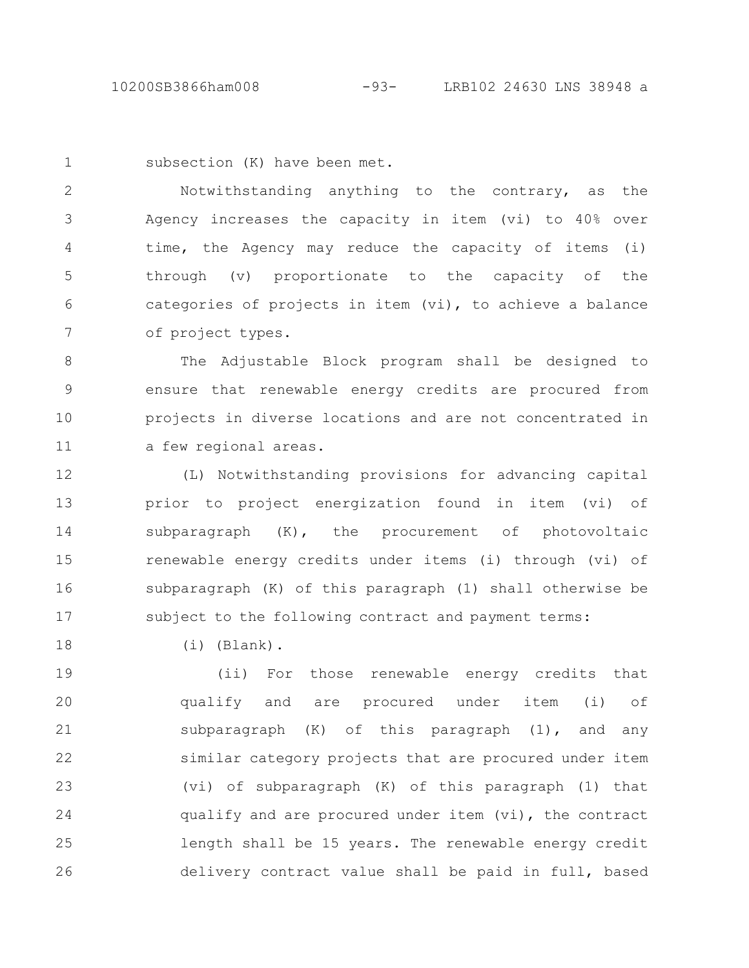10200SB3866ham008 -93- LRB102 24630 LNS 38948 a

1

subsection (K) have been met.

Notwithstanding anything to the contrary, as the Agency increases the capacity in item (vi) to 40% over time, the Agency may reduce the capacity of items (i) through (v) proportionate to the capacity of the categories of projects in item (vi), to achieve a balance of project types. 2 3 4 5 6 7

The Adjustable Block program shall be designed to ensure that renewable energy credits are procured from projects in diverse locations and are not concentrated in a few regional areas. 8 9 10 11

(L) Notwithstanding provisions for advancing capital prior to project energization found in item (vi) of subparagraph (K), the procurement of photovoltaic renewable energy credits under items (i) through (vi) of subparagraph (K) of this paragraph (1) shall otherwise be subject to the following contract and payment terms: 12 13 14 15 16 17

(i) (Blank). 18

(ii) For those renewable energy credits that qualify and are procured under item (i) of subparagraph (K) of this paragraph (1), and any similar category projects that are procured under item (vi) of subparagraph (K) of this paragraph (1) that qualify and are procured under item (vi), the contract length shall be 15 years. The renewable energy credit delivery contract value shall be paid in full, based 19 20 21 22 23 24 25 26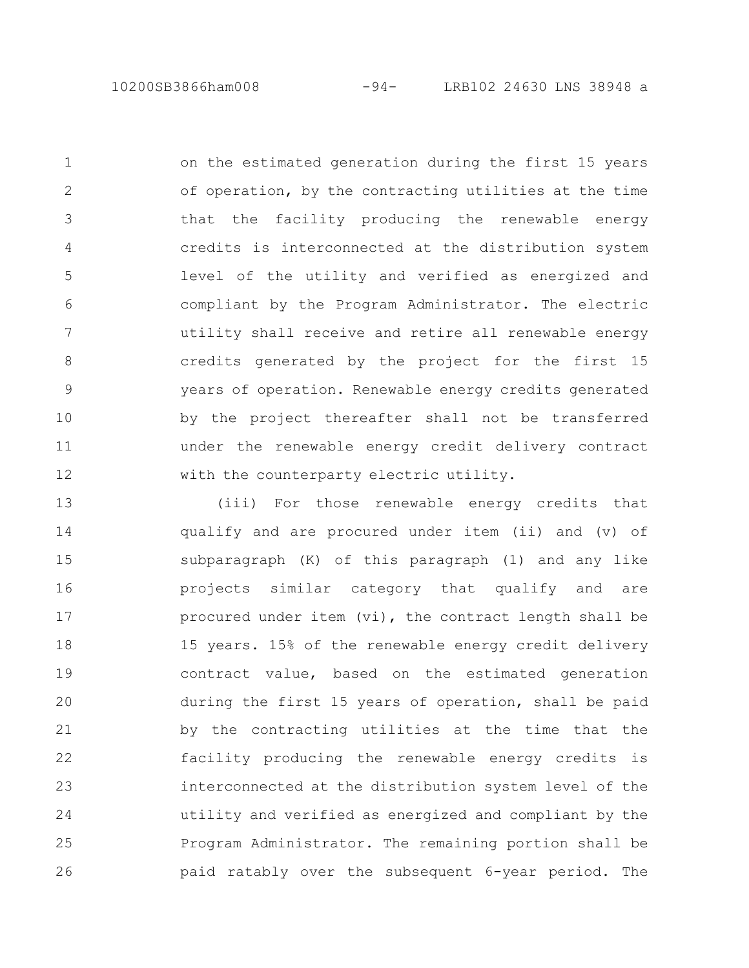on the estimated generation during the first 15 years of operation, by the contracting utilities at the time that the facility producing the renewable energy credits is interconnected at the distribution system level of the utility and verified as energized and compliant by the Program Administrator. The electric utility shall receive and retire all renewable energy credits generated by the project for the first 15 years of operation. Renewable energy credits generated by the project thereafter shall not be transferred under the renewable energy credit delivery contract with the counterparty electric utility. 1 2 3 4 5 6 7 8 9 10 11 12

(iii) For those renewable energy credits that qualify and are procured under item (ii) and (v) of subparagraph (K) of this paragraph (1) and any like projects similar category that qualify and are procured under item (vi), the contract length shall be 15 years. 15% of the renewable energy credit delivery contract value, based on the estimated generation during the first 15 years of operation, shall be paid by the contracting utilities at the time that the facility producing the renewable energy credits is interconnected at the distribution system level of the utility and verified as energized and compliant by the Program Administrator. The remaining portion shall be paid ratably over the subsequent 6-year period. The 13 14 15 16 17 18 19 20 21 22 23 24 25 26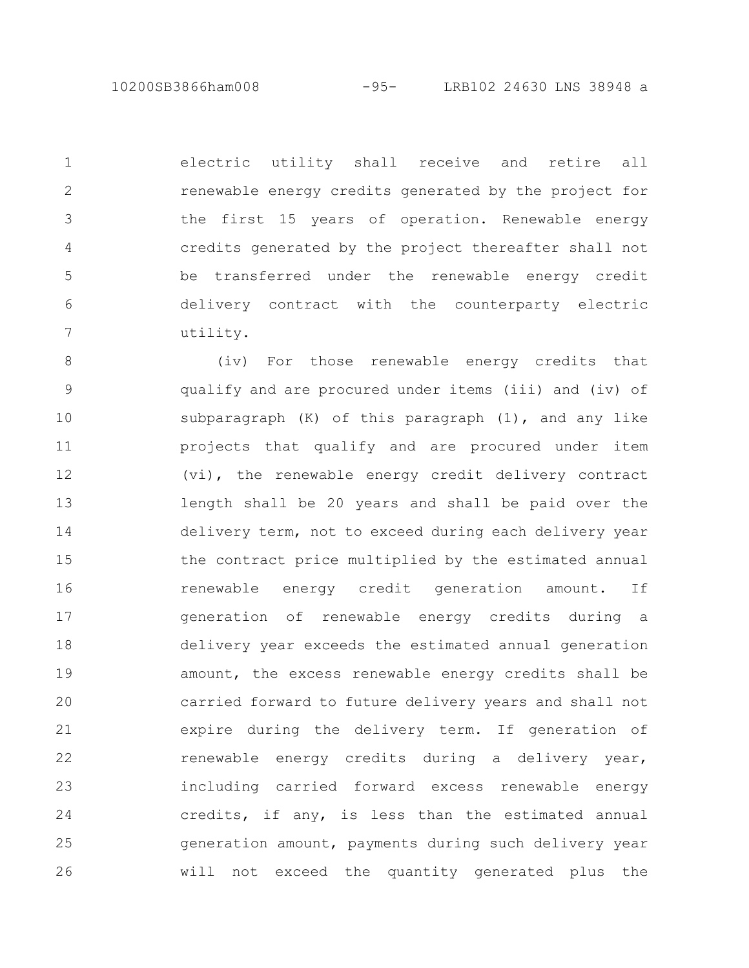10200SB3866ham008 -95- LRB102 24630 LNS 38948 a

electric utility shall receive and retire all renewable energy credits generated by the project for the first 15 years of operation. Renewable energy credits generated by the project thereafter shall not be transferred under the renewable energy credit delivery contract with the counterparty electric utility. 1 2 3 4 5 6 7

(iv) For those renewable energy credits that qualify and are procured under items (iii) and (iv) of subparagraph  $(K)$  of this paragraph  $(1)$ , and any like projects that qualify and are procured under item (vi), the renewable energy credit delivery contract length shall be 20 years and shall be paid over the delivery term, not to exceed during each delivery year the contract price multiplied by the estimated annual renewable energy credit generation amount. If generation of renewable energy credits during a delivery year exceeds the estimated annual generation amount, the excess renewable energy credits shall be carried forward to future delivery years and shall not expire during the delivery term. If generation of renewable energy credits during a delivery year, including carried forward excess renewable energy credits, if any, is less than the estimated annual generation amount, payments during such delivery year will not exceed the quantity generated plus the 8 9 10 11 12 13 14 15 16 17 18 19 20 21 22 23 24 25 26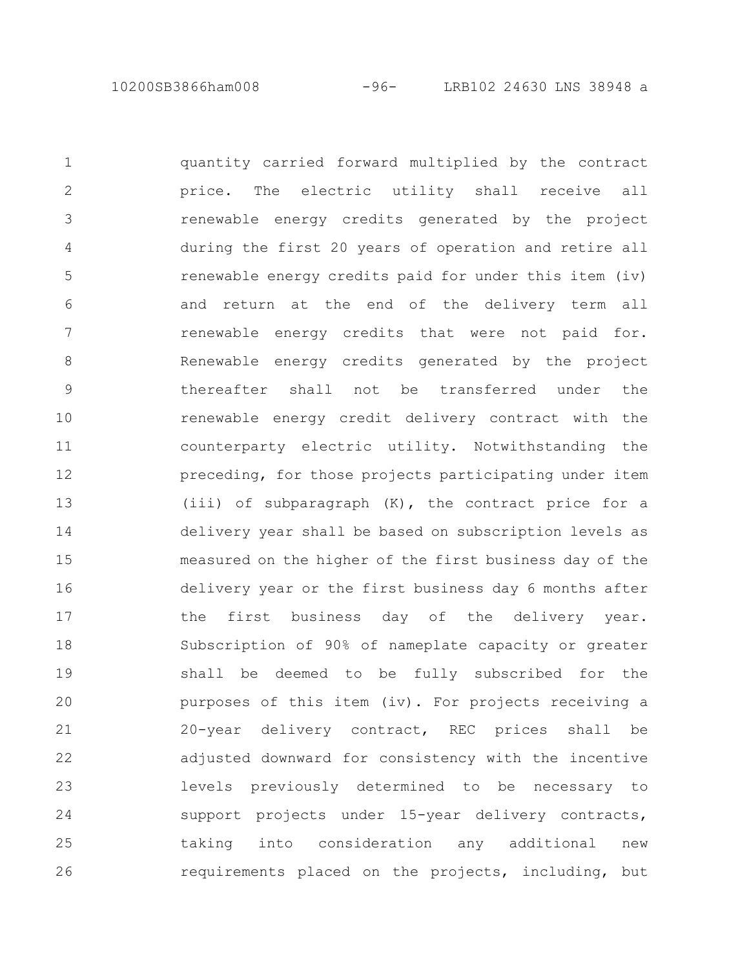10200SB3866ham008 -96- LRB102 24630 LNS 38948 a

quantity carried forward multiplied by the contract price. The electric utility shall receive all renewable energy credits generated by the project during the first 20 years of operation and retire all renewable energy credits paid for under this item (iv) and return at the end of the delivery term all renewable energy credits that were not paid for. Renewable energy credits generated by the project thereafter shall not be transferred under the renewable energy credit delivery contract with the counterparty electric utility. Notwithstanding the preceding, for those projects participating under item (iii) of subparagraph (K), the contract price for a delivery year shall be based on subscription levels as measured on the higher of the first business day of the delivery year or the first business day 6 months after the first business day of the delivery year. Subscription of 90% of nameplate capacity or greater shall be deemed to be fully subscribed for the purposes of this item (iv). For projects receiving a 20-year delivery contract, REC prices shall be adjusted downward for consistency with the incentive levels previously determined to be necessary to support projects under 15-year delivery contracts, taking into consideration any additional new requirements placed on the projects, including, but 1 2 3 4 5 6 7 8 9 10 11 12 13 14 15 16 17 18 19 20 21 22 23 24 25 26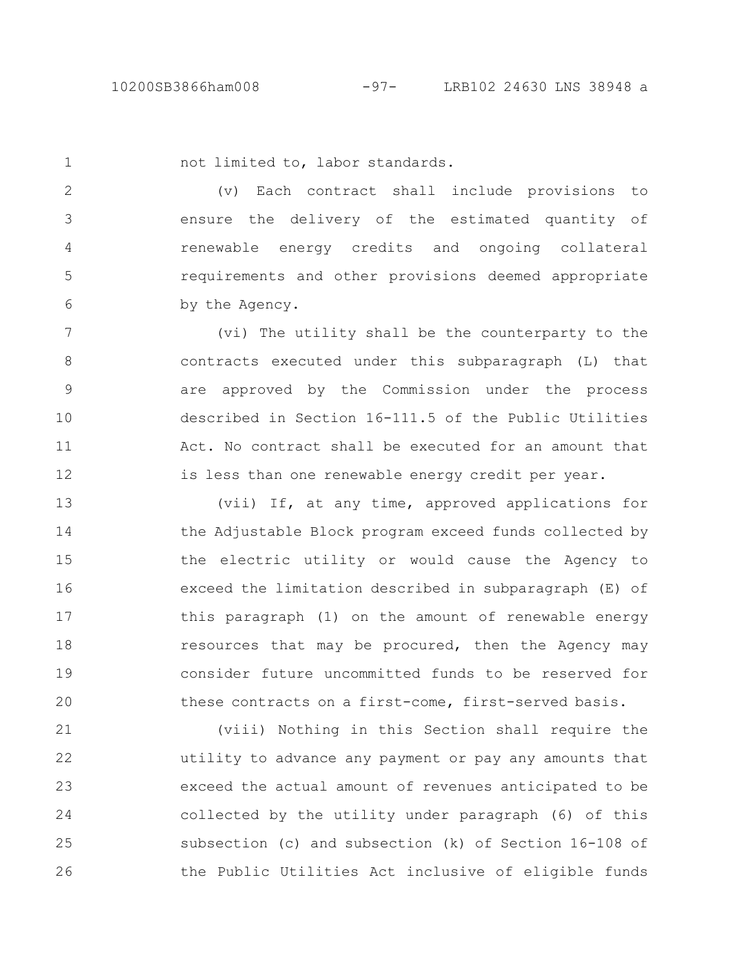not limited to, labor standards. 1

(v) Each contract shall include provisions to ensure the delivery of the estimated quantity of renewable energy credits and ongoing collateral requirements and other provisions deemed appropriate by the Agency. 2 3 4 5 6

(vi) The utility shall be the counterparty to the contracts executed under this subparagraph (L) that are approved by the Commission under the process described in Section 16-111.5 of the Public Utilities Act. No contract shall be executed for an amount that is less than one renewable energy credit per year. 7 8 9 10 11 12

(vii) If, at any time, approved applications for the Adjustable Block program exceed funds collected by the electric utility or would cause the Agency to exceed the limitation described in subparagraph (E) of this paragraph (1) on the amount of renewable energy resources that may be procured, then the Agency may consider future uncommitted funds to be reserved for these contracts on a first-come, first-served basis. 13 14 15 16 17 18 19 20

(viii) Nothing in this Section shall require the utility to advance any payment or pay any amounts that exceed the actual amount of revenues anticipated to be collected by the utility under paragraph (6) of this subsection (c) and subsection (k) of Section 16-108 of the Public Utilities Act inclusive of eligible funds 21 22 23 24 25 26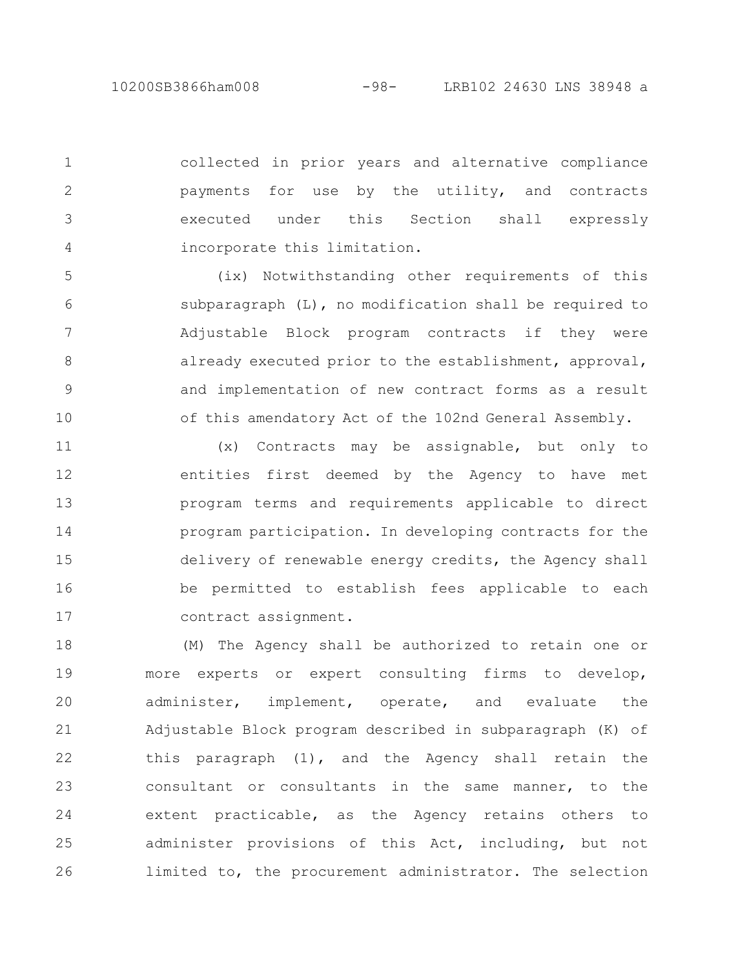1

2

3

4

collected in prior years and alternative compliance payments for use by the utility, and contracts executed under this Section shall expressly incorporate this limitation.

(ix) Notwithstanding other requirements of this subparagraph (L), no modification shall be required to Adjustable Block program contracts if they were already executed prior to the establishment, approval, and implementation of new contract forms as a result of this amendatory Act of the 102nd General Assembly. 5 6 7 8 9 10

(x) Contracts may be assignable, but only to entities first deemed by the Agency to have met program terms and requirements applicable to direct program participation. In developing contracts for the delivery of renewable energy credits, the Agency shall be permitted to establish fees applicable to each contract assignment. 11 12 13 14 15 16 17

(M) The Agency shall be authorized to retain one or more experts or expert consulting firms to develop, administer, implement, operate, and evaluate the Adjustable Block program described in subparagraph (K) of this paragraph (1), and the Agency shall retain the consultant or consultants in the same manner, to the extent practicable, as the Agency retains others to administer provisions of this Act, including, but not limited to, the procurement administrator. The selection 18 19 20 21 22 23 24 25 26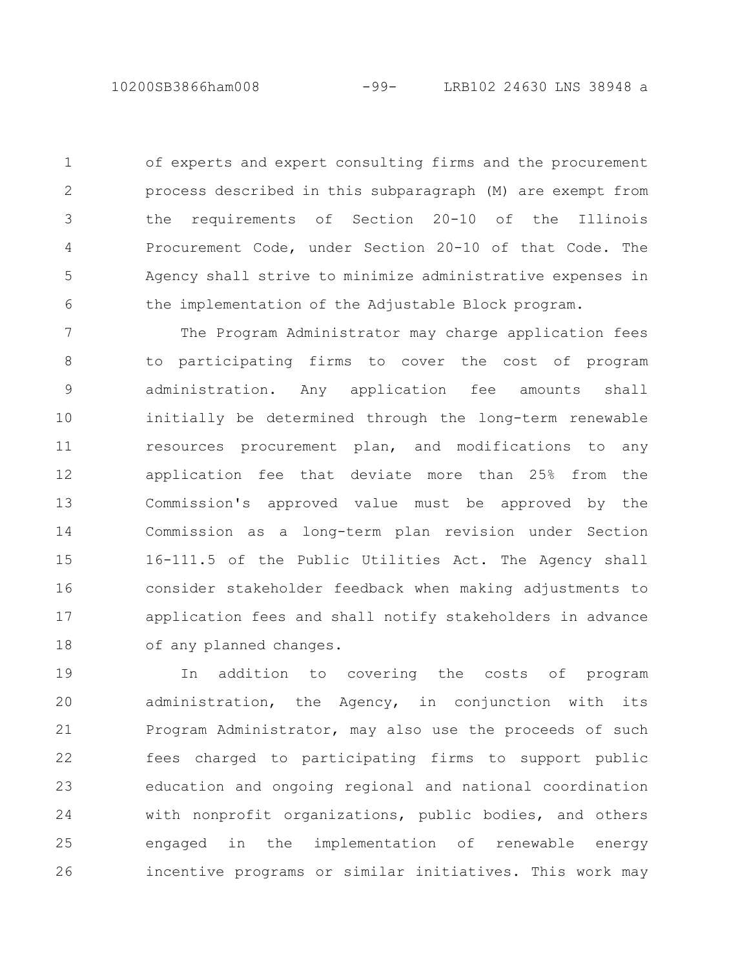10200SB3866ham008 -99- LRB102 24630 LNS 38948 a

of experts and expert consulting firms and the procurement process described in this subparagraph (M) are exempt from the requirements of Section 20-10 of the Illinois Procurement Code, under Section 20-10 of that Code. The Agency shall strive to minimize administrative expenses in the implementation of the Adjustable Block program. 1 2 3 4 5 6

The Program Administrator may charge application fees to participating firms to cover the cost of program administration. Any application fee amounts shall initially be determined through the long-term renewable resources procurement plan, and modifications to any application fee that deviate more than 25% from the Commission's approved value must be approved by the Commission as a long-term plan revision under Section 16-111.5 of the Public Utilities Act. The Agency shall consider stakeholder feedback when making adjustments to application fees and shall notify stakeholders in advance of any planned changes. 7 8 9 10 11 12 13 14 15 16 17 18

In addition to covering the costs of program administration, the Agency, in conjunction with its Program Administrator, may also use the proceeds of such fees charged to participating firms to support public education and ongoing regional and national coordination with nonprofit organizations, public bodies, and others engaged in the implementation of renewable energy incentive programs or similar initiatives. This work may 19 20 21 22 23 24 25 26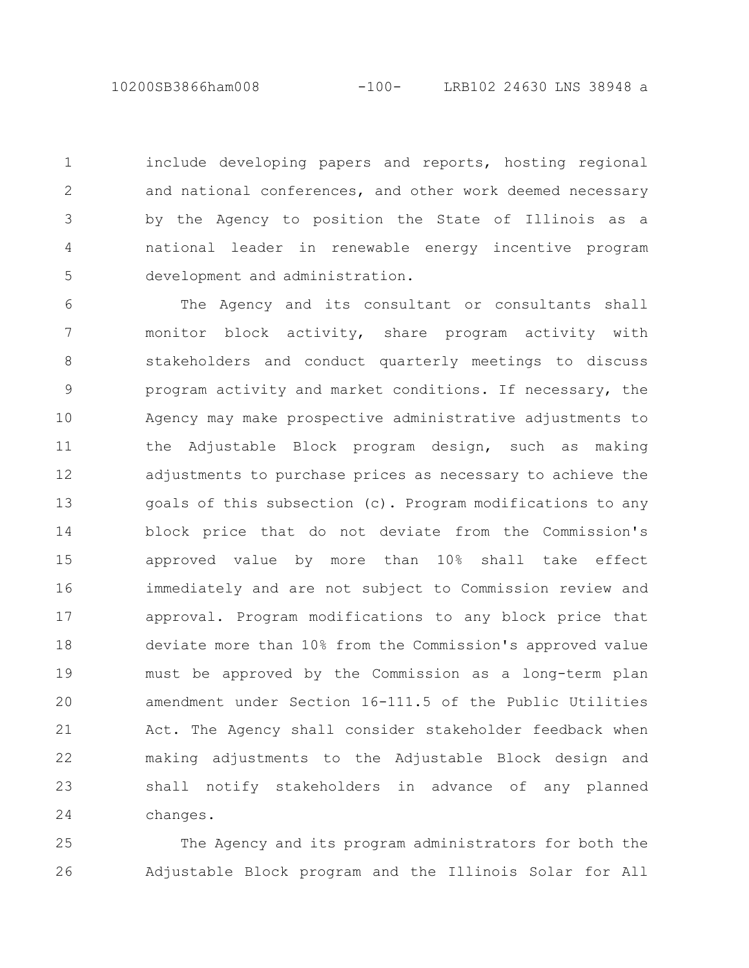10200SB3866ham008 -100- LRB102 24630 LNS 38948 a

include developing papers and reports, hosting regional and national conferences, and other work deemed necessary by the Agency to position the State of Illinois as a national leader in renewable energy incentive program development and administration. 1 2 3 4 5

The Agency and its consultant or consultants shall monitor block activity, share program activity with stakeholders and conduct quarterly meetings to discuss program activity and market conditions. If necessary, the Agency may make prospective administrative adjustments to the Adjustable Block program design, such as making adjustments to purchase prices as necessary to achieve the goals of this subsection (c). Program modifications to any block price that do not deviate from the Commission's approved value by more than 10% shall take effect immediately and are not subject to Commission review and approval. Program modifications to any block price that deviate more than 10% from the Commission's approved value must be approved by the Commission as a long-term plan amendment under Section 16-111.5 of the Public Utilities Act. The Agency shall consider stakeholder feedback when making adjustments to the Adjustable Block design and shall notify stakeholders in advance of any planned changes. 6 7 8 9 10 11 12 13 14 15 16 17 18 19 20 21 22 23 24

The Agency and its program administrators for both the Adjustable Block program and the Illinois Solar for All 25 26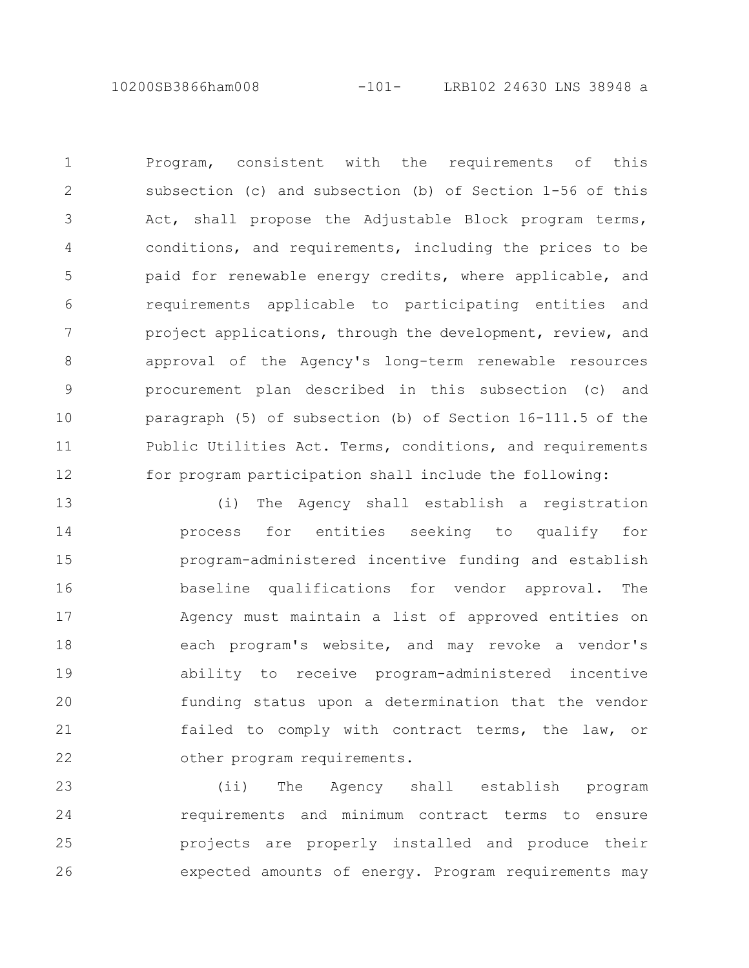10200SB3866ham008 -101- LRB102 24630 LNS 38948 a

Program, consistent with the requirements of this subsection (c) and subsection (b) of Section 1-56 of this Act, shall propose the Adjustable Block program terms, conditions, and requirements, including the prices to be paid for renewable energy credits, where applicable, and requirements applicable to participating entities and project applications, through the development, review, and approval of the Agency's long-term renewable resources procurement plan described in this subsection (c) and paragraph (5) of subsection (b) of Section 16-111.5 of the Public Utilities Act. Terms, conditions, and requirements for program participation shall include the following: 1 2 3 4 5 6 7 8 9 10 11 12

(i) The Agency shall establish a registration process for entities seeking to qualify for program-administered incentive funding and establish baseline qualifications for vendor approval. The Agency must maintain a list of approved entities on each program's website, and may revoke a vendor's ability to receive program-administered incentive funding status upon a determination that the vendor failed to comply with contract terms, the law, or other program requirements. 13 14 15 16 17 18 19 20 21 22

(ii) The Agency shall establish program requirements and minimum contract terms to ensure projects are properly installed and produce their expected amounts of energy. Program requirements may 23 24 25 26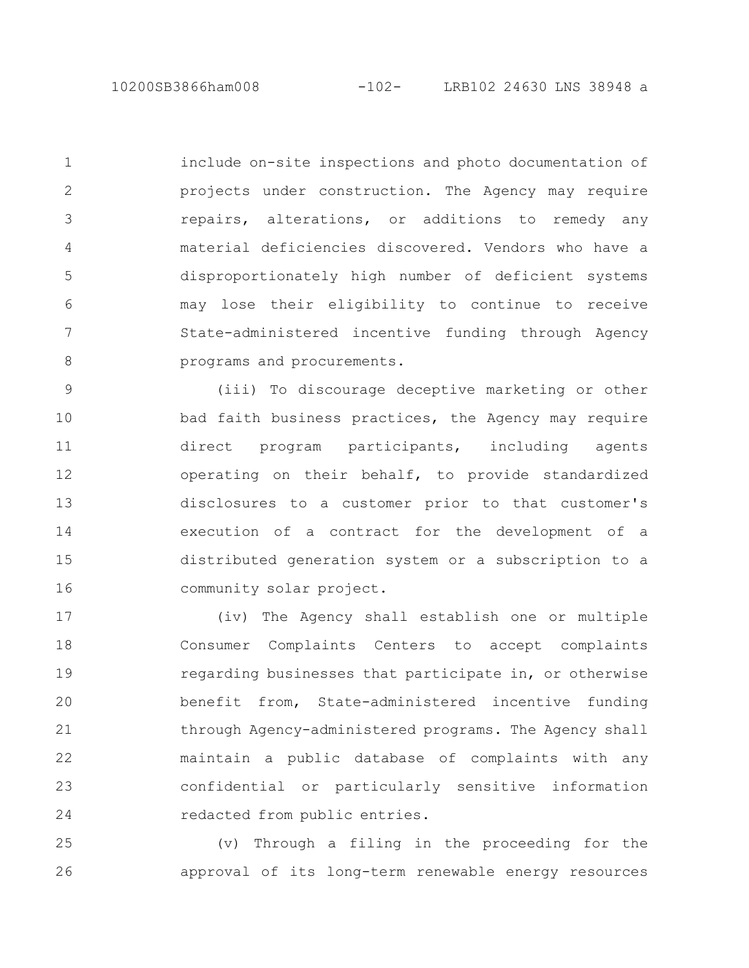include on-site inspections and photo documentation of projects under construction. The Agency may require repairs, alterations, or additions to remedy any material deficiencies discovered. Vendors who have a disproportionately high number of deficient systems may lose their eligibility to continue to receive State-administered incentive funding through Agency programs and procurements. 1 2 3 4 5 6 7 8

(iii) To discourage deceptive marketing or other bad faith business practices, the Agency may require direct program participants, including agents operating on their behalf, to provide standardized disclosures to a customer prior to that customer's execution of a contract for the development of a distributed generation system or a subscription to a community solar project. 9 10 11 12 13 14 15 16

(iv) The Agency shall establish one or multiple Consumer Complaints Centers to accept complaints regarding businesses that participate in, or otherwise benefit from, State-administered incentive funding through Agency-administered programs. The Agency shall maintain a public database of complaints with any confidential or particularly sensitive information redacted from public entries. 17 18 19 20 21 22 23 24

(v) Through a filing in the proceeding for the approval of its long-term renewable energy resources 25 26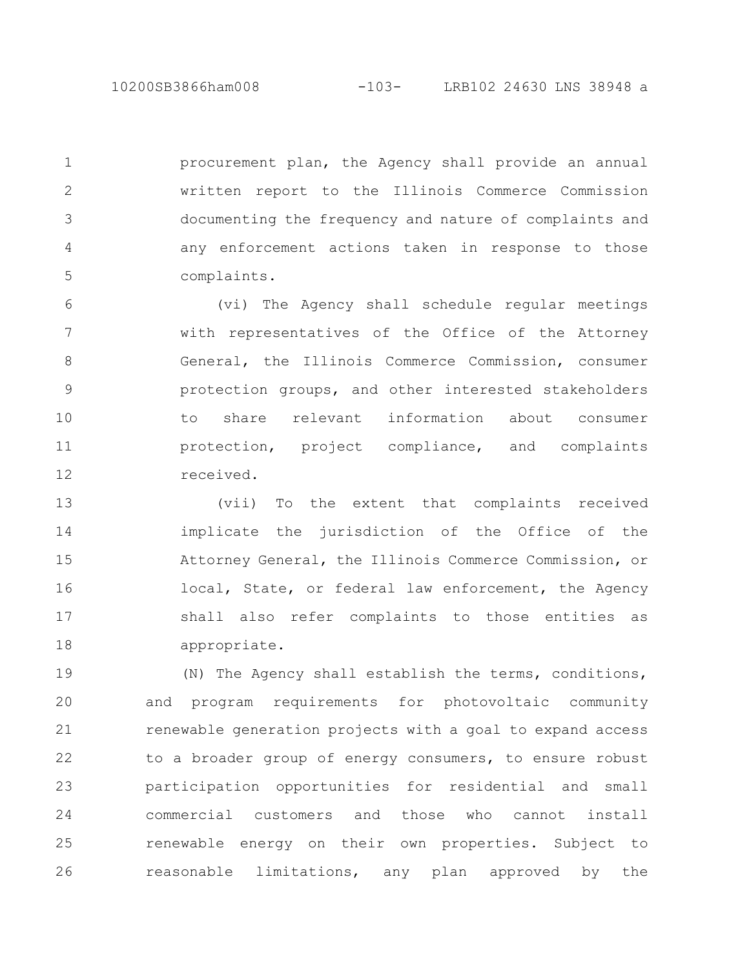10200SB3866ham008 -103- LRB102 24630 LNS 38948 a

procurement plan, the Agency shall provide an annual written report to the Illinois Commerce Commission documenting the frequency and nature of complaints and any enforcement actions taken in response to those complaints. 1 2 3 4 5

(vi) The Agency shall schedule regular meetings with representatives of the Office of the Attorney General, the Illinois Commerce Commission, consumer protection groups, and other interested stakeholders to share relevant information about consumer protection, project compliance, and complaints received. 6 7 8 9 10 11 12

(vii) To the extent that complaints received implicate the jurisdiction of the Office of the Attorney General, the Illinois Commerce Commission, or local, State, or federal law enforcement, the Agency shall also refer complaints to those entities as appropriate. 13 14 15 16 17 18

(N) The Agency shall establish the terms, conditions, and program requirements for photovoltaic community renewable generation projects with a goal to expand access to a broader group of energy consumers, to ensure robust participation opportunities for residential and small commercial customers and those who cannot install renewable energy on their own properties. Subject to reasonable limitations, any plan approved by the 19 20 21 22 23 24 25 26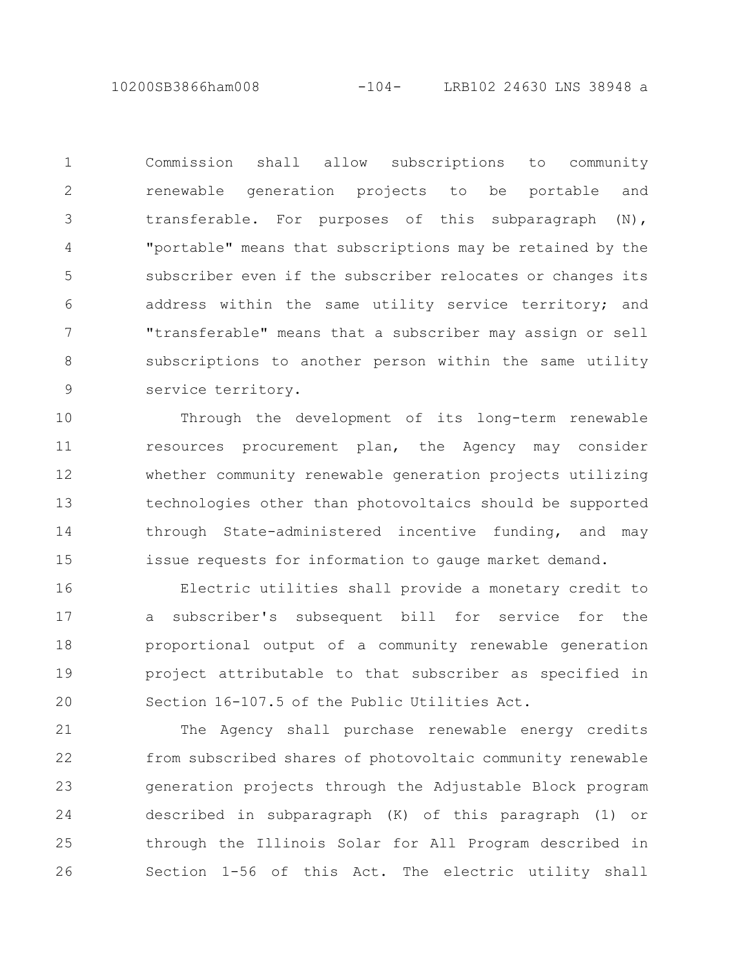10200SB3866ham008 -104- LRB102 24630 LNS 38948 a

Commission shall allow subscriptions to community renewable generation projects to be portable and transferable. For purposes of this subparagraph (N), "portable" means that subscriptions may be retained by the subscriber even if the subscriber relocates or changes its address within the same utility service territory; and "transferable" means that a subscriber may assign or sell subscriptions to another person within the same utility service territory. 1 2 3 4 5 6 7 8 9

Through the development of its long-term renewable resources procurement plan, the Agency may consider whether community renewable generation projects utilizing technologies other than photovoltaics should be supported through State-administered incentive funding, and may issue requests for information to gauge market demand. 10 11 12 13 14 15

Electric utilities shall provide a monetary credit to a subscriber's subsequent bill for service for the proportional output of a community renewable generation project attributable to that subscriber as specified in Section 16-107.5 of the Public Utilities Act. 16 17 18 19 20

The Agency shall purchase renewable energy credits from subscribed shares of photovoltaic community renewable generation projects through the Adjustable Block program described in subparagraph (K) of this paragraph (1) or through the Illinois Solar for All Program described in Section 1-56 of this Act. The electric utility shall 21 22 23 24 25 26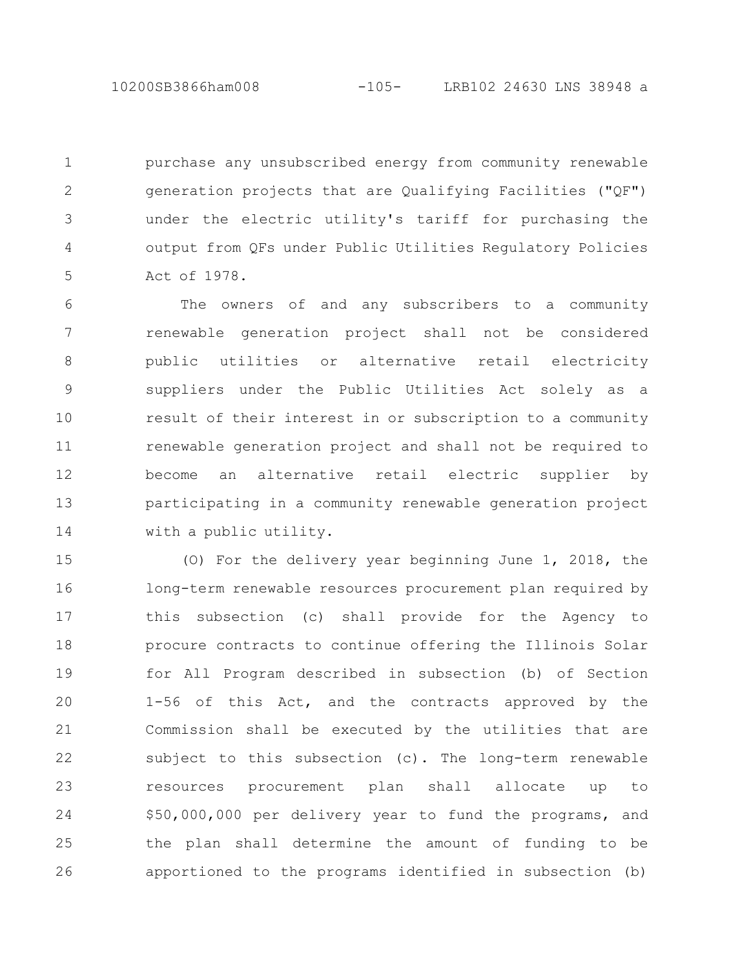10200SB3866ham008 -105- LRB102 24630 LNS 38948 a

purchase any unsubscribed energy from community renewable generation projects that are Qualifying Facilities ("QF") under the electric utility's tariff for purchasing the output from QFs under Public Utilities Regulatory Policies Act of 1978. 1 2 3 4 5

The owners of and any subscribers to a community renewable generation project shall not be considered public utilities or alternative retail electricity suppliers under the Public Utilities Act solely as a result of their interest in or subscription to a community renewable generation project and shall not be required to become an alternative retail electric supplier by participating in a community renewable generation project with a public utility. 6 7 8 9 10 11 12 13 14

(O) For the delivery year beginning June 1, 2018, the long-term renewable resources procurement plan required by this subsection (c) shall provide for the Agency to procure contracts to continue offering the Illinois Solar for All Program described in subsection (b) of Section 1-56 of this Act, and the contracts approved by the Commission shall be executed by the utilities that are subject to this subsection (c). The long-term renewable resources procurement plan shall allocate up to \$50,000,000 per delivery year to fund the programs, and the plan shall determine the amount of funding to be apportioned to the programs identified in subsection (b) 15 16 17 18 19 20 21 22 23 24 25 26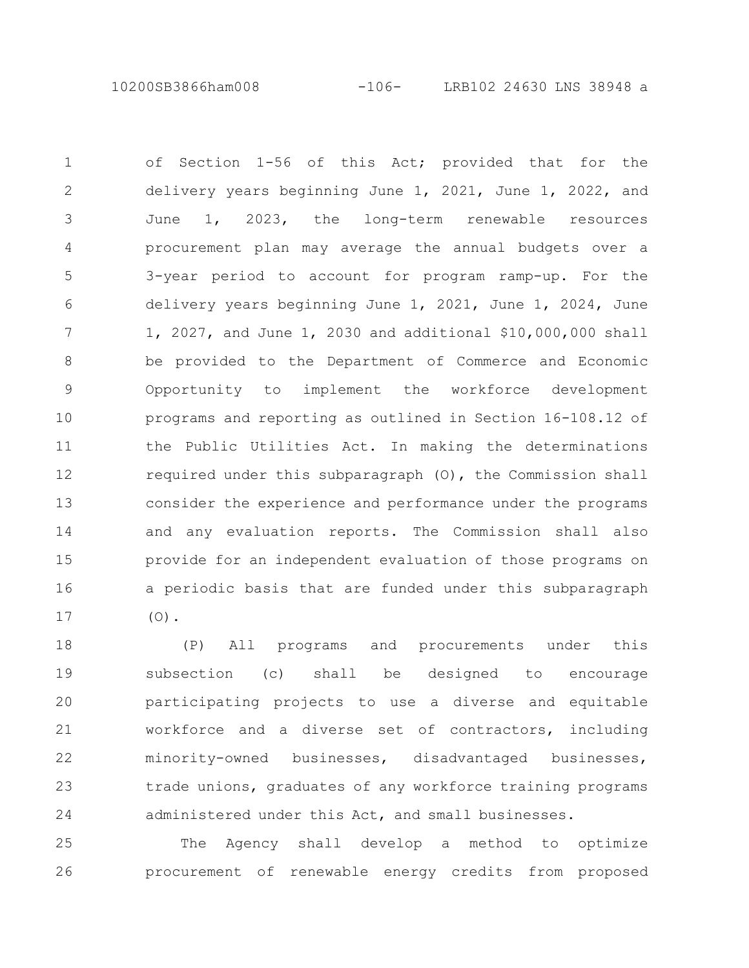10200SB3866ham008 -106- LRB102 24630 LNS 38948 a

of Section 1-56 of this Act; provided that for the delivery years beginning June 1, 2021, June 1, 2022, and June 1, 2023, the long-term renewable resources procurement plan may average the annual budgets over a 3-year period to account for program ramp-up. For the delivery years beginning June 1, 2021, June 1, 2024, June 1, 2027, and June 1, 2030 and additional \$10,000,000 shall be provided to the Department of Commerce and Economic Opportunity to implement the workforce development programs and reporting as outlined in Section 16-108.12 of the Public Utilities Act. In making the determinations required under this subparagraph (O), the Commission shall consider the experience and performance under the programs and any evaluation reports. The Commission shall also provide for an independent evaluation of those programs on a periodic basis that are funded under this subparagraph  $(0)$ . 1 2 3 4 5 6 7 8 9 10 11 12 13 14 15 16 17

(P) All programs and procurements under this subsection (c) shall be designed to encourage participating projects to use a diverse and equitable workforce and a diverse set of contractors, including minority-owned businesses, disadvantaged businesses, trade unions, graduates of any workforce training programs administered under this Act, and small businesses. 18 19 20 21 22 23 24

The Agency shall develop a method to optimize procurement of renewable energy credits from proposed 25 26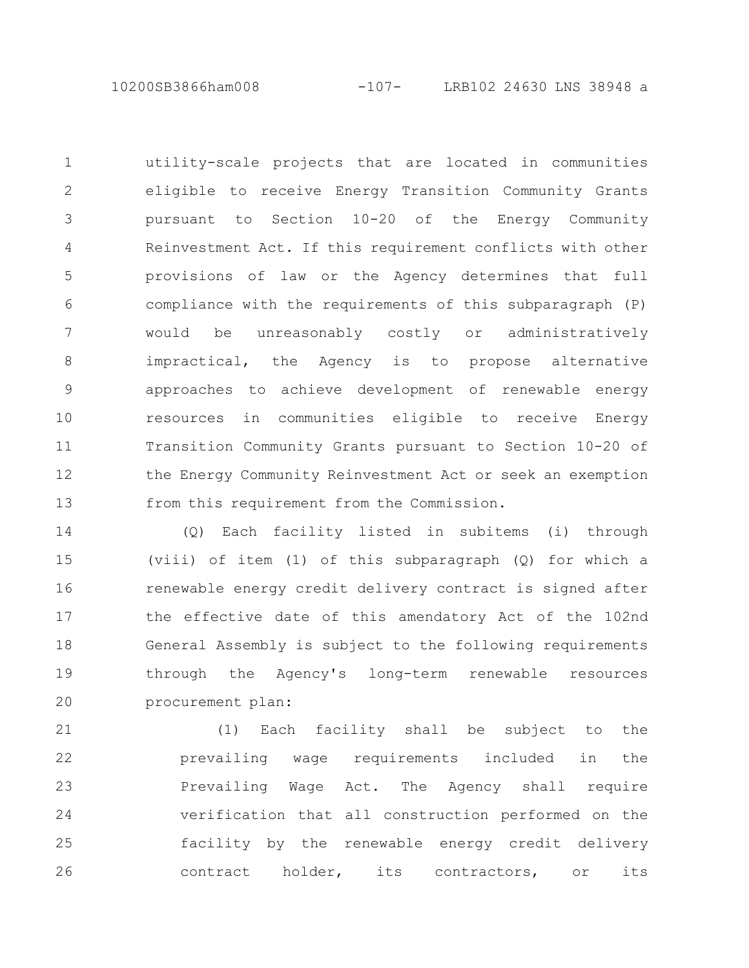10200SB3866ham008 -107- LRB102 24630 LNS 38948 a

utility-scale projects that are located in communities eligible to receive Energy Transition Community Grants pursuant to Section 10-20 of the Energy Community Reinvestment Act. If this requirement conflicts with other provisions of law or the Agency determines that full compliance with the requirements of this subparagraph (P) would be unreasonably costly or administratively impractical, the Agency is to propose alternative approaches to achieve development of renewable energy resources in communities eligible to receive Energy Transition Community Grants pursuant to Section 10-20 of the Energy Community Reinvestment Act or seek an exemption from this requirement from the Commission. 1 2 3 4 5 6 7 8 9 10 11 12 13

(Q) Each facility listed in subitems (i) through (viii) of item (1) of this subparagraph (Q) for which a renewable energy credit delivery contract is signed after the effective date of this amendatory Act of the 102nd General Assembly is subject to the following requirements through the Agency's long-term renewable resources procurement plan: 14 15 16 17 18 19 20

(1) Each facility shall be subject to the prevailing wage requirements included in the Prevailing Wage Act. The Agency shall require verification that all construction performed on the facility by the renewable energy credit delivery contract holder, its contractors, or its 21 22 23 24 25 26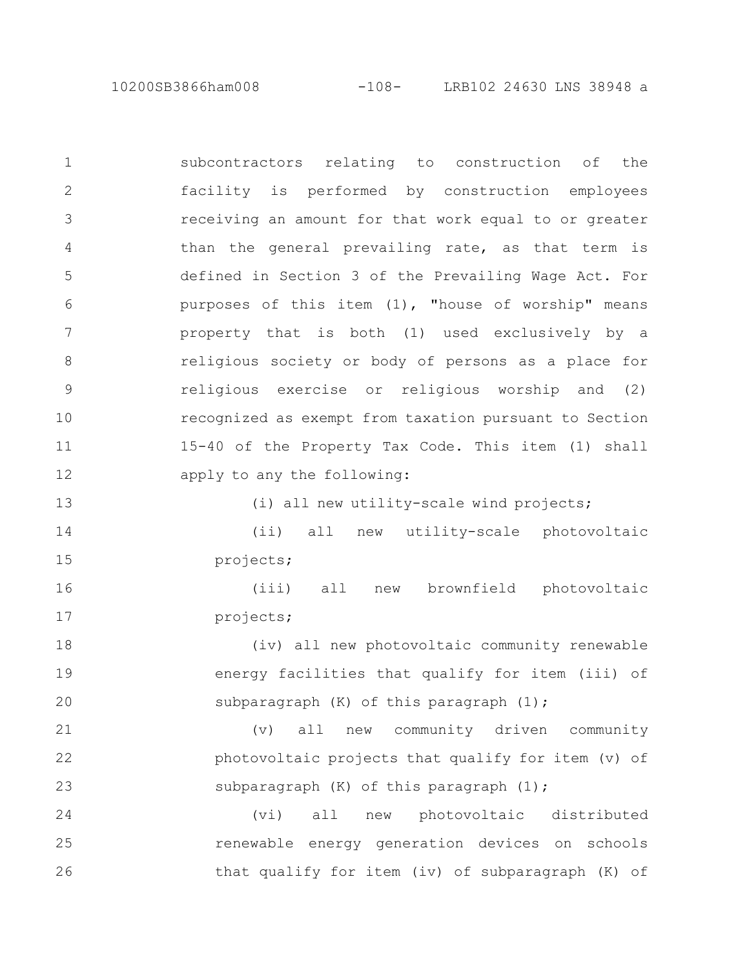10200SB3866ham008 -108- LRB102 24630 LNS 38948 a

subcontractors relating to construction of the facility is performed by construction employees receiving an amount for that work equal to or greater than the general prevailing rate, as that term is defined in Section 3 of the Prevailing Wage Act. For purposes of this item (1), "house of worship" means property that is both (1) used exclusively by a religious society or body of persons as a place for religious exercise or religious worship and (2) recognized as exempt from taxation pursuant to Section 15-40 of the Property Tax Code. This item (1) shall apply to any the following: 1 2 3 4 5 6 7 8 9 10 11 12

(i) all new utility-scale wind projects;

(ii) all new utility-scale photovoltaic projects; 14 15

13

(iii) all new brownfield photovoltaic projects; 16 17

(iv) all new photovoltaic community renewable energy facilities that qualify for item (iii) of subparagraph (K) of this paragraph (1); 18 19 20

(v) all new community driven community photovoltaic projects that qualify for item (v) of subparagraph (K) of this paragraph (1); 21 22 23

(vi) all new photovoltaic distributed renewable energy generation devices on schools that qualify for item (iv) of subparagraph (K) of 24 25 26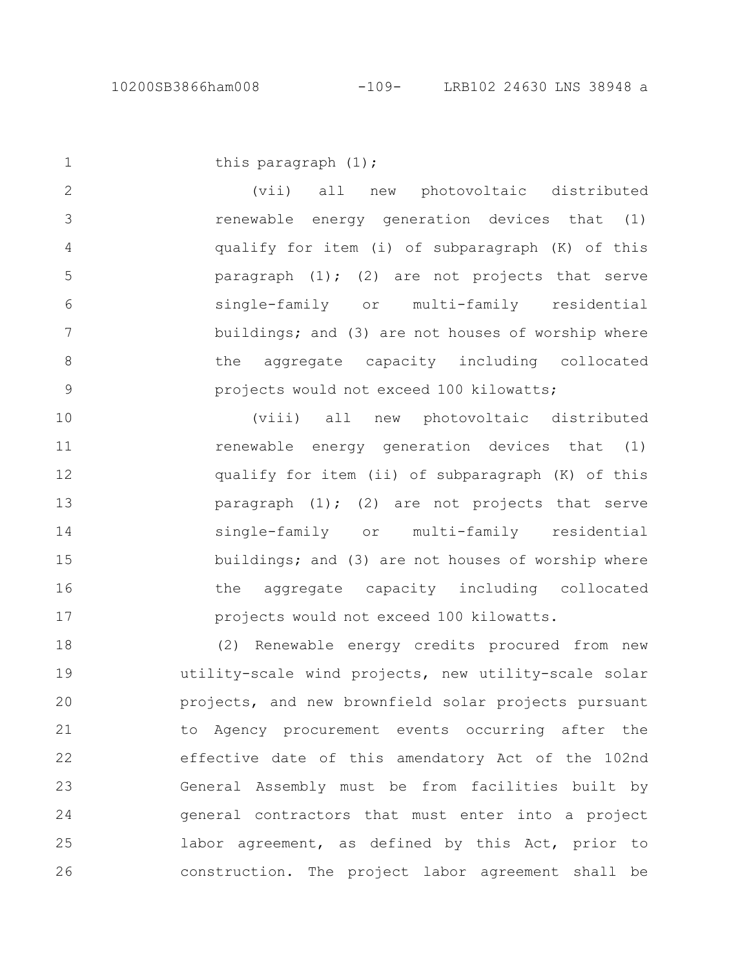this paragraph (1); 1

(vii) all new photovoltaic distributed renewable energy generation devices that (1) qualify for item (i) of subparagraph (K) of this paragraph  $(1)$ ;  $(2)$  are not projects that serve single-family or multi-family residential buildings; and (3) are not houses of worship where the aggregate capacity including collocated projects would not exceed 100 kilowatts; 2 3 4 5 6 7 8 9

(viii) all new photovoltaic distributed renewable energy generation devices that (1) qualify for item (ii) of subparagraph (K) of this paragraph (1); (2) are not projects that serve single-family or multi-family residential buildings; and (3) are not houses of worship where the aggregate capacity including collocated projects would not exceed 100 kilowatts. 10 11 12 13 14 15 16 17

(2) Renewable energy credits procured from new utility-scale wind projects, new utility-scale solar projects, and new brownfield solar projects pursuant to Agency procurement events occurring after the effective date of this amendatory Act of the 102nd General Assembly must be from facilities built by general contractors that must enter into a project labor agreement, as defined by this Act, prior to construction. The project labor agreement shall be 18 19 20 21 22 23 24 25 26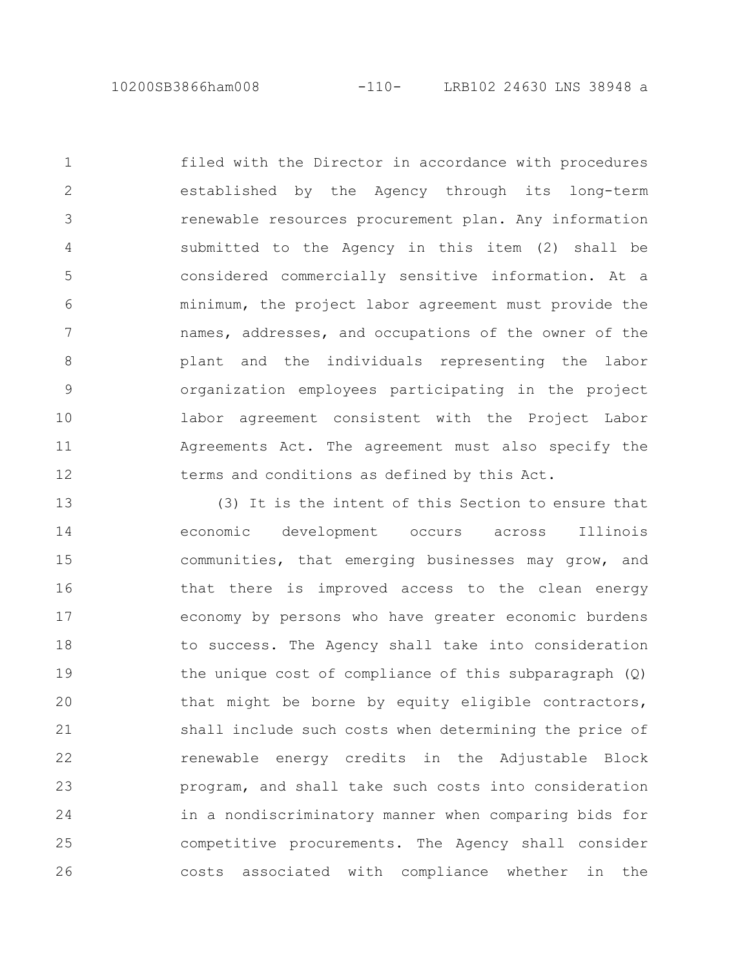filed with the Director in accordance with procedures established by the Agency through its long-term renewable resources procurement plan. Any information submitted to the Agency in this item (2) shall be considered commercially sensitive information. At a minimum, the project labor agreement must provide the names, addresses, and occupations of the owner of the plant and the individuals representing the labor organization employees participating in the project labor agreement consistent with the Project Labor Agreements Act. The agreement must also specify the terms and conditions as defined by this Act. 1 2 3 4 5 6 7 8 9 10 11 12

(3) It is the intent of this Section to ensure that economic development occurs across Illinois communities, that emerging businesses may grow, and that there is improved access to the clean energy economy by persons who have greater economic burdens to success. The Agency shall take into consideration the unique cost of compliance of this subparagraph (Q) that might be borne by equity eligible contractors, shall include such costs when determining the price of renewable energy credits in the Adjustable Block program, and shall take such costs into consideration in a nondiscriminatory manner when comparing bids for competitive procurements. The Agency shall consider costs associated with compliance whether in the 13 14 15 16 17 18 19 20 21 22 23 24 25 26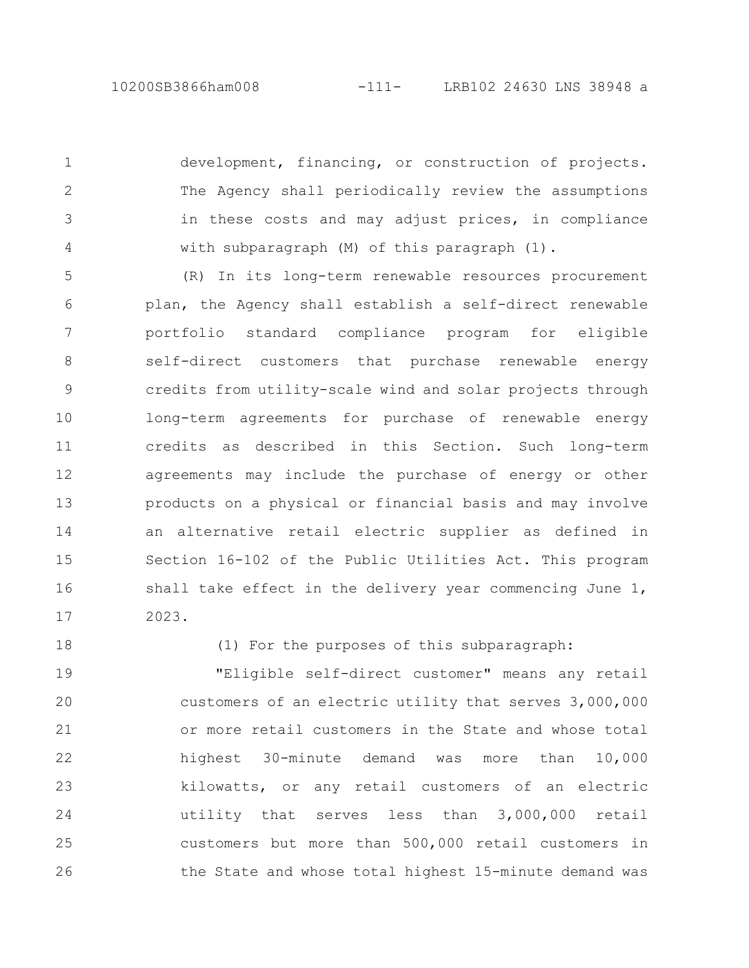development, financing, or construction of projects. The Agency shall periodically review the assumptions in these costs and may adjust prices, in compliance with subparagraph (M) of this paragraph (1).

(R) In its long-term renewable resources procurement plan, the Agency shall establish a self-direct renewable portfolio standard compliance program for eligible self-direct customers that purchase renewable energy credits from utility-scale wind and solar projects through long-term agreements for purchase of renewable energy credits as described in this Section. Such long-term agreements may include the purchase of energy or other products on a physical or financial basis and may involve an alternative retail electric supplier as defined in Section 16-102 of the Public Utilities Act. This program shall take effect in the delivery year commencing June 1, 2023. 5 6 7 8 9 10 11 12 13 14 15 16 17

18

1

2

3

4

(1) For the purposes of this subparagraph:

"Eligible self-direct customer" means any retail customers of an electric utility that serves 3,000,000 or more retail customers in the State and whose total highest 30-minute demand was more than 10,000 kilowatts, or any retail customers of an electric utility that serves less than 3,000,000 retail customers but more than 500,000 retail customers in the State and whose total highest 15-minute demand was 19 20 21 22 23 24 25 26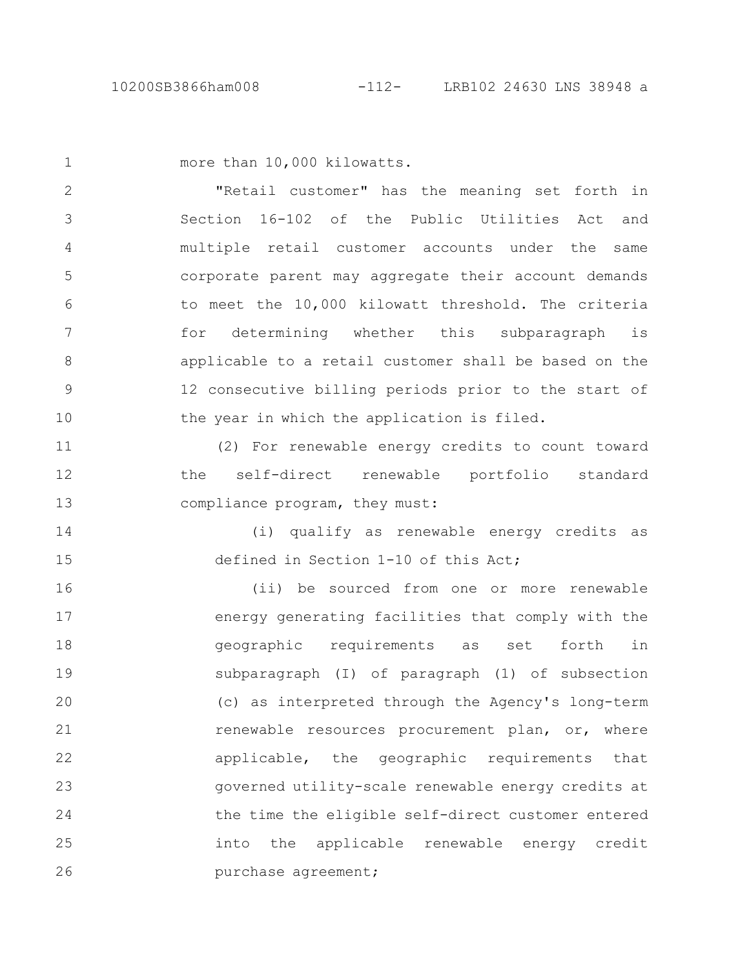more than 10,000 kilowatts.

1

2

3

4

5

6

7

8

9

10

14

15

"Retail customer" has the meaning set forth in Section 16-102 of the Public Utilities Act and multiple retail customer accounts under the same corporate parent may aggregate their account demands to meet the 10,000 kilowatt threshold. The criteria for determining whether this subparagraph is applicable to a retail customer shall be based on the 12 consecutive billing periods prior to the start of the year in which the application is filed.

(2) For renewable energy credits to count toward the self-direct renewable portfolio standard compliance program, they must: 11 12 13

> (i) qualify as renewable energy credits as defined in Section 1-10 of this Act;

(ii) be sourced from one or more renewable energy generating facilities that comply with the geographic requirements as set forth in subparagraph (I) of paragraph (1) of subsection (c) as interpreted through the Agency's long-term renewable resources procurement plan, or, where applicable, the geographic requirements that governed utility-scale renewable energy credits at the time the eligible self-direct customer entered into the applicable renewable energy credit purchase agreement; 16 17 18 19 20 21 22 23 24 25 26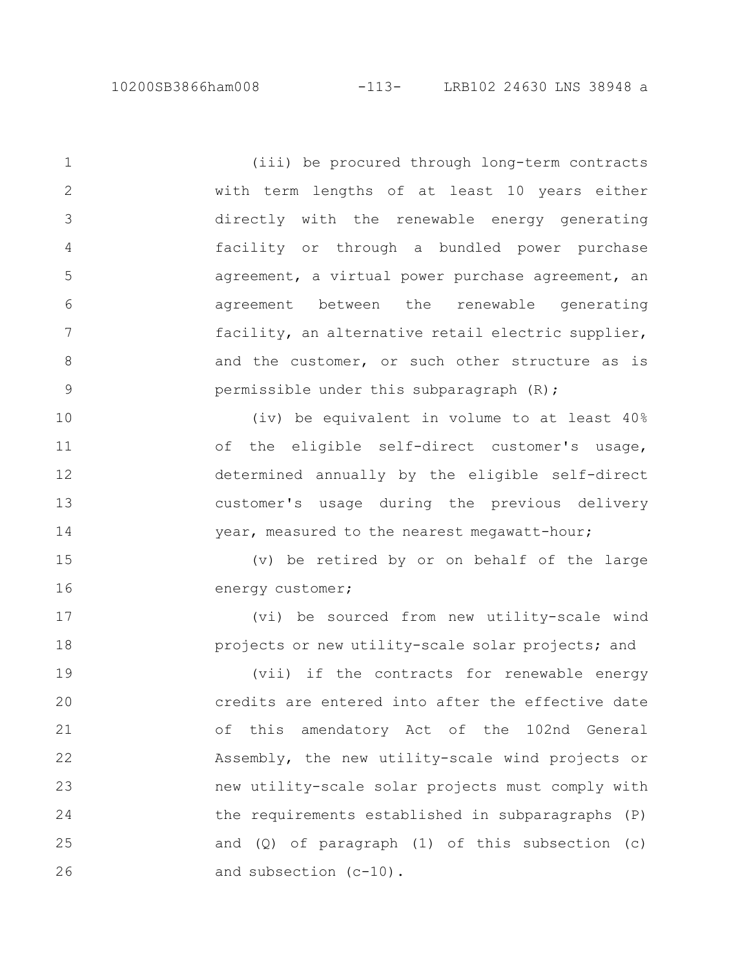10

11

12

13

14

17

18

(iii) be procured through long-term contracts with term lengths of at least 10 years either directly with the renewable energy generating facility or through a bundled power purchase agreement, a virtual power purchase agreement, an agreement between the renewable generating facility, an alternative retail electric supplier, and the customer, or such other structure as is permissible under this subparagraph (R); 1 2 3 4 5 6 7 8 9

(iv) be equivalent in volume to at least 40% of the eligible self-direct customer's usage, determined annually by the eligible self-direct customer's usage during the previous delivery year, measured to the nearest megawatt-hour;

(v) be retired by or on behalf of the large energy customer; 15 16

(vi) be sourced from new utility-scale wind projects or new utility-scale solar projects; and

(vii) if the contracts for renewable energy credits are entered into after the effective date of this amendatory Act of the 102nd General Assembly, the new utility-scale wind projects or new utility-scale solar projects must comply with the requirements established in subparagraphs (P) and  $(Q)$  of paragraph  $(1)$  of this subsection  $(c)$ and subsection (c-10). 19 20 21 22 23 24 25 26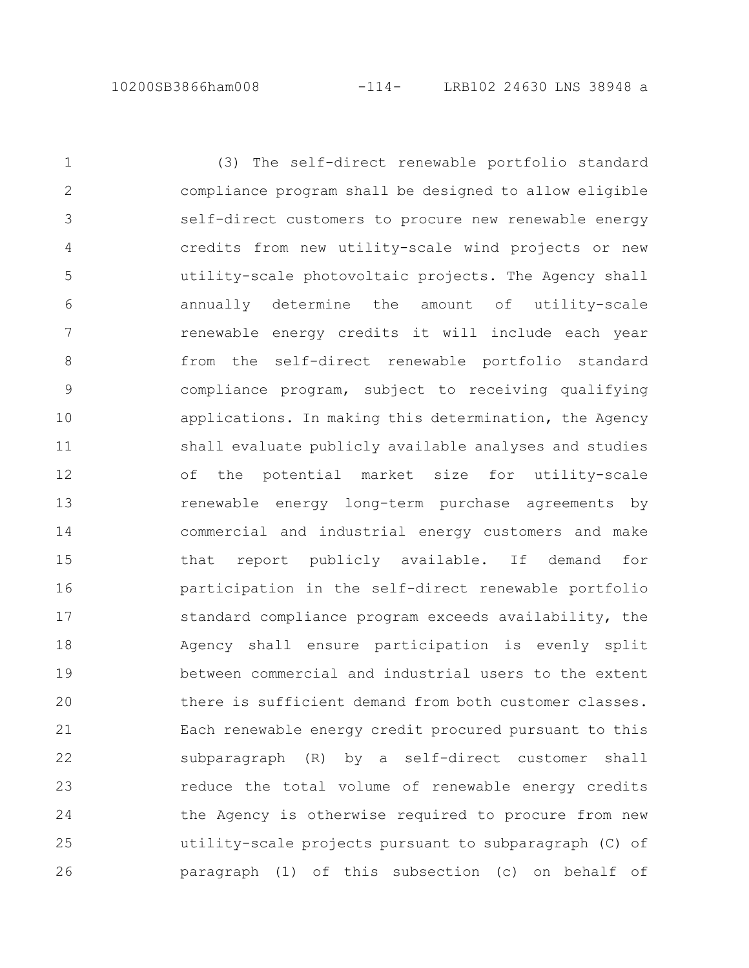(3) The self-direct renewable portfolio standard compliance program shall be designed to allow eligible self-direct customers to procure new renewable energy credits from new utility-scale wind projects or new utility-scale photovoltaic projects. The Agency shall annually determine the amount of utility-scale renewable energy credits it will include each year from the self-direct renewable portfolio standard compliance program, subject to receiving qualifying applications. In making this determination, the Agency shall evaluate publicly available analyses and studies of the potential market size for utility-scale renewable energy long-term purchase agreements by commercial and industrial energy customers and make that report publicly available. If demand for participation in the self-direct renewable portfolio standard compliance program exceeds availability, the Agency shall ensure participation is evenly split between commercial and industrial users to the extent there is sufficient demand from both customer classes. Each renewable energy credit procured pursuant to this subparagraph (R) by a self-direct customer shall reduce the total volume of renewable energy credits the Agency is otherwise required to procure from new utility-scale projects pursuant to subparagraph (C) of paragraph (1) of this subsection (c) on behalf of 1 2 3 4 5 6 7 8 9 10 11 12 13 14 15 16 17 18 19 20 21 22 23 24 25 26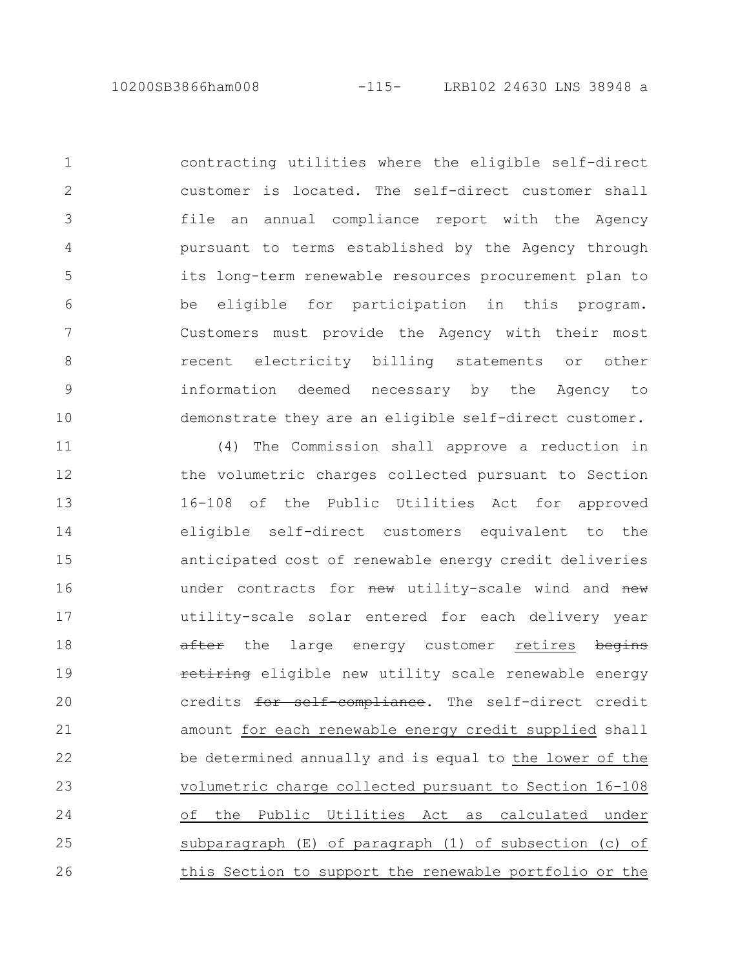contracting utilities where the eligible self-direct customer is located. The self-direct customer shall file an annual compliance report with the Agency pursuant to terms established by the Agency through its long-term renewable resources procurement plan to be eligible for participation in this program. Customers must provide the Agency with their most recent electricity billing statements or other information deemed necessary by the Agency to demonstrate they are an eligible self-direct customer. 1 2 3 4 5 6 7 8 9 10

(4) The Commission shall approve a reduction in the volumetric charges collected pursuant to Section 16-108 of the Public Utilities Act for approved eligible self-direct customers equivalent to the anticipated cost of renewable energy credit deliveries under contracts for new utility-scale wind and new utility-scale solar entered for each delivery year after the large energy customer retires begins retiring eligible new utility scale renewable energy credits for self-compliance. The self-direct credit amount for each renewable energy credit supplied shall be determined annually and is equal to the lower of the volumetric charge collected pursuant to Section 16-108 of the Public Utilities Act as calculated under subparagraph (E) of paragraph (1) of subsection (c) of this Section to support the renewable portfolio or the 11 12 13 14 15 16 17 18 19 20 21 22 23 24 25 26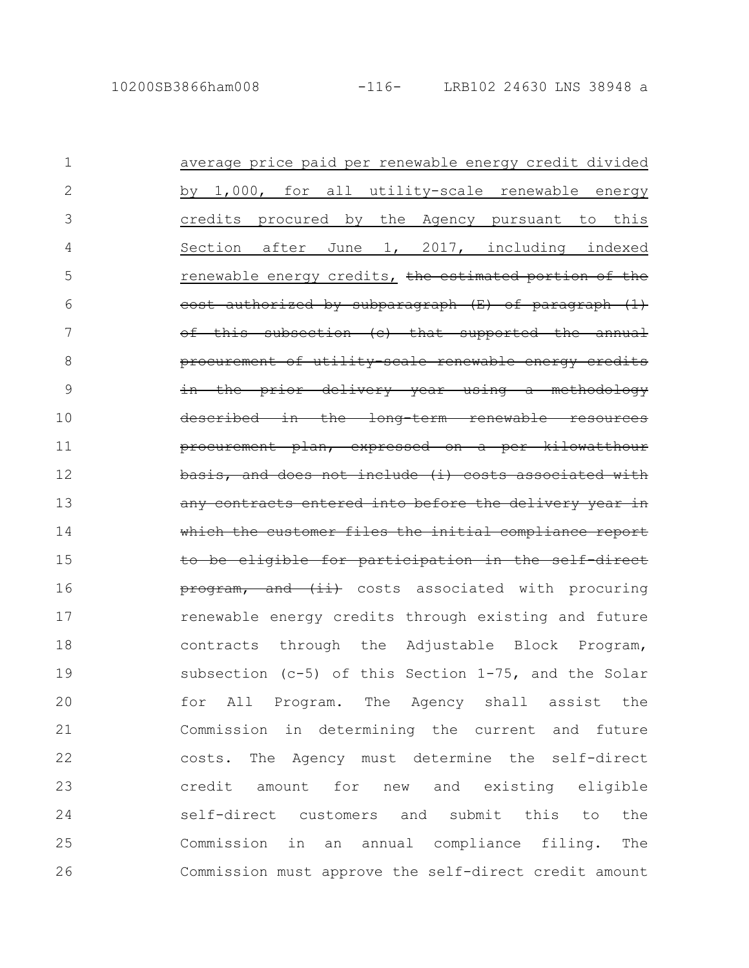| $\mathbf{1}$ | average price paid per renewable energy credit divided |
|--------------|--------------------------------------------------------|
| 2            | by 1,000, for all utility-scale renewable energy       |
| 3            | credits procured by the Agency pursuant to this        |
| 4            | Section after June 1, 2017, including indexed          |
| 5            | renewable energy credits, the estimated portion of the |
| 6            | cost authorized by subparagraph (E) of paragraph (1)   |
| 7            | of this subsection (e) that supported the annual       |
| 8            | procurement of utility scale renewable energy credits  |
| 9            | in the prior delivery year using a methodology         |
| 10           | described in the long-term renewable resources         |
| 11           | procurement plan, expressed on a per kilowatthour      |
| 12           | basis, and does not include (i) costs associated with  |
| 13           | any contracts entered into before the delivery year in |
| 14           | which the customer files the initial compliance report |
| 15           | to be eligible for participation in the self direct    |
| 16           | program, and (ii) costs associated with procuring      |
| 17           |                                                        |
|              | renewable energy credits through existing and future   |
| 18           | contracts through the Adjustable Block Program,        |
| 19           | subsection (c-5) of this Section 1-75, and the Solar   |
| 20           | for All Program. The Agency shall assist the           |
| 21           | Commission in determining the current and future       |
| 22           | costs. The Agency must determine the self-direct       |
| 23           | credit amount for new and existing eligible            |
| 24           | self-direct customers and submit this to<br>the        |
| 25           | Commission in an annual compliance filing.<br>The      |
| 26           | Commission must approve the self-direct credit amount  |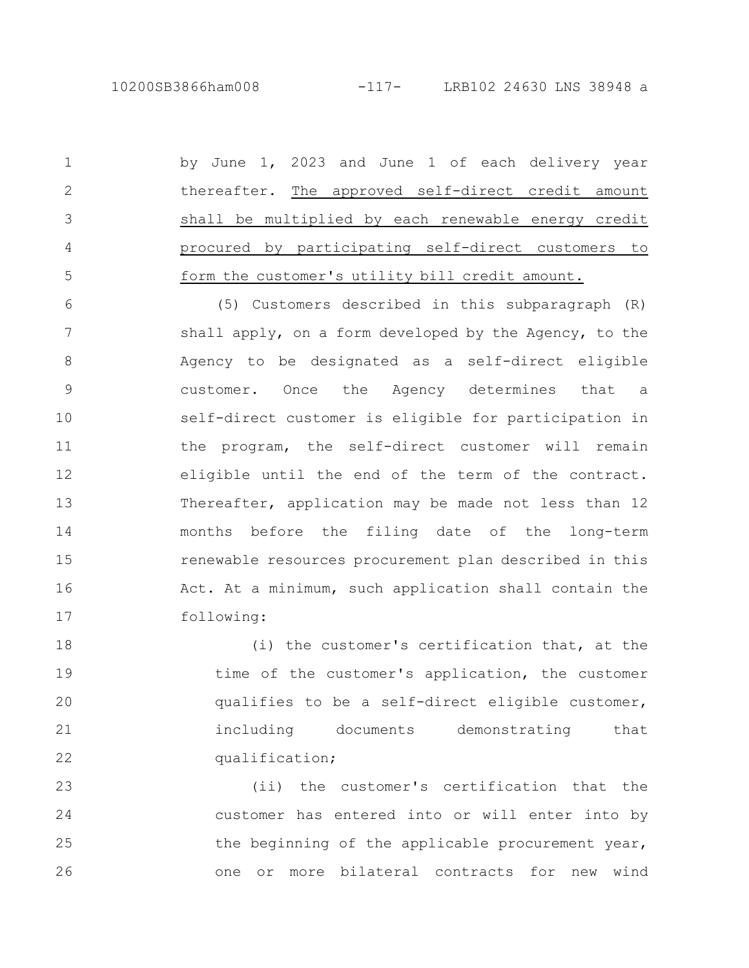1

2

3

4

5

by June 1, 2023 and June 1 of each delivery year thereafter. The approved self-direct credit amount shall be multiplied by each renewable energy credit procured by participating self-direct customers to form the customer's utility bill credit amount.

(5) Customers described in this subparagraph (R) shall apply, on a form developed by the Agency, to the Agency to be designated as a self-direct eligible customer. Once the Agency determines that a self-direct customer is eligible for participation in the program, the self-direct customer will remain eligible until the end of the term of the contract. Thereafter, application may be made not less than 12 months before the filing date of the long-term renewable resources procurement plan described in this Act. At a minimum, such application shall contain the following: 6 7 8 9 10 11 12 13 14 15 16 17

(i) the customer's certification that, at the time of the customer's application, the customer qualifies to be a self-direct eligible customer, including documents demonstrating that qualification; 18 19 20 21 22

(ii) the customer's certification that the customer has entered into or will enter into by the beginning of the applicable procurement year, one or more bilateral contracts for new wind 23 24 25 26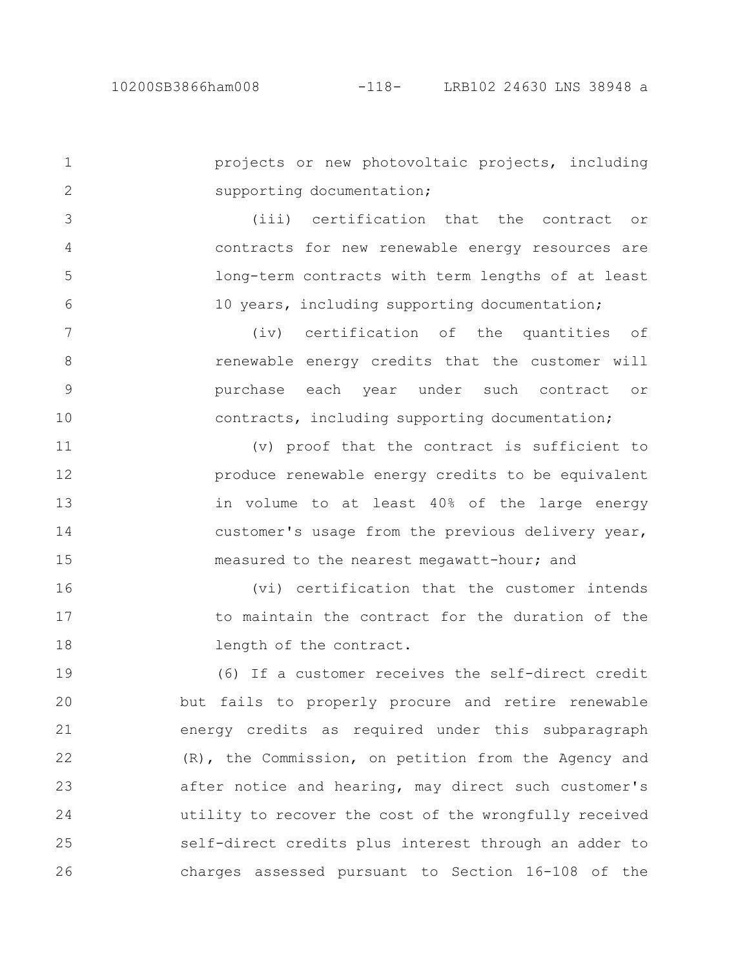3

4

5

6

projects or new photovoltaic projects, including supporting documentation; 1 2

(iii) certification that the contract or contracts for new renewable energy resources are long-term contracts with term lengths of at least 10 years, including supporting documentation;

(iv) certification of the quantities of renewable energy credits that the customer will purchase each year under such contract or contracts, including supporting documentation; 7 8 9 10

(v) proof that the contract is sufficient to produce renewable energy credits to be equivalent in volume to at least 40% of the large energy customer's usage from the previous delivery year, measured to the nearest megawatt-hour; and 11 12 13 14 15

(vi) certification that the customer intends to maintain the contract for the duration of the length of the contract. 16 17 18

(6) If a customer receives the self-direct credit but fails to properly procure and retire renewable energy credits as required under this subparagraph (R), the Commission, on petition from the Agency and after notice and hearing, may direct such customer's utility to recover the cost of the wrongfully received self-direct credits plus interest through an adder to charges assessed pursuant to Section 16-108 of the 19 20 21 22 23 24 25 26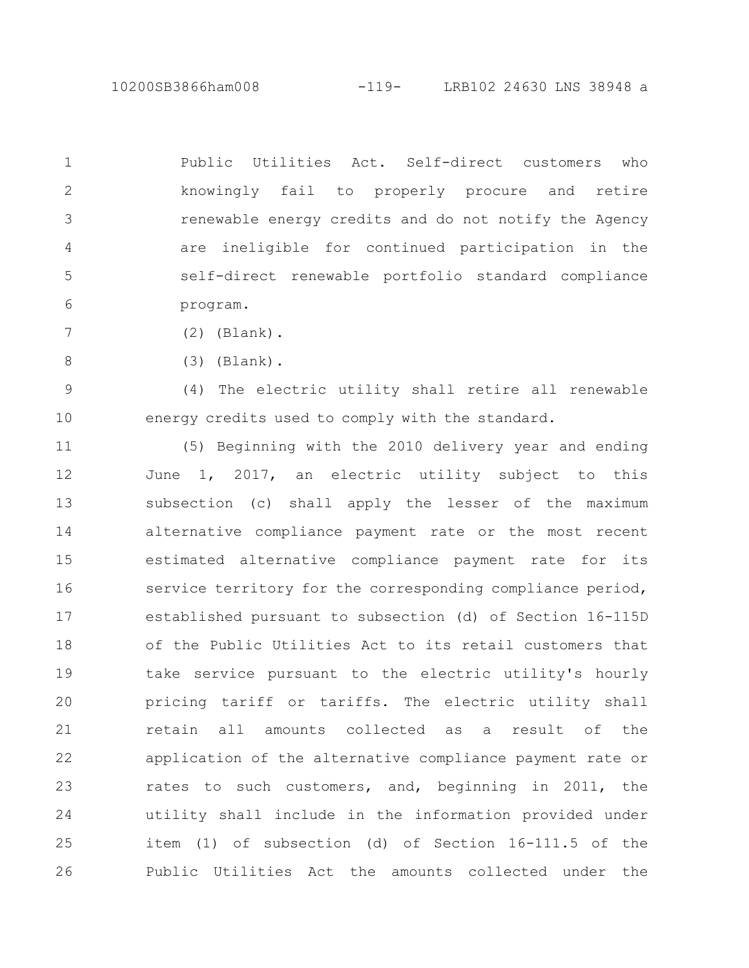10200SB3866ham008 -119- LRB102 24630 LNS 38948 a

Public Utilities Act. Self-direct customers who knowingly fail to properly procure and retire renewable energy credits and do not notify the Agency are ineligible for continued participation in the self-direct renewable portfolio standard compliance program. 1 2 3 4 5 6

- (2) (Blank). 7
- (3) (Blank). 8

(4) The electric utility shall retire all renewable energy credits used to comply with the standard. 9 10

(5) Beginning with the 2010 delivery year and ending June 1, 2017, an electric utility subject to this subsection (c) shall apply the lesser of the maximum alternative compliance payment rate or the most recent estimated alternative compliance payment rate for its service territory for the corresponding compliance period, established pursuant to subsection (d) of Section 16-115D of the Public Utilities Act to its retail customers that take service pursuant to the electric utility's hourly pricing tariff or tariffs. The electric utility shall retain all amounts collected as a result of the application of the alternative compliance payment rate or rates to such customers, and, beginning in 2011, the utility shall include in the information provided under item (1) of subsection (d) of Section 16-111.5 of the Public Utilities Act the amounts collected under the 11 12 13 14 15 16 17 18 19 20 21 22 23 24 25 26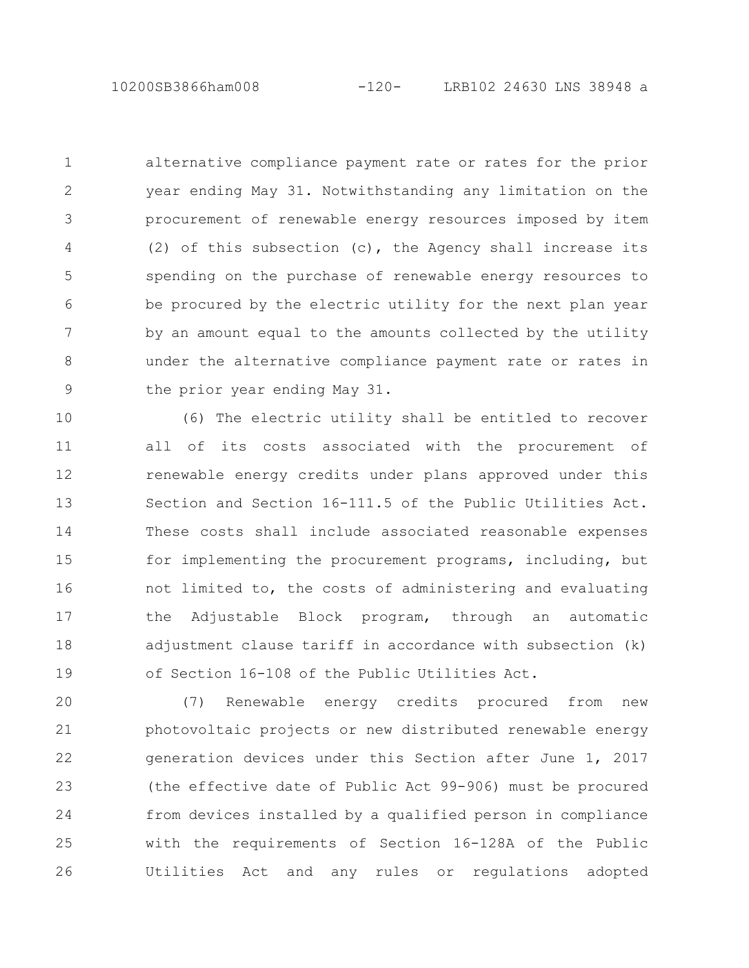alternative compliance payment rate or rates for the prior year ending May 31. Notwithstanding any limitation on the procurement of renewable energy resources imposed by item (2) of this subsection  $(c)$ , the Agency shall increase its spending on the purchase of renewable energy resources to be procured by the electric utility for the next plan year by an amount equal to the amounts collected by the utility under the alternative compliance payment rate or rates in the prior year ending May 31. 1 2 3 4 5 6 7 8 9

(6) The electric utility shall be entitled to recover all of its costs associated with the procurement of renewable energy credits under plans approved under this Section and Section 16-111.5 of the Public Utilities Act. These costs shall include associated reasonable expenses for implementing the procurement programs, including, but not limited to, the costs of administering and evaluating the Adjustable Block program, through an automatic adjustment clause tariff in accordance with subsection (k) of Section 16-108 of the Public Utilities Act. 10 11 12 13 14 15 16 17 18 19

(7) Renewable energy credits procured from new photovoltaic projects or new distributed renewable energy generation devices under this Section after June 1, 2017 (the effective date of Public Act 99-906) must be procured from devices installed by a qualified person in compliance with the requirements of Section 16-128A of the Public Utilities Act and any rules or regulations adopted 20 21 22 23 24 25 26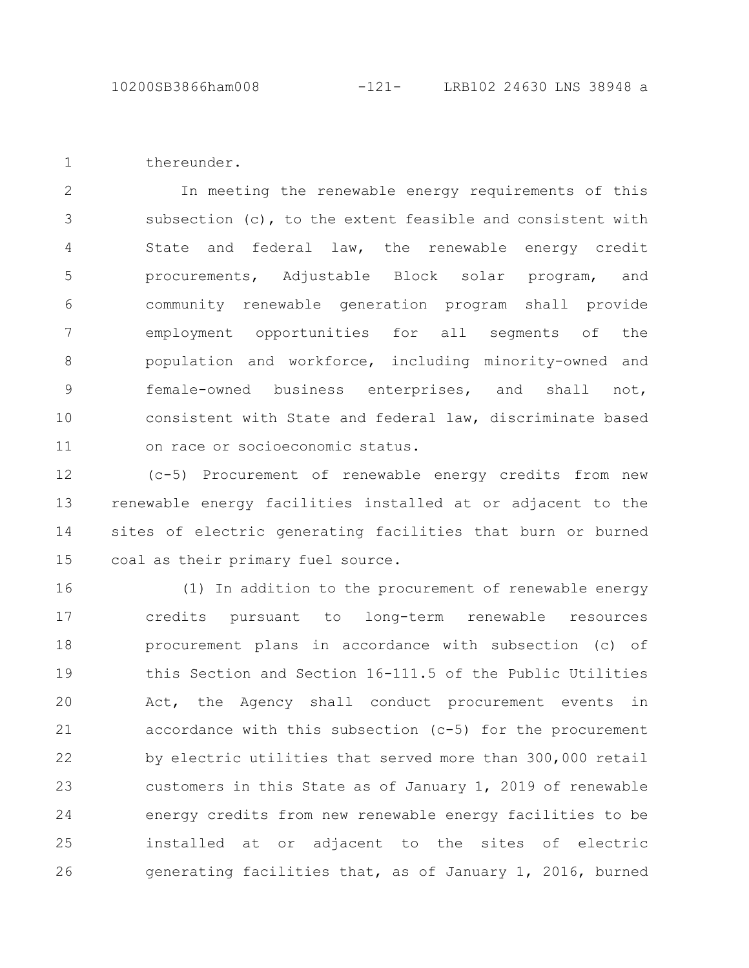thereunder. 1

In meeting the renewable energy requirements of this subsection (c), to the extent feasible and consistent with State and federal law, the renewable energy credit procurements, Adjustable Block solar program, and community renewable generation program shall provide employment opportunities for all segments of the population and workforce, including minority-owned and female-owned business enterprises, and shall not, consistent with State and federal law, discriminate based on race or socioeconomic status. 2 3 4 5 6 7 8 9 10 11

(c-5) Procurement of renewable energy credits from new renewable energy facilities installed at or adjacent to the sites of electric generating facilities that burn or burned coal as their primary fuel source. 12 13 14 15

(1) In addition to the procurement of renewable energy credits pursuant to long-term renewable resources procurement plans in accordance with subsection (c) of this Section and Section 16-111.5 of the Public Utilities Act, the Agency shall conduct procurement events in accordance with this subsection (c-5) for the procurement by electric utilities that served more than 300,000 retail customers in this State as of January 1, 2019 of renewable energy credits from new renewable energy facilities to be installed at or adjacent to the sites of electric generating facilities that, as of January 1, 2016, burned 16 17 18 19 20 21 22 23 24 25 26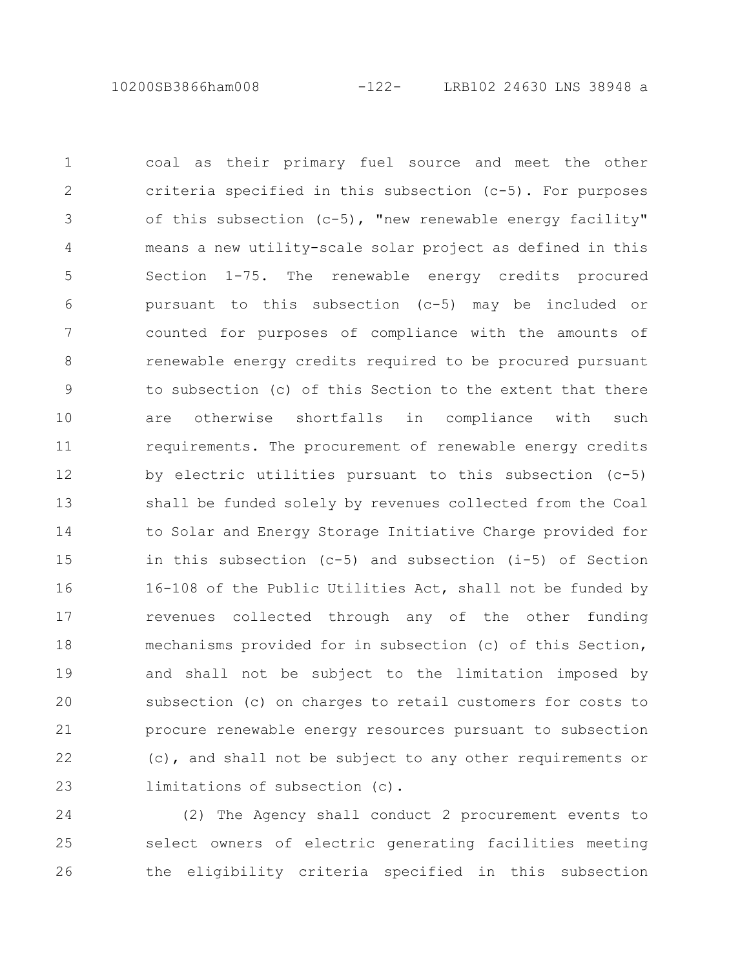coal as their primary fuel source and meet the other criteria specified in this subsection (c-5). For purposes of this subsection (c-5), "new renewable energy facility" means a new utility-scale solar project as defined in this Section 1-75. The renewable energy credits procured pursuant to this subsection (c-5) may be included or counted for purposes of compliance with the amounts of renewable energy credits required to be procured pursuant to subsection (c) of this Section to the extent that there are otherwise shortfalls in compliance with such requirements. The procurement of renewable energy credits by electric utilities pursuant to this subsection (c-5) shall be funded solely by revenues collected from the Coal to Solar and Energy Storage Initiative Charge provided for in this subsection (c-5) and subsection (i-5) of Section 16-108 of the Public Utilities Act, shall not be funded by revenues collected through any of the other funding mechanisms provided for in subsection (c) of this Section, and shall not be subject to the limitation imposed by subsection (c) on charges to retail customers for costs to procure renewable energy resources pursuant to subsection (c), and shall not be subject to any other requirements or limitations of subsection (c). 1 2 3 4 5 6 7 8 9 10 11 12 13 14 15 16 17 18 19 20 21 22 23

(2) The Agency shall conduct 2 procurement events to select owners of electric generating facilities meeting the eligibility criteria specified in this subsection 24 25 26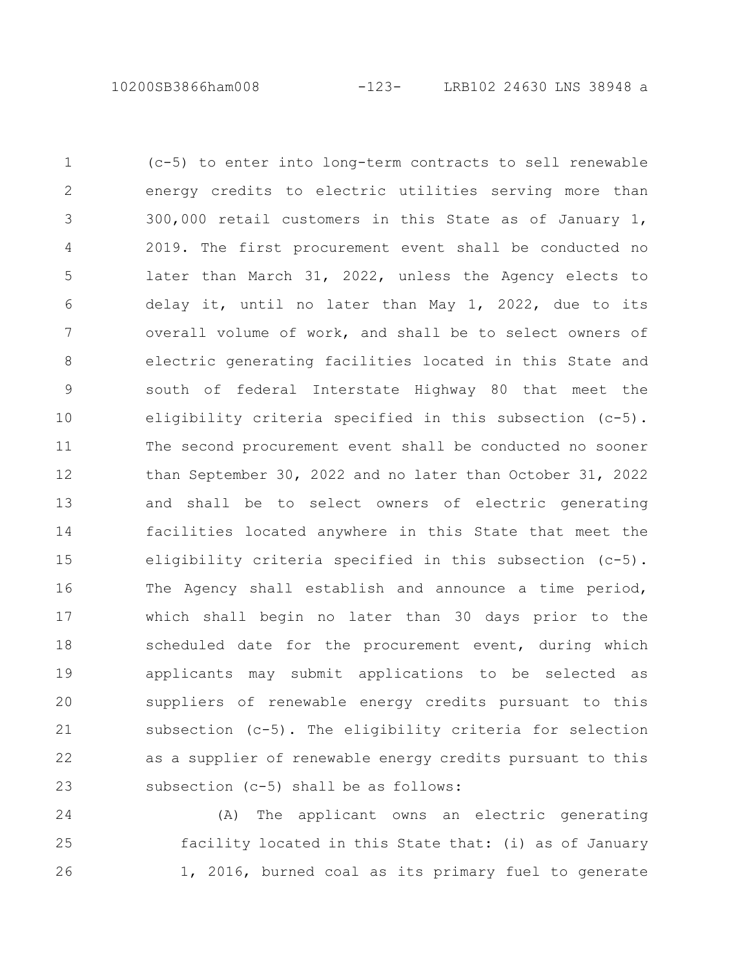10200SB3866ham008 -123- LRB102 24630 LNS 38948 a

(c-5) to enter into long-term contracts to sell renewable energy credits to electric utilities serving more than 300,000 retail customers in this State as of January 1, 2019. The first procurement event shall be conducted no later than March 31, 2022, unless the Agency elects to delay it, until no later than May 1, 2022, due to its overall volume of work, and shall be to select owners of electric generating facilities located in this State and south of federal Interstate Highway 80 that meet the eligibility criteria specified in this subsection (c-5). The second procurement event shall be conducted no sooner than September 30, 2022 and no later than October 31, 2022 and shall be to select owners of electric generating facilities located anywhere in this State that meet the eligibility criteria specified in this subsection (c-5). The Agency shall establish and announce a time period, which shall begin no later than 30 days prior to the scheduled date for the procurement event, during which applicants may submit applications to be selected as suppliers of renewable energy credits pursuant to this subsection (c-5). The eligibility criteria for selection as a supplier of renewable energy credits pursuant to this subsection (c-5) shall be as follows: 1 2 3 4 5 6 7 8 9 10 11 12 13 14 15 16 17 18 19 20 21 22 23

(A) The applicant owns an electric generating facility located in this State that: (i) as of January 1, 2016, burned coal as its primary fuel to generate 24 25 26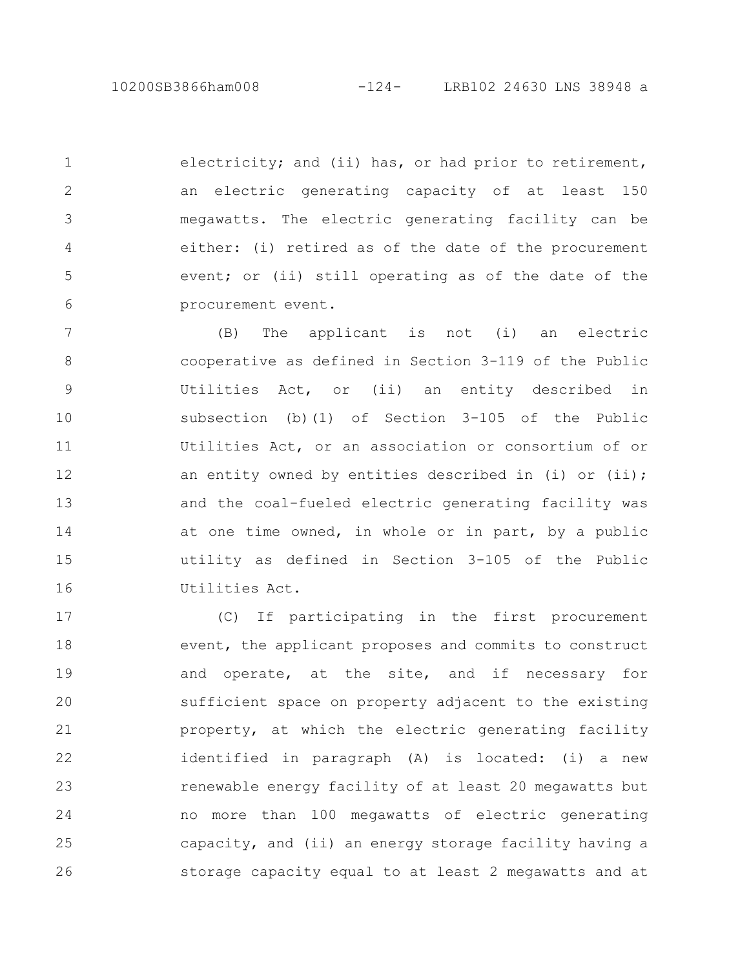10200SB3866ham008 -124- LRB102 24630 LNS 38948 a

electricity; and (ii) has, or had prior to retirement, an electric generating capacity of at least 150 megawatts. The electric generating facility can be either: (i) retired as of the date of the procurement event; or (ii) still operating as of the date of the procurement event. 1 2 3 4 5 6

(B) The applicant is not (i) an electric cooperative as defined in Section 3-119 of the Public Utilities Act, or (ii) an entity described in subsection (b)(1) of Section 3-105 of the Public Utilities Act, or an association or consortium of or an entity owned by entities described in (i) or (ii); and the coal-fueled electric generating facility was at one time owned, in whole or in part, by a public utility as defined in Section 3-105 of the Public Utilities Act. 7 8 9 10 11 12 13 14 15 16

(C) If participating in the first procurement event, the applicant proposes and commits to construct and operate, at the site, and if necessary for sufficient space on property adjacent to the existing property, at which the electric generating facility identified in paragraph (A) is located: (i) a new renewable energy facility of at least 20 megawatts but no more than 100 megawatts of electric generating capacity, and (ii) an energy storage facility having a storage capacity equal to at least 2 megawatts and at 17 18 19 20 21 22 23 24 25 26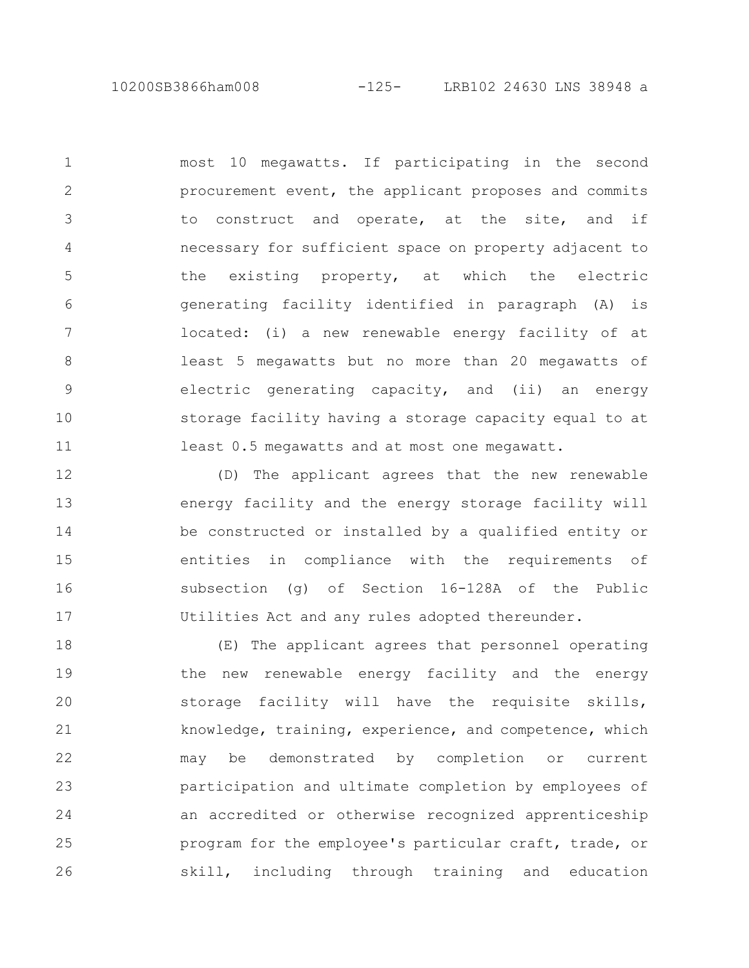10200SB3866ham008 -125- LRB102 24630 LNS 38948 a

most 10 megawatts. If participating in the second procurement event, the applicant proposes and commits to construct and operate, at the site, and if necessary for sufficient space on property adjacent to the existing property, at which the electric generating facility identified in paragraph (A) is located: (i) a new renewable energy facility of at least 5 megawatts but no more than 20 megawatts of electric generating capacity, and (ii) an energy storage facility having a storage capacity equal to at least 0.5 megawatts and at most one megawatt. 1 2 3 4 5 6 7 8 9 10 11

(D) The applicant agrees that the new renewable energy facility and the energy storage facility will be constructed or installed by a qualified entity or entities in compliance with the requirements of subsection (g) of Section 16-128A of the Public Utilities Act and any rules adopted thereunder. 12 13 14 15 16 17

(E) The applicant agrees that personnel operating the new renewable energy facility and the energy storage facility will have the requisite skills, knowledge, training, experience, and competence, which may be demonstrated by completion or current participation and ultimate completion by employees of an accredited or otherwise recognized apprenticeship program for the employee's particular craft, trade, or skill, including through training and education 18 19 20 21 22 23 24 25 26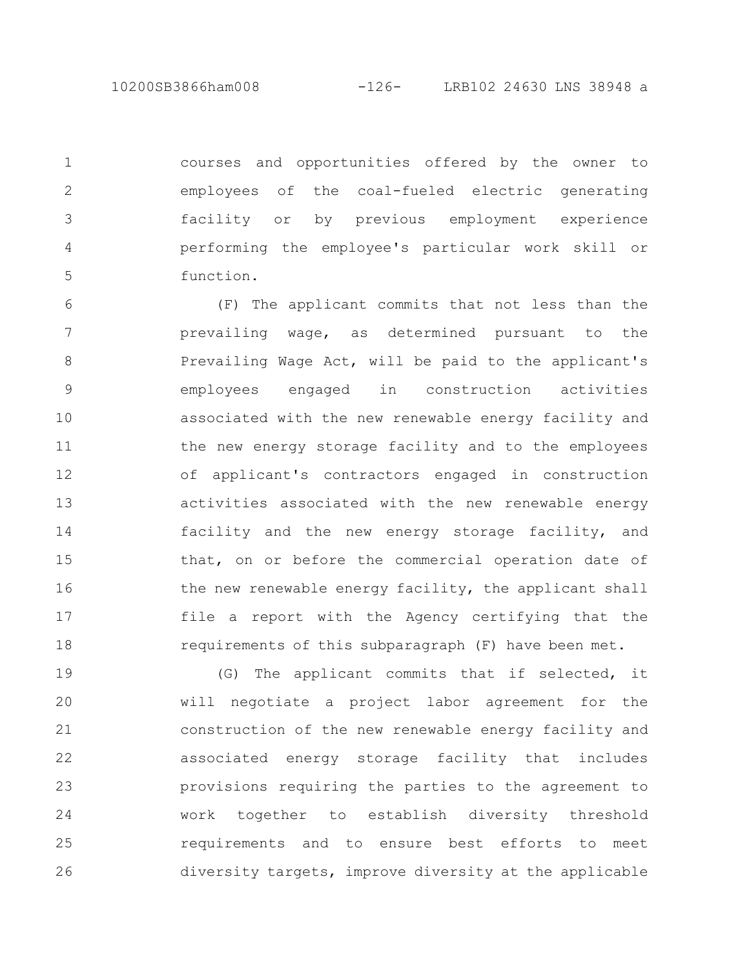10200SB3866ham008 -126- LRB102 24630 LNS 38948 a

courses and opportunities offered by the owner to employees of the coal-fueled electric generating facility or by previous employment experience performing the employee's particular work skill or function. 1 2 3 4 5

(F) The applicant commits that not less than the prevailing wage, as determined pursuant to the Prevailing Wage Act, will be paid to the applicant's employees engaged in construction activities associated with the new renewable energy facility and the new energy storage facility and to the employees of applicant's contractors engaged in construction activities associated with the new renewable energy facility and the new energy storage facility, and that, on or before the commercial operation date of the new renewable energy facility, the applicant shall file a report with the Agency certifying that the requirements of this subparagraph (F) have been met. 6 7 8 9 10 11 12 13 14 15 16 17 18

(G) The applicant commits that if selected, it will negotiate a project labor agreement for the construction of the new renewable energy facility and associated energy storage facility that includes provisions requiring the parties to the agreement to work together to establish diversity threshold requirements and to ensure best efforts to meet diversity targets, improve diversity at the applicable 19 20 21 22 23 24 25 26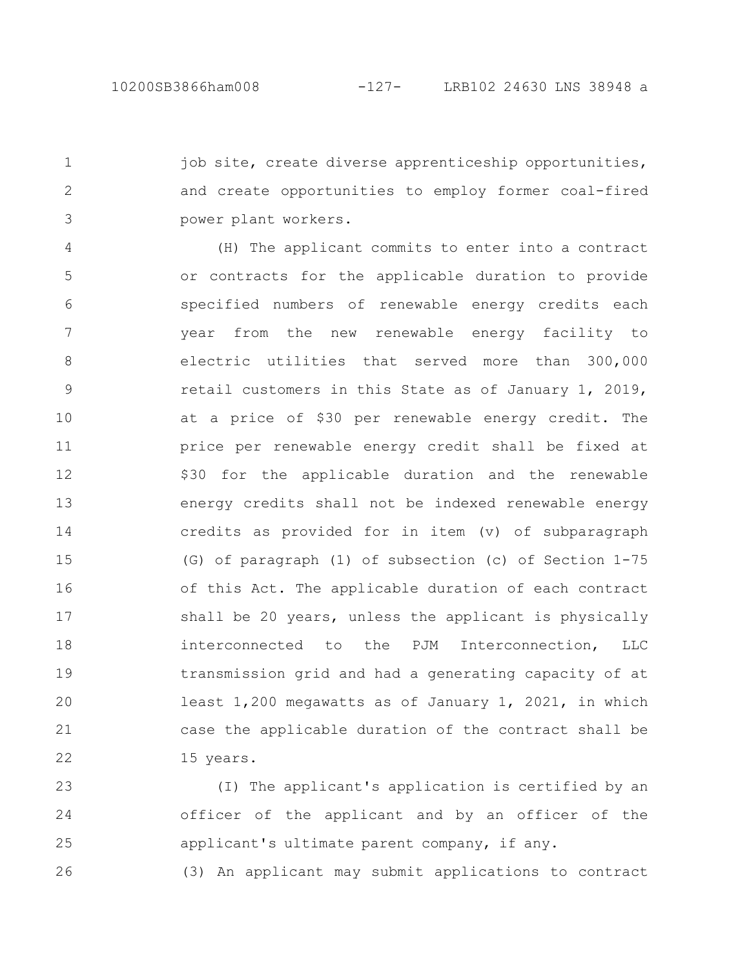job site, create diverse apprenticeship opportunities, and create opportunities to employ former coal-fired power plant workers. 1 2 3

(H) The applicant commits to enter into a contract or contracts for the applicable duration to provide specified numbers of renewable energy credits each year from the new renewable energy facility to electric utilities that served more than 300,000 retail customers in this State as of January 1, 2019, at a price of \$30 per renewable energy credit. The price per renewable energy credit shall be fixed at \$30 for the applicable duration and the renewable energy credits shall not be indexed renewable energy credits as provided for in item (v) of subparagraph (G) of paragraph (1) of subsection (c) of Section 1-75 of this Act. The applicable duration of each contract shall be 20 years, unless the applicant is physically interconnected to the PJM Interconnection, LLC transmission grid and had a generating capacity of at least 1,200 megawatts as of January 1, 2021, in which case the applicable duration of the contract shall be 15 years. 4 5 6 7 8 9 10 11 12 13 14 15 16 17 18 19 20 21 22

(I) The applicant's application is certified by an officer of the applicant and by an officer of the applicant's ultimate parent company, if any. (3) An applicant may submit applications to contract 23 24 25 26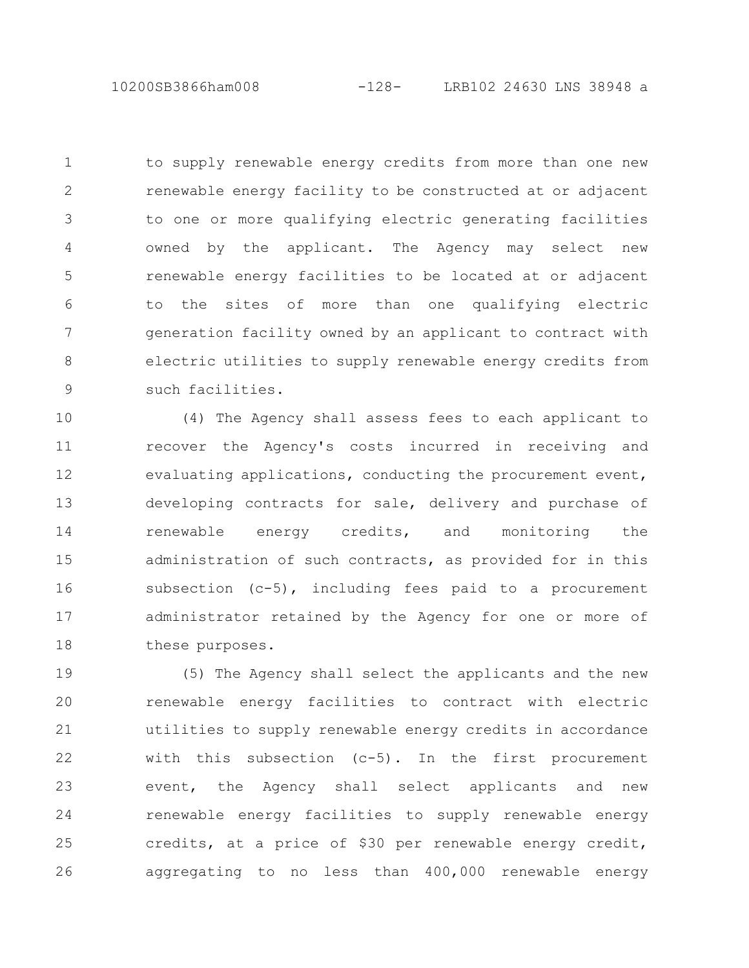10200SB3866ham008 -128- LRB102 24630 LNS 38948 a

to supply renewable energy credits from more than one new renewable energy facility to be constructed at or adjacent to one or more qualifying electric generating facilities owned by the applicant. The Agency may select new renewable energy facilities to be located at or adjacent to the sites of more than one qualifying electric generation facility owned by an applicant to contract with electric utilities to supply renewable energy credits from such facilities. 1 2 3 4 5 6 7 8 9

(4) The Agency shall assess fees to each applicant to recover the Agency's costs incurred in receiving and evaluating applications, conducting the procurement event, developing contracts for sale, delivery and purchase of renewable energy credits, and monitoring the administration of such contracts, as provided for in this subsection  $(c-5)$ , including fees paid to a procurement administrator retained by the Agency for one or more of these purposes. 10 11 12 13 14 15 16 17 18

(5) The Agency shall select the applicants and the new renewable energy facilities to contract with electric utilities to supply renewable energy credits in accordance with this subsection (c-5). In the first procurement event, the Agency shall select applicants and new renewable energy facilities to supply renewable energy credits, at a price of \$30 per renewable energy credit, aggregating to no less than 400,000 renewable energy 19 20 21 22 23 24 25 26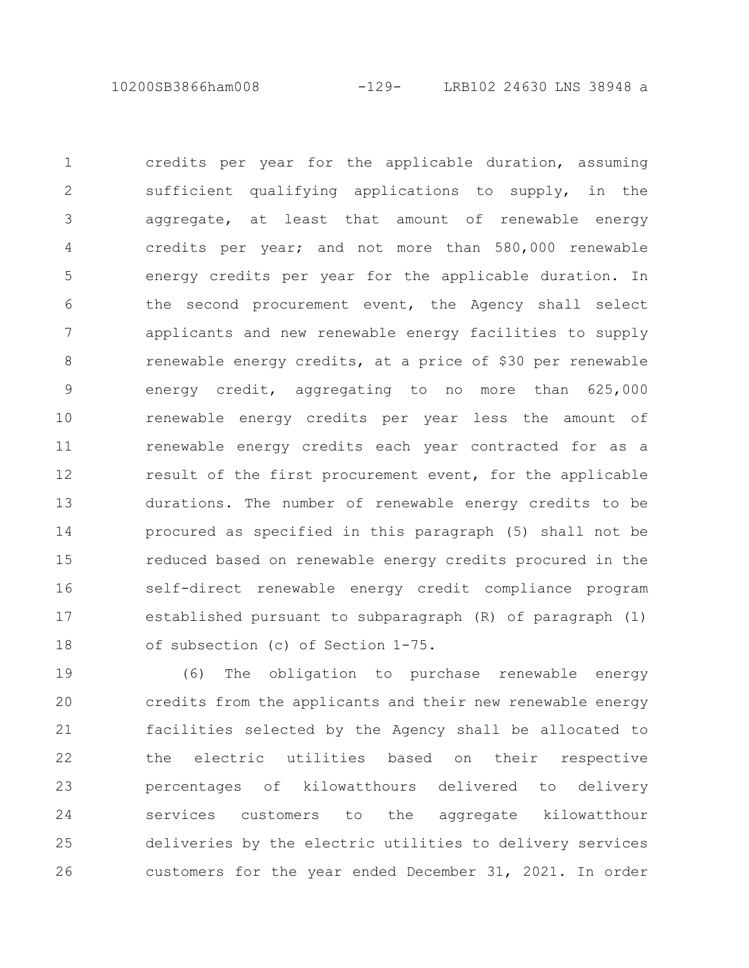10200SB3866ham008 -129- LRB102 24630 LNS 38948 a

credits per year for the applicable duration, assuming sufficient qualifying applications to supply, in the aggregate, at least that amount of renewable energy credits per year; and not more than 580,000 renewable energy credits per year for the applicable duration. In the second procurement event, the Agency shall select applicants and new renewable energy facilities to supply renewable energy credits, at a price of \$30 per renewable energy credit, aggregating to no more than 625,000 renewable energy credits per year less the amount of renewable energy credits each year contracted for as a result of the first procurement event, for the applicable durations. The number of renewable energy credits to be procured as specified in this paragraph (5) shall not be reduced based on renewable energy credits procured in the self-direct renewable energy credit compliance program established pursuant to subparagraph (R) of paragraph (1) of subsection (c) of Section 1-75. 1 2 3 4 5 6 7 8 9 10 11 12 13 14 15 16 17 18

(6) The obligation to purchase renewable energy credits from the applicants and their new renewable energy facilities selected by the Agency shall be allocated to the electric utilities based on their respective percentages of kilowatthours delivered to delivery services customers to the aggregate kilowatthour deliveries by the electric utilities to delivery services customers for the year ended December 31, 2021. In order 19 20 21 22 23 24 25 26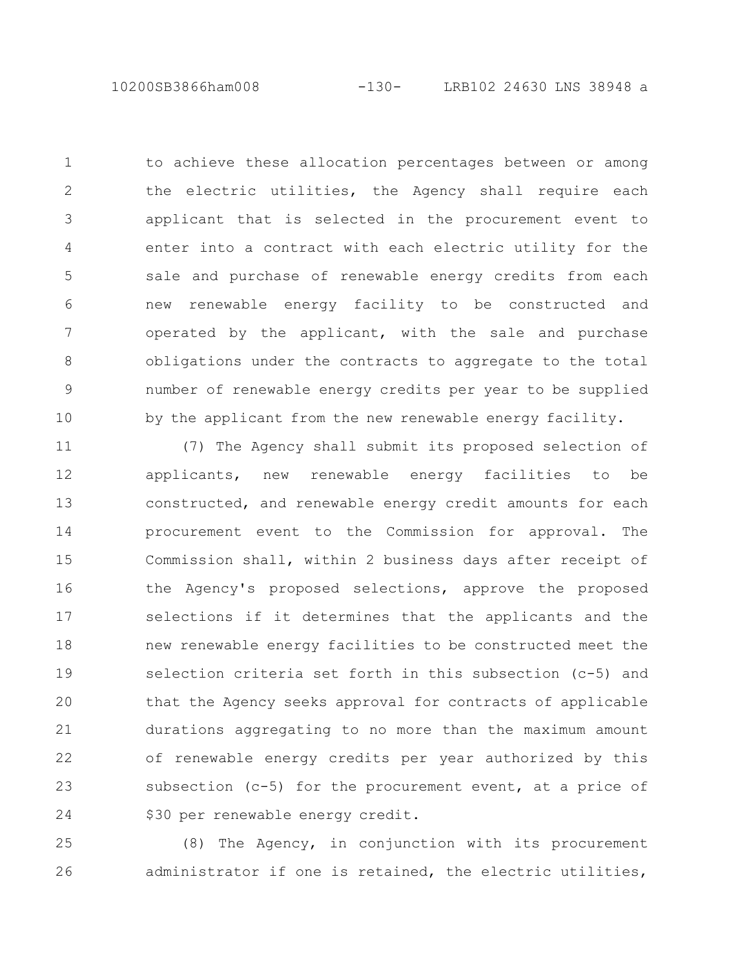10200SB3866ham008 -130- LRB102 24630 LNS 38948 a

to achieve these allocation percentages between or among the electric utilities, the Agency shall require each applicant that is selected in the procurement event to enter into a contract with each electric utility for the sale and purchase of renewable energy credits from each new renewable energy facility to be constructed and operated by the applicant, with the sale and purchase obligations under the contracts to aggregate to the total number of renewable energy credits per year to be supplied by the applicant from the new renewable energy facility. 1 2 3 4 5 6 7 8 9 10

(7) The Agency shall submit its proposed selection of applicants, new renewable energy facilities to be constructed, and renewable energy credit amounts for each procurement event to the Commission for approval. The Commission shall, within 2 business days after receipt of the Agency's proposed selections, approve the proposed selections if it determines that the applicants and the new renewable energy facilities to be constructed meet the selection criteria set forth in this subsection (c-5) and that the Agency seeks approval for contracts of applicable durations aggregating to no more than the maximum amount of renewable energy credits per year authorized by this subsection (c-5) for the procurement event, at a price of \$30 per renewable energy credit. 11 12 13 14 15 16 17 18 19 20 21 22 23 24

(8) The Agency, in conjunction with its procurement administrator if one is retained, the electric utilities, 25 26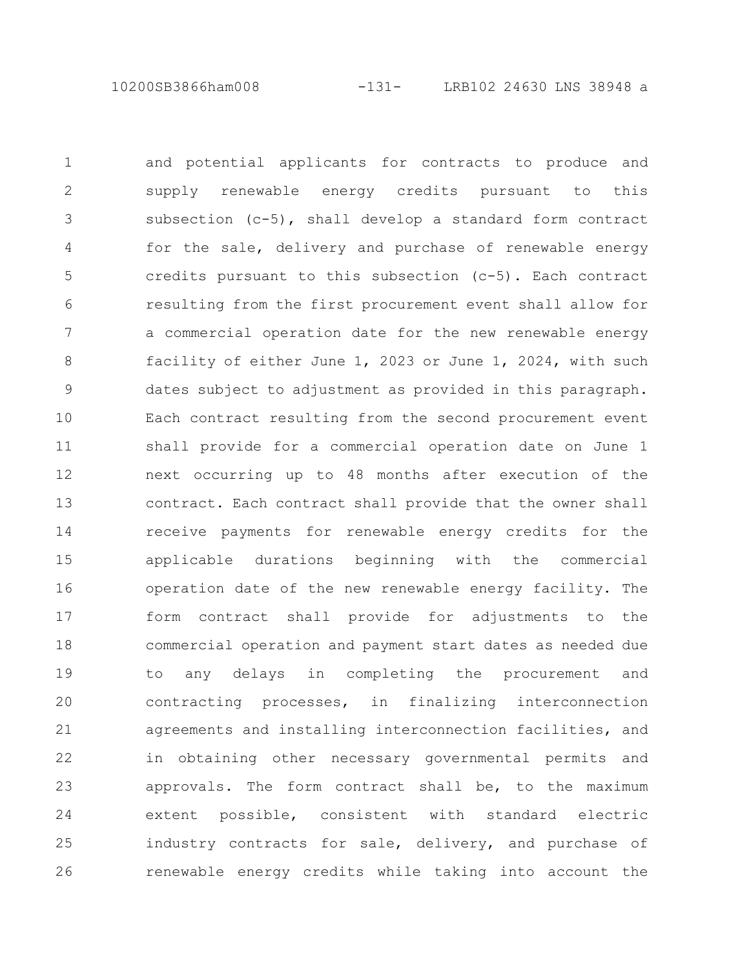10200SB3866ham008 -131- LRB102 24630 LNS 38948 a

and potential applicants for contracts to produce and supply renewable energy credits pursuant to this subsection (c-5), shall develop a standard form contract for the sale, delivery and purchase of renewable energy credits pursuant to this subsection (c-5). Each contract resulting from the first procurement event shall allow for a commercial operation date for the new renewable energy facility of either June 1, 2023 or June 1, 2024, with such dates subject to adjustment as provided in this paragraph. Each contract resulting from the second procurement event shall provide for a commercial operation date on June 1 next occurring up to 48 months after execution of the contract. Each contract shall provide that the owner shall receive payments for renewable energy credits for the applicable durations beginning with the commercial operation date of the new renewable energy facility. The form contract shall provide for adjustments to the commercial operation and payment start dates as needed due to any delays in completing the procurement and contracting processes, in finalizing interconnection agreements and installing interconnection facilities, and in obtaining other necessary governmental permits and approvals. The form contract shall be, to the maximum extent possible, consistent with standard electric industry contracts for sale, delivery, and purchase of renewable energy credits while taking into account the 1 2 3 4 5 6 7 8 9 10 11 12 13 14 15 16 17 18 19 20 21 22 23 24 25 26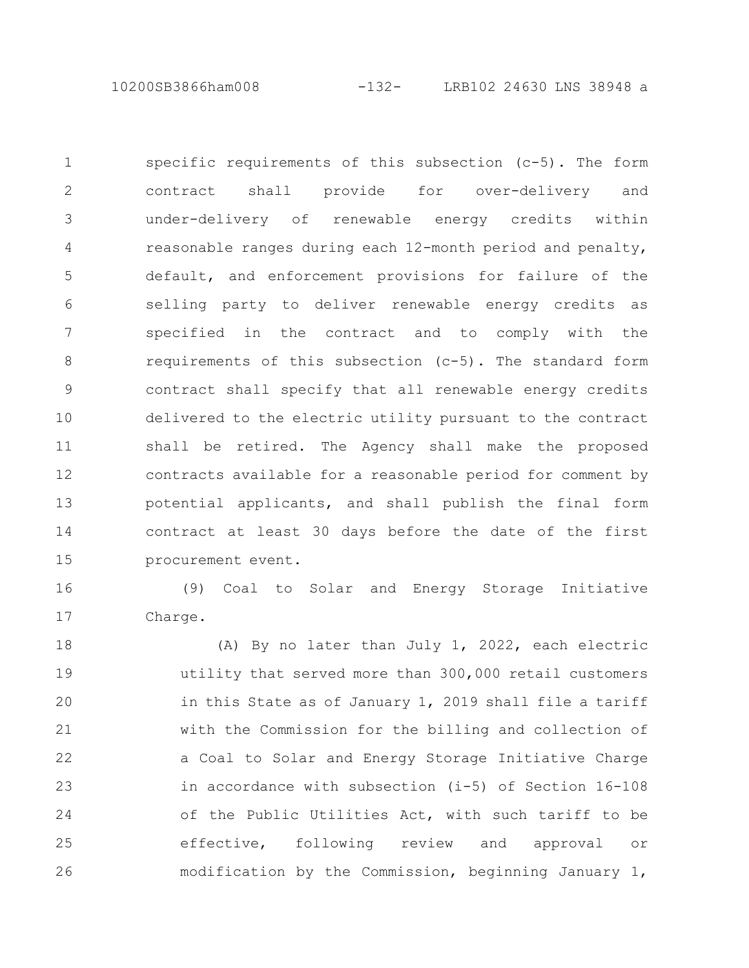10200SB3866ham008 -132- LRB102 24630 LNS 38948 a

specific requirements of this subsection (c-5). The form contract shall provide for over-delivery and under-delivery of renewable energy credits within reasonable ranges during each 12-month period and penalty, default, and enforcement provisions for failure of the selling party to deliver renewable energy credits as specified in the contract and to comply with the requirements of this subsection (c-5). The standard form contract shall specify that all renewable energy credits delivered to the electric utility pursuant to the contract shall be retired. The Agency shall make the proposed contracts available for a reasonable period for comment by potential applicants, and shall publish the final form contract at least 30 days before the date of the first procurement event. 1 2 3 4 5 6 7 8 9 10 11 12 13 14 15

(9) Coal to Solar and Energy Storage Initiative Charge. 16 17

(A) By no later than July 1, 2022, each electric utility that served more than 300,000 retail customers in this State as of January 1, 2019 shall file a tariff with the Commission for the billing and collection of a Coal to Solar and Energy Storage Initiative Charge in accordance with subsection (i-5) of Section 16-108 of the Public Utilities Act, with such tariff to be effective, following review and approval or modification by the Commission, beginning January 1, 18 19 20 21 22 23 24 25 26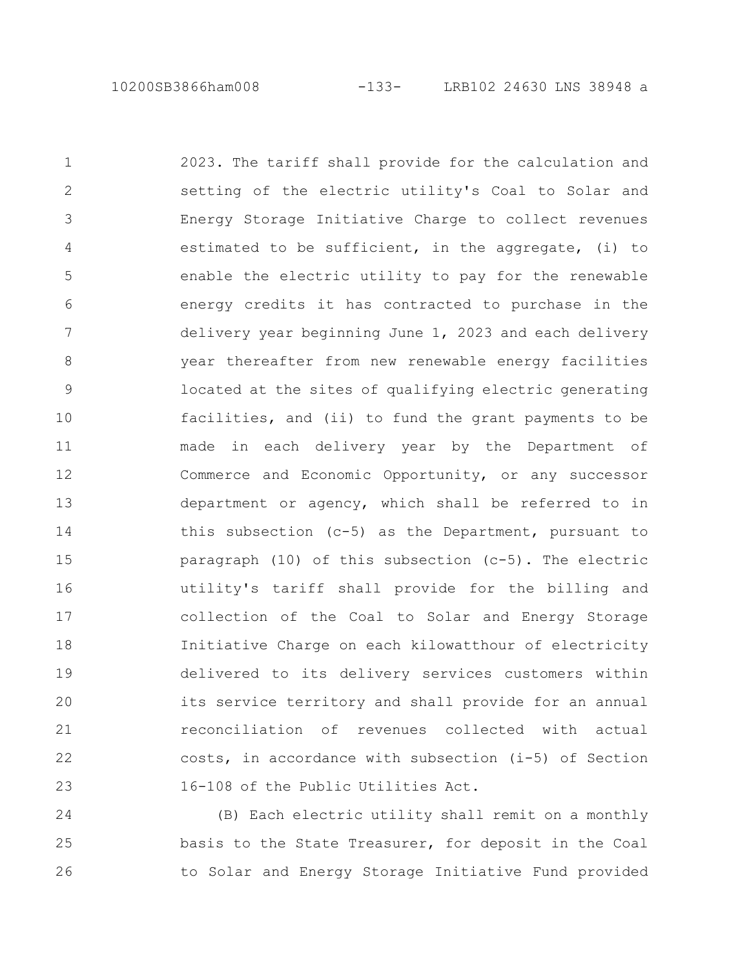2023. The tariff shall provide for the calculation and setting of the electric utility's Coal to Solar and Energy Storage Initiative Charge to collect revenues estimated to be sufficient, in the aggregate, (i) to enable the electric utility to pay for the renewable energy credits it has contracted to purchase in the delivery year beginning June 1, 2023 and each delivery year thereafter from new renewable energy facilities located at the sites of qualifying electric generating facilities, and (ii) to fund the grant payments to be made in each delivery year by the Department of Commerce and Economic Opportunity, or any successor department or agency, which shall be referred to in this subsection (c-5) as the Department, pursuant to paragraph (10) of this subsection (c-5). The electric utility's tariff shall provide for the billing and collection of the Coal to Solar and Energy Storage Initiative Charge on each kilowatthour of electricity delivered to its delivery services customers within its service territory and shall provide for an annual reconciliation of revenues collected with actual costs, in accordance with subsection (i-5) of Section 16-108 of the Public Utilities Act. 1 2 3 4 5 6 7 8 9 10 11 12 13 14 15 16 17 18 19 20 21 22 23

(B) Each electric utility shall remit on a monthly basis to the State Treasurer, for deposit in the Coal to Solar and Energy Storage Initiative Fund provided 24 25 26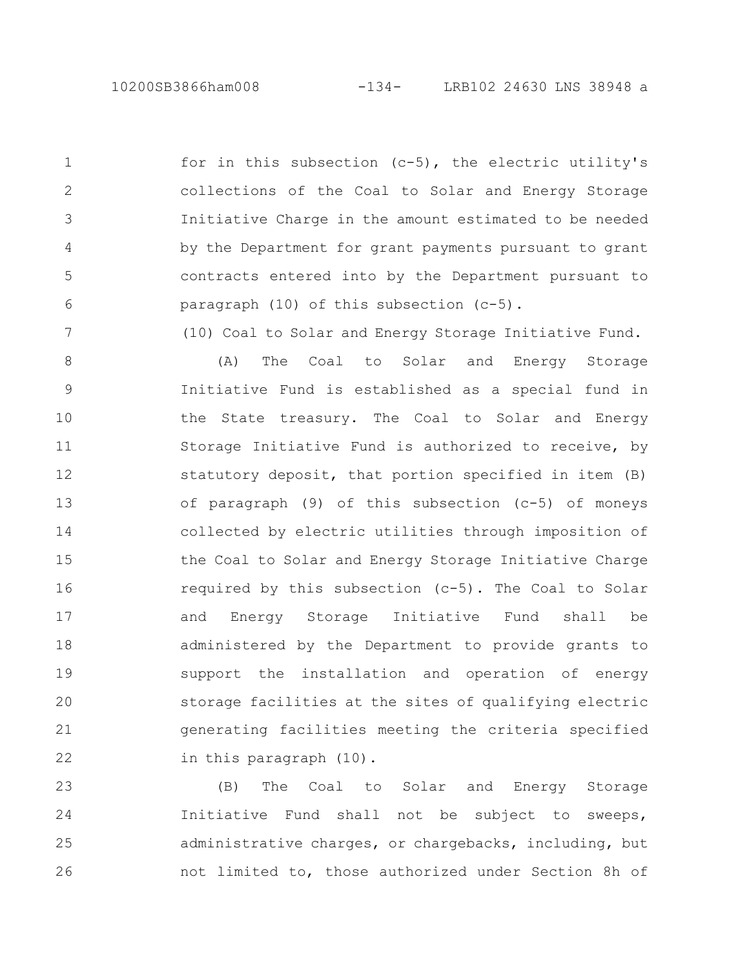10200SB3866ham008 -134- LRB102 24630 LNS 38948 a

7

for in this subsection (c-5), the electric utility's collections of the Coal to Solar and Energy Storage Initiative Charge in the amount estimated to be needed by the Department for grant payments pursuant to grant contracts entered into by the Department pursuant to paragraph (10) of this subsection (c-5). 1 2 3 4 5 6

(10) Coal to Solar and Energy Storage Initiative Fund.

(A) The Coal to Solar and Energy Storage Initiative Fund is established as a special fund in the State treasury. The Coal to Solar and Energy Storage Initiative Fund is authorized to receive, by statutory deposit, that portion specified in item (B) of paragraph (9) of this subsection (c-5) of moneys collected by electric utilities through imposition of the Coal to Solar and Energy Storage Initiative Charge required by this subsection (c-5). The Coal to Solar and Energy Storage Initiative Fund shall be administered by the Department to provide grants to support the installation and operation of energy storage facilities at the sites of qualifying electric generating facilities meeting the criteria specified in this paragraph (10). 8 9 10 11 12 13 14 15 16 17 18 19 20 21 22

(B) The Coal to Solar and Energy Storage Initiative Fund shall not be subject to sweeps, administrative charges, or chargebacks, including, but not limited to, those authorized under Section 8h of 23 24 25 26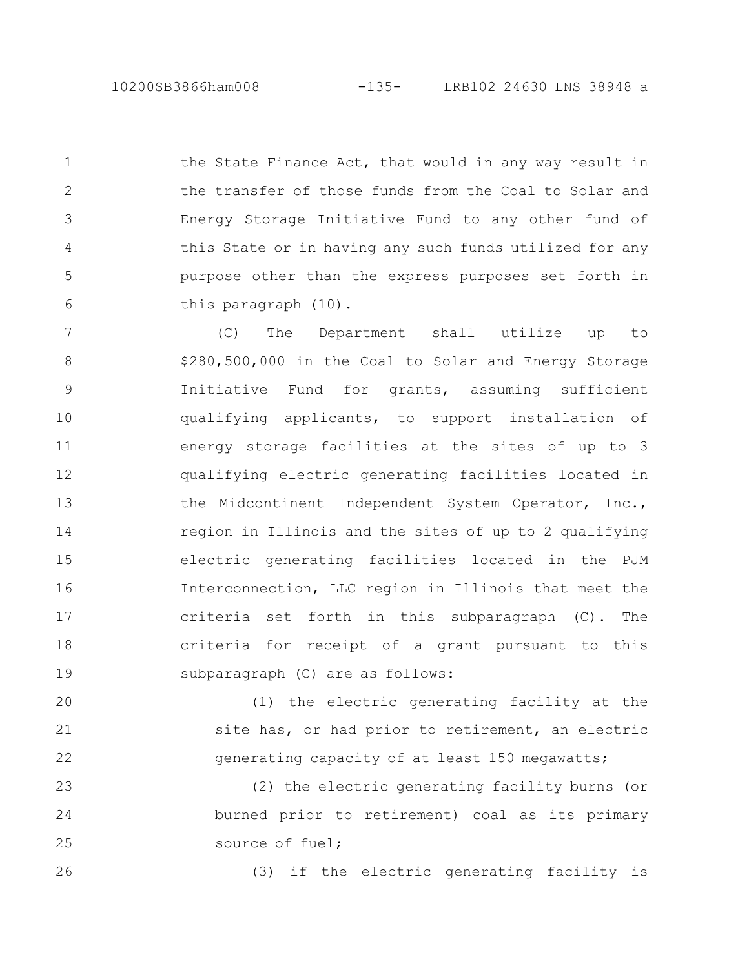10200SB3866ham008 -135- LRB102 24630 LNS 38948 a

2

3

4

5

6

26

the State Finance Act, that would in any way result in the transfer of those funds from the Coal to Solar and Energy Storage Initiative Fund to any other fund of this State or in having any such funds utilized for any purpose other than the express purposes set forth in this paragraph (10). 1

(C) The Department shall utilize up to \$280,500,000 in the Coal to Solar and Energy Storage Initiative Fund for grants, assuming sufficient qualifying applicants, to support installation of energy storage facilities at the sites of up to 3 qualifying electric generating facilities located in the Midcontinent Independent System Operator, Inc., region in Illinois and the sites of up to 2 qualifying electric generating facilities located in the PJM Interconnection, LLC region in Illinois that meet the criteria set forth in this subparagraph (C). The criteria for receipt of a grant pursuant to this subparagraph (C) are as follows: 7 8 9 10 11 12 13 14 15 16 17 18 19

(1) the electric generating facility at the site has, or had prior to retirement, an electric generating capacity of at least 150 megawatts; 20 21 22

(2) the electric generating facility burns (or burned prior to retirement) coal as its primary source of fuel; 23 24 25

(3) if the electric generating facility is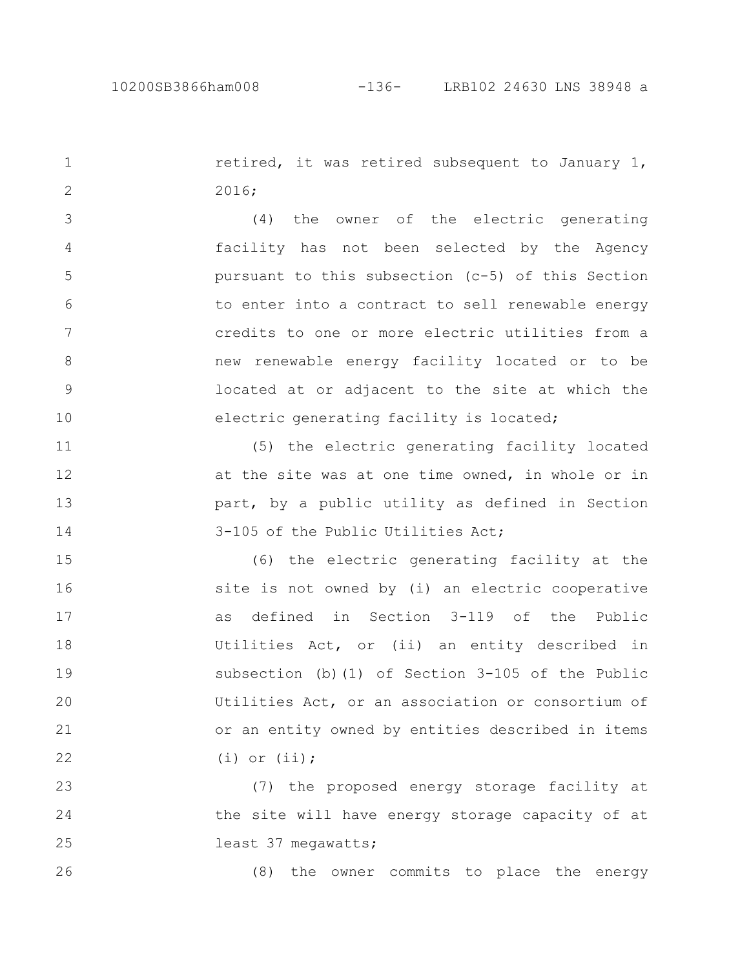15

16

17

18

19

20

21

22

26

retired, it was retired subsequent to January 1, 2016; 1 2

(4) the owner of the electric generating facility has not been selected by the Agency pursuant to this subsection (c-5) of this Section to enter into a contract to sell renewable energy credits to one or more electric utilities from a new renewable energy facility located or to be located at or adjacent to the site at which the electric generating facility is located; 3 4 5 6 7 8 9 10

(5) the electric generating facility located at the site was at one time owned, in whole or in part, by a public utility as defined in Section 3-105 of the Public Utilities Act; 11 12 13 14

(6) the electric generating facility at the site is not owned by (i) an electric cooperative as defined in Section 3-119 of the Public Utilities Act, or (ii) an entity described in subsection (b)(1) of Section 3-105 of the Public Utilities Act, or an association or consortium of or an entity owned by entities described in items  $(i)$  or  $(ii)$ ;

(7) the proposed energy storage facility at the site will have energy storage capacity of at least 37 megawatts; 23 24 25

(8) the owner commits to place the energy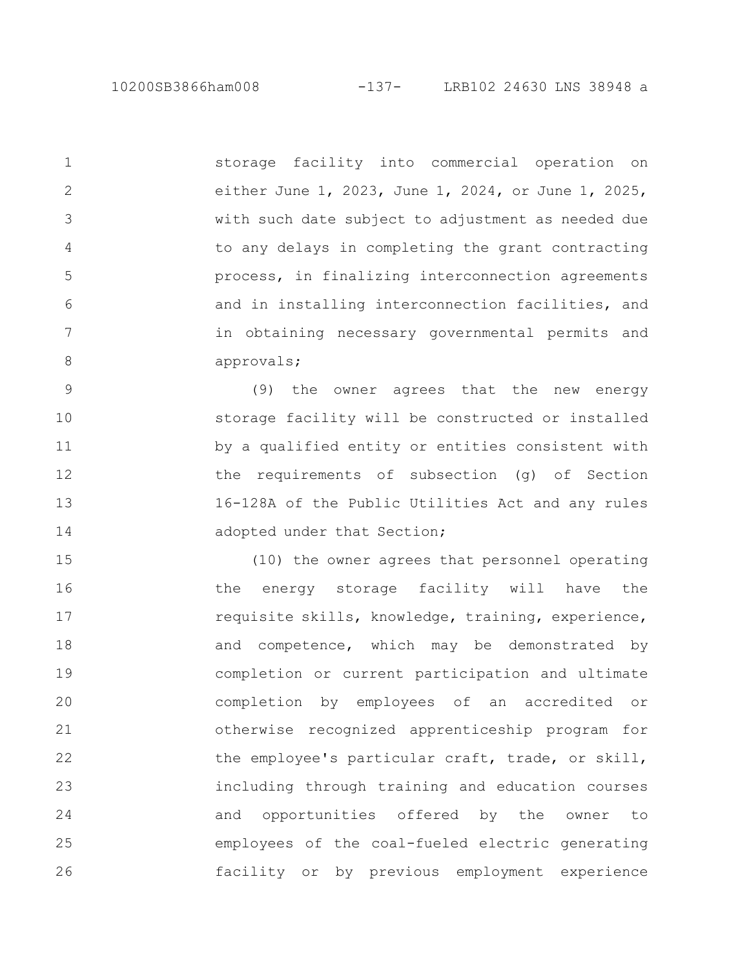1

2

3

4

5

6

7

8

storage facility into commercial operation on either June 1, 2023, June 1, 2024, or June 1, 2025, with such date subject to adjustment as needed due to any delays in completing the grant contracting process, in finalizing interconnection agreements and in installing interconnection facilities, and in obtaining necessary governmental permits and approvals;

(9) the owner agrees that the new energy storage facility will be constructed or installed by a qualified entity or entities consistent with the requirements of subsection (g) of Section 16-128A of the Public Utilities Act and any rules adopted under that Section; 9 10 11 12 13 14

(10) the owner agrees that personnel operating the energy storage facility will have the requisite skills, knowledge, training, experience, and competence, which may be demonstrated by completion or current participation and ultimate completion by employees of an accredited or otherwise recognized apprenticeship program for the employee's particular craft, trade, or skill, including through training and education courses and opportunities offered by the owner to employees of the coal-fueled electric generating facility or by previous employment experience 15 16 17 18 19 20 21 22 23 24 25 26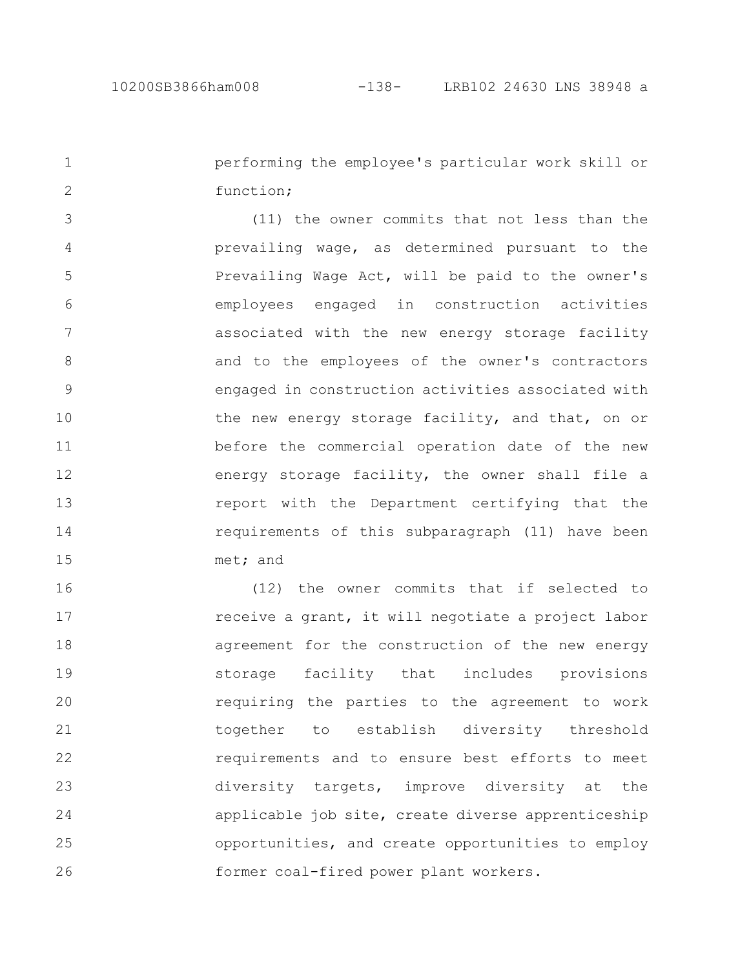performing the employee's particular work skill or function; 1 2

(11) the owner commits that not less than the prevailing wage, as determined pursuant to the Prevailing Wage Act, will be paid to the owner's employees engaged in construction activities associated with the new energy storage facility and to the employees of the owner's contractors engaged in construction activities associated with the new energy storage facility, and that, on or before the commercial operation date of the new energy storage facility, the owner shall file a report with the Department certifying that the requirements of this subparagraph (11) have been met; and 3 4 5 6 7 8 9 10 11 12 13 14 15

(12) the owner commits that if selected to receive a grant, it will negotiate a project labor agreement for the construction of the new energy storage facility that includes provisions requiring the parties to the agreement to work together to establish diversity threshold requirements and to ensure best efforts to meet diversity targets, improve diversity at the applicable job site, create diverse apprenticeship opportunities, and create opportunities to employ former coal-fired power plant workers. 16 17 18 19 20 21 22 23 24 25 26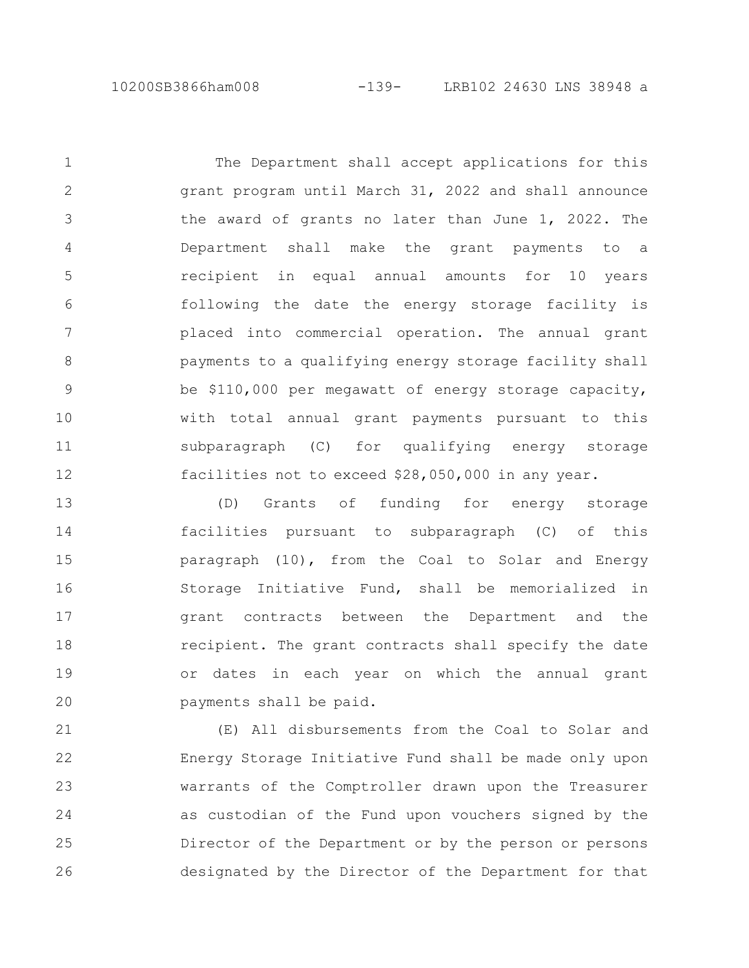The Department shall accept applications for this grant program until March 31, 2022 and shall announce the award of grants no later than June 1, 2022. The Department shall make the grant payments to a recipient in equal annual amounts for 10 years following the date the energy storage facility is placed into commercial operation. The annual grant payments to a qualifying energy storage facility shall be \$110,000 per megawatt of energy storage capacity, with total annual grant payments pursuant to this subparagraph (C) for qualifying energy storage facilities not to exceed \$28,050,000 in any year. 1 2 3 4 5 6 7 8 9 10 11 12

(D) Grants of funding for energy storage facilities pursuant to subparagraph (C) of this paragraph (10), from the Coal to Solar and Energy Storage Initiative Fund, shall be memorialized in grant contracts between the Department and the recipient. The grant contracts shall specify the date or dates in each year on which the annual grant payments shall be paid. 13 14 15 16 17 18 19 20

(E) All disbursements from the Coal to Solar and Energy Storage Initiative Fund shall be made only upon warrants of the Comptroller drawn upon the Treasurer as custodian of the Fund upon vouchers signed by the Director of the Department or by the person or persons designated by the Director of the Department for that 21 22 23 24 25 26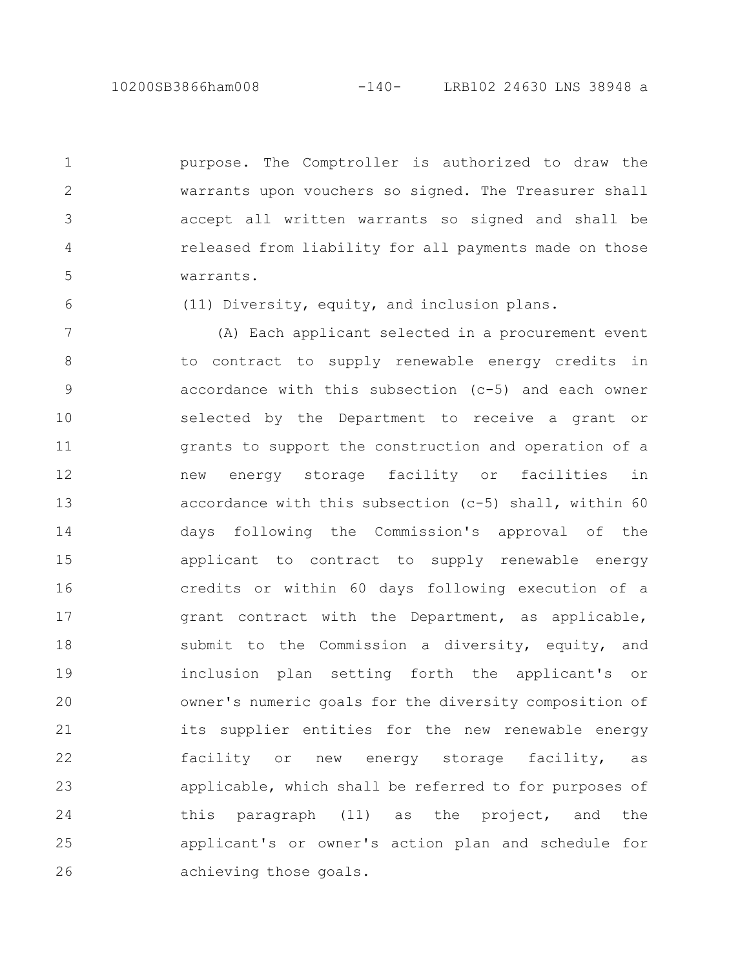6

purpose. The Comptroller is authorized to draw the warrants upon vouchers so signed. The Treasurer shall accept all written warrants so signed and shall be released from liability for all payments made on those warrants. 1 2 3 4 5

(11) Diversity, equity, and inclusion plans.

(A) Each applicant selected in a procurement event to contract to supply renewable energy credits in accordance with this subsection (c-5) and each owner selected by the Department to receive a grant or grants to support the construction and operation of a new energy storage facility or facilities in accordance with this subsection (c-5) shall, within 60 days following the Commission's approval of the applicant to contract to supply renewable energy credits or within 60 days following execution of a grant contract with the Department, as applicable, submit to the Commission a diversity, equity, and inclusion plan setting forth the applicant's or owner's numeric goals for the diversity composition of its supplier entities for the new renewable energy facility or new energy storage facility, as applicable, which shall be referred to for purposes of this paragraph (11) as the project, and the applicant's or owner's action plan and schedule for achieving those goals. 7 8 9 10 11 12 13 14 15 16 17 18 19 20 21 22 23 24 25 26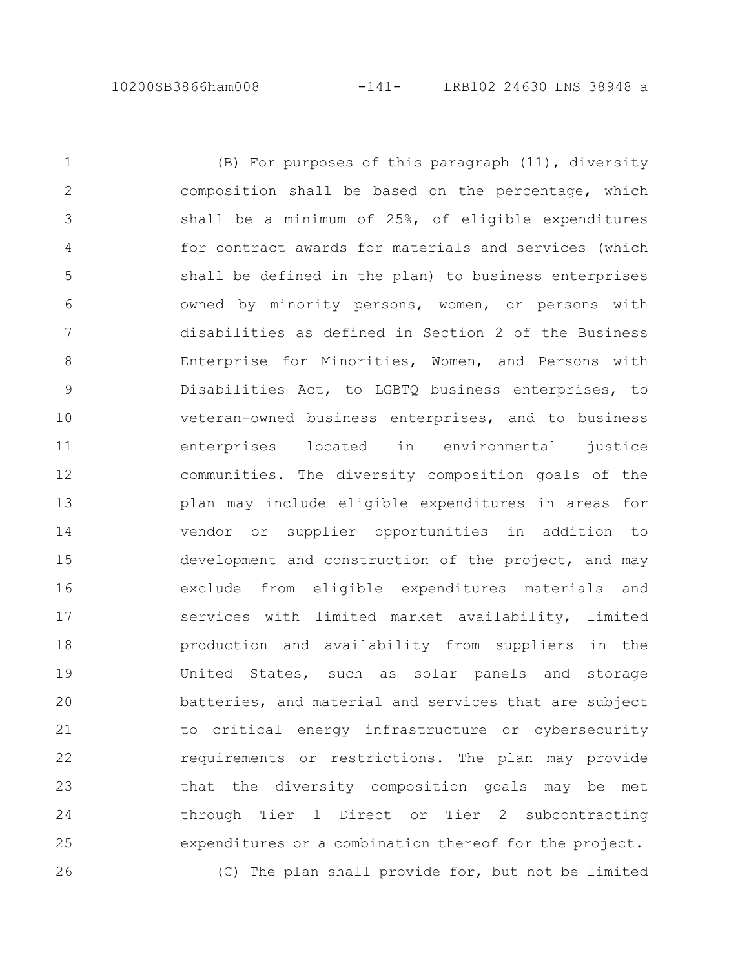(B) For purposes of this paragraph (11), diversity composition shall be based on the percentage, which shall be a minimum of 25%, of eligible expenditures for contract awards for materials and services (which shall be defined in the plan) to business enterprises owned by minority persons, women, or persons with disabilities as defined in Section 2 of the Business Enterprise for Minorities, Women, and Persons with Disabilities Act, to LGBTQ business enterprises, to veteran-owned business enterprises, and to business enterprises located in environmental justice communities. The diversity composition goals of the plan may include eligible expenditures in areas for vendor or supplier opportunities in addition to development and construction of the project, and may exclude from eligible expenditures materials and services with limited market availability, limited production and availability from suppliers in the United States, such as solar panels and storage batteries, and material and services that are subject to critical energy infrastructure or cybersecurity requirements or restrictions. The plan may provide that the diversity composition goals may be met through Tier 1 Direct or Tier 2 subcontracting expenditures or a combination thereof for the project. (C) The plan shall provide for, but not be limited 1 2 3 4 5 6 7 8 9 10 11 12 13 14 15 16 17 18 19 20 21 22 23 24 25 26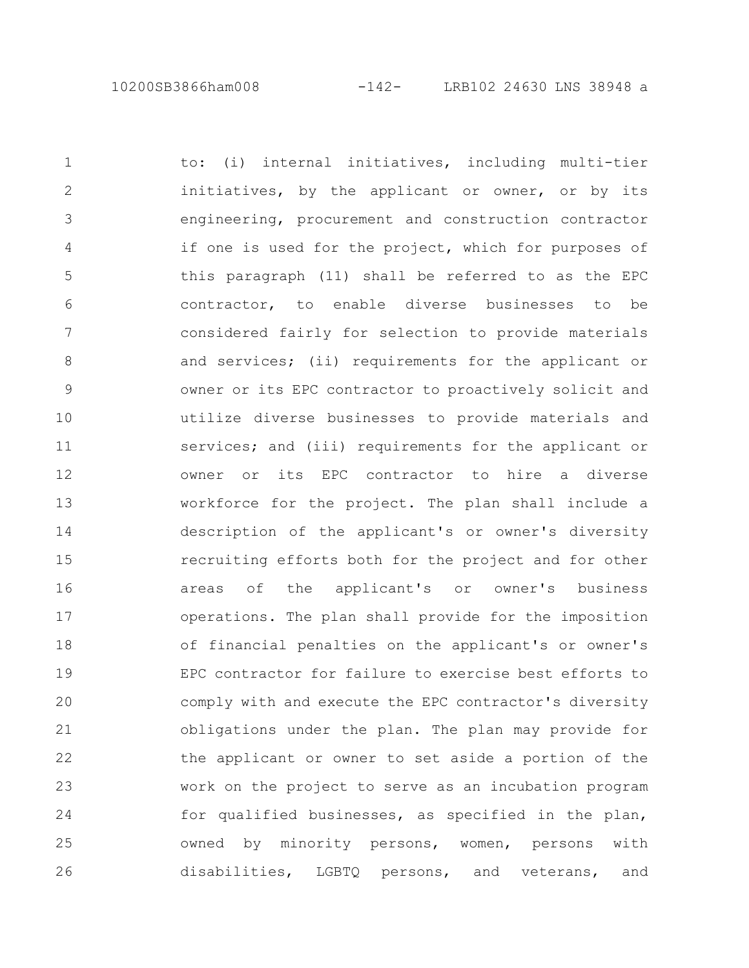10200SB3866ham008 -142- LRB102 24630 LNS 38948 a

to: (i) internal initiatives, including multi-tier initiatives, by the applicant or owner, or by its engineering, procurement and construction contractor if one is used for the project, which for purposes of this paragraph (11) shall be referred to as the EPC contractor, to enable diverse businesses to be considered fairly for selection to provide materials and services; (ii) requirements for the applicant or owner or its EPC contractor to proactively solicit and utilize diverse businesses to provide materials and services; and (iii) requirements for the applicant or owner or its EPC contractor to hire a diverse workforce for the project. The plan shall include a description of the applicant's or owner's diversity recruiting efforts both for the project and for other areas of the applicant's or owner's business operations. The plan shall provide for the imposition of financial penalties on the applicant's or owner's EPC contractor for failure to exercise best efforts to comply with and execute the EPC contractor's diversity obligations under the plan. The plan may provide for the applicant or owner to set aside a portion of the work on the project to serve as an incubation program for qualified businesses, as specified in the plan, owned by minority persons, women, persons with disabilities, LGBTQ persons, and veterans, and 1 2 3 4 5 6 7 8 9 10 11 12 13 14 15 16 17 18 19 20 21 22 23 24 25 26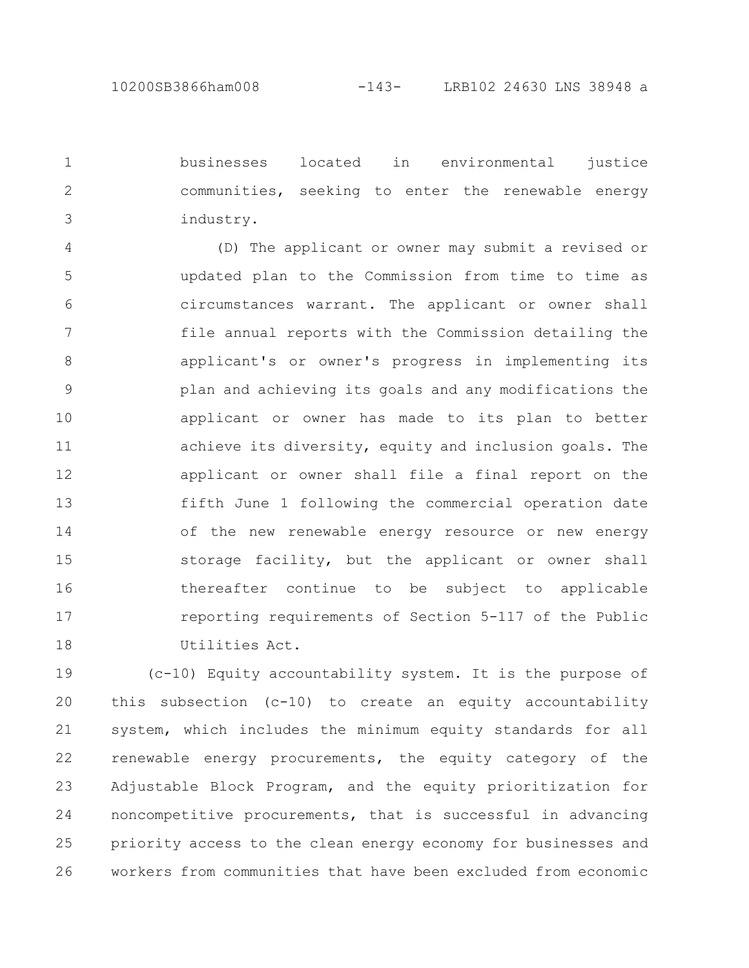businesses located in environmental justice communities, seeking to enter the renewable energy industry. 1 2 3

(D) The applicant or owner may submit a revised or updated plan to the Commission from time to time as circumstances warrant. The applicant or owner shall file annual reports with the Commission detailing the applicant's or owner's progress in implementing its plan and achieving its goals and any modifications the applicant or owner has made to its plan to better achieve its diversity, equity and inclusion goals. The applicant or owner shall file a final report on the fifth June 1 following the commercial operation date of the new renewable energy resource or new energy storage facility, but the applicant or owner shall thereafter continue to be subject to applicable reporting requirements of Section 5-117 of the Public Utilities Act. 4 5 6 7 8 9 10 11 12 13 14 15 16 17 18

(c-10) Equity accountability system. It is the purpose of this subsection (c-10) to create an equity accountability system, which includes the minimum equity standards for all renewable energy procurements, the equity category of the Adjustable Block Program, and the equity prioritization for noncompetitive procurements, that is successful in advancing priority access to the clean energy economy for businesses and workers from communities that have been excluded from economic 19 20 21 22 23 24 25 26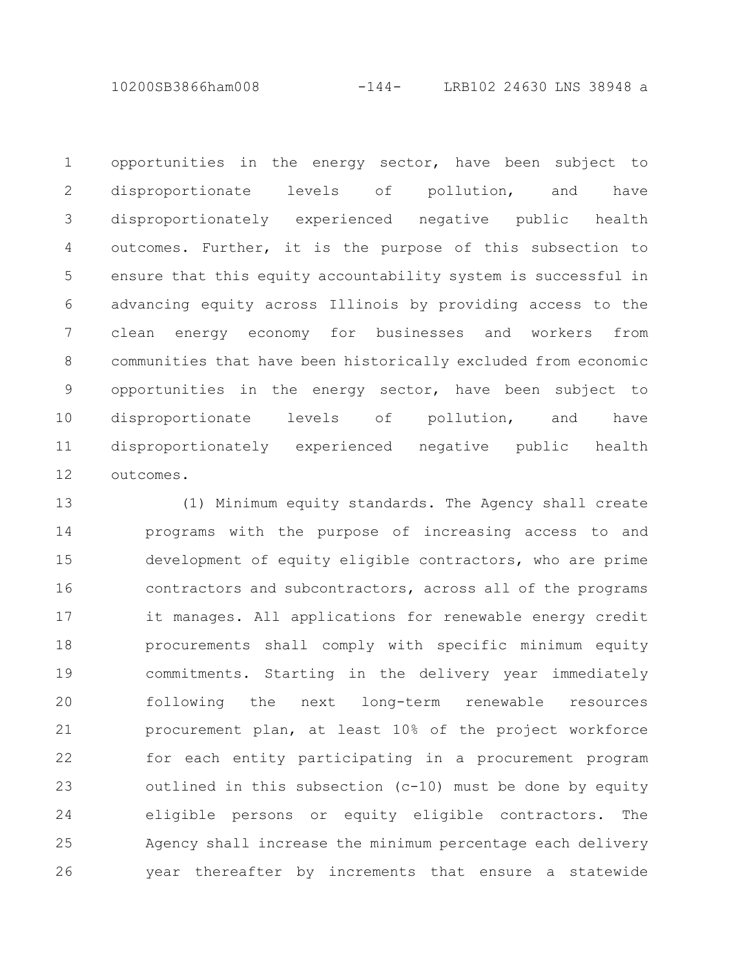10200SB3866ham008 -144- LRB102 24630 LNS 38948 a

opportunities in the energy sector, have been subject to disproportionate levels of pollution, and have disproportionately experienced negative public health outcomes. Further, it is the purpose of this subsection to ensure that this equity accountability system is successful in advancing equity across Illinois by providing access to the clean energy economy for businesses and workers from communities that have been historically excluded from economic opportunities in the energy sector, have been subject to disproportionate levels of pollution, and have disproportionately experienced negative public health outcomes. 1 2 3 4 5 6 7 8 9 10 11 12

(1) Minimum equity standards. The Agency shall create programs with the purpose of increasing access to and development of equity eligible contractors, who are prime contractors and subcontractors, across all of the programs it manages. All applications for renewable energy credit procurements shall comply with specific minimum equity commitments. Starting in the delivery year immediately following the next long-term renewable resources procurement plan, at least 10% of the project workforce for each entity participating in a procurement program outlined in this subsection (c-10) must be done by equity eligible persons or equity eligible contractors. The Agency shall increase the minimum percentage each delivery year thereafter by increments that ensure a statewide 13 14 15 16 17 18 19 20 21 22 23 24 25 26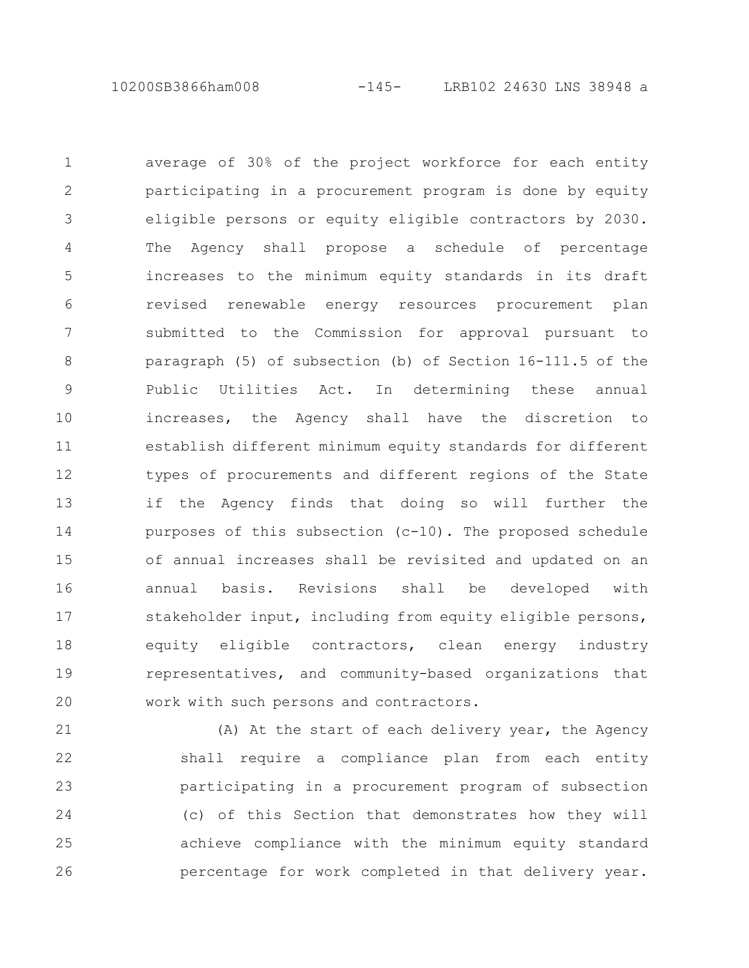10200SB3866ham008 -145- LRB102 24630 LNS 38948 a

average of 30% of the project workforce for each entity participating in a procurement program is done by equity eligible persons or equity eligible contractors by 2030. The Agency shall propose a schedule of percentage increases to the minimum equity standards in its draft revised renewable energy resources procurement plan submitted to the Commission for approval pursuant to paragraph (5) of subsection (b) of Section 16-111.5 of the Public Utilities Act. In determining these annual increases, the Agency shall have the discretion to establish different minimum equity standards for different types of procurements and different regions of the State if the Agency finds that doing so will further the purposes of this subsection (c-10). The proposed schedule of annual increases shall be revisited and updated on an annual basis. Revisions shall be developed with stakeholder input, including from equity eligible persons, equity eligible contractors, clean energy industry representatives, and community-based organizations that work with such persons and contractors. 1 2 3 4 5 6 7 8 9 10 11 12 13 14 15 16 17 18 19 20

(A) At the start of each delivery year, the Agency shall require a compliance plan from each entity participating in a procurement program of subsection (c) of this Section that demonstrates how they will achieve compliance with the minimum equity standard percentage for work completed in that delivery year. 21 22 23 24 25 26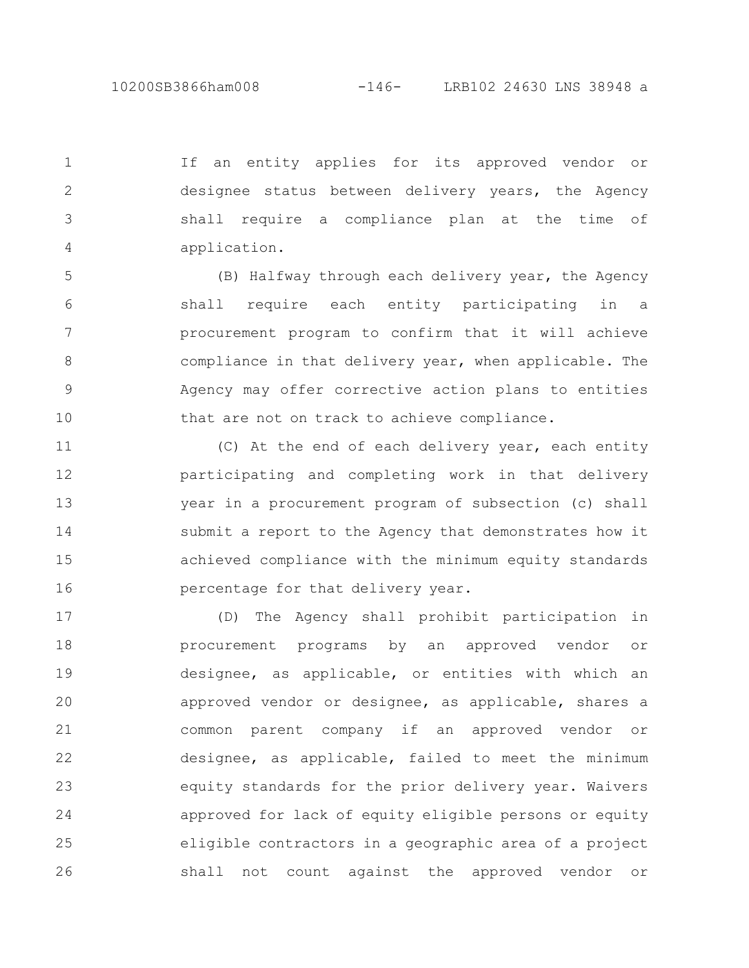If an entity applies for its approved vendor or designee status between delivery years, the Agency shall require a compliance plan at the time of application. 1 2 3 4

(B) Halfway through each delivery year, the Agency shall require each entity participating in a procurement program to confirm that it will achieve compliance in that delivery year, when applicable. The Agency may offer corrective action plans to entities that are not on track to achieve compliance. 5 6 7 8 9 10

(C) At the end of each delivery year, each entity participating and completing work in that delivery year in a procurement program of subsection (c) shall submit a report to the Agency that demonstrates how it achieved compliance with the minimum equity standards percentage for that delivery year. 11 12 13 14 15 16

(D) The Agency shall prohibit participation in procurement programs by an approved vendor or designee, as applicable, or entities with which an approved vendor or designee, as applicable, shares a common parent company if an approved vendor or designee, as applicable, failed to meet the minimum equity standards for the prior delivery year. Waivers approved for lack of equity eligible persons or equity eligible contractors in a geographic area of a project shall not count against the approved vendor or 17 18 19 20 21 22 23 24 25 26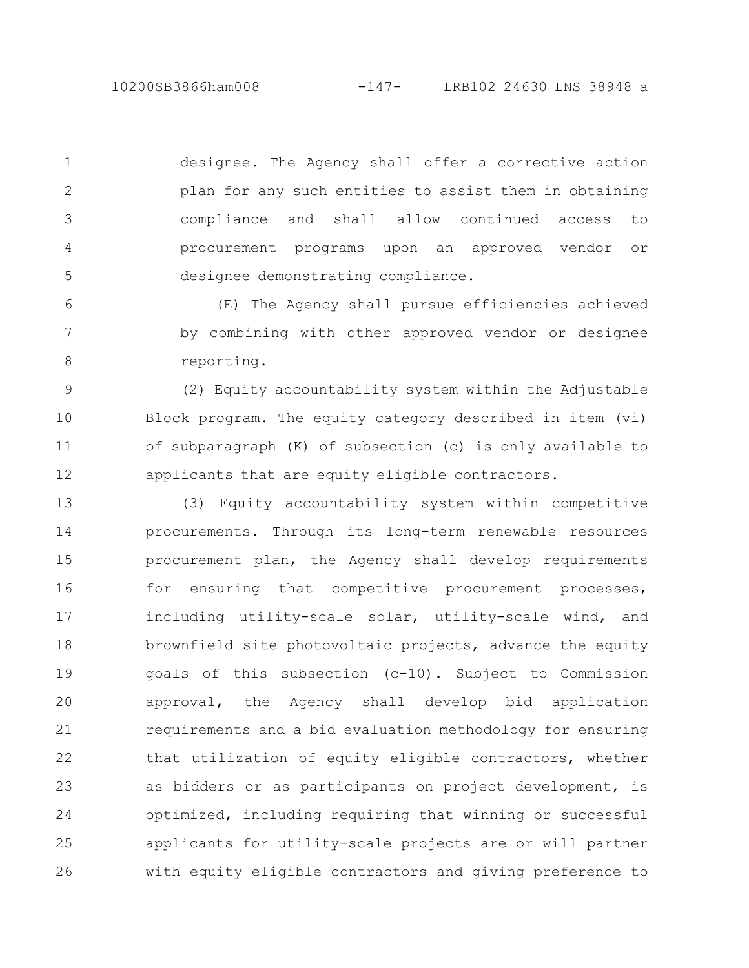10200SB3866ham008 -147- LRB102 24630 LNS 38948 a

1

2

3

4

5

designee. The Agency shall offer a corrective action plan for any such entities to assist them in obtaining compliance and shall allow continued access to procurement programs upon an approved vendor or designee demonstrating compliance.

(E) The Agency shall pursue efficiencies achieved by combining with other approved vendor or designee reporting. 6 7 8

(2) Equity accountability system within the Adjustable Block program. The equity category described in item (vi) of subparagraph (K) of subsection (c) is only available to applicants that are equity eligible contractors. 9 10 11 12

(3) Equity accountability system within competitive procurements. Through its long-term renewable resources procurement plan, the Agency shall develop requirements for ensuring that competitive procurement processes, including utility-scale solar, utility-scale wind, and brownfield site photovoltaic projects, advance the equity goals of this subsection (c-10). Subject to Commission approval, the Agency shall develop bid application requirements and a bid evaluation methodology for ensuring that utilization of equity eligible contractors, whether as bidders or as participants on project development, is optimized, including requiring that winning or successful applicants for utility-scale projects are or will partner with equity eligible contractors and giving preference to 13 14 15 16 17 18 19 20 21 22 23 24 25 26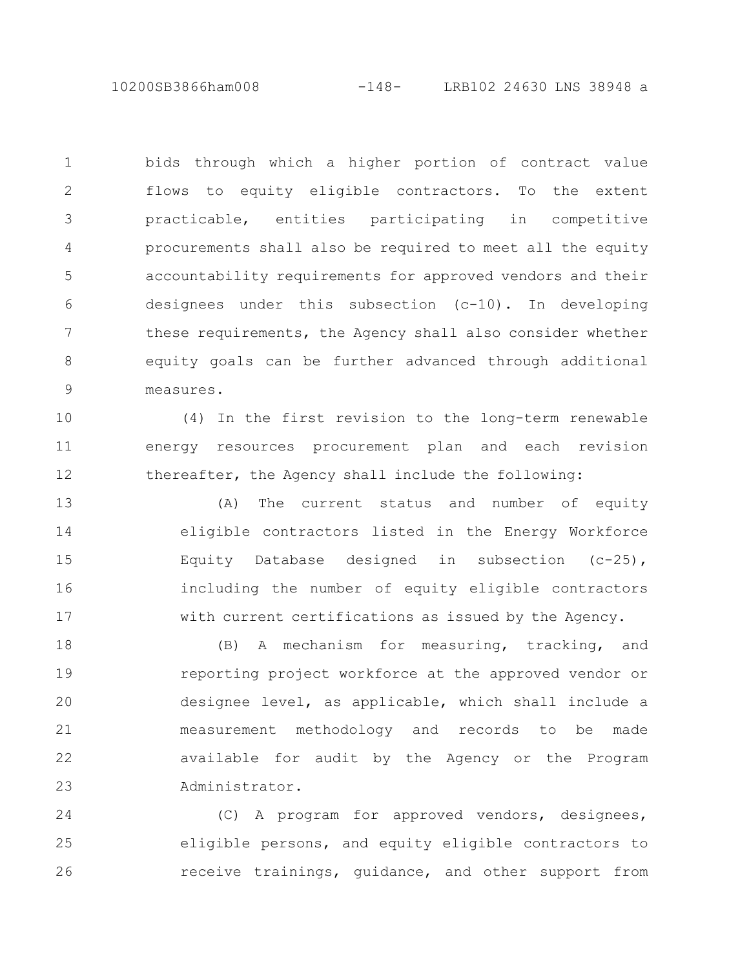10200SB3866ham008 -148- LRB102 24630 LNS 38948 a

bids through which a higher portion of contract value flows to equity eligible contractors. To the extent practicable, entities participating in competitive procurements shall also be required to meet all the equity accountability requirements for approved vendors and their designees under this subsection (c-10). In developing these requirements, the Agency shall also consider whether equity goals can be further advanced through additional measures. 1 2 3 4 5 6 7 8 9

(4) In the first revision to the long-term renewable energy resources procurement plan and each revision thereafter, the Agency shall include the following: 10 11 12

(A) The current status and number of equity eligible contractors listed in the Energy Workforce Equity Database designed in subsection  $(c-25)$ , including the number of equity eligible contractors with current certifications as issued by the Agency. 13 14 15 16 17

(B) A mechanism for measuring, tracking, and reporting project workforce at the approved vendor or designee level, as applicable, which shall include a measurement methodology and records to be made available for audit by the Agency or the Program Administrator. 18 19 20 21 22 23

(C) A program for approved vendors, designees, eligible persons, and equity eligible contractors to receive trainings, guidance, and other support from 24 25 26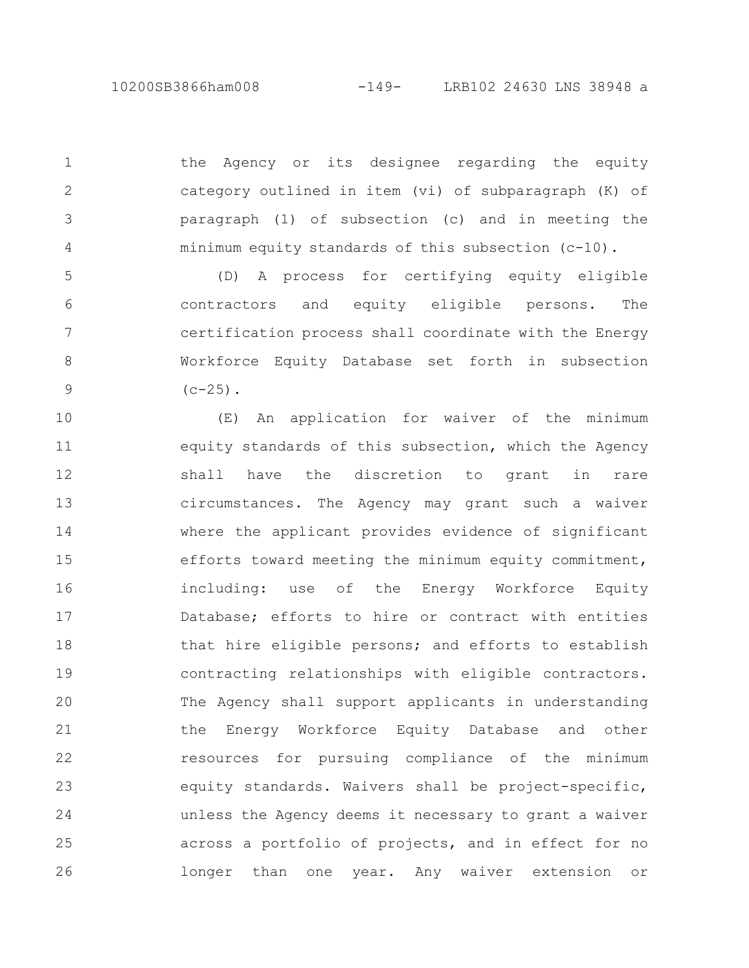1

2

3

4

the Agency or its designee regarding the equity category outlined in item (vi) of subparagraph (K) of paragraph (1) of subsection (c) and in meeting the minimum equity standards of this subsection (c-10).

(D) A process for certifying equity eligible contractors and equity eligible persons. The certification process shall coordinate with the Energy Workforce Equity Database set forth in subsection  $(c-25)$ . 5 6 7 8 9

(E) An application for waiver of the minimum equity standards of this subsection, which the Agency shall have the discretion to grant in rare circumstances. The Agency may grant such a waiver where the applicant provides evidence of significant efforts toward meeting the minimum equity commitment, including: use of the Energy Workforce Equity Database; efforts to hire or contract with entities that hire eligible persons; and efforts to establish contracting relationships with eligible contractors. The Agency shall support applicants in understanding the Energy Workforce Equity Database and other resources for pursuing compliance of the minimum equity standards. Waivers shall be project-specific, unless the Agency deems it necessary to grant a waiver across a portfolio of projects, and in effect for no longer than one year. Any waiver extension or 10 11 12 13 14 15 16 17 18 19 20 21 22 23 24 25 26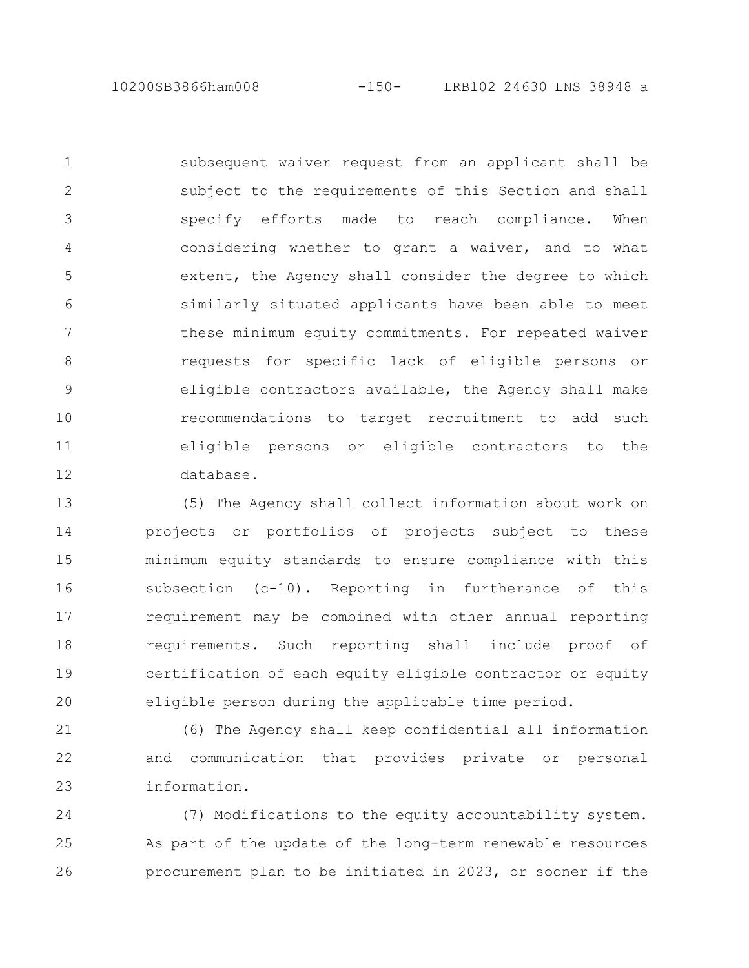10200SB3866ham008 -150- LRB102 24630 LNS 38948 a

subsequent waiver request from an applicant shall be subject to the requirements of this Section and shall specify efforts made to reach compliance. When considering whether to grant a waiver, and to what extent, the Agency shall consider the degree to which similarly situated applicants have been able to meet these minimum equity commitments. For repeated waiver requests for specific lack of eligible persons or eligible contractors available, the Agency shall make recommendations to target recruitment to add such eligible persons or eligible contractors to the database. 1 2 3 4 5 6 7 8 9 10 11 12

(5) The Agency shall collect information about work on projects or portfolios of projects subject to these minimum equity standards to ensure compliance with this subsection (c-10). Reporting in furtherance of this requirement may be combined with other annual reporting requirements. Such reporting shall include proof of certification of each equity eligible contractor or equity eligible person during the applicable time period. 13 14 15 16 17 18 19 20

(6) The Agency shall keep confidential all information and communication that provides private or personal information. 21 22 23

(7) Modifications to the equity accountability system. As part of the update of the long-term renewable resources procurement plan to be initiated in 2023, or sooner if the 24 25 26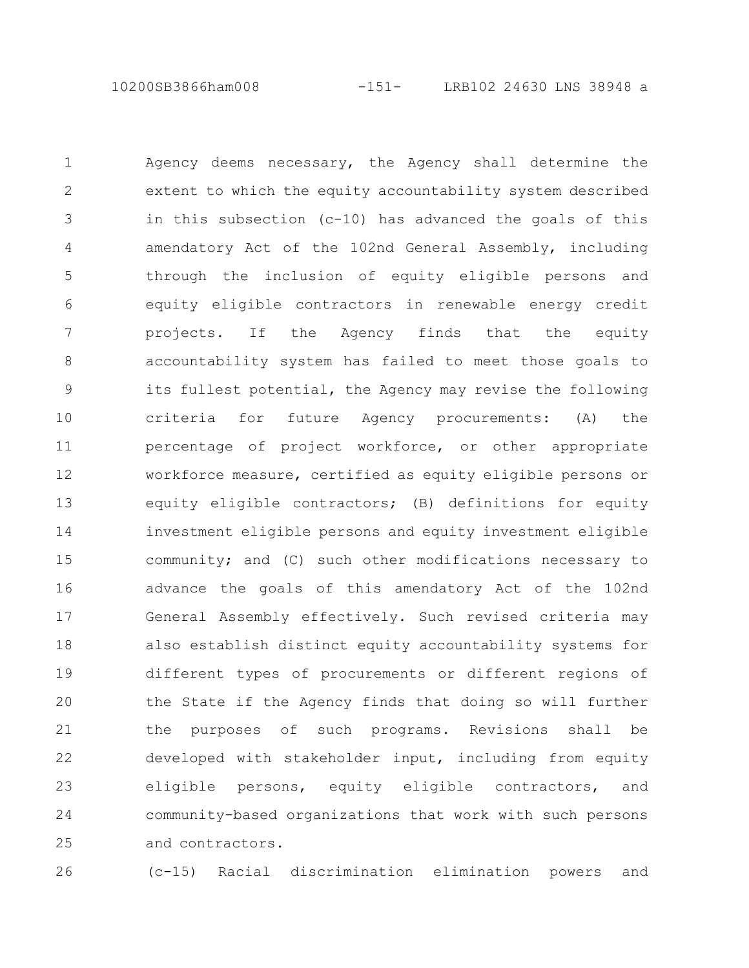Agency deems necessary, the Agency shall determine the extent to which the equity accountability system described in this subsection (c-10) has advanced the goals of this amendatory Act of the 102nd General Assembly, including through the inclusion of equity eligible persons and equity eligible contractors in renewable energy credit projects. If the Agency finds that the equity accountability system has failed to meet those goals to its fullest potential, the Agency may revise the following criteria for future Agency procurements: (A) the percentage of project workforce, or other appropriate workforce measure, certified as equity eligible persons or equity eligible contractors; (B) definitions for equity investment eligible persons and equity investment eligible community; and (C) such other modifications necessary to advance the goals of this amendatory Act of the 102nd General Assembly effectively. Such revised criteria may also establish distinct equity accountability systems for different types of procurements or different regions of the State if the Agency finds that doing so will further the purposes of such programs. Revisions shall be developed with stakeholder input, including from equity eligible persons, equity eligible contractors, and community-based organizations that work with such persons and contractors. 1 2 3 4 5 6 7 8 9 10 11 12 13 14 15 16 17 18 19 20 21 22 23 24 25

26

(c-15) Racial discrimination elimination powers and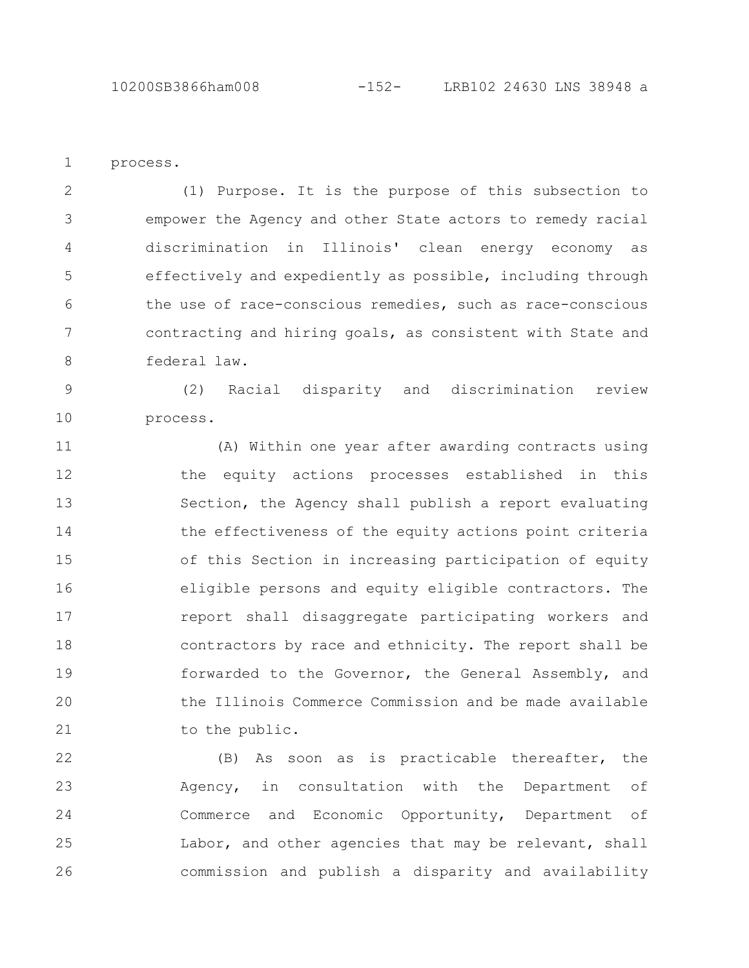process. 1

(1) Purpose. It is the purpose of this subsection to empower the Agency and other State actors to remedy racial discrimination in Illinois' clean energy economy as effectively and expediently as possible, including through the use of race-conscious remedies, such as race-conscious contracting and hiring goals, as consistent with State and federal law. 2 3 4 5 6 7 8

(2) Racial disparity and discrimination review process. 9 10

(A) Within one year after awarding contracts using the equity actions processes established in this Section, the Agency shall publish a report evaluating the effectiveness of the equity actions point criteria of this Section in increasing participation of equity eligible persons and equity eligible contractors. The report shall disaggregate participating workers and contractors by race and ethnicity. The report shall be forwarded to the Governor, the General Assembly, and the Illinois Commerce Commission and be made available to the public. 11 12 13 14 15 16 17 18 19 20 21

(B) As soon as is practicable thereafter, the Agency, in consultation with the Department of Commerce and Economic Opportunity, Department of Labor, and other agencies that may be relevant, shall commission and publish a disparity and availability 22 23 24 25 26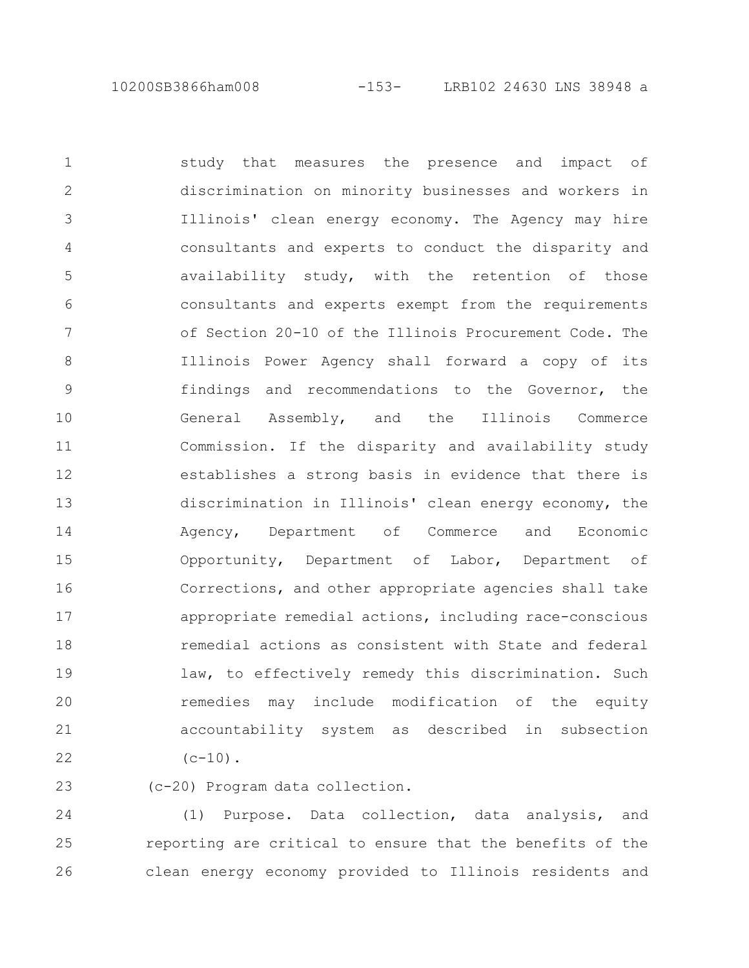10200SB3866ham008 -153- LRB102 24630 LNS 38948 a

study that measures the presence and impact of discrimination on minority businesses and workers in Illinois' clean energy economy. The Agency may hire consultants and experts to conduct the disparity and availability study, with the retention of those consultants and experts exempt from the requirements of Section 20-10 of the Illinois Procurement Code. The Illinois Power Agency shall forward a copy of its findings and recommendations to the Governor, the General Assembly, and the Illinois Commerce Commission. If the disparity and availability study establishes a strong basis in evidence that there is discrimination in Illinois' clean energy economy, the Agency, Department of Commerce and Economic Opportunity, Department of Labor, Department of Corrections, and other appropriate agencies shall take appropriate remedial actions, including race-conscious remedial actions as consistent with State and federal law, to effectively remedy this discrimination. Such remedies may include modification of the equity accountability system as described in subsection  $(c-10)$ . 1 2 3 4 5 6 7 8 9 10 11 12 13 14 15 16 17 18 19 20 21 22

(c-20) Program data collection. 23

(1) Purpose. Data collection, data analysis, and reporting are critical to ensure that the benefits of the clean energy economy provided to Illinois residents and 24 25 26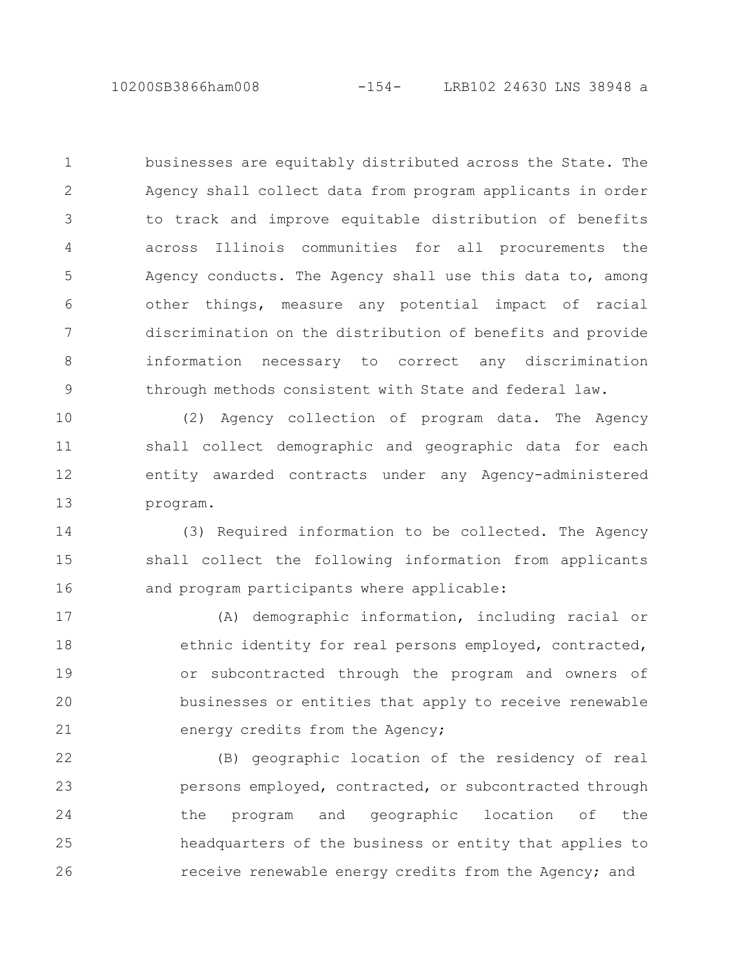10200SB3866ham008 -154- LRB102 24630 LNS 38948 a

businesses are equitably distributed across the State. The Agency shall collect data from program applicants in order to track and improve equitable distribution of benefits across Illinois communities for all procurements the Agency conducts. The Agency shall use this data to, among other things, measure any potential impact of racial discrimination on the distribution of benefits and provide information necessary to correct any discrimination through methods consistent with State and federal law. 1 2 3 4 5 6 7 8 9

(2) Agency collection of program data. The Agency shall collect demographic and geographic data for each entity awarded contracts under any Agency-administered program. 10 11 12 13

(3) Required information to be collected. The Agency shall collect the following information from applicants and program participants where applicable: 14 15 16

(A) demographic information, including racial or ethnic identity for real persons employed, contracted, or subcontracted through the program and owners of businesses or entities that apply to receive renewable energy credits from the Agency; 17 18 19 20 21

(B) geographic location of the residency of real persons employed, contracted, or subcontracted through the program and geographic location of the headquarters of the business or entity that applies to receive renewable energy credits from the Agency; and 22 23 24 25 26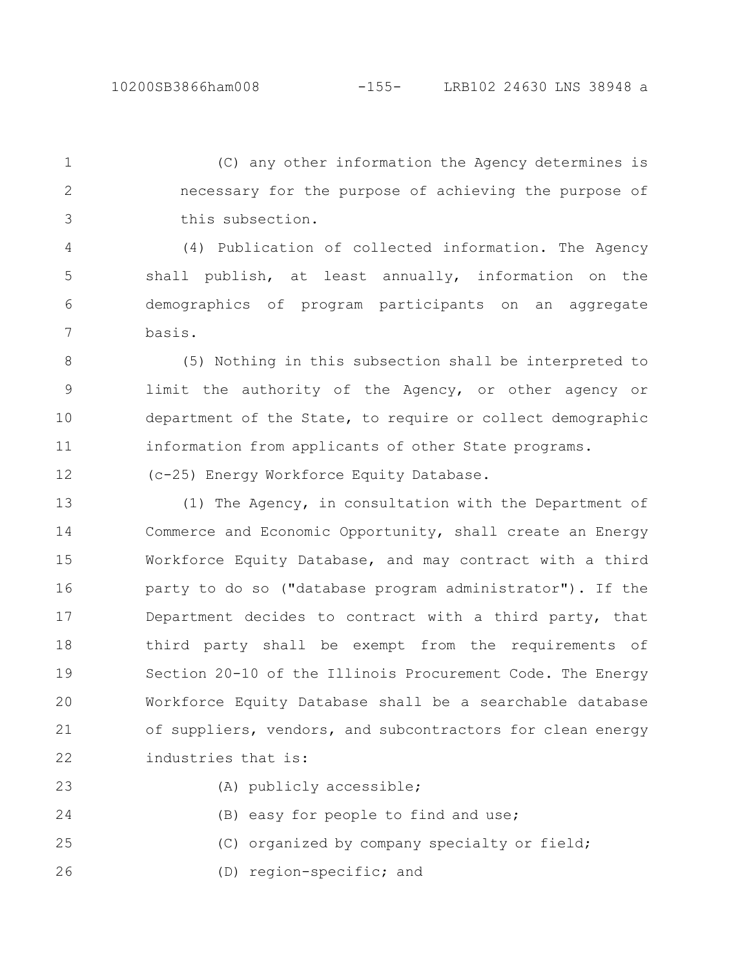(C) any other information the Agency determines is necessary for the purpose of achieving the purpose of this subsection. 1 2 3

(4) Publication of collected information. The Agency shall publish, at least annually, information on the demographics of program participants on an aggregate basis. 4 5 6 7

(5) Nothing in this subsection shall be interpreted to limit the authority of the Agency, or other agency or department of the State, to require or collect demographic information from applicants of other State programs. 8 9 10 11

(c-25) Energy Workforce Equity Database. 12

(1) The Agency, in consultation with the Department of Commerce and Economic Opportunity, shall create an Energy Workforce Equity Database, and may contract with a third party to do so ("database program administrator"). If the Department decides to contract with a third party, that third party shall be exempt from the requirements of Section 20-10 of the Illinois Procurement Code. The Energy Workforce Equity Database shall be a searchable database of suppliers, vendors, and subcontractors for clean energy industries that is: 13 14 15 16 17 18 19 20 21 22

23

24

(A) publicly accessible;

(B) easy for people to find and use;

- (C) organized by company specialty or field; 25
- (D) region-specific; and 26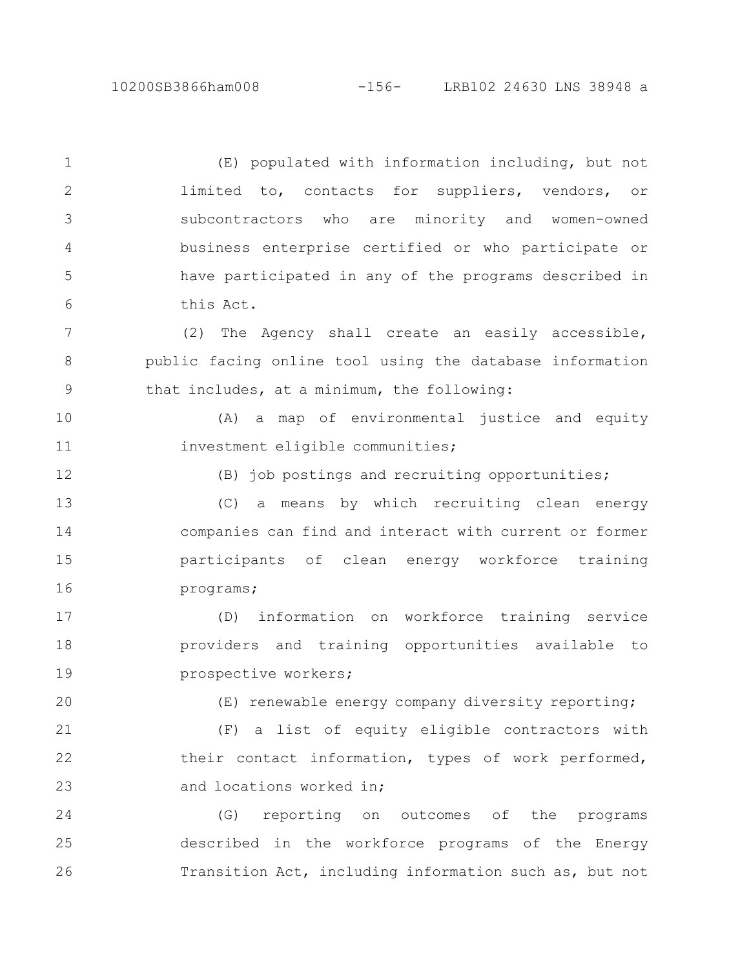10200SB3866ham008 -156- LRB102 24630 LNS 38948 a

(E) populated with information including, but not limited to, contacts for suppliers, vendors, or subcontractors who are minority and women-owned business enterprise certified or who participate or have participated in any of the programs described in this Act. (2) The Agency shall create an easily accessible, public facing online tool using the database information that includes, at a minimum, the following: (A) a map of environmental justice and equity investment eligible communities; (B) job postings and recruiting opportunities; (C) a means by which recruiting clean energy companies can find and interact with current or former participants of clean energy workforce training programs; (D) information on workforce training service providers and training opportunities available to prospective workers; (E) renewable energy company diversity reporting; (F) a list of equity eligible contractors with their contact information, types of work performed, and locations worked in; (G) reporting on outcomes of the programs described in the workforce programs of the Energy Transition Act, including information such as, but not 1 2 3 4 5 6 7 8 9 10 11 12 13 14 15 16 17 18 19 20 21 22 23 24 25 26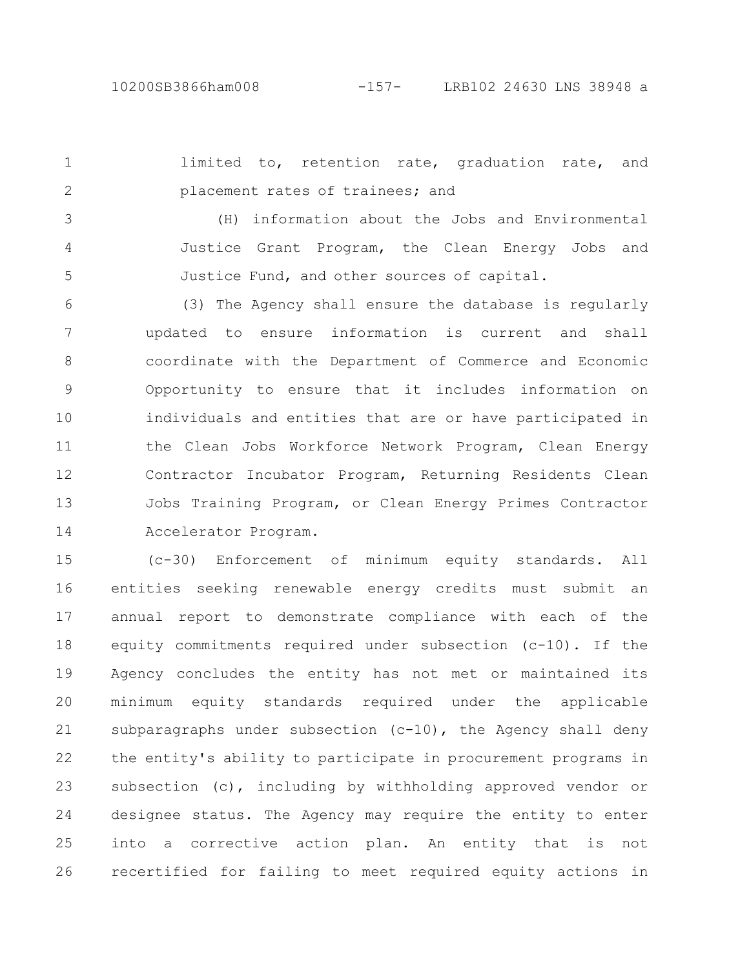limited to, retention rate, graduation rate, and placement rates of trainees; and 1 2

(H) information about the Jobs and Environmental Justice Grant Program, the Clean Energy Jobs and Justice Fund, and other sources of capital. 3 4 5

(3) The Agency shall ensure the database is regularly updated to ensure information is current and shall coordinate with the Department of Commerce and Economic Opportunity to ensure that it includes information on individuals and entities that are or have participated in the Clean Jobs Workforce Network Program, Clean Energy Contractor Incubator Program, Returning Residents Clean Jobs Training Program, or Clean Energy Primes Contractor Accelerator Program. 6 7 8 9 10 11 12 13 14

(c-30) Enforcement of minimum equity standards. All entities seeking renewable energy credits must submit an annual report to demonstrate compliance with each of the equity commitments required under subsection (c-10). If the Agency concludes the entity has not met or maintained its minimum equity standards required under the applicable subparagraphs under subsection (c-10), the Agency shall deny the entity's ability to participate in procurement programs in subsection (c), including by withholding approved vendor or designee status. The Agency may require the entity to enter into a corrective action plan. An entity that is not recertified for failing to meet required equity actions in 15 16 17 18 19 20 21 22 23 24 25 26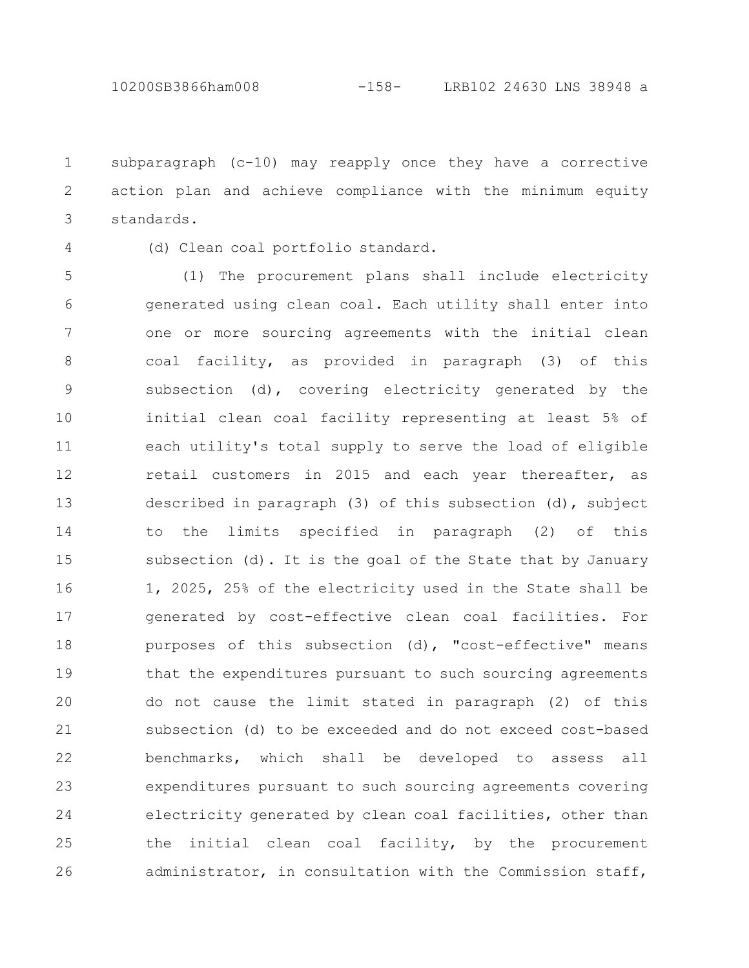subparagraph (c-10) may reapply once they have a corrective action plan and achieve compliance with the minimum equity standards. 1 2 3

4

(d) Clean coal portfolio standard.

(1) The procurement plans shall include electricity generated using clean coal. Each utility shall enter into one or more sourcing agreements with the initial clean coal facility, as provided in paragraph (3) of this subsection (d), covering electricity generated by the initial clean coal facility representing at least 5% of each utility's total supply to serve the load of eligible retail customers in 2015 and each year thereafter, as described in paragraph (3) of this subsection (d), subject to the limits specified in paragraph (2) of this subsection (d). It is the goal of the State that by January 1, 2025, 25% of the electricity used in the State shall be generated by cost-effective clean coal facilities. For purposes of this subsection (d), "cost-effective" means that the expenditures pursuant to such sourcing agreements do not cause the limit stated in paragraph (2) of this subsection (d) to be exceeded and do not exceed cost-based benchmarks, which shall be developed to assess all expenditures pursuant to such sourcing agreements covering electricity generated by clean coal facilities, other than the initial clean coal facility, by the procurement administrator, in consultation with the Commission staff, 5 6 7 8 9 10 11 12 13 14 15 16 17 18 19 20 21 22 23 24 25 26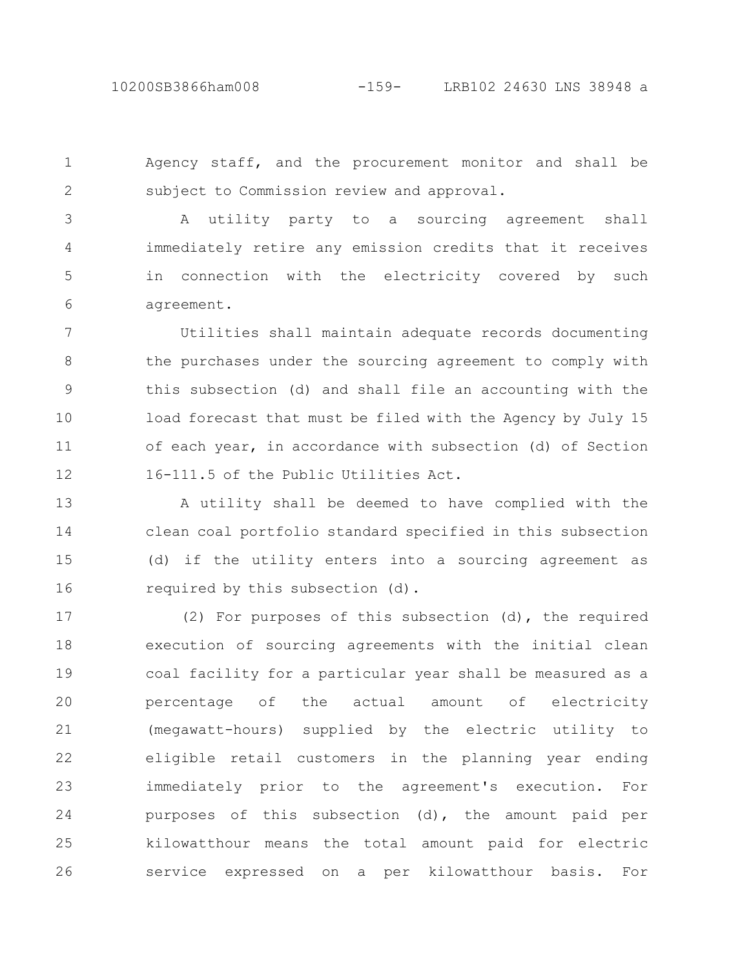Agency staff, and the procurement monitor and shall be subject to Commission review and approval. 1 2

A utility party to a sourcing agreement shall immediately retire any emission credits that it receives in connection with the electricity covered by such agreement. 3 4 5 6

Utilities shall maintain adequate records documenting the purchases under the sourcing agreement to comply with this subsection (d) and shall file an accounting with the load forecast that must be filed with the Agency by July 15 of each year, in accordance with subsection (d) of Section 16-111.5 of the Public Utilities Act. 7 8 9 10 11 12

A utility shall be deemed to have complied with the clean coal portfolio standard specified in this subsection (d) if the utility enters into a sourcing agreement as required by this subsection (d). 13 14 15 16

(2) For purposes of this subsection (d), the required execution of sourcing agreements with the initial clean coal facility for a particular year shall be measured as a percentage of the actual amount of electricity (megawatt-hours) supplied by the electric utility to eligible retail customers in the planning year ending immediately prior to the agreement's execution. For purposes of this subsection (d), the amount paid per kilowatthour means the total amount paid for electric service expressed on a per kilowatthour basis. For 17 18 19 20 21 22 23 24 25 26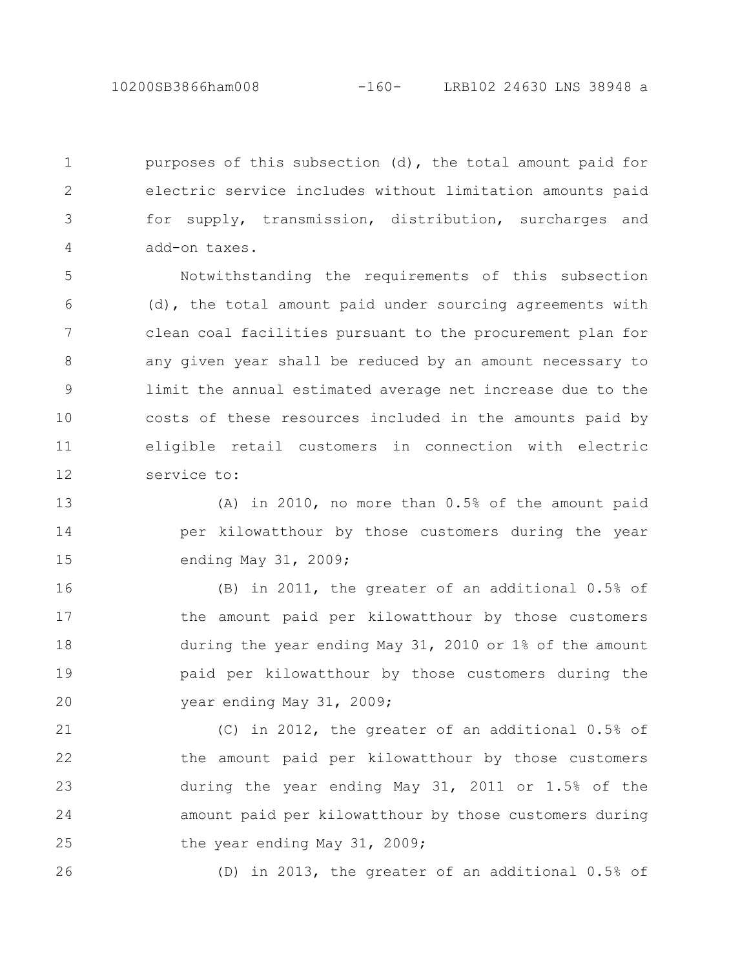purposes of this subsection (d), the total amount paid for electric service includes without limitation amounts paid for supply, transmission, distribution, surcharges and add-on taxes. 1 2 3 4

Notwithstanding the requirements of this subsection (d), the total amount paid under sourcing agreements with clean coal facilities pursuant to the procurement plan for any given year shall be reduced by an amount necessary to limit the annual estimated average net increase due to the costs of these resources included in the amounts paid by eligible retail customers in connection with electric service to: 5 6 7 8 9 10 11 12

(A) in 2010, no more than 0.5% of the amount paid per kilowatthour by those customers during the year ending May 31, 2009; 13 14 15

(B) in 2011, the greater of an additional 0.5% of the amount paid per kilowatthour by those customers during the year ending May 31, 2010 or 1% of the amount paid per kilowatthour by those customers during the year ending May 31, 2009; 16 17 18 19 20

(C) in 2012, the greater of an additional 0.5% of the amount paid per kilowatthour by those customers during the year ending May 31, 2011 or 1.5% of the amount paid per kilowatthour by those customers during the year ending May 31, 2009; 21 22 23 24 25

26

(D) in 2013, the greater of an additional 0.5% of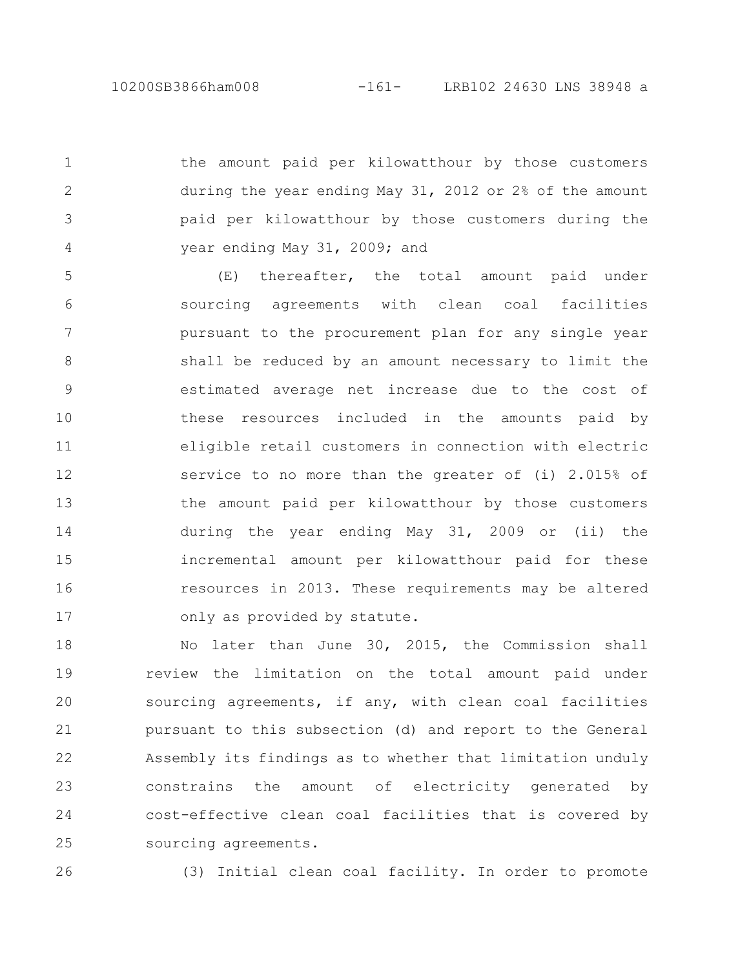the amount paid per kilowatthour by those customers during the year ending May 31, 2012 or 2% of the amount paid per kilowatthour by those customers during the year ending May 31, 2009; and 1 2 3 4

(E) thereafter, the total amount paid under sourcing agreements with clean coal facilities pursuant to the procurement plan for any single year shall be reduced by an amount necessary to limit the estimated average net increase due to the cost of these resources included in the amounts paid by eligible retail customers in connection with electric service to no more than the greater of (i) 2.015% of the amount paid per kilowatthour by those customers during the year ending May 31, 2009 or (ii) the incremental amount per kilowatthour paid for these resources in 2013. These requirements may be altered only as provided by statute. 5 6 7 8 9 10 11 12 13 14 15 16 17

No later than June 30, 2015, the Commission shall review the limitation on the total amount paid under sourcing agreements, if any, with clean coal facilities pursuant to this subsection (d) and report to the General Assembly its findings as to whether that limitation unduly constrains the amount of electricity generated by cost-effective clean coal facilities that is covered by sourcing agreements. 18 19 20 21 22 23 24 25

26

(3) Initial clean coal facility. In order to promote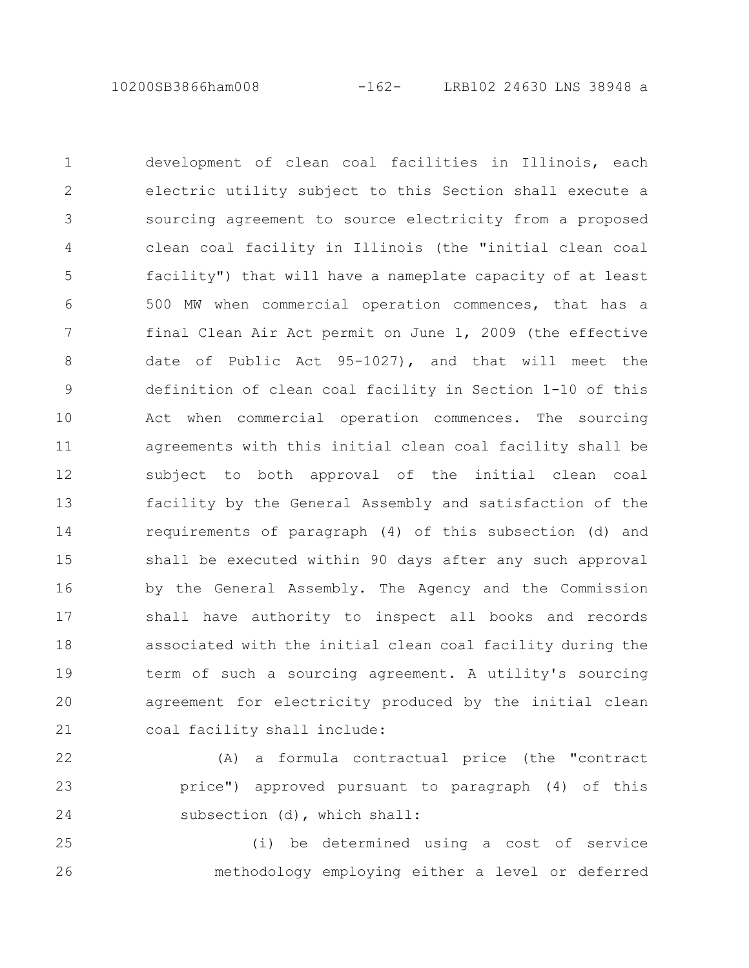10200SB3866ham008 -162- LRB102 24630 LNS 38948 a

development of clean coal facilities in Illinois, each electric utility subject to this Section shall execute a sourcing agreement to source electricity from a proposed clean coal facility in Illinois (the "initial clean coal facility") that will have a nameplate capacity of at least 500 MW when commercial operation commences, that has a final Clean Air Act permit on June 1, 2009 (the effective date of Public Act 95-1027), and that will meet the definition of clean coal facility in Section 1-10 of this Act when commercial operation commences. The sourcing agreements with this initial clean coal facility shall be subject to both approval of the initial clean coal facility by the General Assembly and satisfaction of the requirements of paragraph (4) of this subsection (d) and shall be executed within 90 days after any such approval by the General Assembly. The Agency and the Commission shall have authority to inspect all books and records associated with the initial clean coal facility during the term of such a sourcing agreement. A utility's sourcing agreement for electricity produced by the initial clean coal facility shall include: 1 2 3 4 5 6 7 8 9 10 11 12 13 14 15 16 17 18 19 20 21

(A) a formula contractual price (the "contract price") approved pursuant to paragraph (4) of this subsection (d), which shall: 22 23 24

(i) be determined using a cost of service methodology employing either a level or deferred 25 26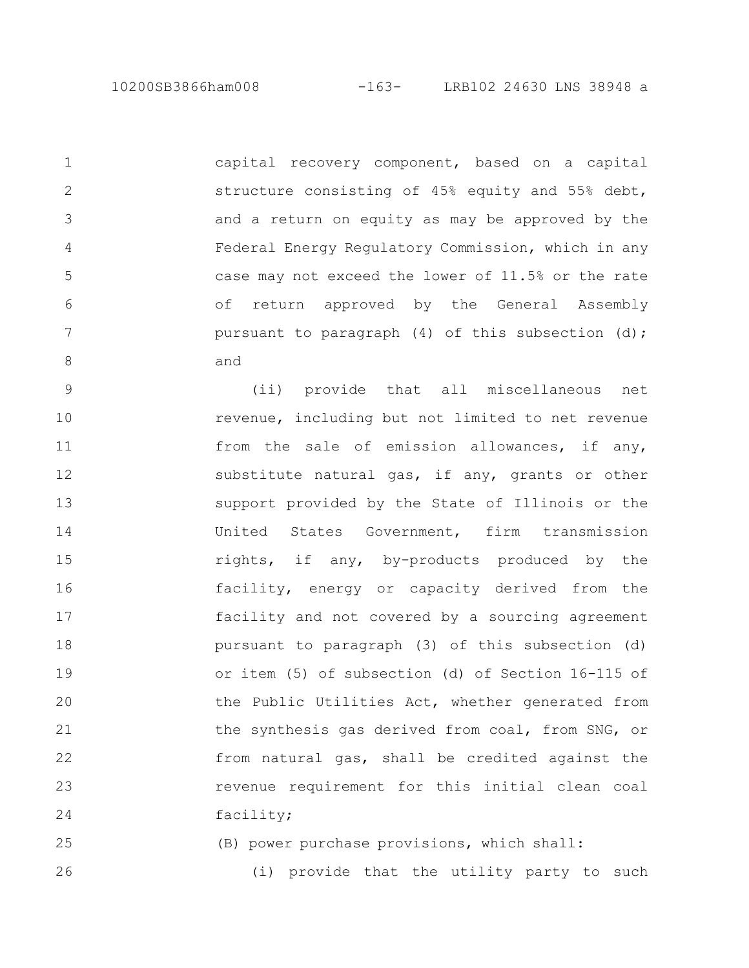25

26

capital recovery component, based on a capital structure consisting of 45% equity and 55% debt, and a return on equity as may be approved by the Federal Energy Regulatory Commission, which in any case may not exceed the lower of 11.5% or the rate of return approved by the General Assembly pursuant to paragraph (4) of this subsection (d); and 1 2 3 4 5 6 7 8

(ii) provide that all miscellaneous net revenue, including but not limited to net revenue from the sale of emission allowances, if any, substitute natural gas, if any, grants or other support provided by the State of Illinois or the United States Government, firm transmission rights, if any, by-products produced by the facility, energy or capacity derived from the facility and not covered by a sourcing agreement pursuant to paragraph (3) of this subsection (d) or item (5) of subsection (d) of Section 16-115 of the Public Utilities Act, whether generated from the synthesis gas derived from coal, from SNG, or from natural gas, shall be credited against the revenue requirement for this initial clean coal facility; 9 10 11 12 13 14 15 16 17 18 19 20 21 22 23 24

(B) power purchase provisions, which shall:

(i) provide that the utility party to such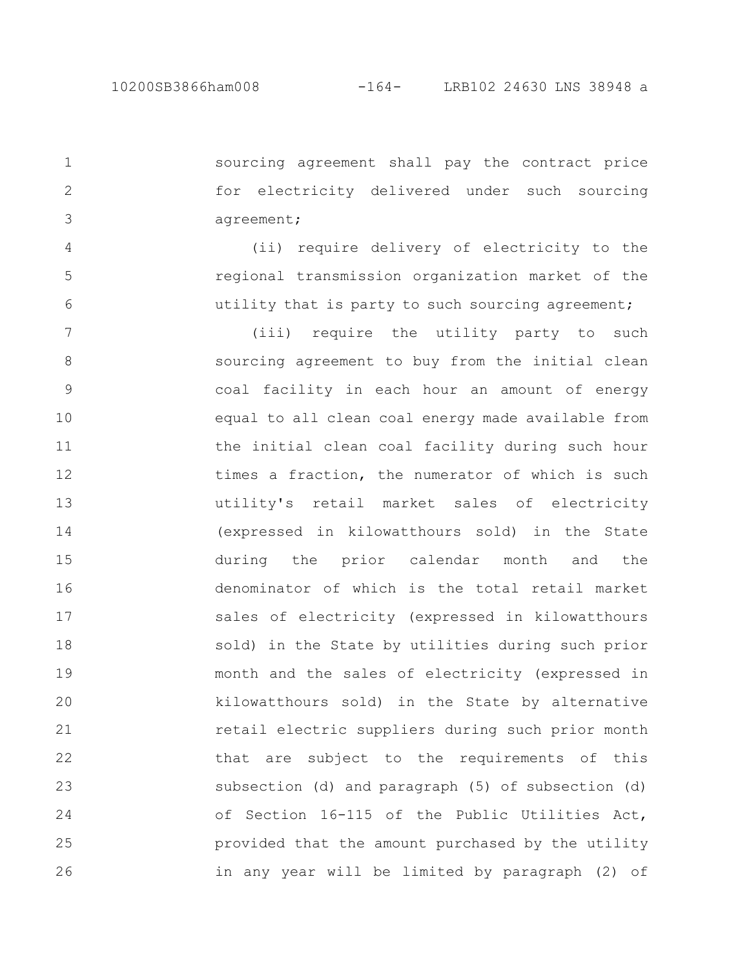4

5

6

sourcing agreement shall pay the contract price for electricity delivered under such sourcing agreement; 1 2 3

(ii) require delivery of electricity to the regional transmission organization market of the utility that is party to such sourcing agreement;

(iii) require the utility party to such sourcing agreement to buy from the initial clean coal facility in each hour an amount of energy equal to all clean coal energy made available from the initial clean coal facility during such hour times a fraction, the numerator of which is such utility's retail market sales of electricity (expressed in kilowatthours sold) in the State during the prior calendar month and the denominator of which is the total retail market sales of electricity (expressed in kilowatthours sold) in the State by utilities during such prior month and the sales of electricity (expressed in kilowatthours sold) in the State by alternative retail electric suppliers during such prior month that are subject to the requirements of this subsection (d) and paragraph (5) of subsection (d) of Section 16-115 of the Public Utilities Act, provided that the amount purchased by the utility in any year will be limited by paragraph (2) of 7 8 9 10 11 12 13 14 15 16 17 18 19 20 21 22 23 24 25 26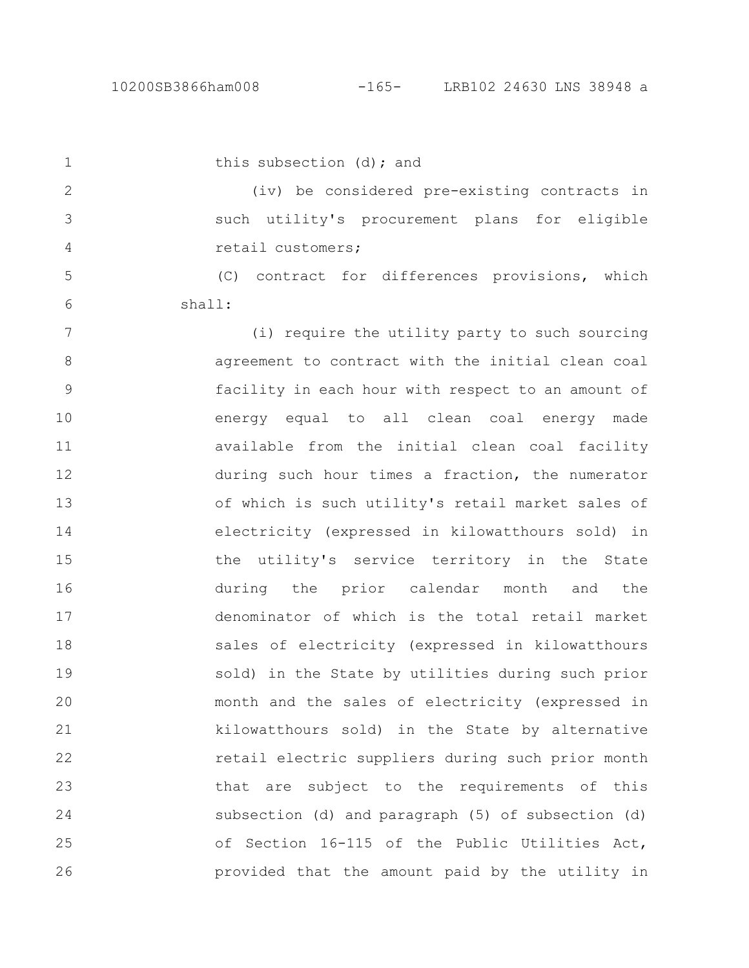this subsection (d); and (iv) be considered pre-existing contracts in such utility's procurement plans for eligible retail customers; (C) contract for differences provisions, which shall: (i) require the utility party to such sourcing agreement to contract with the initial clean coal facility in each hour with respect to an amount of energy equal to all clean coal energy made available from the initial clean coal facility during such hour times a fraction, the numerator of which is such utility's retail market sales of electricity (expressed in kilowatthours sold) in the utility's service territory in the State during the prior calendar month and the denominator of which is the total retail market sales of electricity (expressed in kilowatthours sold) in the State by utilities during such prior month and the sales of electricity (expressed in kilowatthours sold) in the State by alternative retail electric suppliers during such prior month that are subject to the requirements of this subsection (d) and paragraph (5) of subsection (d) of Section 16-115 of the Public Utilities Act, provided that the amount paid by the utility in 1 2 3 4 5 6 7 8 9 10 11 12 13 14 15 16 17 18 19 20 21 22 23 24 25 26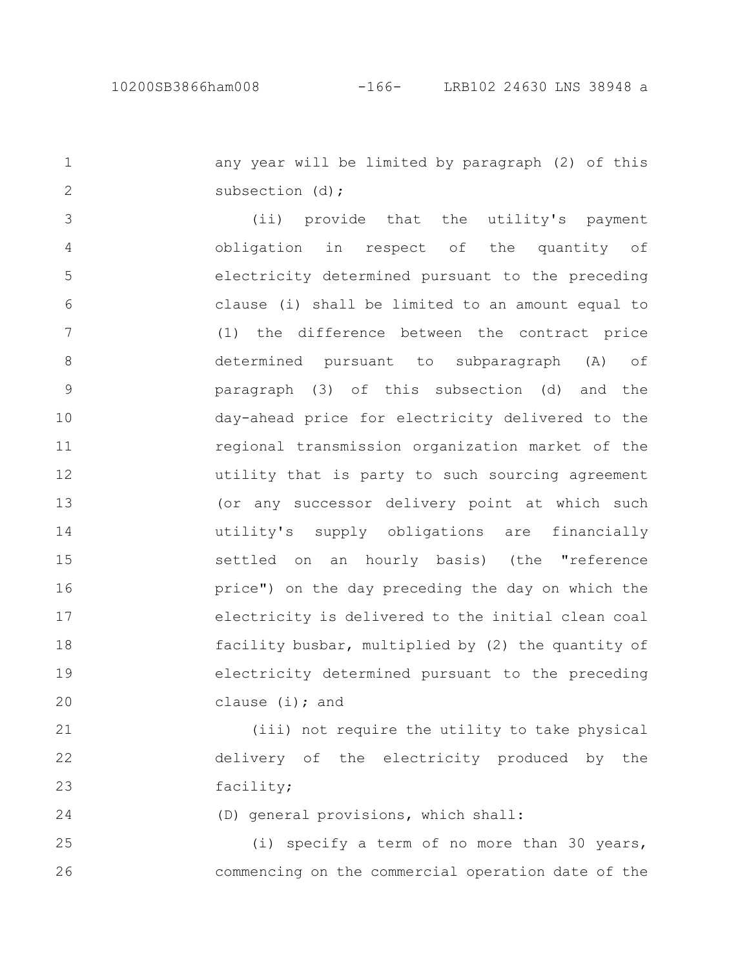1

2

24

any year will be limited by paragraph (2) of this subsection (d):

(ii) provide that the utility's payment obligation in respect of the quantity of electricity determined pursuant to the preceding clause (i) shall be limited to an amount equal to (1) the difference between the contract price determined pursuant to subparagraph (A) of paragraph (3) of this subsection (d) and the day-ahead price for electricity delivered to the regional transmission organization market of the utility that is party to such sourcing agreement (or any successor delivery point at which such utility's supply obligations are financially settled on an hourly basis) (the "reference price") on the day preceding the day on which the electricity is delivered to the initial clean coal facility busbar, multiplied by (2) the quantity of electricity determined pursuant to the preceding clause  $(i)$ ; and 3 4 5 6 7 8 9 10 11 12 13 14 15 16 17 18 19 20

(iii) not require the utility to take physical delivery of the electricity produced by the facility; 21 22 23

(D) general provisions, which shall:

(i) specify a term of no more than 30 years, commencing on the commercial operation date of the 25 26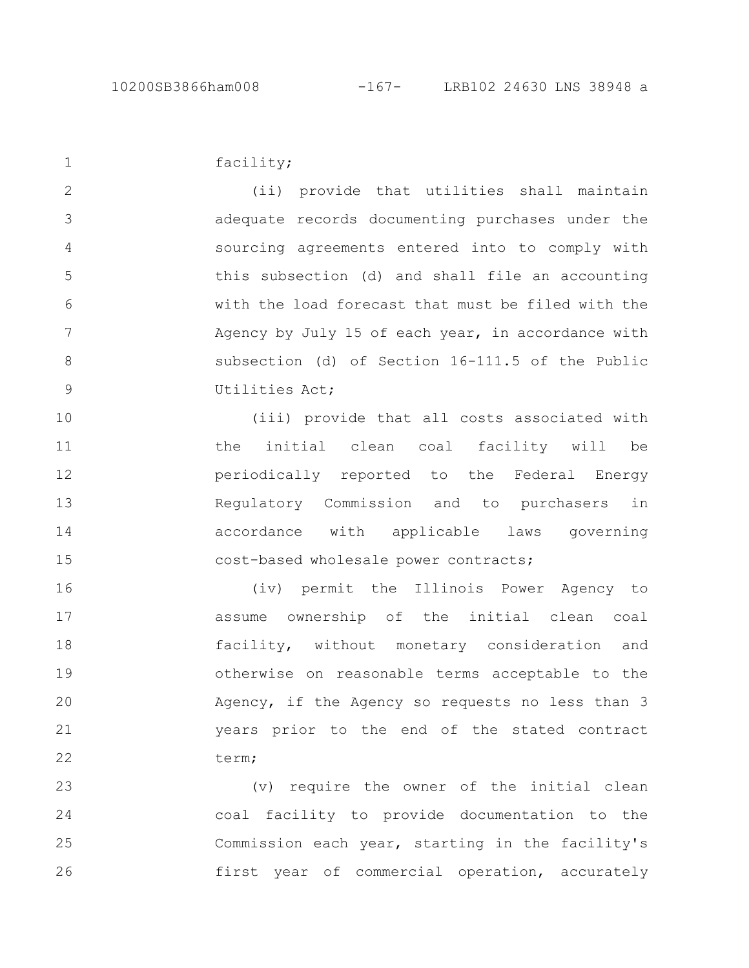facility;

1

(ii) provide that utilities shall maintain adequate records documenting purchases under the sourcing agreements entered into to comply with this subsection (d) and shall file an accounting with the load forecast that must be filed with the Agency by July 15 of each year, in accordance with subsection (d) of Section 16-111.5 of the Public Utilities Act; 2 3 4 5 6 7 8 9

(iii) provide that all costs associated with the initial clean coal facility will be periodically reported to the Federal Energy Regulatory Commission and to purchasers in accordance with applicable laws governing cost-based wholesale power contracts; 10 11 12 13 14 15

(iv) permit the Illinois Power Agency to assume ownership of the initial clean coal facility, without monetary consideration and otherwise on reasonable terms acceptable to the Agency, if the Agency so requests no less than 3 years prior to the end of the stated contract term; 16 17 18 19 20 21 22

(v) require the owner of the initial clean coal facility to provide documentation to the Commission each year, starting in the facility's first year of commercial operation, accurately 23 24 25 26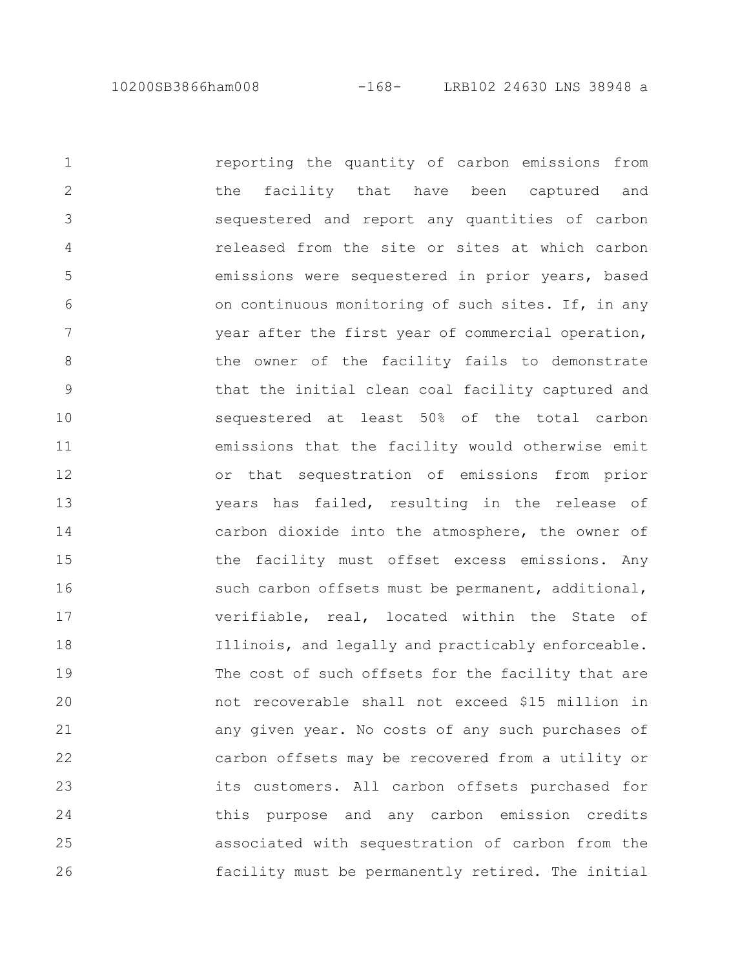reporting the quantity of carbon emissions from the facility that have been captured and sequestered and report any quantities of carbon released from the site or sites at which carbon emissions were sequestered in prior years, based on continuous monitoring of such sites. If, in any year after the first year of commercial operation, the owner of the facility fails to demonstrate that the initial clean coal facility captured and sequestered at least 50% of the total carbon emissions that the facility would otherwise emit or that sequestration of emissions from prior years has failed, resulting in the release of carbon dioxide into the atmosphere, the owner of the facility must offset excess emissions. Any such carbon offsets must be permanent, additional, verifiable, real, located within the State of Illinois, and legally and practicably enforceable. The cost of such offsets for the facility that are not recoverable shall not exceed \$15 million in any given year. No costs of any such purchases of carbon offsets may be recovered from a utility or its customers. All carbon offsets purchased for this purpose and any carbon emission credits associated with sequestration of carbon from the facility must be permanently retired. The initial 1 2 3 4 5 6 7 8 9 10 11 12 13 14 15 16 17 18 19 20 21 22 23 24 25 26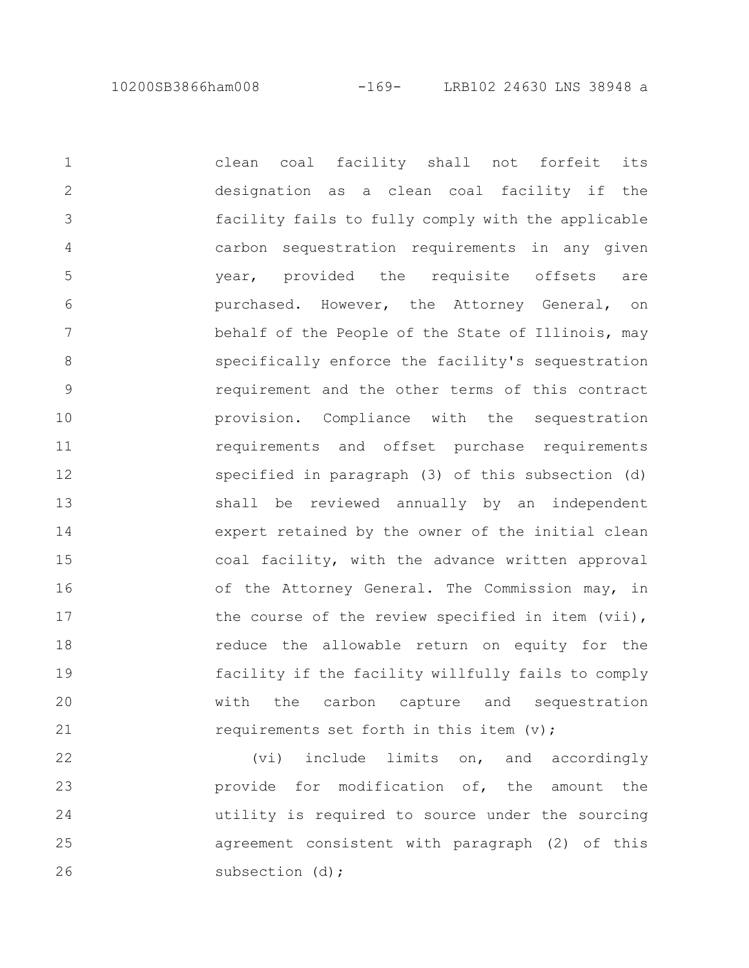clean coal facility shall not forfeit its designation as a clean coal facility if the facility fails to fully comply with the applicable carbon sequestration requirements in any given year, provided the requisite offsets are purchased. However, the Attorney General, on behalf of the People of the State of Illinois, may specifically enforce the facility's sequestration requirement and the other terms of this contract provision. Compliance with the sequestration requirements and offset purchase requirements specified in paragraph (3) of this subsection (d) shall be reviewed annually by an independent expert retained by the owner of the initial clean coal facility, with the advance written approval of the Attorney General. The Commission may, in the course of the review specified in item (vii), reduce the allowable return on equity for the facility if the facility willfully fails to comply with the carbon capture and sequestration requirements set forth in this item (v); 1 2 3 4 5 6 7 8 9 10 11 12 13 14 15 16 17 18 19 20 21

(vi) include limits on, and accordingly provide for modification of, the amount the utility is required to source under the sourcing agreement consistent with paragraph (2) of this subsection (d); 22 23 24 25 26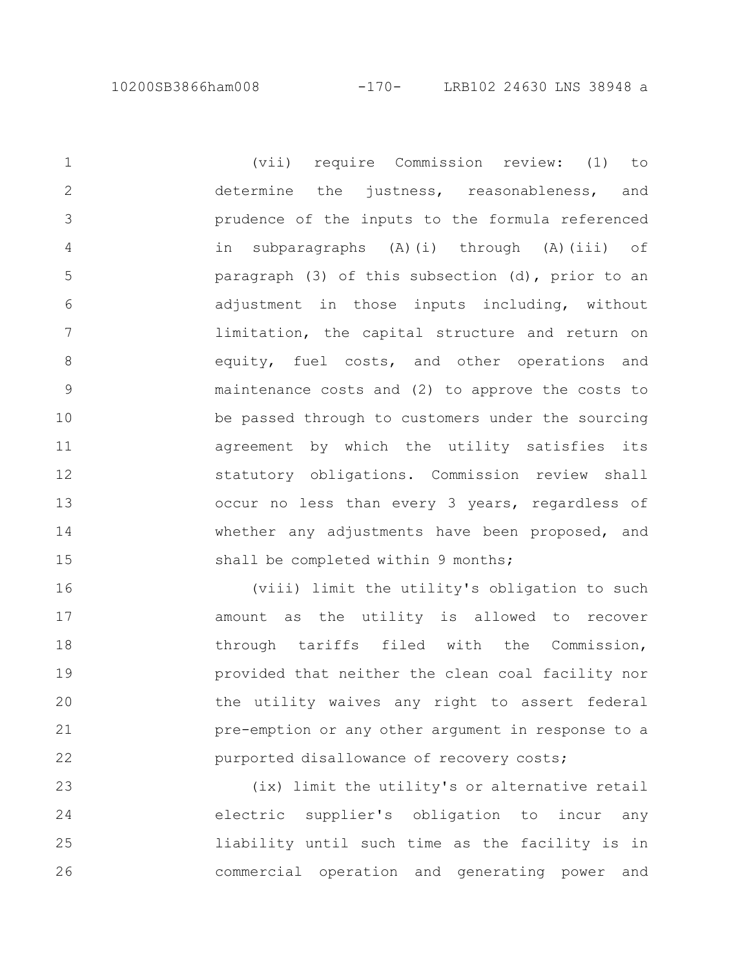(vii) require Commission review: (1) to determine the justness, reasonableness, and prudence of the inputs to the formula referenced in subparagraphs (A)(i) through (A)(iii) of paragraph (3) of this subsection (d), prior to an adjustment in those inputs including, without limitation, the capital structure and return on equity, fuel costs, and other operations and maintenance costs and (2) to approve the costs to be passed through to customers under the sourcing agreement by which the utility satisfies its statutory obligations. Commission review shall occur no less than every 3 years, regardless of whether any adjustments have been proposed, and shall be completed within 9 months; 1 2 3 4 5 6 7 8 9 10 11 12 13 14 15

(viii) limit the utility's obligation to such amount as the utility is allowed to recover through tariffs filed with the Commission, provided that neither the clean coal facility nor the utility waives any right to assert federal pre-emption or any other argument in response to a purported disallowance of recovery costs; 16 17 18 19 20 21 22

(ix) limit the utility's or alternative retail electric supplier's obligation to incur any liability until such time as the facility is in commercial operation and generating power and 23 24 25 26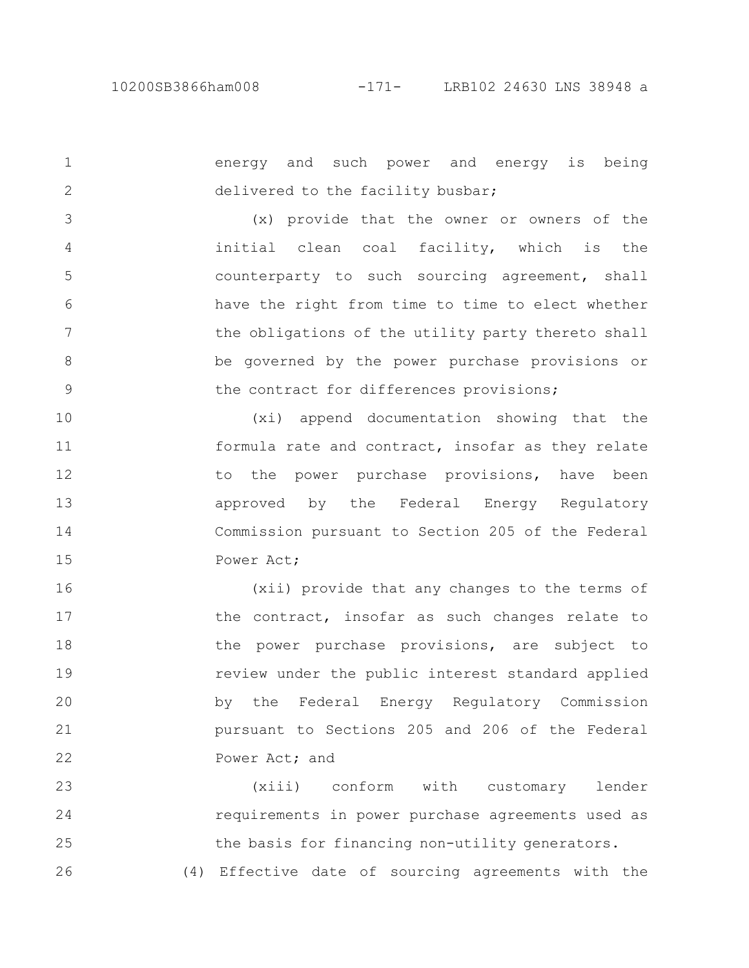1

2

energy and such power and energy is being delivered to the facility busbar;

(x) provide that the owner or owners of the initial clean coal facility, which is the counterparty to such sourcing agreement, shall have the right from time to time to elect whether the obligations of the utility party thereto shall be governed by the power purchase provisions or the contract for differences provisions; 3 4 5 6 7 8 9

(xi) append documentation showing that the formula rate and contract, insofar as they relate to the power purchase provisions, have been approved by the Federal Energy Regulatory Commission pursuant to Section 205 of the Federal Power Act; 10 11 12 13 14 15

(xii) provide that any changes to the terms of the contract, insofar as such changes relate to the power purchase provisions, are subject to review under the public interest standard applied by the Federal Energy Regulatory Commission pursuant to Sections 205 and 206 of the Federal Power Act; and 16 17 18 19 20 21 22

(xiii) conform with customary lender requirements in power purchase agreements used as the basis for financing non-utility generators. (4) Effective date of sourcing agreements with the 23 24 25 26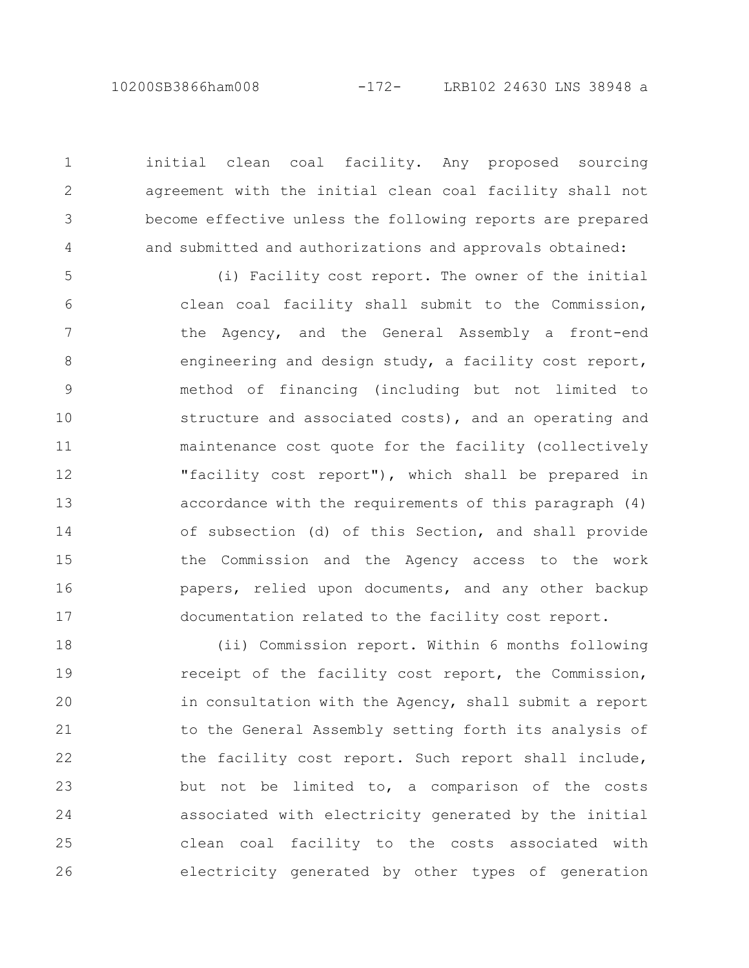initial clean coal facility. Any proposed sourcing agreement with the initial clean coal facility shall not become effective unless the following reports are prepared and submitted and authorizations and approvals obtained:

1

2

3

4

(i) Facility cost report. The owner of the initial clean coal facility shall submit to the Commission, the Agency, and the General Assembly a front-end engineering and design study, a facility cost report, method of financing (including but not limited to structure and associated costs), and an operating and maintenance cost quote for the facility (collectively "facility cost report"), which shall be prepared in accordance with the requirements of this paragraph (4) of subsection (d) of this Section, and shall provide the Commission and the Agency access to the work papers, relied upon documents, and any other backup documentation related to the facility cost report. 5 6 7 8 9 10 11 12 13 14 15 16 17

(ii) Commission report. Within 6 months following receipt of the facility cost report, the Commission, in consultation with the Agency, shall submit a report to the General Assembly setting forth its analysis of the facility cost report. Such report shall include, but not be limited to, a comparison of the costs associated with electricity generated by the initial clean coal facility to the costs associated with electricity generated by other types of generation 18 19 20 21 22 23 24 25 26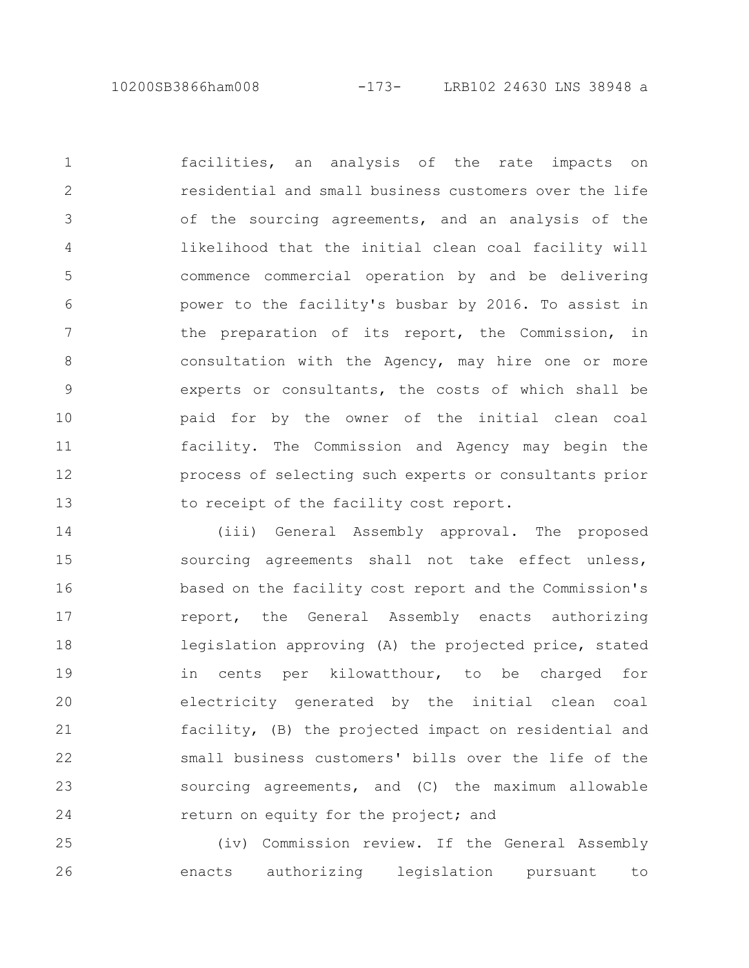10200SB3866ham008 -173- LRB102 24630 LNS 38948 a

facilities, an analysis of the rate impacts on residential and small business customers over the life of the sourcing agreements, and an analysis of the likelihood that the initial clean coal facility will commence commercial operation by and be delivering power to the facility's busbar by 2016. To assist in the preparation of its report, the Commission, in consultation with the Agency, may hire one or more experts or consultants, the costs of which shall be paid for by the owner of the initial clean coal facility. The Commission and Agency may begin the process of selecting such experts or consultants prior to receipt of the facility cost report. 1 2 3 4 5 6 7 8 9 10 11 12 13

(iii) General Assembly approval. The proposed sourcing agreements shall not take effect unless, based on the facility cost report and the Commission's report, the General Assembly enacts authorizing legislation approving (A) the projected price, stated in cents per kilowatthour, to be charged for electricity generated by the initial clean coal facility, (B) the projected impact on residential and small business customers' bills over the life of the sourcing agreements, and (C) the maximum allowable return on equity for the project; and 14 15 16 17 18 19 20 21 22 23 24

(iv) Commission review. If the General Assembly enacts authorizing legislation pursuant to 25 26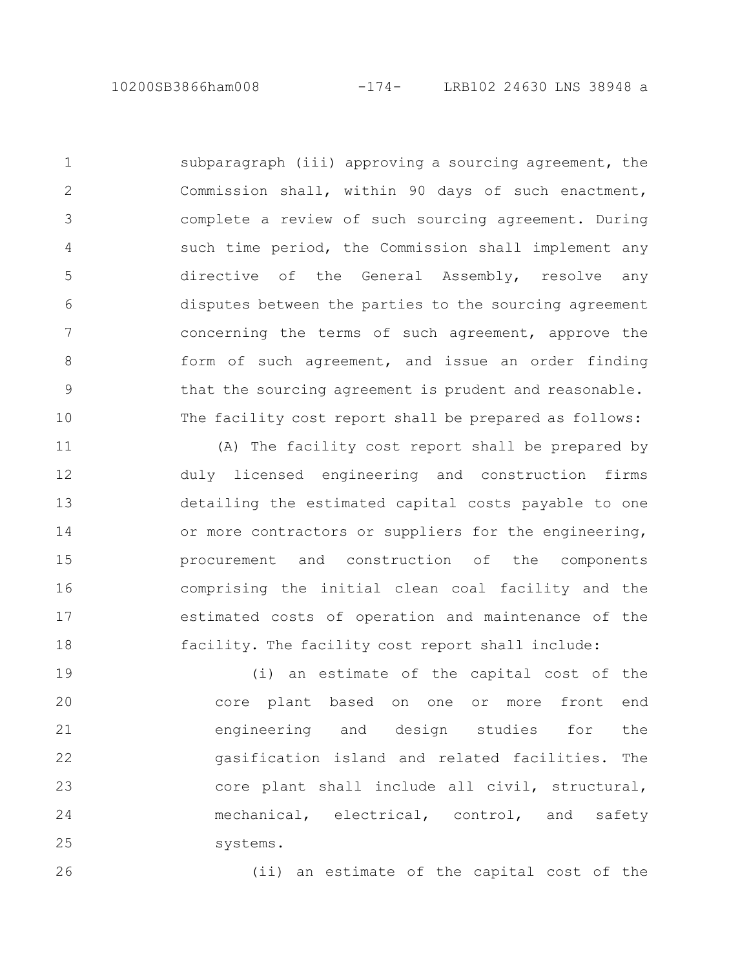26

subparagraph (iii) approving a sourcing agreement, the Commission shall, within 90 days of such enactment, complete a review of such sourcing agreement. During such time period, the Commission shall implement any directive of the General Assembly, resolve any disputes between the parties to the sourcing agreement concerning the terms of such agreement, approve the form of such agreement, and issue an order finding that the sourcing agreement is prudent and reasonable. The facility cost report shall be prepared as follows: 1 2 3 4 5 6 7 8 9 10

(A) The facility cost report shall be prepared by duly licensed engineering and construction firms detailing the estimated capital costs payable to one or more contractors or suppliers for the engineering, procurement and construction of the components comprising the initial clean coal facility and the estimated costs of operation and maintenance of the facility. The facility cost report shall include: 11 12 13 14 15 16 17 18

(i) an estimate of the capital cost of the core plant based on one or more front end engineering and design studies for the gasification island and related facilities. The core plant shall include all civil, structural, mechanical, electrical, control, and safety systems. 19 20 21 22 23 24 25

(ii) an estimate of the capital cost of the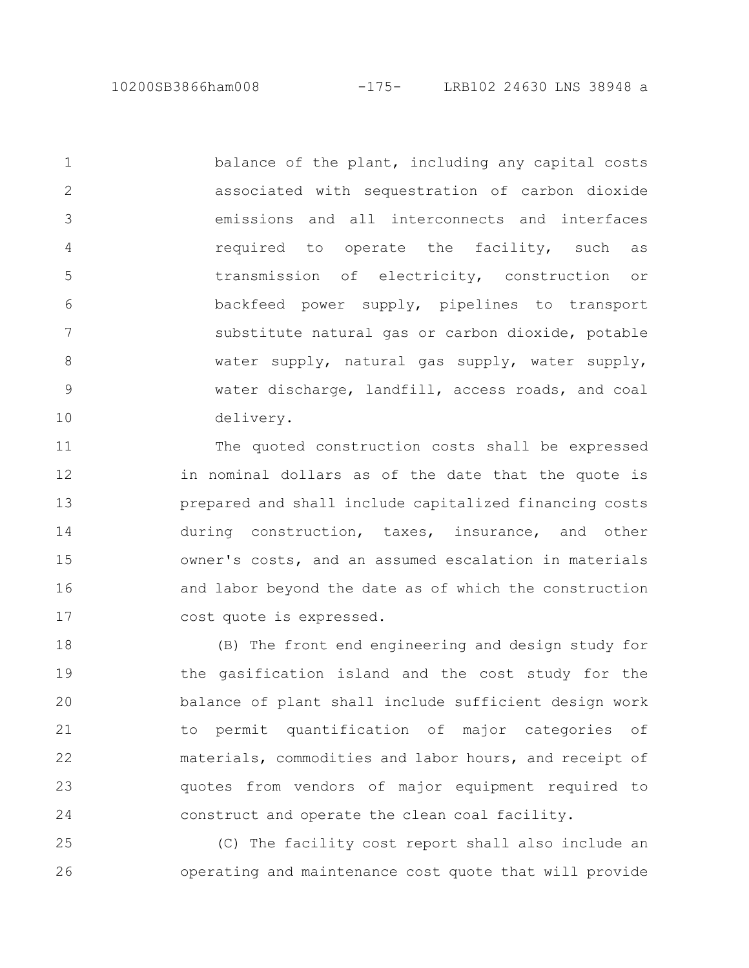balance of the plant, including any capital costs associated with sequestration of carbon dioxide emissions and all interconnects and interfaces required to operate the facility, such as transmission of electricity, construction or backfeed power supply, pipelines to transport substitute natural gas or carbon dioxide, potable water supply, natural gas supply, water supply, water discharge, landfill, access roads, and coal delivery. 1 2 3 4 5 6 7 8 9 10

The quoted construction costs shall be expressed in nominal dollars as of the date that the quote is prepared and shall include capitalized financing costs during construction, taxes, insurance, and other owner's costs, and an assumed escalation in materials and labor beyond the date as of which the construction cost quote is expressed. 11 12 13 14 15 16 17

(B) The front end engineering and design study for the gasification island and the cost study for the balance of plant shall include sufficient design work to permit quantification of major categories of materials, commodities and labor hours, and receipt of quotes from vendors of major equipment required to construct and operate the clean coal facility. 18 19 20 21 22 23 24

(C) The facility cost report shall also include an operating and maintenance cost quote that will provide 25 26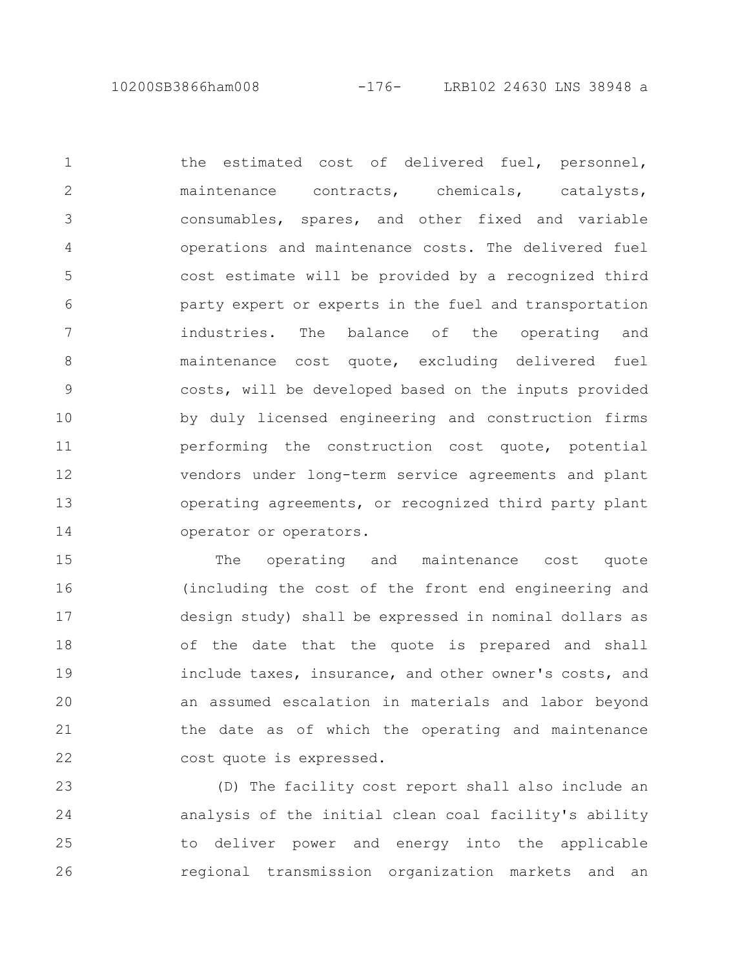10200SB3866ham008 -176- LRB102 24630 LNS 38948 a

the estimated cost of delivered fuel, personnel, maintenance contracts, chemicals, catalysts, consumables, spares, and other fixed and variable operations and maintenance costs. The delivered fuel cost estimate will be provided by a recognized third party expert or experts in the fuel and transportation industries. The balance of the operating and maintenance cost quote, excluding delivered fuel costs, will be developed based on the inputs provided by duly licensed engineering and construction firms performing the construction cost quote, potential vendors under long-term service agreements and plant operating agreements, or recognized third party plant operator or operators. 1 2 3 4 5 6 7 8 9 10 11 12 13 14

The operating and maintenance cost quote (including the cost of the front end engineering and design study) shall be expressed in nominal dollars as of the date that the quote is prepared and shall include taxes, insurance, and other owner's costs, and an assumed escalation in materials and labor beyond the date as of which the operating and maintenance cost quote is expressed. 15 16 17 18 19 20 21 22

(D) The facility cost report shall also include an analysis of the initial clean coal facility's ability to deliver power and energy into the applicable regional transmission organization markets and an 23 24 25 26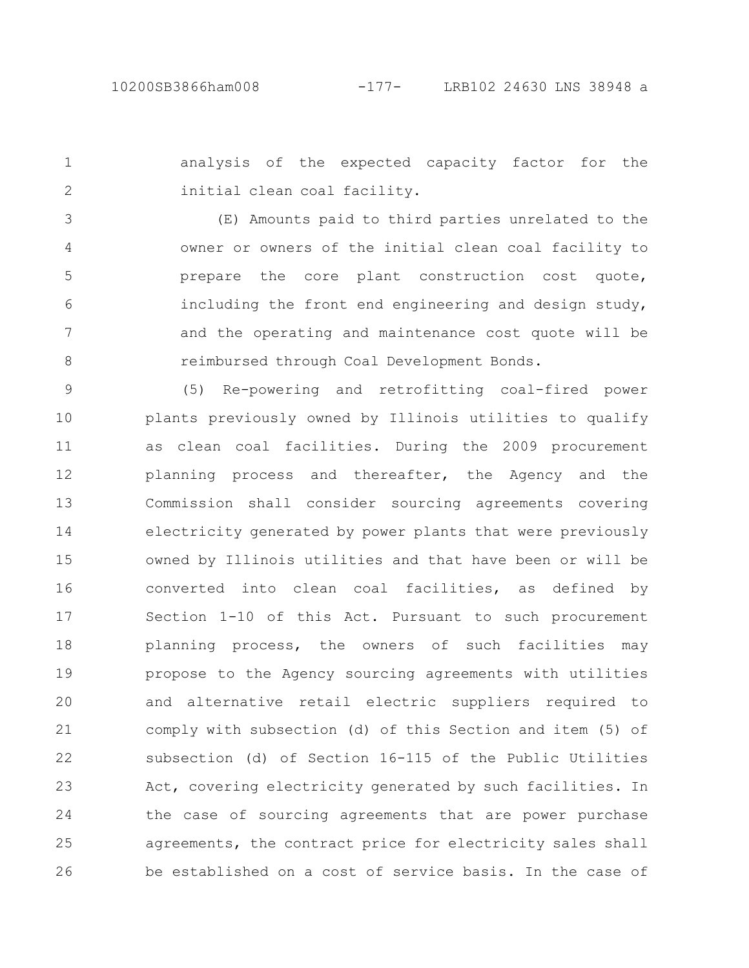analysis of the expected capacity factor for the initial clean coal facility. 1 2

(E) Amounts paid to third parties unrelated to the owner or owners of the initial clean coal facility to prepare the core plant construction cost quote, including the front end engineering and design study, and the operating and maintenance cost quote will be reimbursed through Coal Development Bonds. 3 4 5 6 7 8

(5) Re-powering and retrofitting coal-fired power plants previously owned by Illinois utilities to qualify as clean coal facilities. During the 2009 procurement planning process and thereafter, the Agency and the Commission shall consider sourcing agreements covering electricity generated by power plants that were previously owned by Illinois utilities and that have been or will be converted into clean coal facilities, as defined by Section 1-10 of this Act. Pursuant to such procurement planning process, the owners of such facilities may propose to the Agency sourcing agreements with utilities and alternative retail electric suppliers required to comply with subsection (d) of this Section and item (5) of subsection (d) of Section 16-115 of the Public Utilities Act, covering electricity generated by such facilities. In the case of sourcing agreements that are power purchase agreements, the contract price for electricity sales shall be established on a cost of service basis. In the case of 9 10 11 12 13 14 15 16 17 18 19 20 21 22 23 24 25 26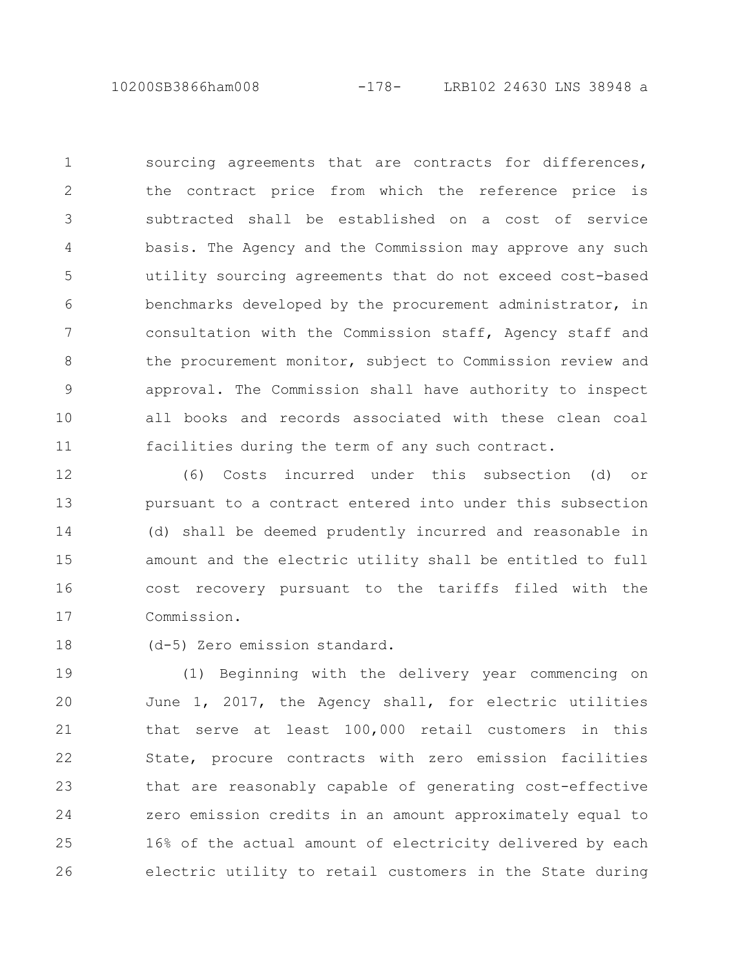10200SB3866ham008 -178- LRB102 24630 LNS 38948 a

sourcing agreements that are contracts for differences, the contract price from which the reference price is subtracted shall be established on a cost of service basis. The Agency and the Commission may approve any such utility sourcing agreements that do not exceed cost-based benchmarks developed by the procurement administrator, in consultation with the Commission staff, Agency staff and the procurement monitor, subject to Commission review and approval. The Commission shall have authority to inspect all books and records associated with these clean coal facilities during the term of any such contract. 1 2 3 4 5 6 7 8 9 10 11

(6) Costs incurred under this subsection (d) or pursuant to a contract entered into under this subsection (d) shall be deemed prudently incurred and reasonable in amount and the electric utility shall be entitled to full cost recovery pursuant to the tariffs filed with the Commission. 12 13 14 15 16 17

(d-5) Zero emission standard. 18

(1) Beginning with the delivery year commencing on June 1, 2017, the Agency shall, for electric utilities that serve at least 100,000 retail customers in this State, procure contracts with zero emission facilities that are reasonably capable of generating cost-effective zero emission credits in an amount approximately equal to 16% of the actual amount of electricity delivered by each electric utility to retail customers in the State during 19 20 21 22 23 24 25 26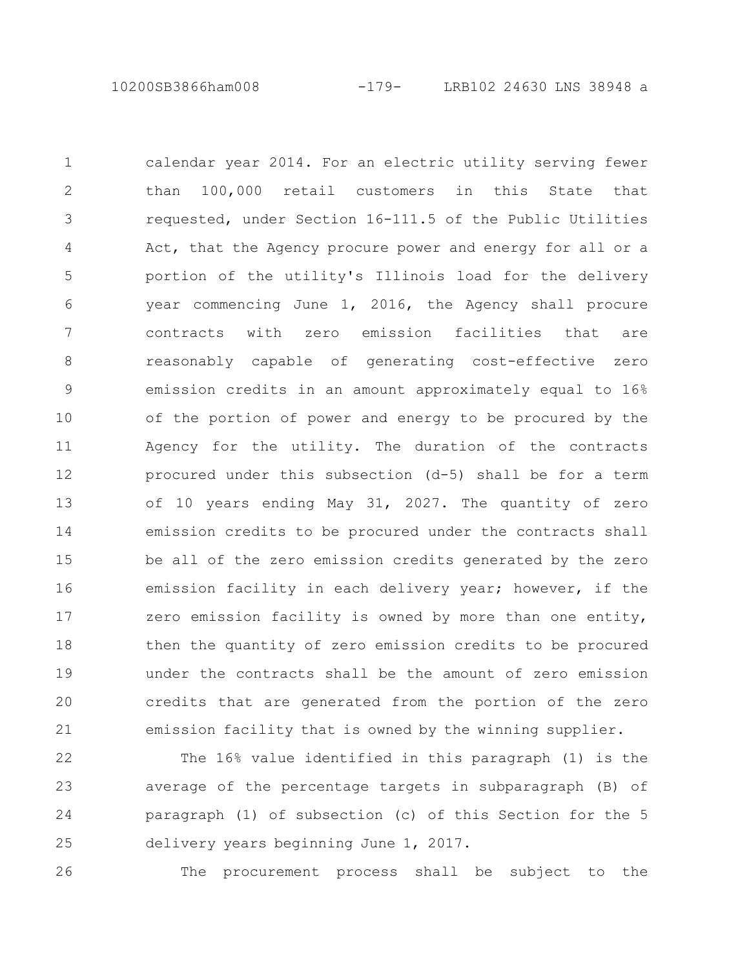10200SB3866ham008 -179- LRB102 24630 LNS 38948 a

calendar year 2014. For an electric utility serving fewer than 100,000 retail customers in this State that requested, under Section 16-111.5 of the Public Utilities Act, that the Agency procure power and energy for all or a portion of the utility's Illinois load for the delivery year commencing June 1, 2016, the Agency shall procure contracts with zero emission facilities that are reasonably capable of generating cost-effective zero emission credits in an amount approximately equal to 16% of the portion of power and energy to be procured by the Agency for the utility. The duration of the contracts procured under this subsection (d-5) shall be for a term of 10 years ending May 31, 2027. The quantity of zero emission credits to be procured under the contracts shall be all of the zero emission credits generated by the zero emission facility in each delivery year; however, if the zero emission facility is owned by more than one entity, then the quantity of zero emission credits to be procured under the contracts shall be the amount of zero emission credits that are generated from the portion of the zero emission facility that is owned by the winning supplier. 1 2 3 4 5 6 7 8 9 10 11 12 13 14 15 16 17 18 19 20 21

The 16% value identified in this paragraph (1) is the average of the percentage targets in subparagraph (B) of paragraph (1) of subsection (c) of this Section for the 5 delivery years beginning June 1, 2017. 22 23 24 25

26

The procurement process shall be subject to the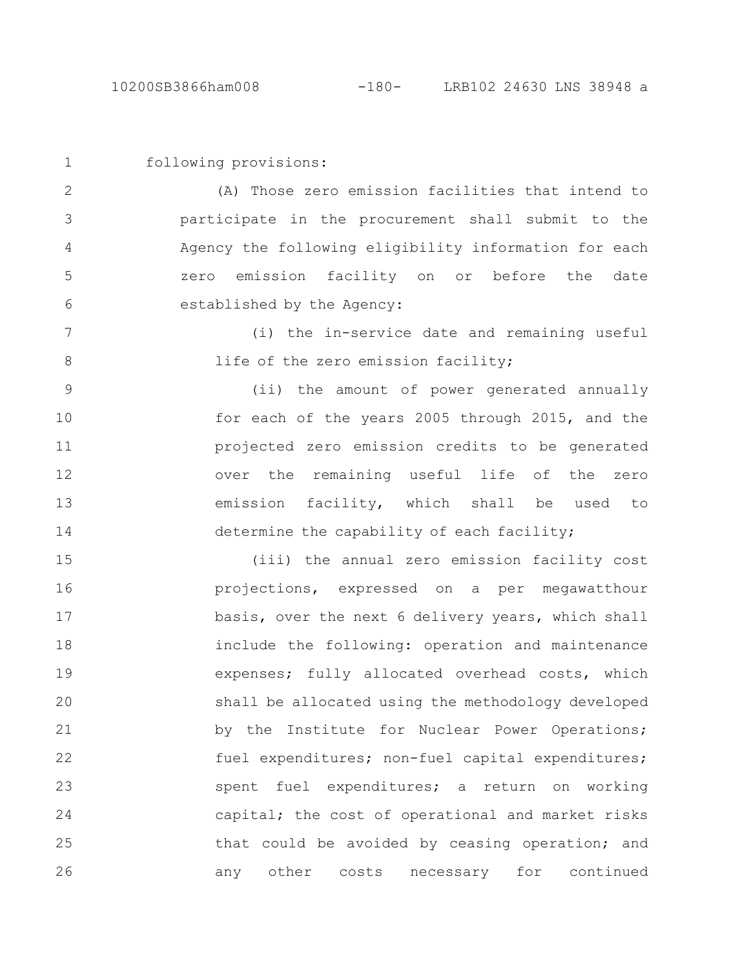following provisions: (A) Those zero emission facilities that intend to participate in the procurement shall submit to the Agency the following eligibility information for each zero emission facility on or before the date established by the Agency: (i) the in-service date and remaining useful life of the zero emission facility; (ii) the amount of power generated annually 1 2 3 4 5 6 7 8 9 10

for each of the years 2005 through 2015, and the projected zero emission credits to be generated over the remaining useful life of the zero emission facility, which shall be used to determine the capability of each facility; 11 12 13 14

(iii) the annual zero emission facility cost projections, expressed on a per megawatthour basis, over the next 6 delivery years, which shall include the following: operation and maintenance expenses; fully allocated overhead costs, which shall be allocated using the methodology developed by the Institute for Nuclear Power Operations; fuel expenditures; non-fuel capital expenditures; spent fuel expenditures; a return on working capital; the cost of operational and market risks that could be avoided by ceasing operation; and any other costs necessary for continued 15 16 17 18 19 20 21 22 23 24 25 26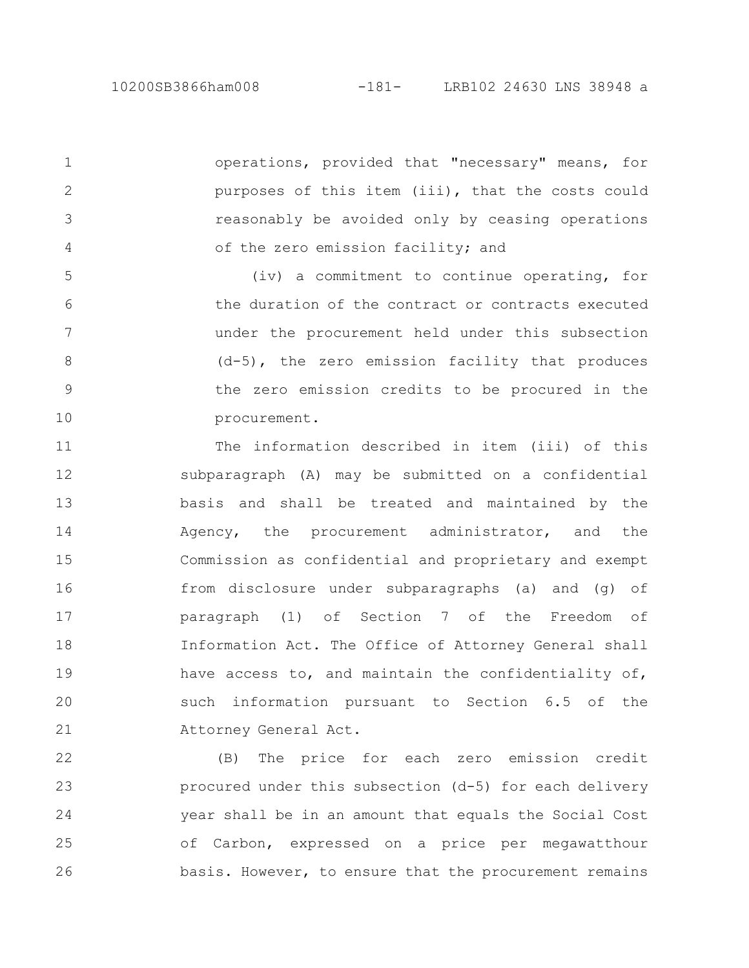5

6

7

8

9

10

operations, provided that "necessary" means, for purposes of this item (iii), that the costs could reasonably be avoided only by ceasing operations of the zero emission facility; and 1 2 3 4

(iv) a commitment to continue operating, for the duration of the contract or contracts executed under the procurement held under this subsection (d-5), the zero emission facility that produces the zero emission credits to be procured in the procurement.

The information described in item (iii) of this subparagraph (A) may be submitted on a confidential basis and shall be treated and maintained by the Agency, the procurement administrator, and the Commission as confidential and proprietary and exempt from disclosure under subparagraphs (a) and (g) of paragraph (1) of Section 7 of the Freedom of Information Act. The Office of Attorney General shall have access to, and maintain the confidentiality of, such information pursuant to Section 6.5 of the Attorney General Act. 11 12 13 14 15 16 17 18 19 20 21

(B) The price for each zero emission credit procured under this subsection (d-5) for each delivery year shall be in an amount that equals the Social Cost of Carbon, expressed on a price per megawatthour basis. However, to ensure that the procurement remains 22 23 24 25 26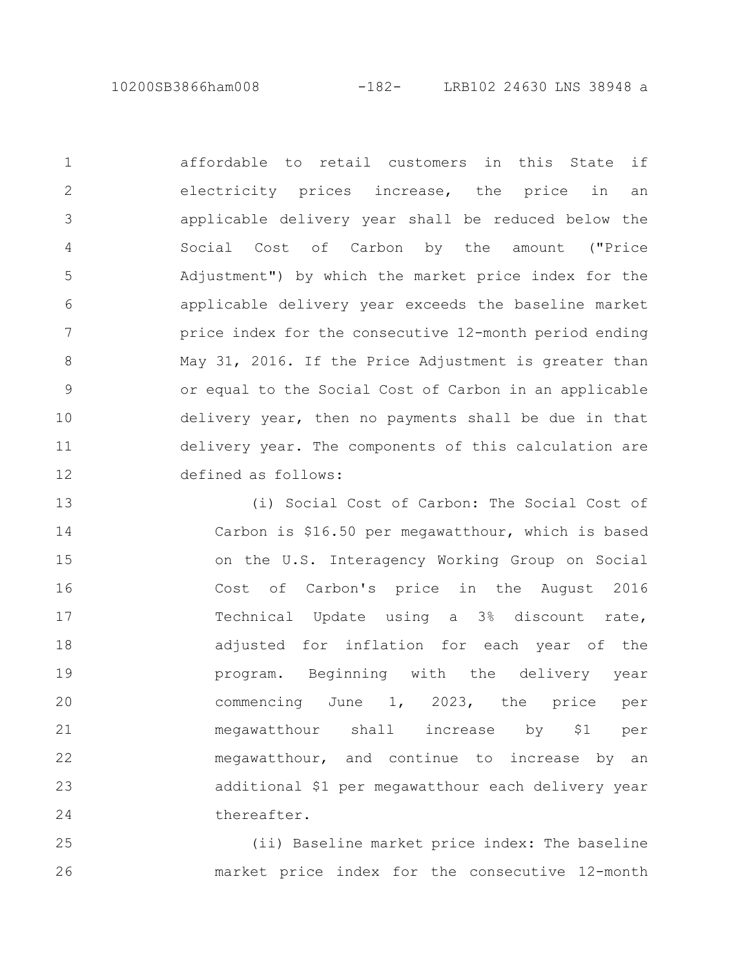10200SB3866ham008 -182- LRB102 24630 LNS 38948 a

affordable to retail customers in this State if electricity prices increase, the price in an applicable delivery year shall be reduced below the Social Cost of Carbon by the amount ("Price Adjustment") by which the market price index for the applicable delivery year exceeds the baseline market price index for the consecutive 12-month period ending May 31, 2016. If the Price Adjustment is greater than or equal to the Social Cost of Carbon in an applicable delivery year, then no payments shall be due in that delivery year. The components of this calculation are defined as follows: 1 2 3 4 5 6 7 8 9 10 11 12

(i) Social Cost of Carbon: The Social Cost of Carbon is \$16.50 per megawatthour, which is based on the U.S. Interagency Working Group on Social Cost of Carbon's price in the August 2016 Technical Update using a 3% discount rate, adjusted for inflation for each year of the program. Beginning with the delivery year commencing June 1, 2023, the price per megawatthour shall increase by \$1 per megawatthour, and continue to increase by an additional \$1 per megawatthour each delivery year thereafter. 13 14 15 16 17 18 19 20 21 22 23 24

(ii) Baseline market price index: The baseline market price index for the consecutive 12-month 25 26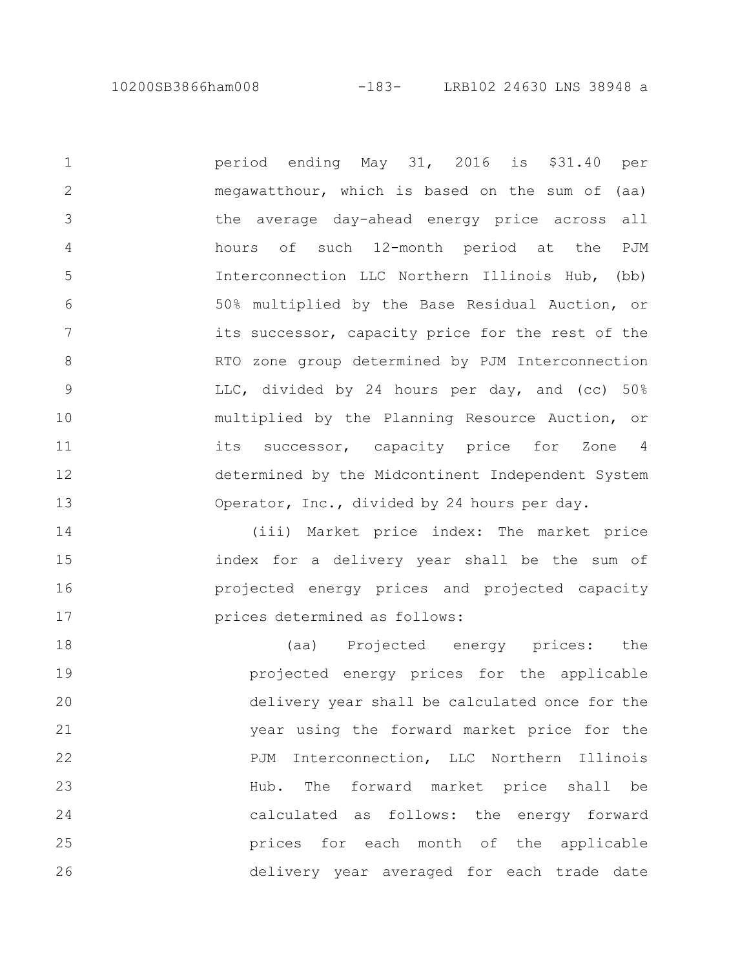10200SB3866ham008 -183- LRB102 24630 LNS 38948 a

period ending May 31, 2016 is \$31.40 per megawatthour, which is based on the sum of (aa) the average day-ahead energy price across all hours of such 12-month period at the PJM Interconnection LLC Northern Illinois Hub, (bb) 50% multiplied by the Base Residual Auction, or its successor, capacity price for the rest of the RTO zone group determined by PJM Interconnection LLC, divided by 24 hours per day, and (cc) 50% multiplied by the Planning Resource Auction, or its successor, capacity price for Zone 4 determined by the Midcontinent Independent System Operator, Inc., divided by 24 hours per day. 1 2 3 4 5 6 7 8 9 10 11 12 13

(iii) Market price index: The market price index for a delivery year shall be the sum of projected energy prices and projected capacity prices determined as follows: 14 15 16 17

(aa) Projected energy prices: the projected energy prices for the applicable delivery year shall be calculated once for the year using the forward market price for the PJM Interconnection, LLC Northern Illinois Hub. The forward market price shall be calculated as follows: the energy forward prices for each month of the applicable delivery year averaged for each trade date 18 19 20 21 22 23 24 25 26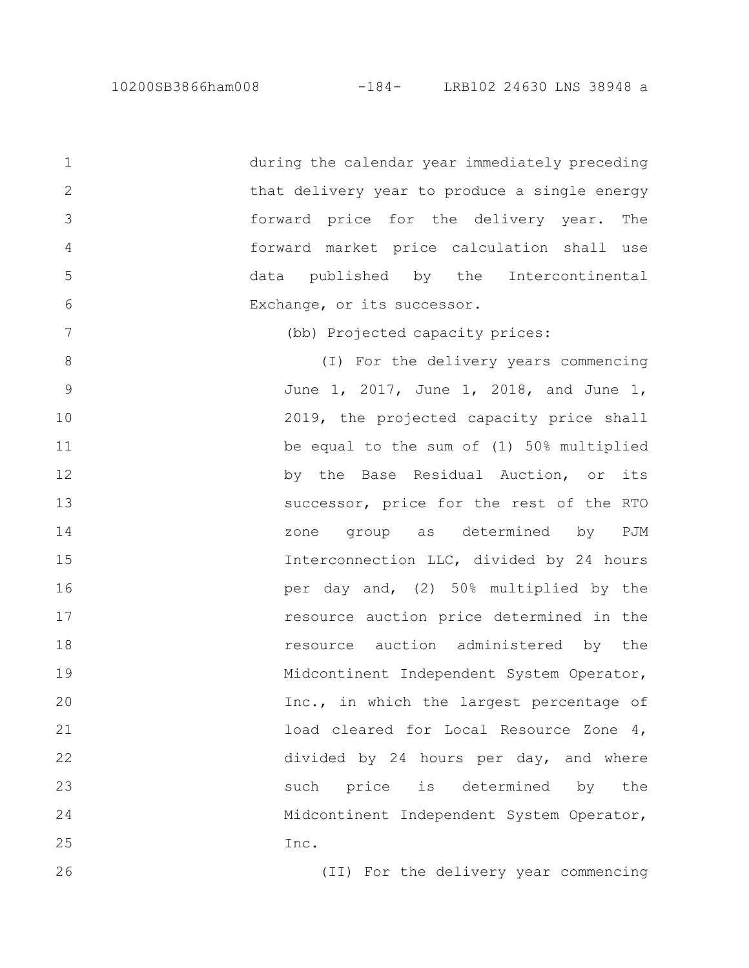during the calendar year immediately preceding that delivery year to produce a single energy forward price for the delivery year. The forward market price calculation shall use data published by the Intercontinental Exchange, or its successor. (bb) Projected capacity prices: (I) For the delivery years commencing June 1, 2017, June 1, 2018, and June 1, 2019, the projected capacity price shall be equal to the sum of (1) 50% multiplied by the Base Residual Auction, or its successor, price for the rest of the RTO zone group as determined by PJM Interconnection LLC, divided by 24 hours per day and, (2) 50% multiplied by the resource auction price determined in the resource auction administered by the Midcontinent Independent System Operator, Inc., in which the largest percentage of load cleared for Local Resource Zone 4, divided by 24 hours per day, and where such price is determined by the Midcontinent Independent System Operator, Inc. 1 2 3 4 5 6 7 8 9 10 11 12 13 14 15 16 17 18 19 20 21 22 23 24 25

26

(II) For the delivery year commencing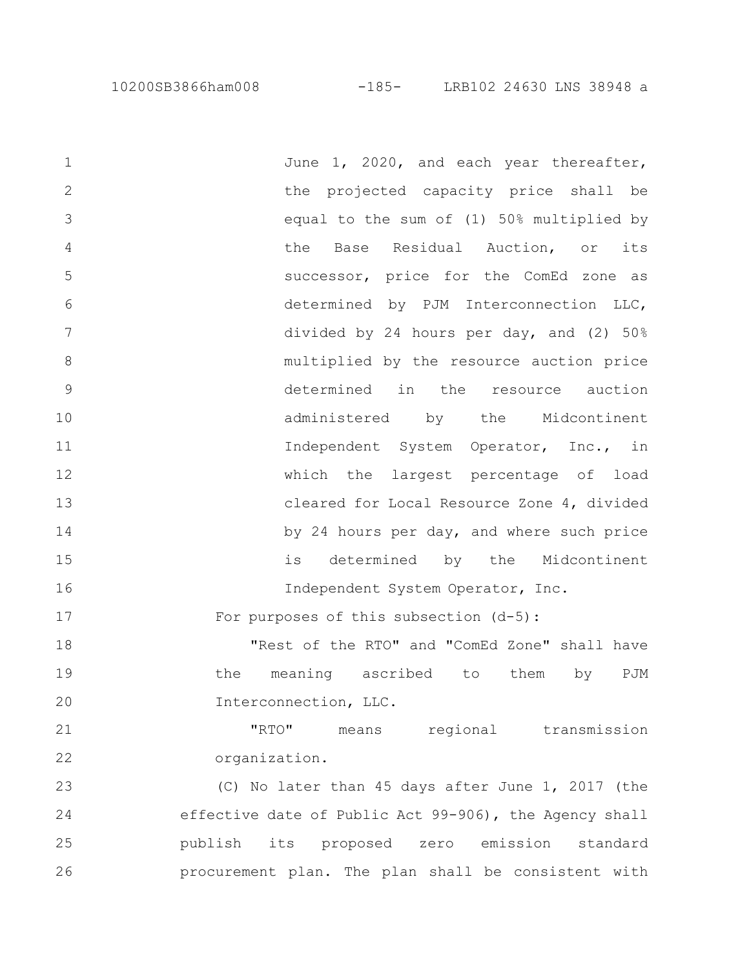10200SB3866ham008 -185- LRB102 24630 LNS 38948 a

June 1, 2020, and each year thereafter, the projected capacity price shall be equal to the sum of (1) 50% multiplied by the Base Residual Auction, or its successor, price for the ComEd zone as determined by PJM Interconnection LLC, divided by 24 hours per day, and (2) 50% multiplied by the resource auction price determined in the resource auction administered by the Midcontinent Independent System Operator, Inc., in which the largest percentage of load cleared for Local Resource Zone 4, divided by 24 hours per day, and where such price is determined by the Midcontinent Independent System Operator, Inc. For purposes of this subsection (d-5): "Rest of the RTO" and "ComEd Zone" shall have the meaning ascribed to them by PJM Interconnection, LLC. "RTO" means regional transmission organization. (C) No later than 45 days after June 1, 2017 (the effective date of Public Act 99-906), the Agency shall publish its proposed zero emission standard procurement plan. The plan shall be consistent with 1 2 3 4 5 6 7 8 9 10 11 12 13 14 15 16 17 18 19 20 21 22 23 24 25 26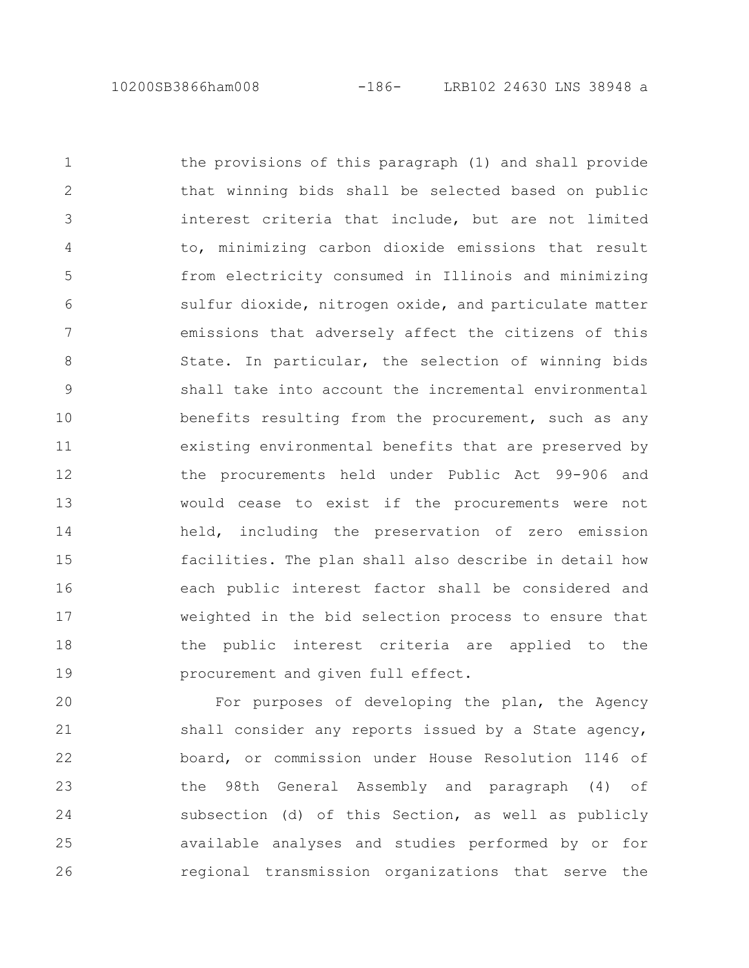the provisions of this paragraph (1) and shall provide that winning bids shall be selected based on public interest criteria that include, but are not limited to, minimizing carbon dioxide emissions that result from electricity consumed in Illinois and minimizing sulfur dioxide, nitrogen oxide, and particulate matter emissions that adversely affect the citizens of this State. In particular, the selection of winning bids shall take into account the incremental environmental benefits resulting from the procurement, such as any existing environmental benefits that are preserved by the procurements held under Public Act 99-906 and would cease to exist if the procurements were not held, including the preservation of zero emission facilities. The plan shall also describe in detail how each public interest factor shall be considered and weighted in the bid selection process to ensure that the public interest criteria are applied to the procurement and given full effect. 1 2 3 4 5 6 7 8 9 10 11 12 13 14 15 16 17 18 19

For purposes of developing the plan, the Agency shall consider any reports issued by a State agency, board, or commission under House Resolution 1146 of the 98th General Assembly and paragraph (4) of subsection (d) of this Section, as well as publicly available analyses and studies performed by or for regional transmission organizations that serve the 20 21 22 23 24 25 26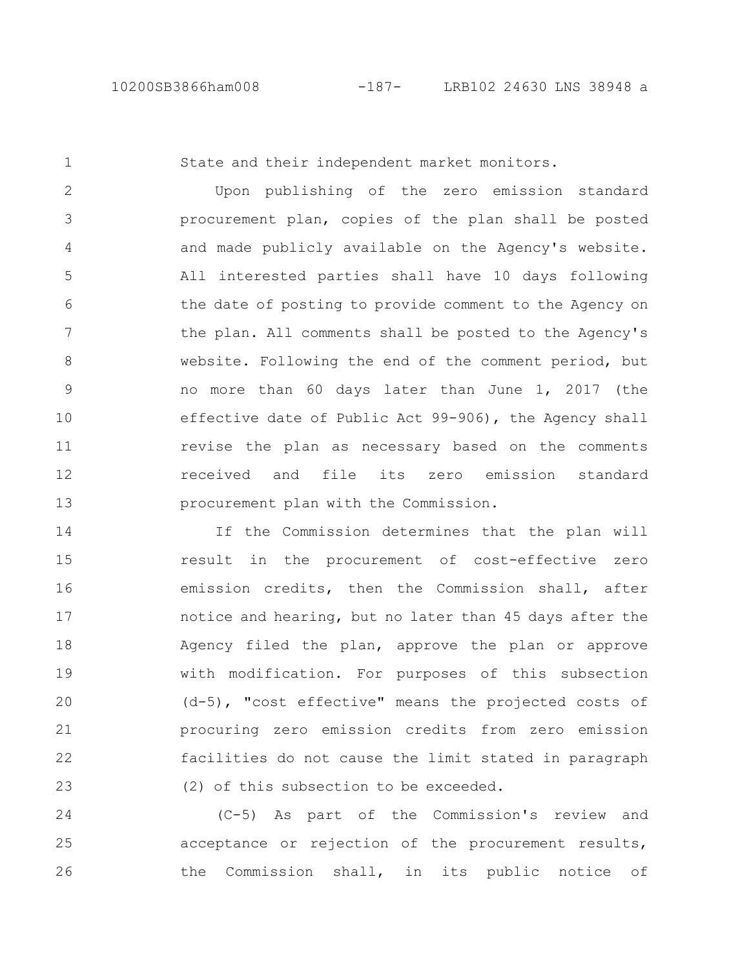1

State and their independent market monitors.

Upon publishing of the zero emission standard procurement plan, copies of the plan shall be posted and made publicly available on the Agency's website. All interested parties shall have 10 days following the date of posting to provide comment to the Agency on the plan. All comments shall be posted to the Agency's website. Following the end of the comment period, but no more than 60 days later than June 1, 2017 (the effective date of Public Act 99-906), the Agency shall revise the plan as necessary based on the comments received and file its zero emission standard procurement plan with the Commission. 2 3 4 5 6 7 8 9 10 11 12 13

If the Commission determines that the plan will result in the procurement of cost-effective zero emission credits, then the Commission shall, after notice and hearing, but no later than 45 days after the Agency filed the plan, approve the plan or approve with modification. For purposes of this subsection (d-5), "cost effective" means the projected costs of procuring zero emission credits from zero emission facilities do not cause the limit stated in paragraph (2) of this subsection to be exceeded. 14 15 16 17 18 19 20 21 22 23

(C-5) As part of the Commission's review and acceptance or rejection of the procurement results, the Commission shall, in its public notice of 24 25 26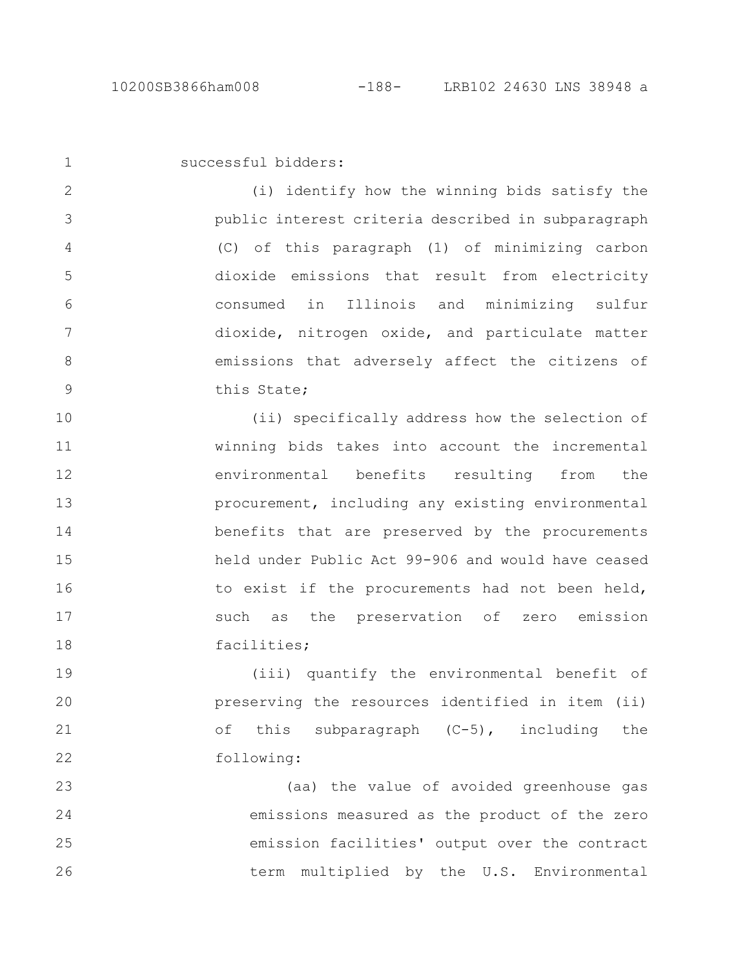1

successful bidders:

(i) identify how the winning bids satisfy the public interest criteria described in subparagraph (C) of this paragraph (1) of minimizing carbon dioxide emissions that result from electricity consumed in Illinois and minimizing sulfur dioxide, nitrogen oxide, and particulate matter emissions that adversely affect the citizens of this State; 2 3 4 5 6 7 8 9

(ii) specifically address how the selection of winning bids takes into account the incremental environmental benefits resulting from the procurement, including any existing environmental benefits that are preserved by the procurements held under Public Act 99-906 and would have ceased to exist if the procurements had not been held, such as the preservation of zero emission facilities; 10 11 12 13 14 15 16 17 18

(iii) quantify the environmental benefit of preserving the resources identified in item (ii) of this subparagraph (C-5), including the following: 19 20 21 22

(aa) the value of avoided greenhouse gas emissions measured as the product of the zero emission facilities' output over the contract term multiplied by the U.S. Environmental 23 24 25 26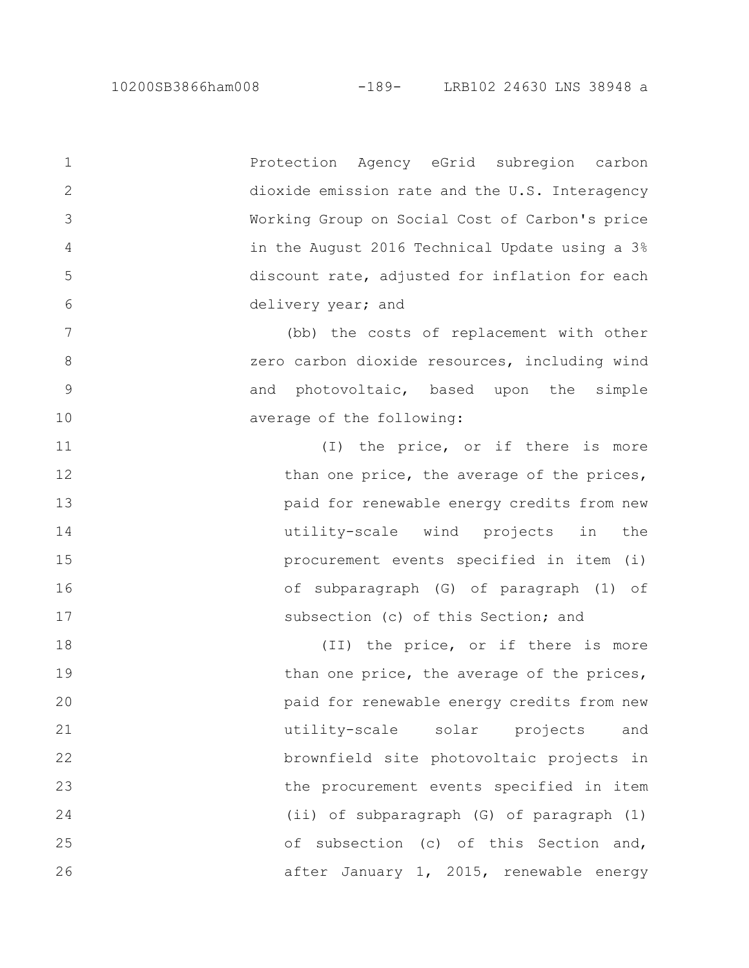Protection Agency eGrid subregion carbon dioxide emission rate and the U.S. Interagency Working Group on Social Cost of Carbon's price in the August 2016 Technical Update using a 3% discount rate, adjusted for inflation for each delivery year; and (bb) the costs of replacement with other zero carbon dioxide resources, including wind and photovoltaic, based upon the simple average of the following: (I) the price, or if there is more than one price, the average of the prices, paid for renewable energy credits from new utility-scale wind projects in the procurement events specified in item (i) of subparagraph (G) of paragraph (1) of subsection (c) of this Section: and (II) the price, or if there is more than one price, the average of the prices, paid for renewable energy credits from new utility-scale solar projects and brownfield site photovoltaic projects in the procurement events specified in item (ii) of subparagraph (G) of paragraph (1) of subsection (c) of this Section and, after January 1, 2015, renewable energy 1 2 3 4 5 6 7 8 9 10 11 12 13 14 15 16 17 18 19 20 21 22 23 24 25 26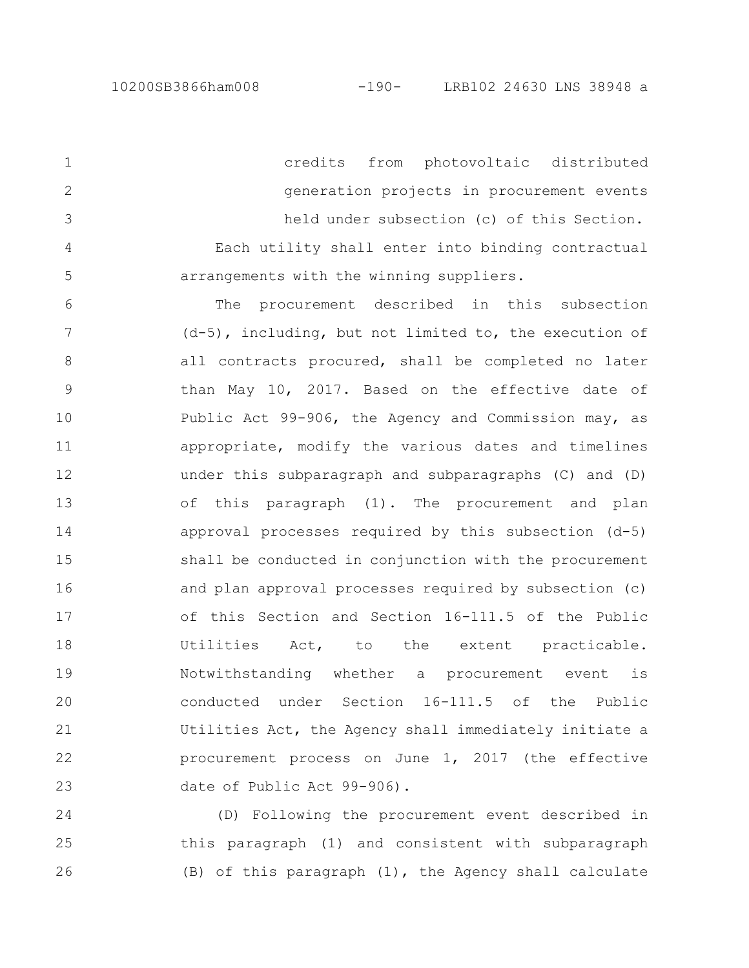credits from photovoltaic distributed generation projects in procurement events held under subsection (c) of this Section. Each utility shall enter into binding contractual arrangements with the winning suppliers. 1 2 3 4 5

The procurement described in this subsection (d-5), including, but not limited to, the execution of all contracts procured, shall be completed no later than May 10, 2017. Based on the effective date of Public Act 99-906, the Agency and Commission may, as appropriate, modify the various dates and timelines under this subparagraph and subparagraphs (C) and (D) of this paragraph (1). The procurement and plan approval processes required by this subsection (d-5) shall be conducted in conjunction with the procurement and plan approval processes required by subsection (c) of this Section and Section 16-111.5 of the Public Utilities Act, to the extent practicable. Notwithstanding whether a procurement event is conducted under Section 16-111.5 of the Public Utilities Act, the Agency shall immediately initiate a procurement process on June 1, 2017 (the effective date of Public Act 99-906). 6 7 8 9 10 11 12 13 14 15 16 17 18 19 20 21 22 23

(D) Following the procurement event described in this paragraph (1) and consistent with subparagraph (B) of this paragraph (1), the Agency shall calculate 24 25 26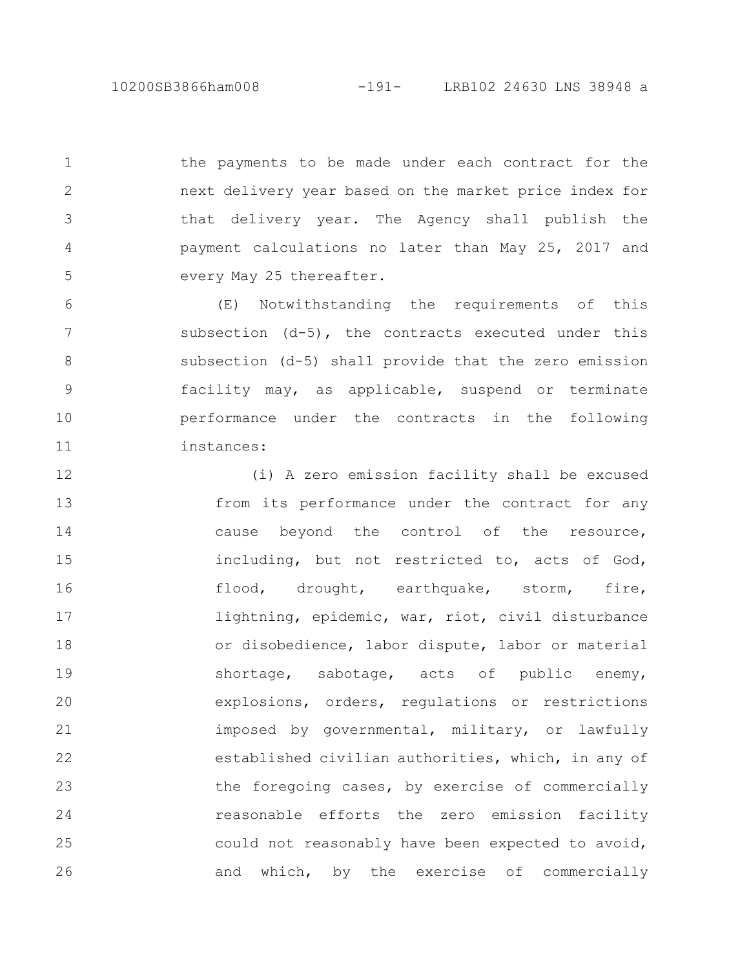10200SB3866ham008 -191- LRB102 24630 LNS 38948 a

the payments to be made under each contract for the next delivery year based on the market price index for that delivery year. The Agency shall publish the payment calculations no later than May 25, 2017 and

every May 25 thereafter.

1

2

3

4

5

(E) Notwithstanding the requirements of this subsection  $(d-5)$ , the contracts executed under this subsection (d-5) shall provide that the zero emission facility may, as applicable, suspend or terminate performance under the contracts in the following instances: 6 7 8 9 10 11

(i) A zero emission facility shall be excused from its performance under the contract for any cause beyond the control of the resource, including, but not restricted to, acts of God, flood, drought, earthquake, storm, fire, lightning, epidemic, war, riot, civil disturbance or disobedience, labor dispute, labor or material shortage, sabotage, acts of public enemy, explosions, orders, regulations or restrictions imposed by governmental, military, or lawfully established civilian authorities, which, in any of the foregoing cases, by exercise of commercially reasonable efforts the zero emission facility could not reasonably have been expected to avoid, and which, by the exercise of commercially 12 13 14 15 16 17 18 19 20 21 22 23 24 25 26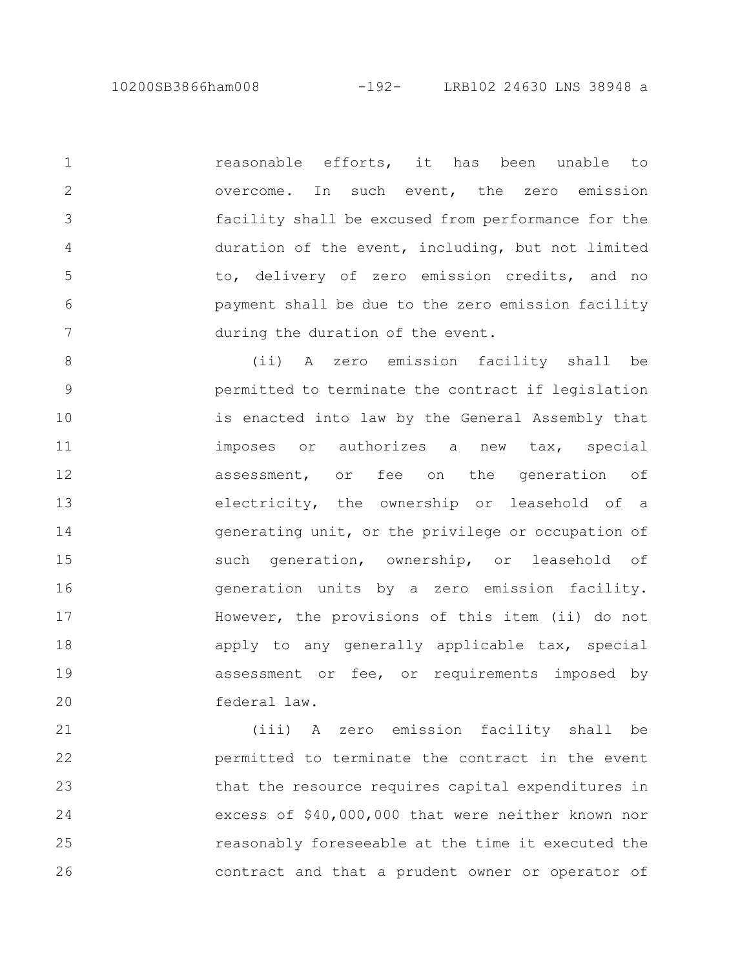reasonable efforts, it has been unable to overcome. In such event, the zero emission facility shall be excused from performance for the duration of the event, including, but not limited to, delivery of zero emission credits, and no payment shall be due to the zero emission facility during the duration of the event. 1 2 3 4 5 6 7

(ii) A zero emission facility shall be permitted to terminate the contract if legislation is enacted into law by the General Assembly that imposes or authorizes a new tax, special assessment, or fee on the generation of electricity, the ownership or leasehold of a generating unit, or the privilege or occupation of such generation, ownership, or leasehold of generation units by a zero emission facility. However, the provisions of this item (ii) do not apply to any generally applicable tax, special assessment or fee, or requirements imposed by federal law. 8 9 10 11 12 13 14 15 16 17 18 19 20

(iii) A zero emission facility shall be permitted to terminate the contract in the event that the resource requires capital expenditures in excess of \$40,000,000 that were neither known nor reasonably foreseeable at the time it executed the contract and that a prudent owner or operator of 21 22 23 24 25 26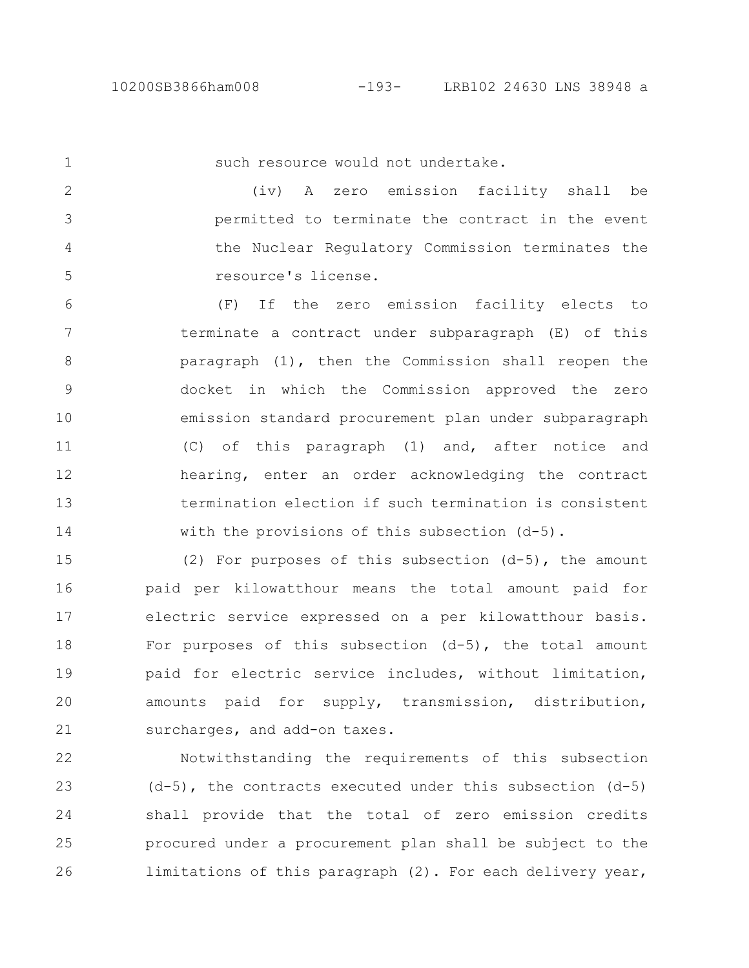1

such resource would not undertake.

(iv) A zero emission facility shall be permitted to terminate the contract in the event the Nuclear Regulatory Commission terminates the resource's license. 2 3 4 5

(F) If the zero emission facility elects to terminate a contract under subparagraph (E) of this paragraph (1), then the Commission shall reopen the docket in which the Commission approved the zero emission standard procurement plan under subparagraph (C) of this paragraph (1) and, after notice and hearing, enter an order acknowledging the contract termination election if such termination is consistent with the provisions of this subsection (d-5). 6 7 8 9 10 11 12 13 14

(2) For purposes of this subsection (d-5), the amount paid per kilowatthour means the total amount paid for electric service expressed on a per kilowatthour basis. For purposes of this subsection  $(d-5)$ , the total amount paid for electric service includes, without limitation, amounts paid for supply, transmission, distribution, surcharges, and add-on taxes. 15 16 17 18 19 20 21

Notwithstanding the requirements of this subsection (d-5), the contracts executed under this subsection (d-5) shall provide that the total of zero emission credits procured under a procurement plan shall be subject to the limitations of this paragraph (2). For each delivery year, 22 23 24 25 26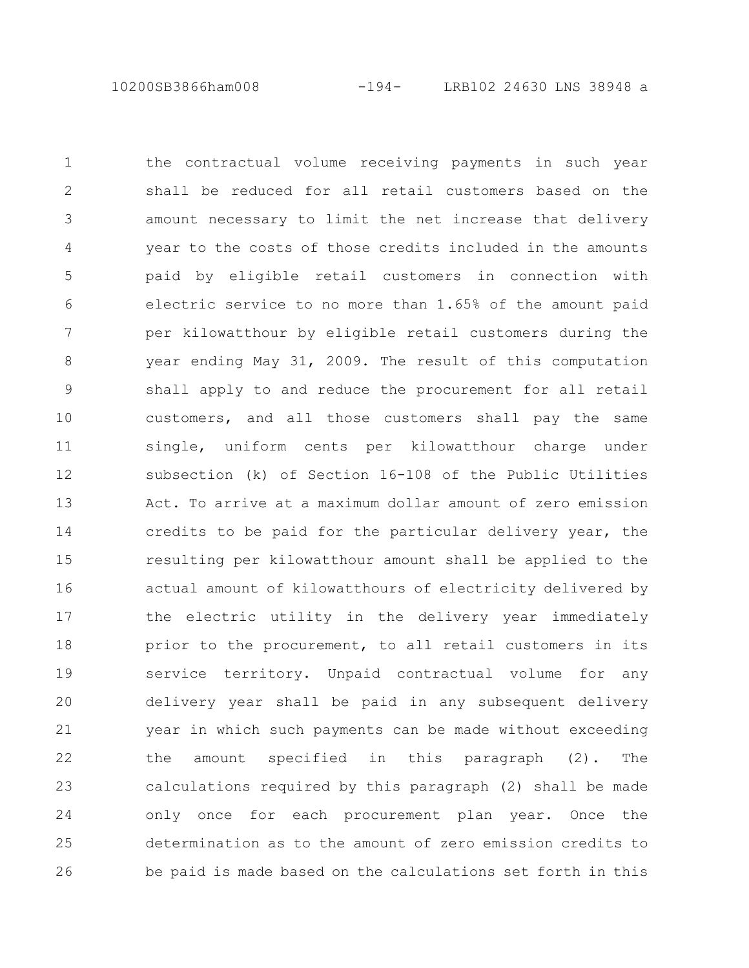the contractual volume receiving payments in such year shall be reduced for all retail customers based on the amount necessary to limit the net increase that delivery year to the costs of those credits included in the amounts paid by eligible retail customers in connection with electric service to no more than 1.65% of the amount paid per kilowatthour by eligible retail customers during the year ending May 31, 2009. The result of this computation shall apply to and reduce the procurement for all retail customers, and all those customers shall pay the same single, uniform cents per kilowatthour charge under subsection (k) of Section 16-108 of the Public Utilities Act. To arrive at a maximum dollar amount of zero emission credits to be paid for the particular delivery year, the resulting per kilowatthour amount shall be applied to the actual amount of kilowatthours of electricity delivered by the electric utility in the delivery year immediately prior to the procurement, to all retail customers in its service territory. Unpaid contractual volume for any delivery year shall be paid in any subsequent delivery year in which such payments can be made without exceeding the amount specified in this paragraph (2). The calculations required by this paragraph (2) shall be made only once for each procurement plan year. Once the determination as to the amount of zero emission credits to be paid is made based on the calculations set forth in this 1 2 3 4 5 6 7 8 9 10 11 12 13 14 15 16 17 18 19 20 21 22 23 24 25 26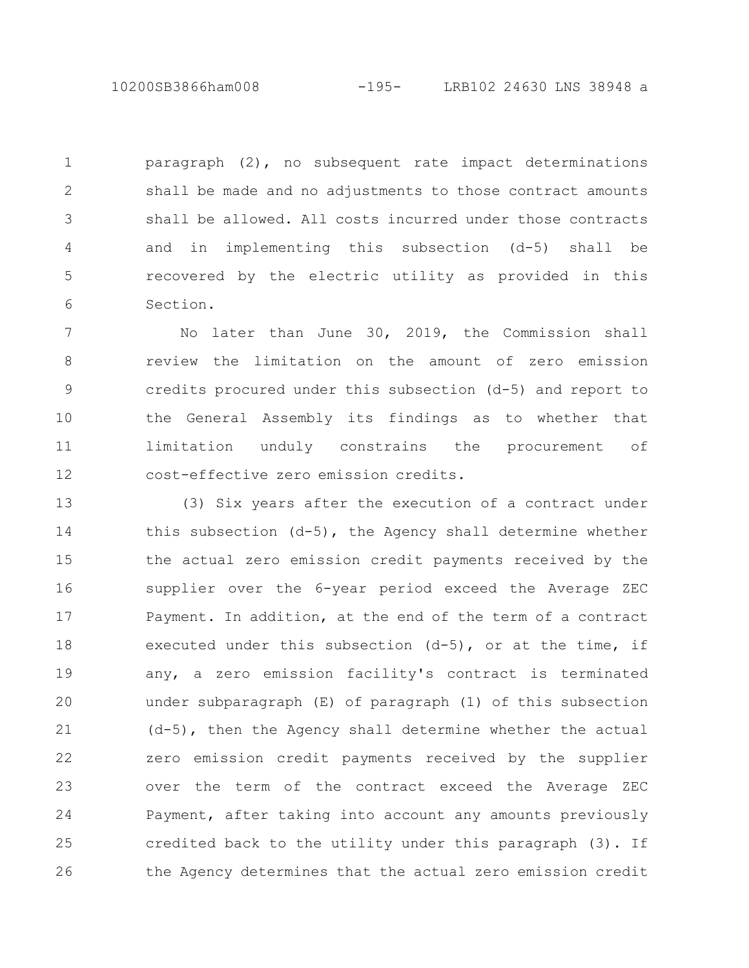10200SB3866ham008 -195- LRB102 24630 LNS 38948 a

paragraph (2), no subsequent rate impact determinations shall be made and no adjustments to those contract amounts shall be allowed. All costs incurred under those contracts and in implementing this subsection (d-5) shall be recovered by the electric utility as provided in this Section. 1 2 3 4 5 6

No later than June 30, 2019, the Commission shall review the limitation on the amount of zero emission credits procured under this subsection (d-5) and report to the General Assembly its findings as to whether that limitation unduly constrains the procurement of cost-effective zero emission credits. 7 8 9 10 11 12

(3) Six years after the execution of a contract under this subsection (d-5), the Agency shall determine whether the actual zero emission credit payments received by the supplier over the 6-year period exceed the Average ZEC Payment. In addition, at the end of the term of a contract executed under this subsection (d-5), or at the time, if any, a zero emission facility's contract is terminated under subparagraph (E) of paragraph (1) of this subsection (d-5), then the Agency shall determine whether the actual zero emission credit payments received by the supplier over the term of the contract exceed the Average ZEC Payment, after taking into account any amounts previously credited back to the utility under this paragraph (3). If the Agency determines that the actual zero emission credit 13 14 15 16 17 18 19 20 21 22 23 24 25 26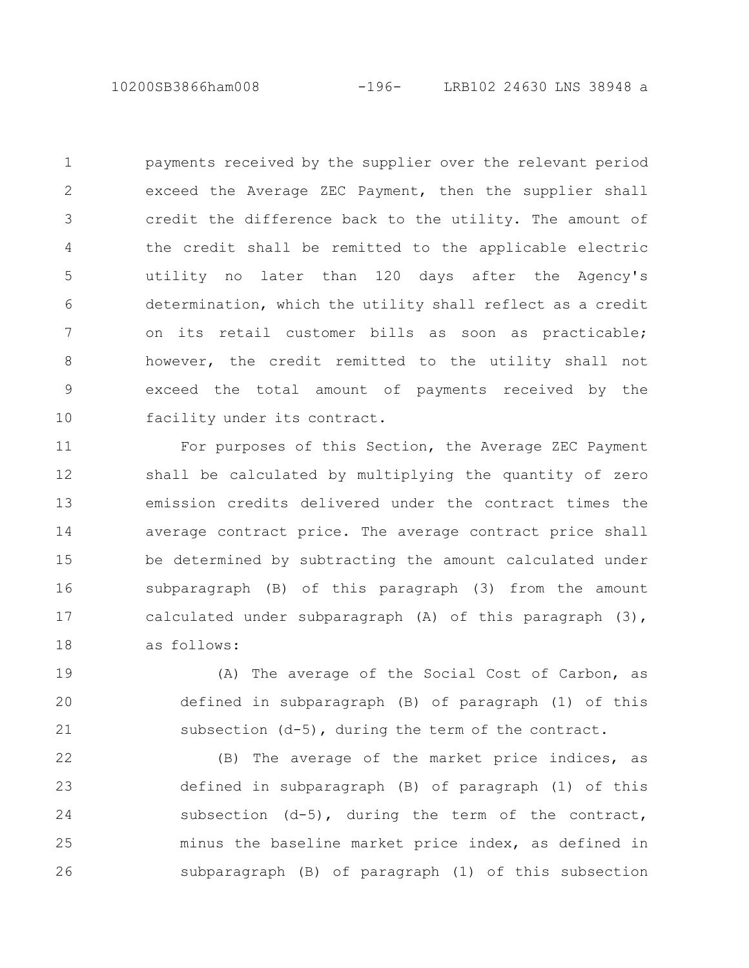10200SB3866ham008 -196- LRB102 24630 LNS 38948 a

payments received by the supplier over the relevant period exceed the Average ZEC Payment, then the supplier shall credit the difference back to the utility. The amount of the credit shall be remitted to the applicable electric utility no later than 120 days after the Agency's determination, which the utility shall reflect as a credit on its retail customer bills as soon as practicable; however, the credit remitted to the utility shall not exceed the total amount of payments received by the facility under its contract. 1 2 3 4 5 6 7 8 9 10

For purposes of this Section, the Average ZEC Payment shall be calculated by multiplying the quantity of zero emission credits delivered under the contract times the average contract price. The average contract price shall be determined by subtracting the amount calculated under subparagraph (B) of this paragraph (3) from the amount calculated under subparagraph (A) of this paragraph (3), as follows: 11 12 13 14 15 16 17 18

(A) The average of the Social Cost of Carbon, as defined in subparagraph (B) of paragraph (1) of this subsection (d-5), during the term of the contract. 19 20 21

(B) The average of the market price indices, as defined in subparagraph (B) of paragraph (1) of this subsection  $(d-5)$ , during the term of the contract, minus the baseline market price index, as defined in subparagraph (B) of paragraph (1) of this subsection 22 23 24 25 26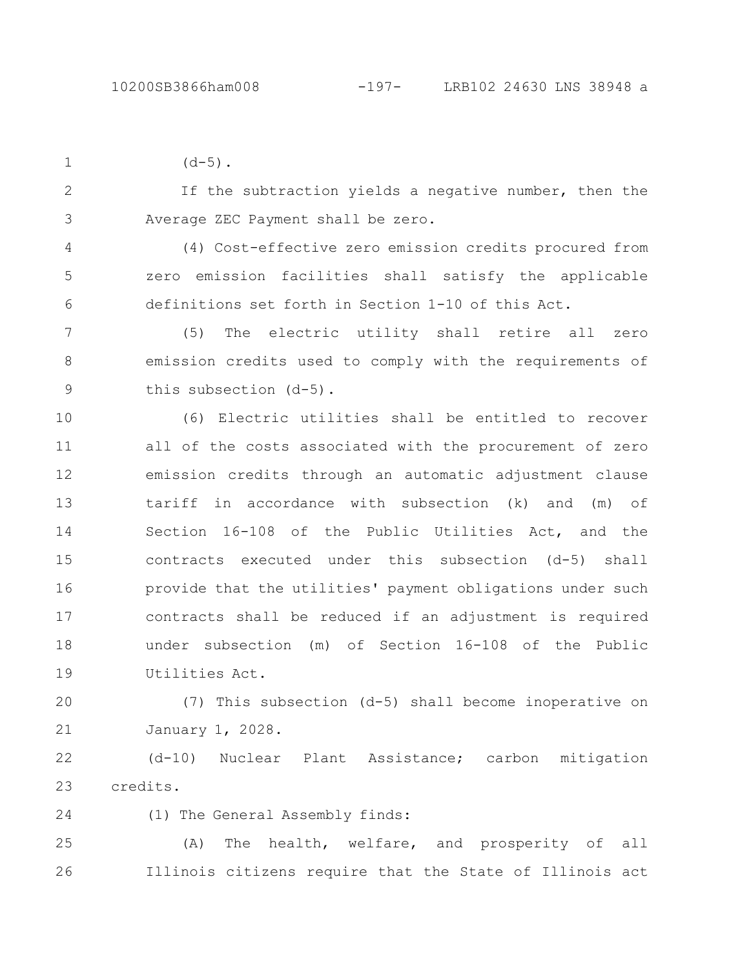```
(d-5).
1
```
If the subtraction yields a negative number, then the Average ZEC Payment shall be zero. 2 3

(4) Cost-effective zero emission credits procured from zero emission facilities shall satisfy the applicable definitions set forth in Section 1-10 of this Act. 4 5 6

(5) The electric utility shall retire all zero emission credits used to comply with the requirements of this subsection (d-5). 7 8 9

(6) Electric utilities shall be entitled to recover all of the costs associated with the procurement of zero emission credits through an automatic adjustment clause tariff in accordance with subsection (k) and (m) of Section 16-108 of the Public Utilities Act, and the contracts executed under this subsection (d-5) shall provide that the utilities' payment obligations under such contracts shall be reduced if an adjustment is required under subsection (m) of Section 16-108 of the Public Utilities Act. 10 11 12 13 14 15 16 17 18 19

(7) This subsection (d-5) shall become inoperative on January 1, 2028. 20 21

(d-10) Nuclear Plant Assistance; carbon mitigation credits. 22 23

24

(1) The General Assembly finds:

(A) The health, welfare, and prosperity of all Illinois citizens require that the State of Illinois act 25 26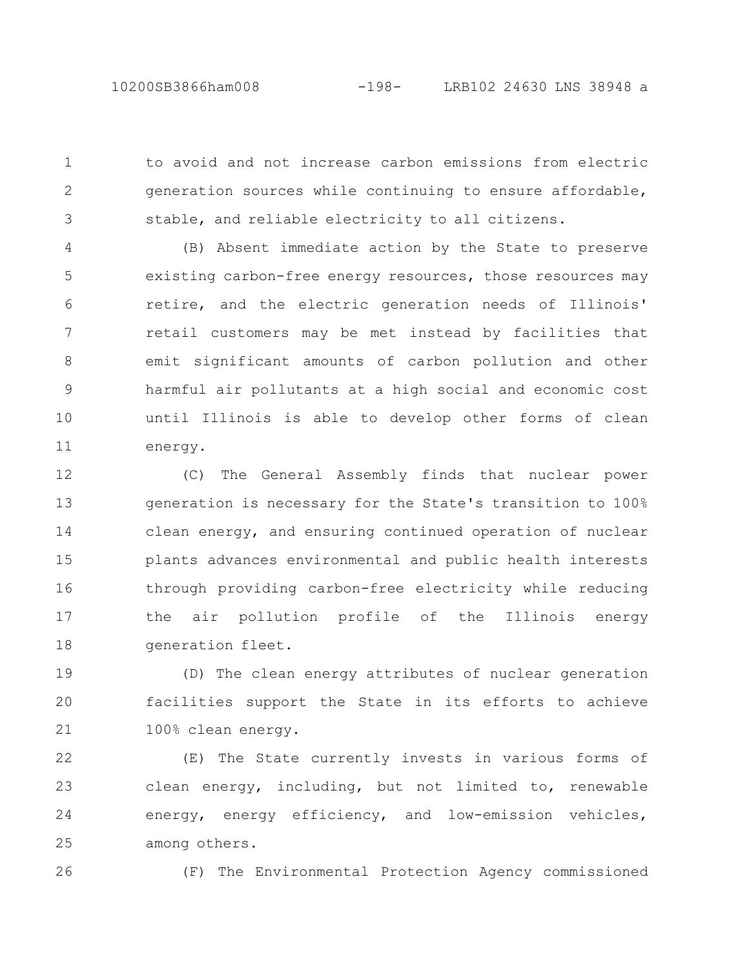1

2

3

to avoid and not increase carbon emissions from electric generation sources while continuing to ensure affordable, stable, and reliable electricity to all citizens.

(B) Absent immediate action by the State to preserve existing carbon-free energy resources, those resources may retire, and the electric generation needs of Illinois' retail customers may be met instead by facilities that emit significant amounts of carbon pollution and other harmful air pollutants at a high social and economic cost until Illinois is able to develop other forms of clean energy. 4 5 6 7 8 9 10 11

(C) The General Assembly finds that nuclear power generation is necessary for the State's transition to 100% clean energy, and ensuring continued operation of nuclear plants advances environmental and public health interests through providing carbon-free electricity while reducing the air pollution profile of the Illinois energy generation fleet. 12 13 14 15 16 17 18

(D) The clean energy attributes of nuclear generation facilities support the State in its efforts to achieve 100% clean energy. 19 20 21

(E) The State currently invests in various forms of clean energy, including, but not limited to, renewable energy, energy efficiency, and low-emission vehicles, among others. 22 23 24 25

26

(F) The Environmental Protection Agency commissioned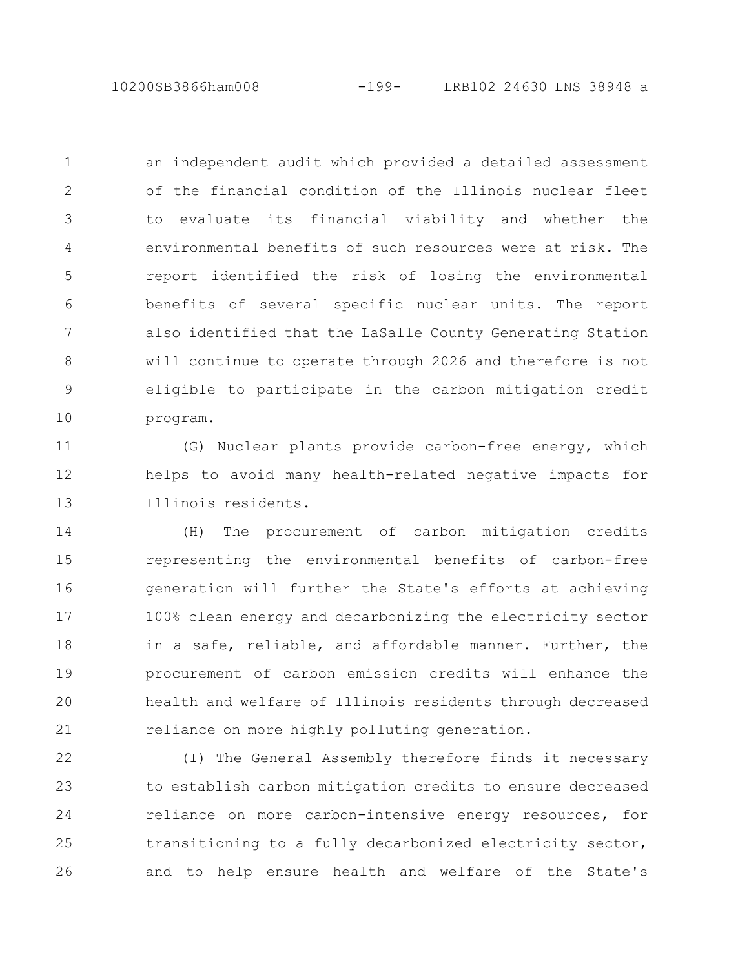10200SB3866ham008 -199- LRB102 24630 LNS 38948 a

an independent audit which provided a detailed assessment of the financial condition of the Illinois nuclear fleet to evaluate its financial viability and whether the environmental benefits of such resources were at risk. The report identified the risk of losing the environmental benefits of several specific nuclear units. The report also identified that the LaSalle County Generating Station will continue to operate through 2026 and therefore is not eligible to participate in the carbon mitigation credit program. 1 2 3 4 5 6 7 8 9 10

(G) Nuclear plants provide carbon-free energy, which helps to avoid many health-related negative impacts for Illinois residents. 11 12 13

(H) The procurement of carbon mitigation credits representing the environmental benefits of carbon-free generation will further the State's efforts at achieving 100% clean energy and decarbonizing the electricity sector in a safe, reliable, and affordable manner. Further, the procurement of carbon emission credits will enhance the health and welfare of Illinois residents through decreased reliance on more highly polluting generation. 14 15 16 17 18 19 20 21

(I) The General Assembly therefore finds it necessary to establish carbon mitigation credits to ensure decreased reliance on more carbon-intensive energy resources, for transitioning to a fully decarbonized electricity sector, and to help ensure health and welfare of the State's 22 23 24 25 26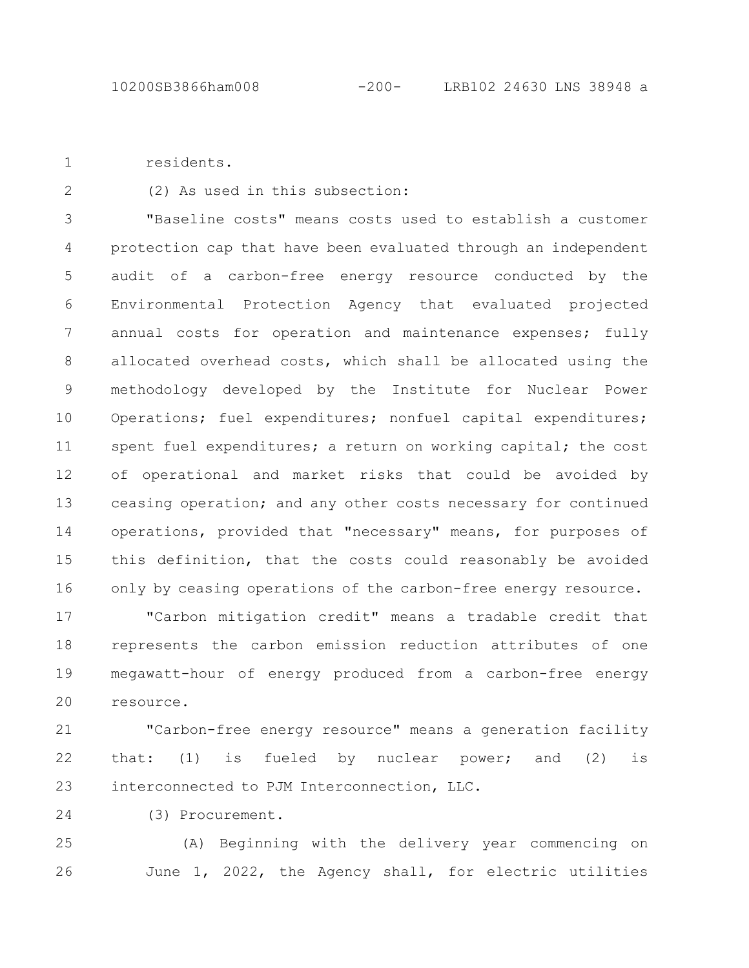residents. 1

2

(2) As used in this subsection:

"Baseline costs" means costs used to establish a customer protection cap that have been evaluated through an independent audit of a carbon-free energy resource conducted by the Environmental Protection Agency that evaluated projected annual costs for operation and maintenance expenses; fully allocated overhead costs, which shall be allocated using the methodology developed by the Institute for Nuclear Power Operations; fuel expenditures; nonfuel capital expenditures; spent fuel expenditures; a return on working capital; the cost of operational and market risks that could be avoided by ceasing operation; and any other costs necessary for continued operations, provided that "necessary" means, for purposes of this definition, that the costs could reasonably be avoided only by ceasing operations of the carbon-free energy resource. 3 4 5 6 7 8 9 10 11 12 13 14 15 16

"Carbon mitigation credit" means a tradable credit that represents the carbon emission reduction attributes of one megawatt-hour of energy produced from a carbon-free energy resource. 17 18 19 20

"Carbon-free energy resource" means a generation facility that: (1) is fueled by nuclear power; and (2) is interconnected to PJM Interconnection, LLC. 21 22 23

(3) Procurement. 24

(A) Beginning with the delivery year commencing on June 1, 2022, the Agency shall, for electric utilities 25 26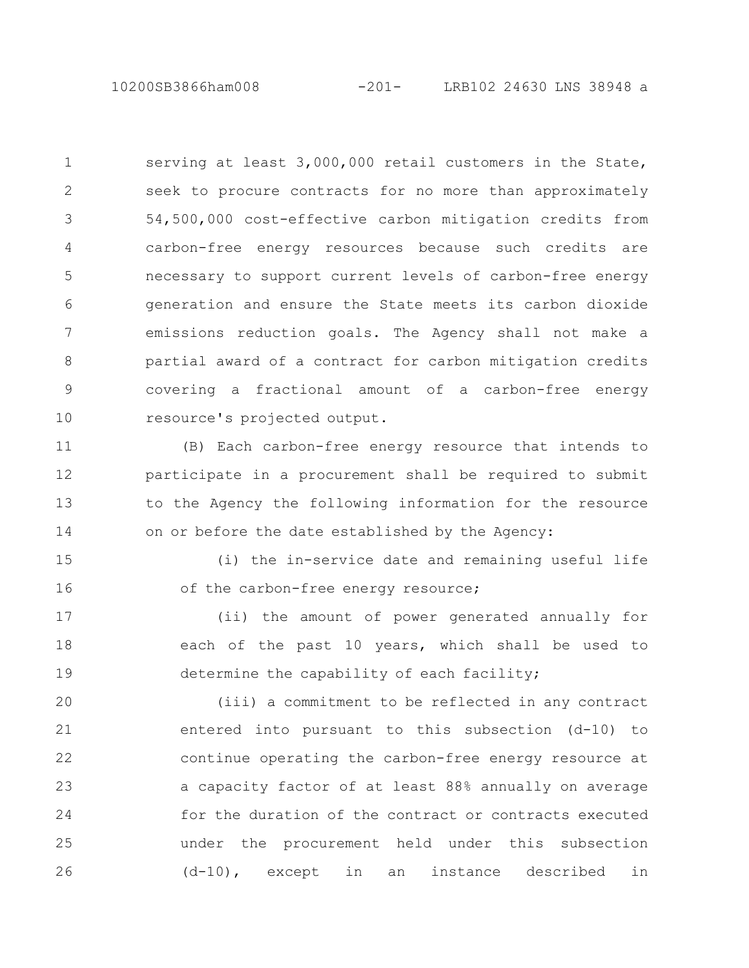10200SB3866ham008 -201- LRB102 24630 LNS 38948 a

serving at least 3,000,000 retail customers in the State, seek to procure contracts for no more than approximately 54,500,000 cost-effective carbon mitigation credits from carbon-free energy resources because such credits are necessary to support current levels of carbon-free energy generation and ensure the State meets its carbon dioxide emissions reduction goals. The Agency shall not make a partial award of a contract for carbon mitigation credits covering a fractional amount of a carbon-free energy resource's projected output. 1 2 3 4 5 6 7 8 9 10

(B) Each carbon-free energy resource that intends to participate in a procurement shall be required to submit to the Agency the following information for the resource on or before the date established by the Agency: 11 12 13 14

(i) the in-service date and remaining useful life of the carbon-free energy resource; 15 16

(ii) the amount of power generated annually for each of the past 10 years, which shall be used to determine the capability of each facility; 17 18 19

(iii) a commitment to be reflected in any contract entered into pursuant to this subsection (d-10) to continue operating the carbon-free energy resource at a capacity factor of at least 88% annually on average for the duration of the contract or contracts executed under the procurement held under this subsection (d-10), except in an instance described in 20 21 22 23 24 25 26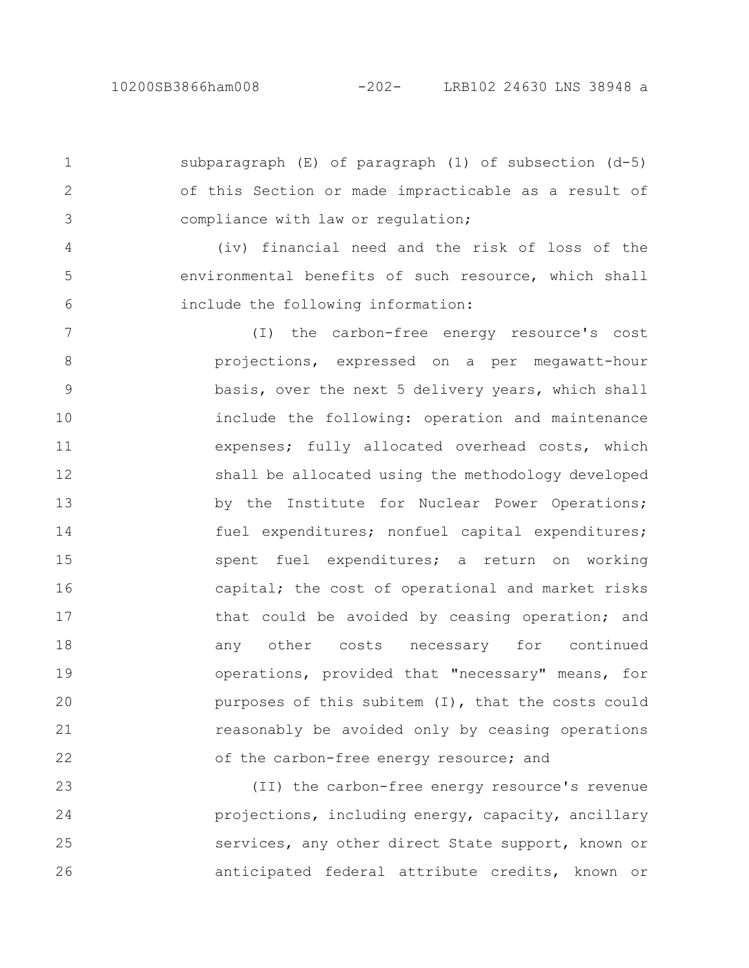10200SB3866ham008 -202- LRB102 24630 LNS 38948 a

1

2

3

4

5

6

subparagraph (E) of paragraph (1) of subsection (d-5) of this Section or made impracticable as a result of compliance with law or regulation;

(iv) financial need and the risk of loss of the environmental benefits of such resource, which shall include the following information:

(I) the carbon-free energy resource's cost projections, expressed on a per megawatt-hour basis, over the next 5 delivery years, which shall include the following: operation and maintenance expenses; fully allocated overhead costs, which shall be allocated using the methodology developed by the Institute for Nuclear Power Operations; fuel expenditures; nonfuel capital expenditures; spent fuel expenditures; a return on working capital; the cost of operational and market risks that could be avoided by ceasing operation; and any other costs necessary for continued operations, provided that "necessary" means, for purposes of this subitem (I), that the costs could reasonably be avoided only by ceasing operations of the carbon-free energy resource; and 7 8 9 10 11 12 13 14 15 16 17 18 19 20 21 22

(II) the carbon-free energy resource's revenue projections, including energy, capacity, ancillary services, any other direct State support, known or anticipated federal attribute credits, known or 23 24 25 26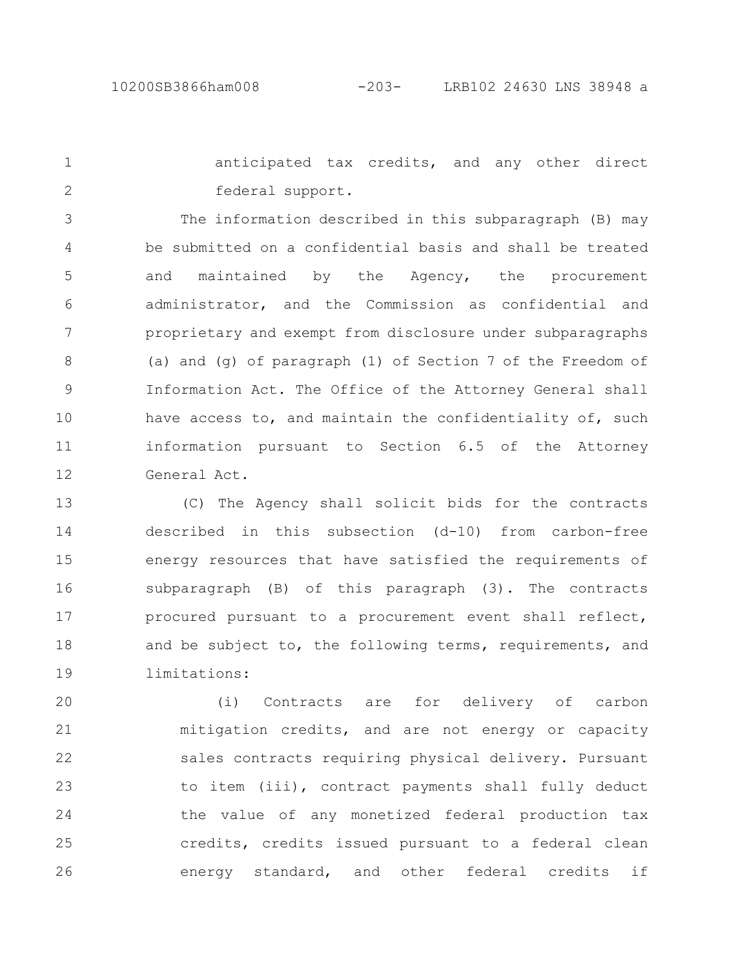anticipated tax credits, and any other direct federal support. 1 2

The information described in this subparagraph (B) may be submitted on a confidential basis and shall be treated and maintained by the Agency, the procurement administrator, and the Commission as confidential and proprietary and exempt from disclosure under subparagraphs (a) and (g) of paragraph (1) of Section 7 of the Freedom of Information Act. The Office of the Attorney General shall have access to, and maintain the confidentiality of, such information pursuant to Section 6.5 of the Attorney General Act. 3 4 5 6 7 8 9 10 11 12

(C) The Agency shall solicit bids for the contracts described in this subsection (d-10) from carbon-free energy resources that have satisfied the requirements of subparagraph (B) of this paragraph (3). The contracts procured pursuant to a procurement event shall reflect, and be subject to, the following terms, requirements, and limitations: 13 14 15 16 17 18 19

(i) Contracts are for delivery of carbon mitigation credits, and are not energy or capacity sales contracts requiring physical delivery. Pursuant to item (iii), contract payments shall fully deduct the value of any monetized federal production tax credits, credits issued pursuant to a federal clean energy standard, and other federal credits if 20 21 22 23 24 25 26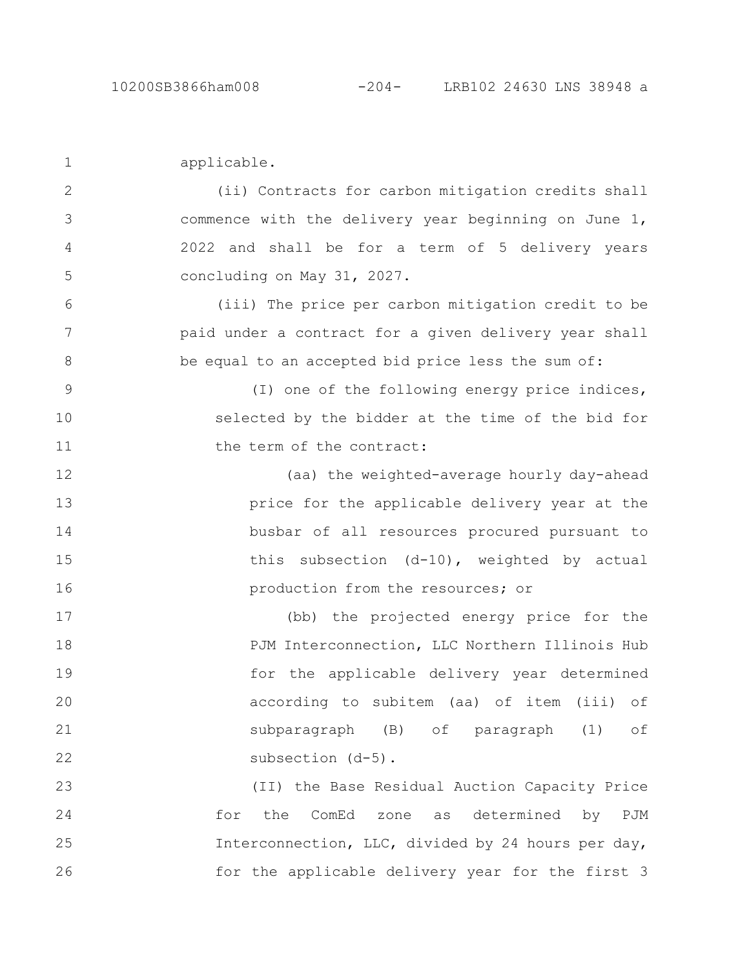applicable. (ii) Contracts for carbon mitigation credits shall commence with the delivery year beginning on June 1, 2022 and shall be for a term of 5 delivery years concluding on May 31, 2027. (iii) The price per carbon mitigation credit to be paid under a contract for a given delivery year shall be equal to an accepted bid price less the sum of: 1 2 3 4 5 6 7 8 9

(I) one of the following energy price indices, selected by the bidder at the time of the bid for the term of the contract: 10 11

(aa) the weighted-average hourly day-ahead price for the applicable delivery year at the busbar of all resources procured pursuant to this subsection (d-10), weighted by actual production from the resources; or 12 13 14 15 16

(bb) the projected energy price for the PJM Interconnection, LLC Northern Illinois Hub for the applicable delivery year determined according to subitem (aa) of item (iii) of subparagraph (B) of paragraph (1) of subsection (d-5). 17 18 19 20 21 22

(II) the Base Residual Auction Capacity Price for the ComEd zone as determined by PJM Interconnection, LLC, divided by 24 hours per day, for the applicable delivery year for the first 3 23 24 25 26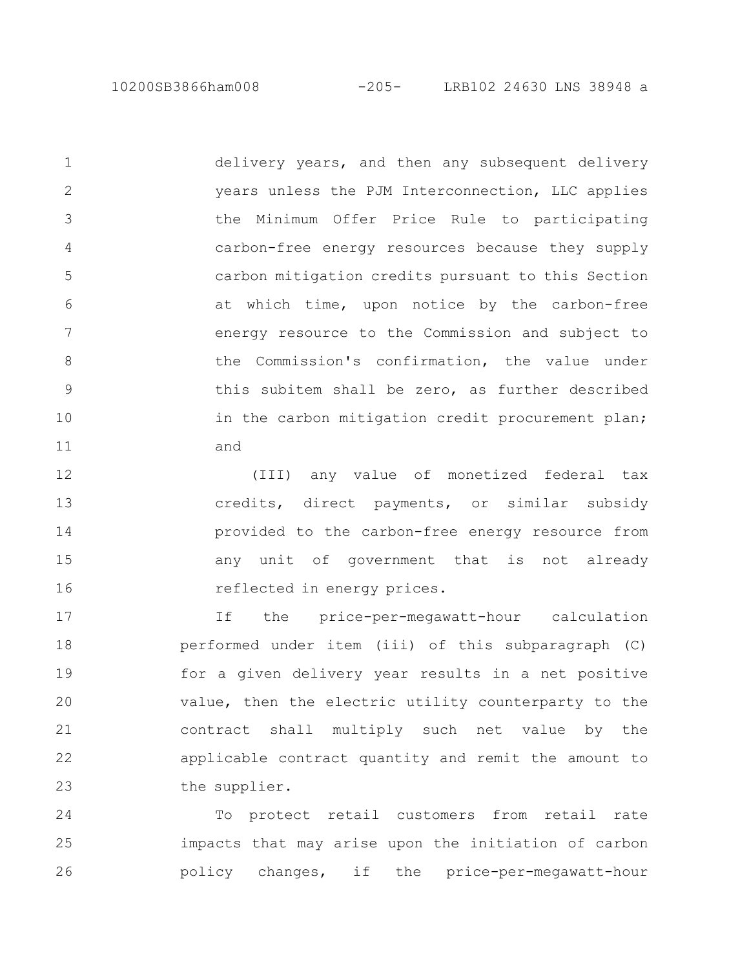10200SB3866ham008 -205- LRB102 24630 LNS 38948 a

delivery years, and then any subsequent delivery years unless the PJM Interconnection, LLC applies the Minimum Offer Price Rule to participating carbon-free energy resources because they supply carbon mitigation credits pursuant to this Section at which time, upon notice by the carbon-free energy resource to the Commission and subject to the Commission's confirmation, the value under this subitem shall be zero, as further described in the carbon mitigation credit procurement plan; and 1 2 3 4 5 6 7 8 9 10 11

(III) any value of monetized federal tax credits, direct payments, or similar subsidy provided to the carbon-free energy resource from any unit of government that is not already reflected in energy prices. 12 13 14 15 16

If the price-per-megawatt-hour calculation performed under item (iii) of this subparagraph (C) for a given delivery year results in a net positive value, then the electric utility counterparty to the contract shall multiply such net value by the applicable contract quantity and remit the amount to the supplier. 17 18 19 20 21 22 23

To protect retail customers from retail rate impacts that may arise upon the initiation of carbon policy changes, if the price-per-megawatt-hour 24 25 26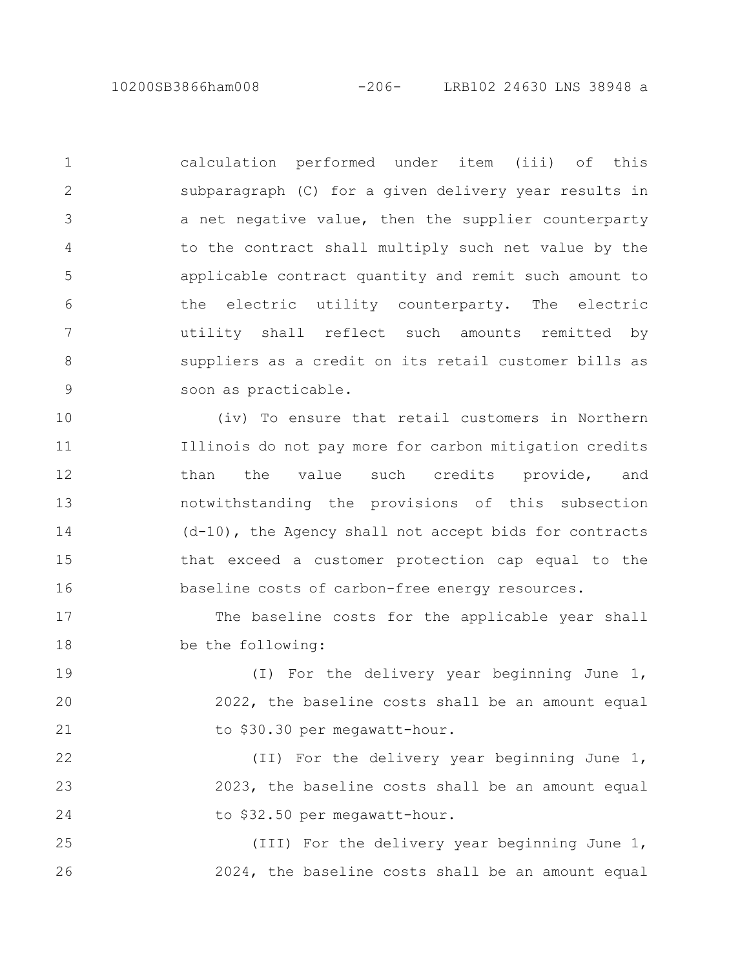10200SB3866ham008 -206- LRB102 24630 LNS 38948 a

1

2

3

4

5

6

7

8

9

22

23

24

calculation performed under item (iii) of this subparagraph (C) for a given delivery year results in a net negative value, then the supplier counterparty to the contract shall multiply such net value by the applicable contract quantity and remit such amount to the electric utility counterparty. The electric utility shall reflect such amounts remitted by suppliers as a credit on its retail customer bills as soon as practicable.

(iv) To ensure that retail customers in Northern Illinois do not pay more for carbon mitigation credits than the value such credits provide, and notwithstanding the provisions of this subsection (d-10), the Agency shall not accept bids for contracts that exceed a customer protection cap equal to the baseline costs of carbon-free energy resources. 10 11 12 13 14 15 16

The baseline costs for the applicable year shall be the following: 17 18

(I) For the delivery year beginning June 1, 2022, the baseline costs shall be an amount equal to \$30.30 per megawatt-hour. 19 20 21

(II) For the delivery year beginning June 1, 2023, the baseline costs shall be an amount equal to \$32.50 per megawatt-hour.

(III) For the delivery year beginning June 1, 2024, the baseline costs shall be an amount equal 25 26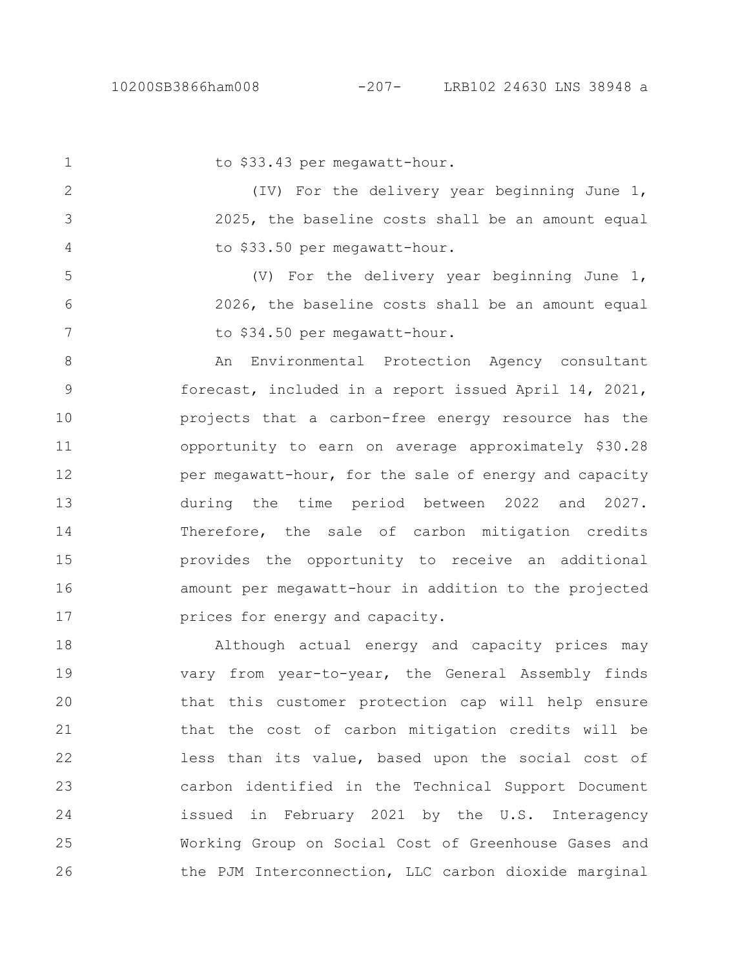1

to \$33.43 per megawatt-hour.

(IV) For the delivery year beginning June 1, 2025, the baseline costs shall be an amount equal to \$33.50 per megawatt-hour. 2 3 4

(V) For the delivery year beginning June 1, 2026, the baseline costs shall be an amount equal to \$34.50 per megawatt-hour. 5 6 7

An Environmental Protection Agency consultant forecast, included in a report issued April 14, 2021, projects that a carbon-free energy resource has the opportunity to earn on average approximately \$30.28 per megawatt-hour, for the sale of energy and capacity during the time period between 2022 and 2027. Therefore, the sale of carbon mitigation credits provides the opportunity to receive an additional amount per megawatt-hour in addition to the projected prices for energy and capacity. 8 9 10 11 12 13 14 15 16 17

Although actual energy and capacity prices may vary from year-to-year, the General Assembly finds that this customer protection cap will help ensure that the cost of carbon mitigation credits will be less than its value, based upon the social cost of carbon identified in the Technical Support Document issued in February 2021 by the U.S. Interagency Working Group on Social Cost of Greenhouse Gases and the PJM Interconnection, LLC carbon dioxide marginal 18 19 20 21 22 23 24 25 26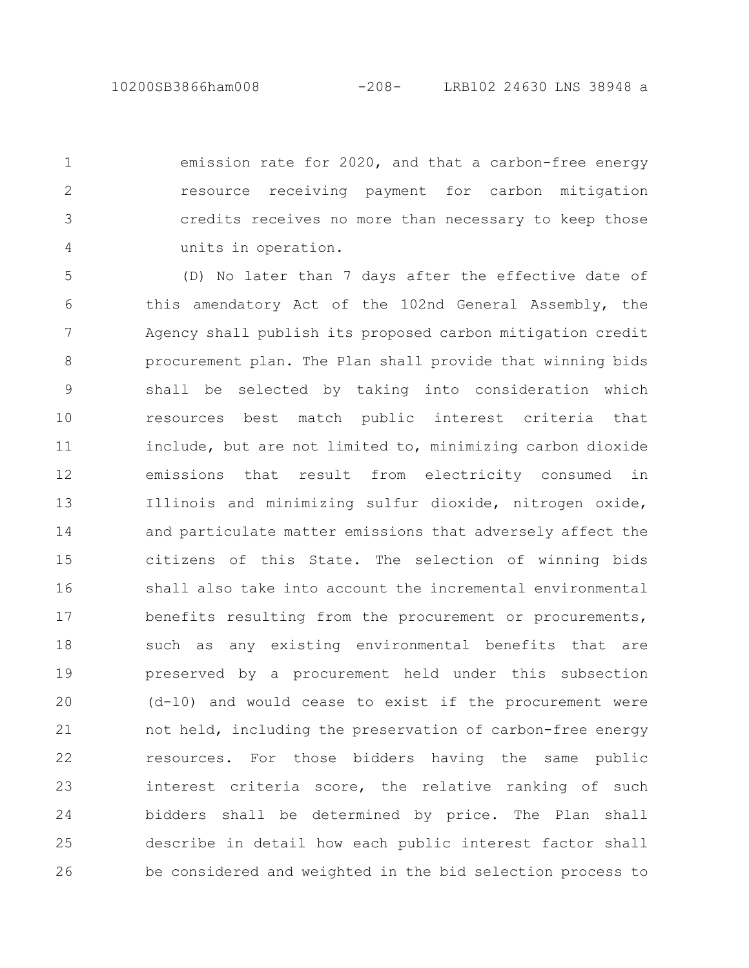emission rate for 2020, and that a carbon-free energy resource receiving payment for carbon mitigation credits receives no more than necessary to keep those units in operation. 1 2 3 4

(D) No later than 7 days after the effective date of this amendatory Act of the 102nd General Assembly, the Agency shall publish its proposed carbon mitigation credit procurement plan. The Plan shall provide that winning bids shall be selected by taking into consideration which resources best match public interest criteria that include, but are not limited to, minimizing carbon dioxide emissions that result from electricity consumed in Illinois and minimizing sulfur dioxide, nitrogen oxide, and particulate matter emissions that adversely affect the citizens of this State. The selection of winning bids shall also take into account the incremental environmental benefits resulting from the procurement or procurements, such as any existing environmental benefits that are preserved by a procurement held under this subsection (d-10) and would cease to exist if the procurement were not held, including the preservation of carbon-free energy resources. For those bidders having the same public interest criteria score, the relative ranking of such bidders shall be determined by price. The Plan shall describe in detail how each public interest factor shall be considered and weighted in the bid selection process to 5 6 7 8 9 10 11 12 13 14 15 16 17 18 19 20 21 22 23 24 25 26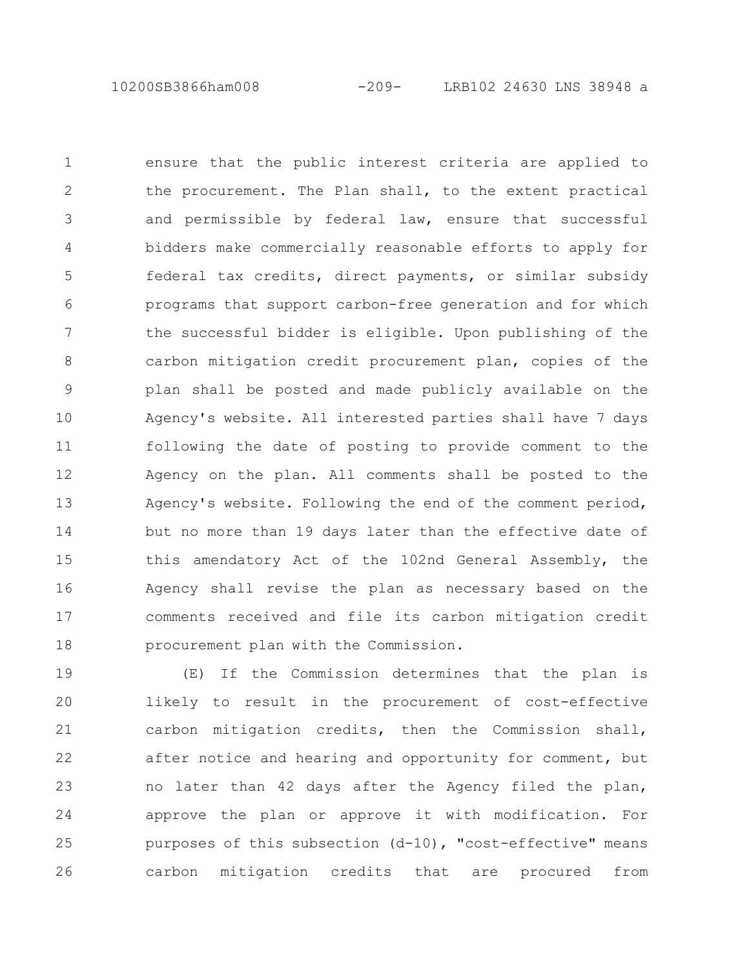10200SB3866ham008 -209- LRB102 24630 LNS 38948 a

ensure that the public interest criteria are applied to the procurement. The Plan shall, to the extent practical and permissible by federal law, ensure that successful bidders make commercially reasonable efforts to apply for federal tax credits, direct payments, or similar subsidy programs that support carbon-free generation and for which the successful bidder is eligible. Upon publishing of the carbon mitigation credit procurement plan, copies of the plan shall be posted and made publicly available on the Agency's website. All interested parties shall have 7 days following the date of posting to provide comment to the Agency on the plan. All comments shall be posted to the Agency's website. Following the end of the comment period, but no more than 19 days later than the effective date of this amendatory Act of the 102nd General Assembly, the Agency shall revise the plan as necessary based on the comments received and file its carbon mitigation credit procurement plan with the Commission. 1 2 3 4 5 6 7 8 9 10 11 12 13 14 15 16 17 18

(E) If the Commission determines that the plan is likely to result in the procurement of cost-effective carbon mitigation credits, then the Commission shall, after notice and hearing and opportunity for comment, but no later than 42 days after the Agency filed the plan, approve the plan or approve it with modification. For purposes of this subsection (d-10), "cost-effective" means carbon mitigation credits that are procured from 19 20 21 22 23 24 25 26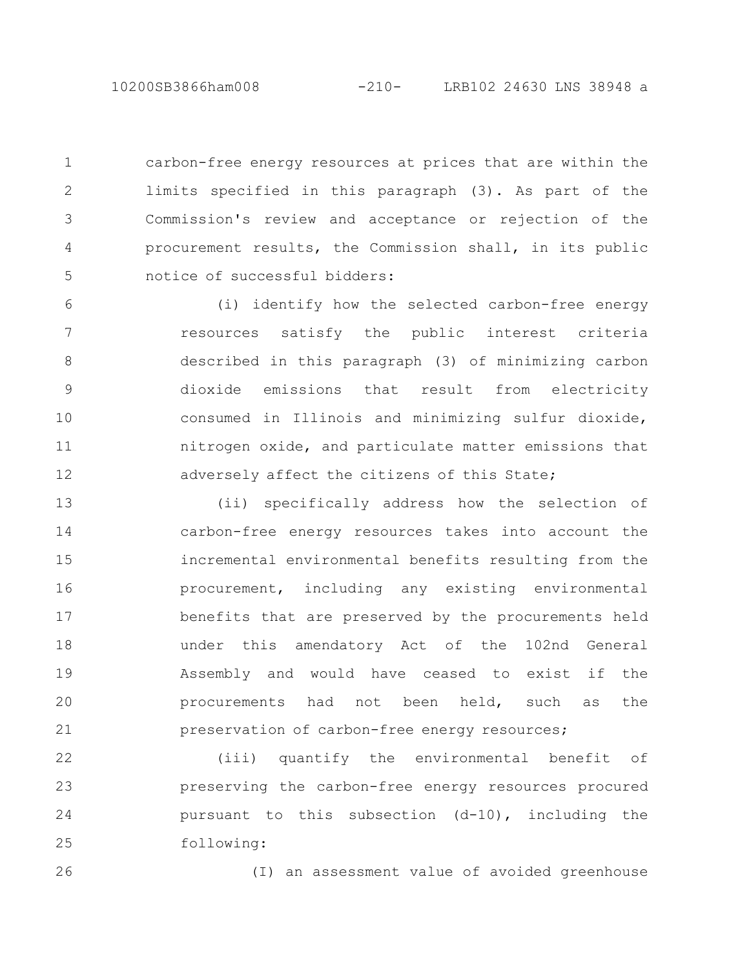10200SB3866ham008 -210- LRB102 24630 LNS 38948 a

carbon-free energy resources at prices that are within the limits specified in this paragraph (3). As part of the Commission's review and acceptance or rejection of the procurement results, the Commission shall, in its public notice of successful bidders: 1 2 3 4 5

(i) identify how the selected carbon-free energy resources satisfy the public interest criteria described in this paragraph (3) of minimizing carbon dioxide emissions that result from electricity consumed in Illinois and minimizing sulfur dioxide, nitrogen oxide, and particulate matter emissions that adversely affect the citizens of this State; 6 7 8 9 10 11 12

(ii) specifically address how the selection of carbon-free energy resources takes into account the incremental environmental benefits resulting from the procurement, including any existing environmental benefits that are preserved by the procurements held under this amendatory Act of the 102nd General Assembly and would have ceased to exist if the procurements had not been held, such as the preservation of carbon-free energy resources; 13 14 15 16 17 18 19 20 21

(iii) quantify the environmental benefit of preserving the carbon-free energy resources procured pursuant to this subsection (d-10), including the following: 22 23 24 25

26

(I) an assessment value of avoided greenhouse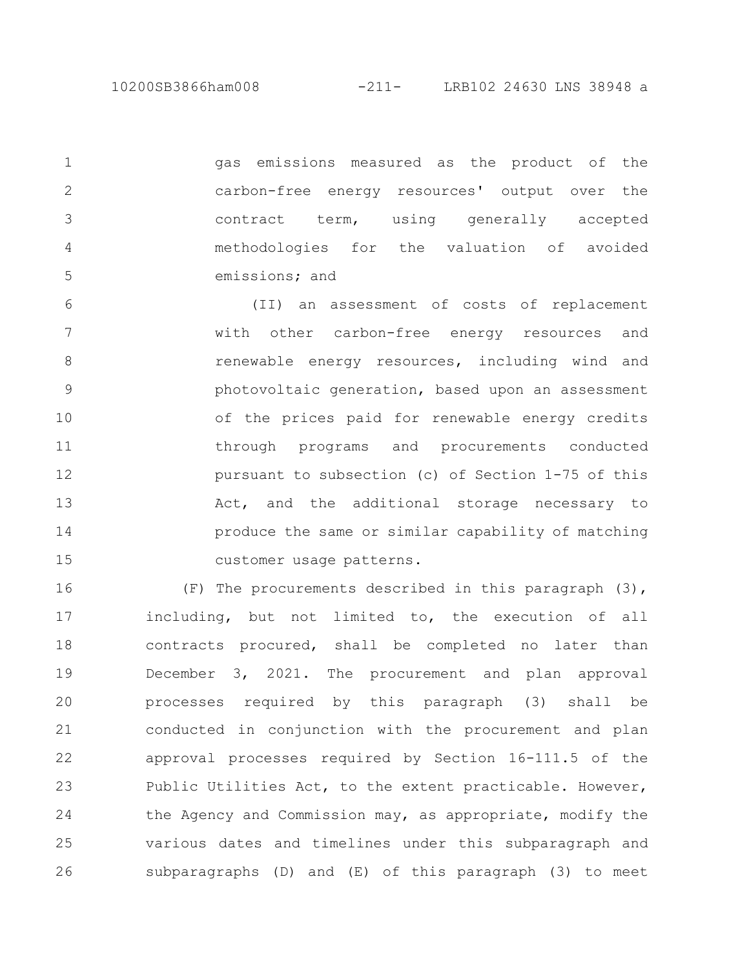gas emissions measured as the product of the carbon-free energy resources' output over the contract term, using generally accepted methodologies for the valuation of avoided emissions; and 1 2 3 4 5

(II) an assessment of costs of replacement with other carbon-free energy resources and renewable energy resources, including wind and photovoltaic generation, based upon an assessment of the prices paid for renewable energy credits through programs and procurements conducted pursuant to subsection (c) of Section 1-75 of this Act, and the additional storage necessary to produce the same or similar capability of matching customer usage patterns. 6 7 8 9 10 11 12 13 14 15

(F) The procurements described in this paragraph (3), including, but not limited to, the execution of all contracts procured, shall be completed no later than December 3, 2021. The procurement and plan approval processes required by this paragraph (3) shall be conducted in conjunction with the procurement and plan approval processes required by Section 16-111.5 of the Public Utilities Act, to the extent practicable. However, the Agency and Commission may, as appropriate, modify the various dates and timelines under this subparagraph and subparagraphs (D) and (E) of this paragraph (3) to meet 16 17 18 19 20 21 22 23 24 25 26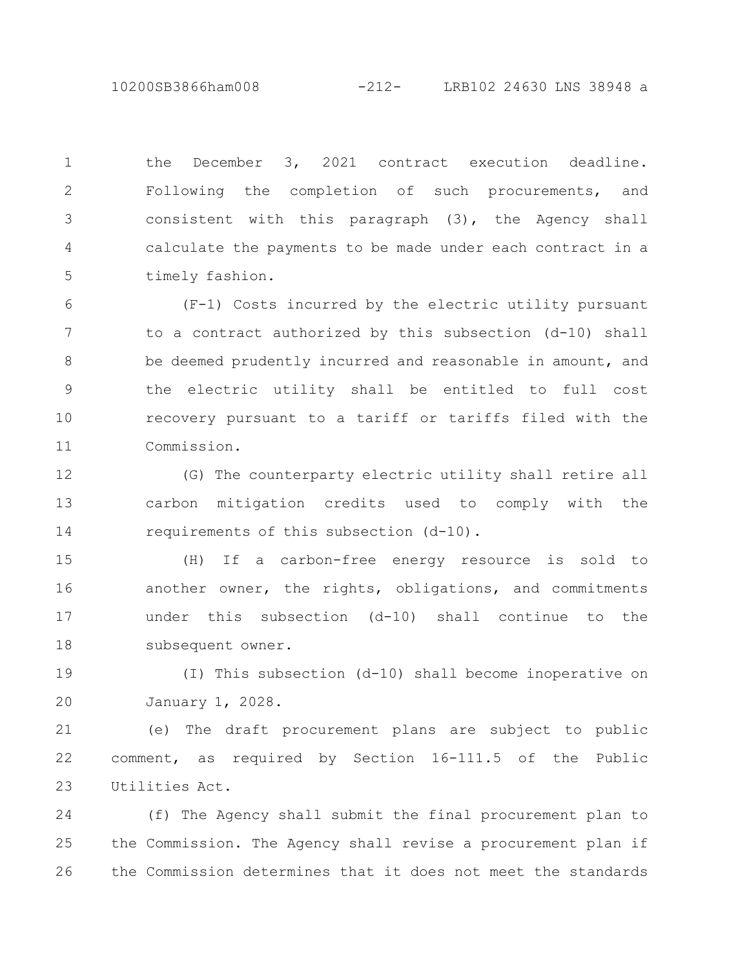10200SB3866ham008 -212- LRB102 24630 LNS 38948 a

the December 3, 2021 contract execution deadline. Following the completion of such procurements, and consistent with this paragraph (3), the Agency shall calculate the payments to be made under each contract in a timely fashion. 1 2 3 4 5

(F-1) Costs incurred by the electric utility pursuant to a contract authorized by this subsection (d-10) shall be deemed prudently incurred and reasonable in amount, and the electric utility shall be entitled to full cost recovery pursuant to a tariff or tariffs filed with the Commission. 6 7 8 9 10 11

(G) The counterparty electric utility shall retire all carbon mitigation credits used to comply with the requirements of this subsection (d-10). 12 13 14

(H) If a carbon-free energy resource is sold to another owner, the rights, obligations, and commitments under this subsection (d-10) shall continue to the subsequent owner. 15 16 17 18

(I) This subsection (d-10) shall become inoperative on January 1, 2028. 19 20

(e) The draft procurement plans are subject to public comment, as required by Section 16-111.5 of the Public Utilities Act. 21 22 23

(f) The Agency shall submit the final procurement plan to the Commission. The Agency shall revise a procurement plan if the Commission determines that it does not meet the standards 24 25 26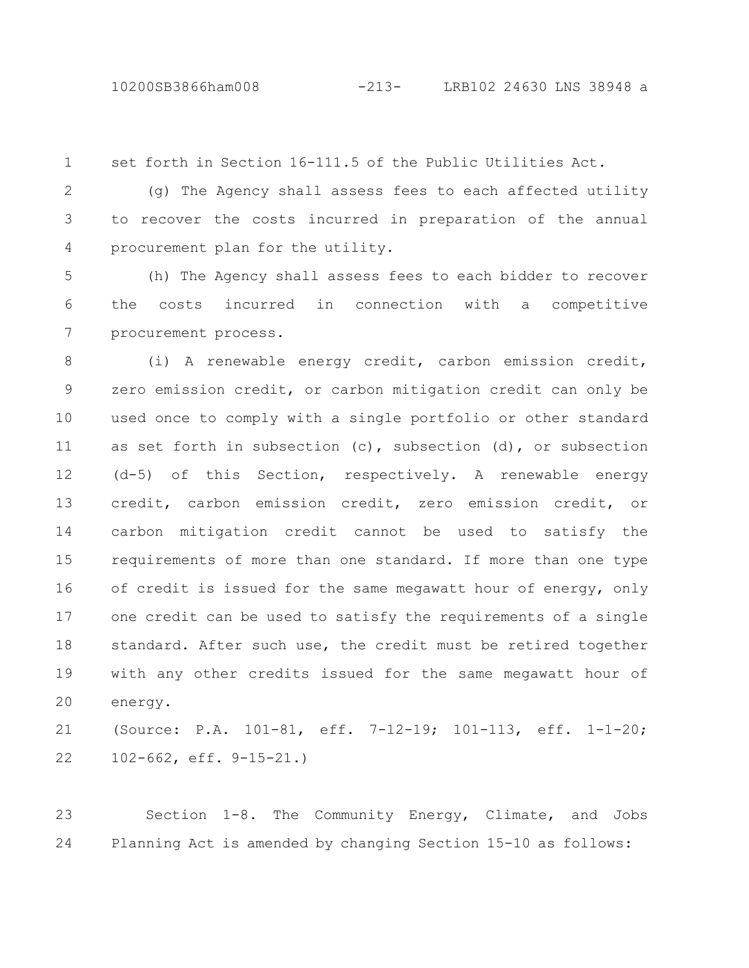10200SB3866ham008 -213- LRB102 24630 LNS 38948 a

set forth in Section 16-111.5 of the Public Utilities Act. 1

(g) The Agency shall assess fees to each affected utility to recover the costs incurred in preparation of the annual procurement plan for the utility. 2 3 4

(h) The Agency shall assess fees to each bidder to recover the costs incurred in connection with a competitive procurement process. 5 6 7

(i) A renewable energy credit, carbon emission credit, zero emission credit, or carbon mitigation credit can only be used once to comply with a single portfolio or other standard as set forth in subsection  $(c)$ , subsection  $(d)$ , or subsection (d-5) of this Section, respectively. A renewable energy credit, carbon emission credit, zero emission credit, or carbon mitigation credit cannot be used to satisfy the requirements of more than one standard. If more than one type of credit is issued for the same megawatt hour of energy, only one credit can be used to satisfy the requirements of a single standard. After such use, the credit must be retired together with any other credits issued for the same megawatt hour of energy. 8 9 10 11 12 13 14 15 16 17 18 19 20

(Source: P.A. 101-81, eff. 7-12-19; 101-113, eff. 1-1-20; 102-662, eff. 9-15-21.) 21 22

Section 1-8. The Community Energy, Climate, and Jobs Planning Act is amended by changing Section 15-10 as follows: 23 24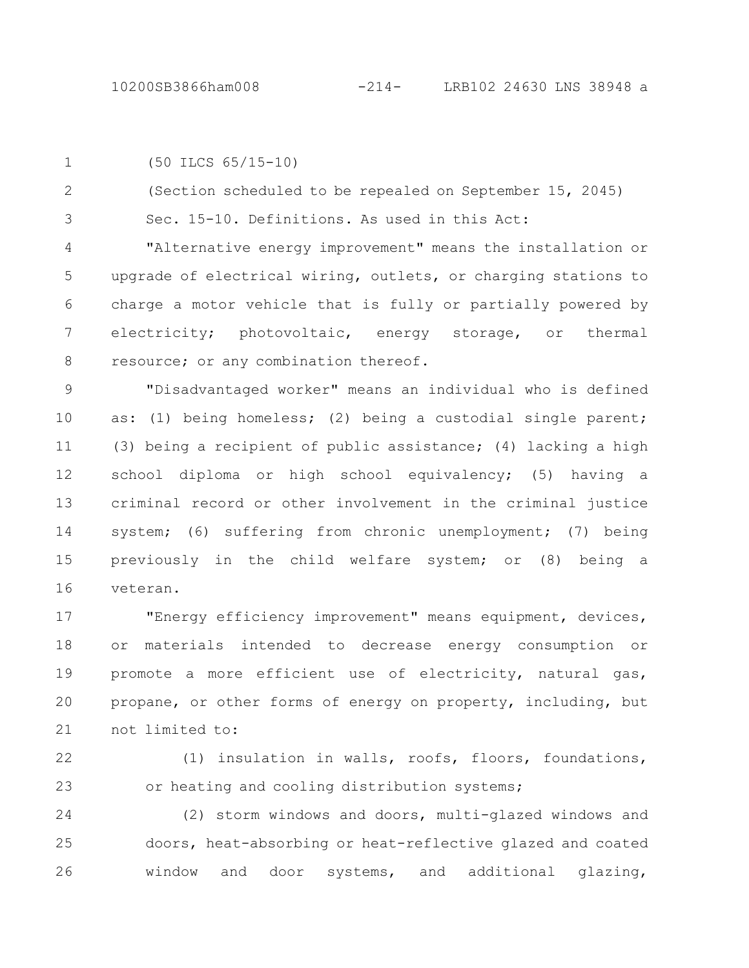(50 ILCS 65/15-10) 1

(Section scheduled to be repealed on September 15, 2045) Sec. 15-10. Definitions. As used in this Act: 2 3

"Alternative energy improvement" means the installation or upgrade of electrical wiring, outlets, or charging stations to charge a motor vehicle that is fully or partially powered by electricity; photovoltaic, energy storage, or thermal resource; or any combination thereof. 4 5 6 7 8

"Disadvantaged worker" means an individual who is defined as: (1) being homeless; (2) being a custodial single parent; (3) being a recipient of public assistance; (4) lacking a high school diploma or high school equivalency; (5) having a criminal record or other involvement in the criminal justice system; (6) suffering from chronic unemployment; (7) being previously in the child welfare system; or (8) being a veteran. 9 10 11 12 13 14 15 16

"Energy efficiency improvement" means equipment, devices, or materials intended to decrease energy consumption or promote a more efficient use of electricity, natural gas, propane, or other forms of energy on property, including, but not limited to: 17 18 19 20 21

22

23

(1) insulation in walls, roofs, floors, foundations, or heating and cooling distribution systems;

(2) storm windows and doors, multi-glazed windows and doors, heat-absorbing or heat-reflective glazed and coated window and door systems, and additional glazing, 24 25 26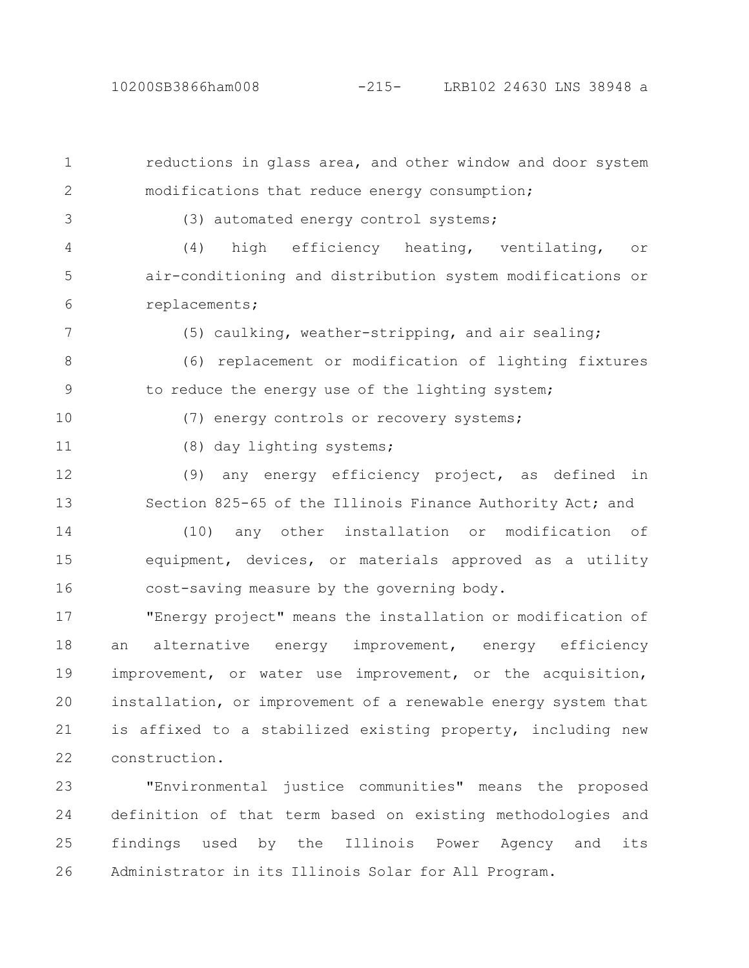reductions in glass area, and other window and door system modifications that reduce energy consumption; (3) automated energy control systems; (4) high efficiency heating, ventilating, or air-conditioning and distribution system modifications or replacements; (5) caulking, weather-stripping, and air sealing; (6) replacement or modification of lighting fixtures to reduce the energy use of the lighting system; (7) energy controls or recovery systems; (8) day lighting systems; (9) any energy efficiency project, as defined in Section 825-65 of the Illinois Finance Authority Act; and (10) any other installation or modification of equipment, devices, or materials approved as a utility cost-saving measure by the governing body. "Energy project" means the installation or modification of an alternative energy improvement, energy efficiency improvement, or water use improvement, or the acquisition, installation, or improvement of a renewable energy system that is affixed to a stabilized existing property, including new 1 2 3 4 5 6 7 8 9 10 11 12 13 14 15 16 17 18 19 20 21

construction. 22

"Environmental justice communities" means the proposed definition of that term based on existing methodologies and findings used by the Illinois Power Agency and its Administrator in its Illinois Solar for All Program. 23 24 25 26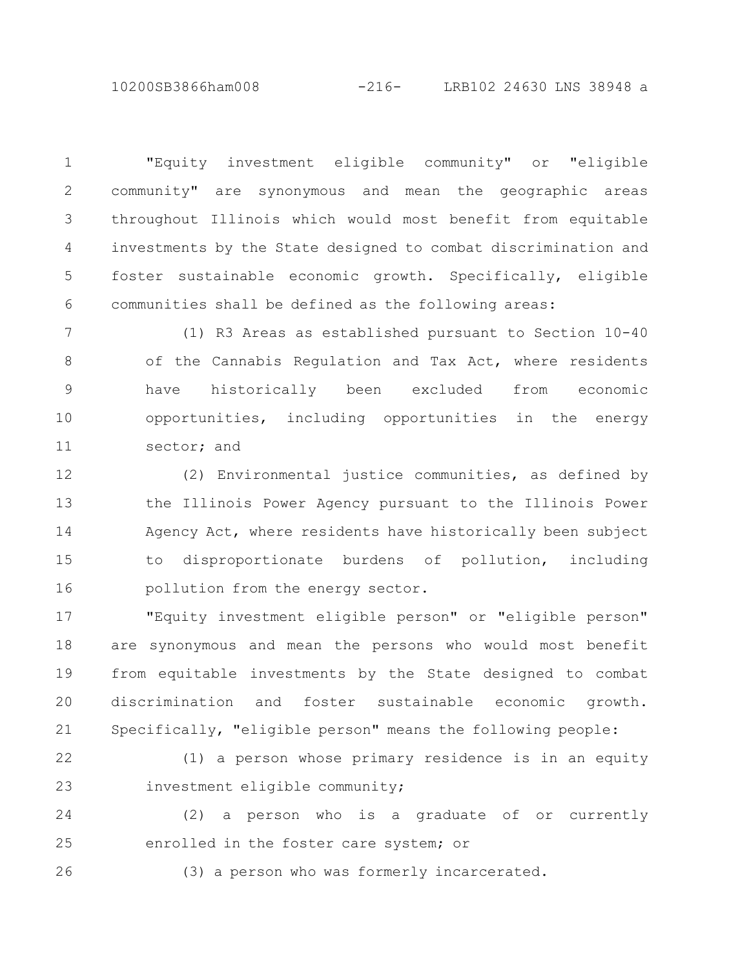10200SB3866ham008 -216- LRB102 24630 LNS 38948 a

"Equity investment eligible community" or "eligible community" are synonymous and mean the geographic areas throughout Illinois which would most benefit from equitable investments by the State designed to combat discrimination and foster sustainable economic growth. Specifically, eligible communities shall be defined as the following areas: 1 2 3 4 5 6

(1) R3 Areas as established pursuant to Section 10-40 of the Cannabis Regulation and Tax Act, where residents have historically been excluded from economic opportunities, including opportunities in the energy sector; and 7 8 9 10 11

(2) Environmental justice communities, as defined by the Illinois Power Agency pursuant to the Illinois Power Agency Act, where residents have historically been subject to disproportionate burdens of pollution, including pollution from the energy sector. 12 13 14 15 16

"Equity investment eligible person" or "eligible person" are synonymous and mean the persons who would most benefit from equitable investments by the State designed to combat discrimination and foster sustainable economic growth. Specifically, "eligible person" means the following people: 17 18 19 20 21

22

(1) a person whose primary residence is in an equity investment eligible community; 23

(2) a person who is a graduate of or currently enrolled in the foster care system; or 24 25

26

(3) a person who was formerly incarcerated.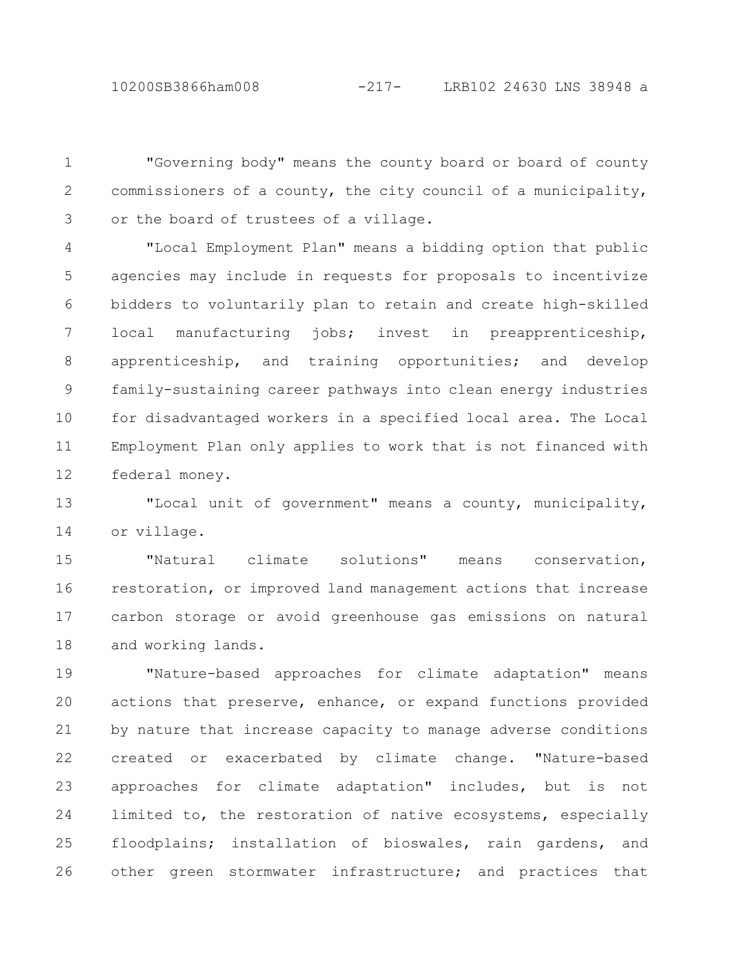10200SB3866ham008 -217- LRB102 24630 LNS 38948 a

"Governing body" means the county board or board of county commissioners of a county, the city council of a municipality, or the board of trustees of a village. 1 2 3

"Local Employment Plan" means a bidding option that public agencies may include in requests for proposals to incentivize bidders to voluntarily plan to retain and create high-skilled local manufacturing jobs; invest in preapprenticeship, apprenticeship, and training opportunities; and develop family-sustaining career pathways into clean energy industries for disadvantaged workers in a specified local area. The Local Employment Plan only applies to work that is not financed with federal money. 4 5 6 7 8 9 10 11 12

"Local unit of government" means a county, municipality, or village. 13 14

"Natural climate solutions" means conservation, restoration, or improved land management actions that increase carbon storage or avoid greenhouse gas emissions on natural and working lands. 15 16 17 18

"Nature-based approaches for climate adaptation" means actions that preserve, enhance, or expand functions provided by nature that increase capacity to manage adverse conditions created or exacerbated by climate change. "Nature-based approaches for climate adaptation" includes, but is not limited to, the restoration of native ecosystems, especially floodplains; installation of bioswales, rain gardens, and other green stormwater infrastructure; and practices that 19 20 21 22 23 24 25 26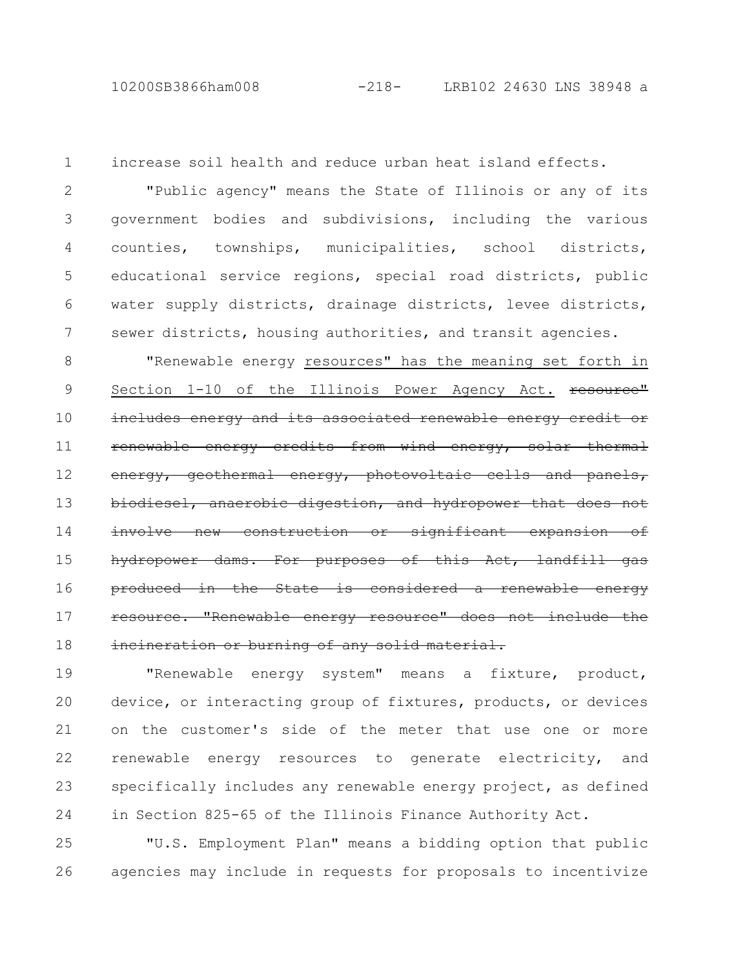1

increase soil health and reduce urban heat island effects.

"Public agency" means the State of Illinois or any of its government bodies and subdivisions, including the various counties, townships, municipalities, school districts, educational service regions, special road districts, public water supply districts, drainage districts, levee districts, sewer districts, housing authorities, and transit agencies. 2 3 4 5 6 7

"Renewable energy resources" has the meaning set forth in Section 1-10 of the Illinois Power Agency Act. resource" includes energy and its associated renewable energy credit or renewable energy credits from wind energy, solar thermal energy, geothermal energy, photovoltaic cells and panels, anaerobic digestion, and hydropower involve new construction or significant expansion of hydropower dams. For purposes of this Act, produced in the State is considered a renewable energy resource. "Renewable energy resource" does not include incineration or burning of any solid material. 8 9 10 11 12 13 14 15 16 17 18

"Renewable energy system" means a fixture, product, device, or interacting group of fixtures, products, or devices on the customer's side of the meter that use one or more renewable energy resources to generate electricity, and specifically includes any renewable energy project, as defined in Section 825-65 of the Illinois Finance Authority Act. 19 20 21 22 23 24

"U.S. Employment Plan" means a bidding option that public agencies may include in requests for proposals to incentivize 25 26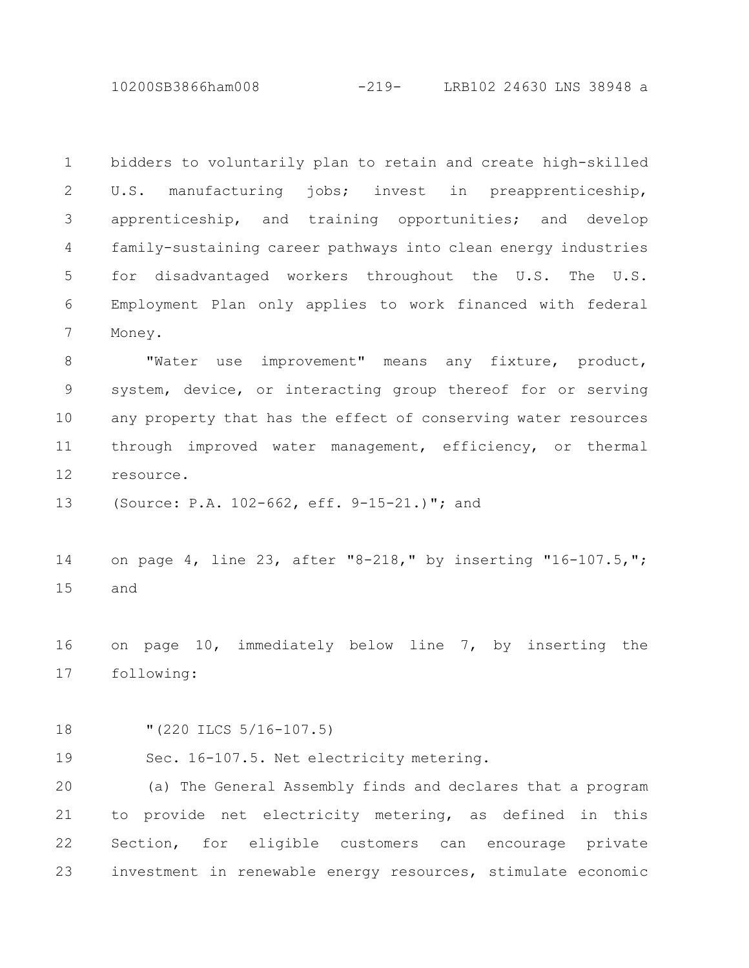10200SB3866ham008 -219- LRB102 24630 LNS 38948 a

bidders to voluntarily plan to retain and create high-skilled U.S. manufacturing jobs; invest in preapprenticeship, apprenticeship, and training opportunities; and develop family-sustaining career pathways into clean energy industries for disadvantaged workers throughout the U.S. The U.S. Employment Plan only applies to work financed with federal Money. 1 2 3 4 5 6 7

"Water use improvement" means any fixture, product, system, device, or interacting group thereof for or serving any property that has the effect of conserving water resources through improved water management, efficiency, or thermal resource. 8 9 10 11 12

(Source: P.A. 102-662, eff. 9-15-21.)"; and 13

on page 4, line 23, after "8-218," by inserting "16-107.5,"; and 14 15

on page 10, immediately below line 7, by inserting the following: 16 17

"(220 ILCS 5/16-107.5) 18

Sec. 16-107.5. Net electricity metering. 19

(a) The General Assembly finds and declares that a program to provide net electricity metering, as defined in this Section, for eligible customers can encourage private investment in renewable energy resources, stimulate economic 20 21 22 23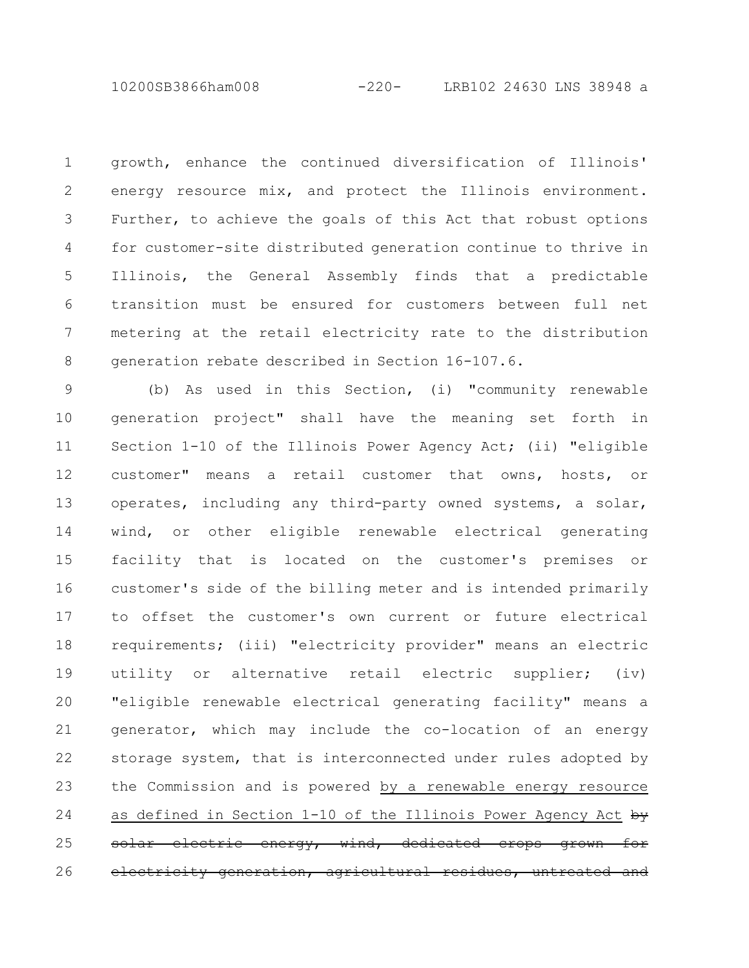10200SB3866ham008 -220- LRB102 24630 LNS 38948 a

growth, enhance the continued diversification of Illinois' energy resource mix, and protect the Illinois environment. Further, to achieve the goals of this Act that robust options for customer-site distributed generation continue to thrive in Illinois, the General Assembly finds that a predictable transition must be ensured for customers between full net metering at the retail electricity rate to the distribution generation rebate described in Section 16-107.6. 1 2 3 4 5 6 7 8

(b) As used in this Section, (i) "community renewable generation project" shall have the meaning set forth in Section 1-10 of the Illinois Power Agency Act; (ii) "eligible customer" means a retail customer that owns, hosts, or operates, including any third-party owned systems, a solar, wind, or other eligible renewable electrical generating facility that is located on the customer's premises or customer's side of the billing meter and is intended primarily to offset the customer's own current or future electrical requirements; (iii) "electricity provider" means an electric utility or alternative retail electric supplier; (iv) "eligible renewable electrical generating facility" means a generator, which may include the co-location of an energy storage system, that is interconnected under rules adopted by the Commission and is powered by a renewable energy resource as defined in Section 1-10 of the Illinois Power Agency Act by solar electric energy, wind, dedicated crops grown electricity generation, agricultural residues, untreated and 9 10 11 12 13 14 15 16 17 18 19 20 21 22 23 24 25 26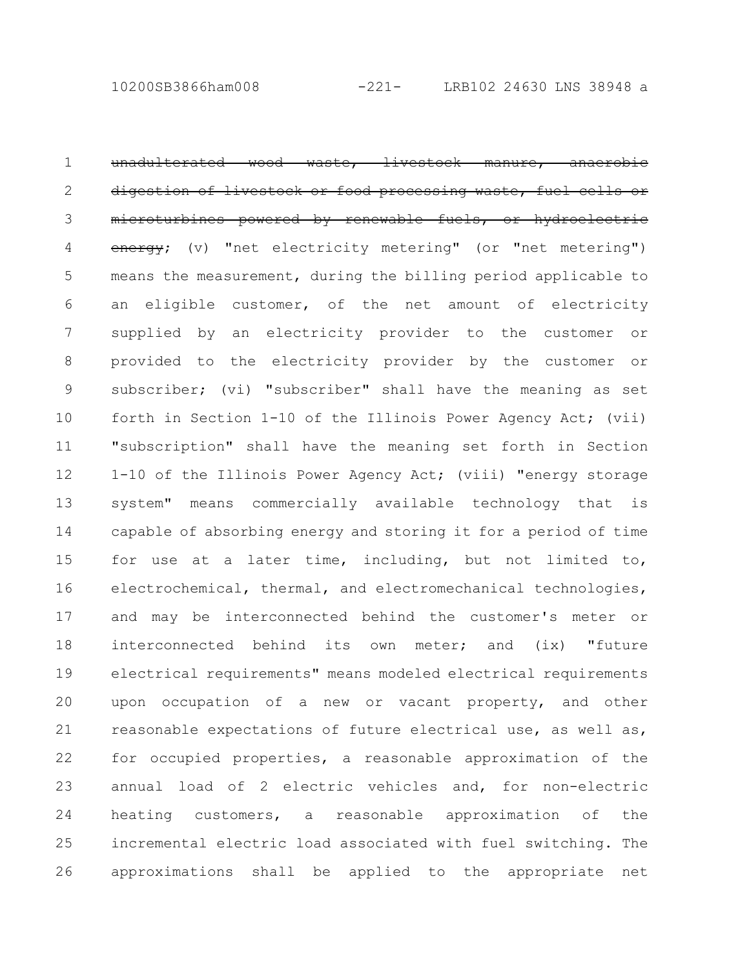unadulterated wood waste, livestock manure, anaerobic digestion of livestock or food processing waste, fuel cells or microturbines powered by renewable fuels, or hydroelectric energy; (v) "net electricity metering" (or "net metering") means the measurement, during the billing period applicable to an eligible customer, of the net amount of electricity supplied by an electricity provider to the customer or provided to the electricity provider by the customer or subscriber; (vi) "subscriber" shall have the meaning as set forth in Section 1-10 of the Illinois Power Agency Act; (vii) "subscription" shall have the meaning set forth in Section 1-10 of the Illinois Power Agency Act; (viii) "energy storage system" means commercially available technology that is capable of absorbing energy and storing it for a period of time for use at a later time, including, but not limited to, electrochemical, thermal, and electromechanical technologies, and may be interconnected behind the customer's meter or interconnected behind its own meter; and (ix) "future electrical requirements" means modeled electrical requirements upon occupation of a new or vacant property, and other reasonable expectations of future electrical use, as well as, for occupied properties, a reasonable approximation of the annual load of 2 electric vehicles and, for non-electric heating customers, a reasonable approximation of the incremental electric load associated with fuel switching. The approximations shall be applied to the appropriate net 1 2 3 4 5 6 7 8 9 10 11 12 13 14 15 16 17 18 19 20 21 22 23 24 25 26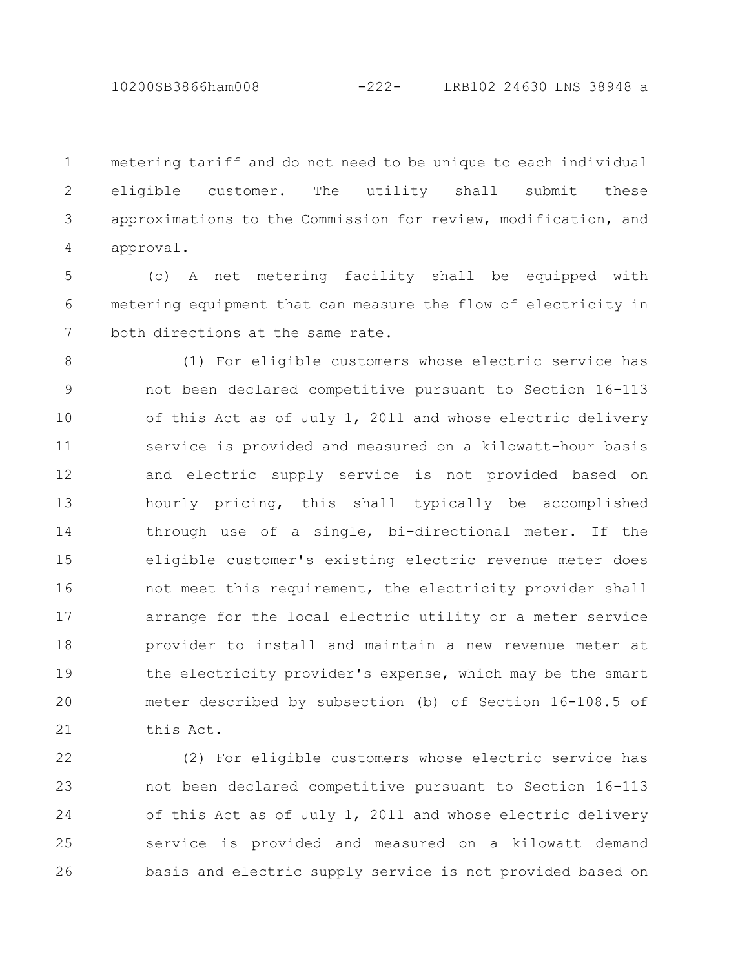10200SB3866ham008 -222- LRB102 24630 LNS 38948 a

metering tariff and do not need to be unique to each individual eligible customer. The utility shall submit these approximations to the Commission for review, modification, and approval. 1 2 3 4

(c) A net metering facility shall be equipped with metering equipment that can measure the flow of electricity in both directions at the same rate. 5 6 7

(1) For eligible customers whose electric service has not been declared competitive pursuant to Section 16-113 of this Act as of July 1, 2011 and whose electric delivery service is provided and measured on a kilowatt-hour basis and electric supply service is not provided based on hourly pricing, this shall typically be accomplished through use of a single, bi-directional meter. If the eligible customer's existing electric revenue meter does not meet this requirement, the electricity provider shall arrange for the local electric utility or a meter service provider to install and maintain a new revenue meter at the electricity provider's expense, which may be the smart meter described by subsection (b) of Section 16-108.5 of this Act. 8 9 10 11 12 13 14 15 16 17 18 19 20 21

(2) For eligible customers whose electric service has not been declared competitive pursuant to Section 16-113 of this Act as of July 1, 2011 and whose electric delivery service is provided and measured on a kilowatt demand basis and electric supply service is not provided based on 22 23 24 25 26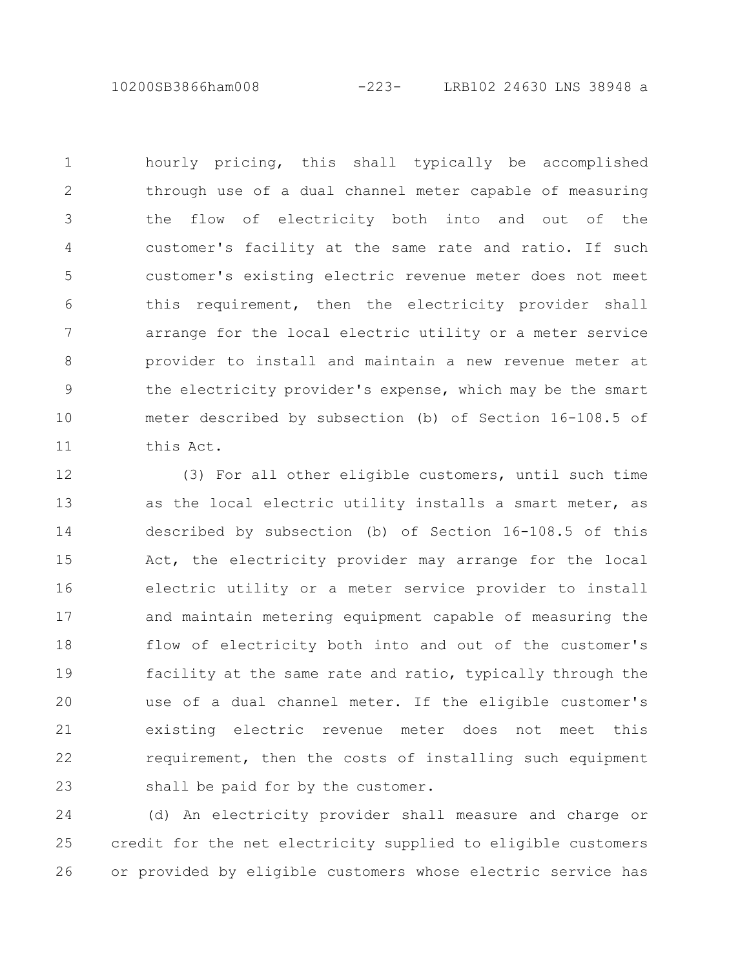10200SB3866ham008 -223- LRB102 24630 LNS 38948 a

hourly pricing, this shall typically be accomplished through use of a dual channel meter capable of measuring the flow of electricity both into and out of the customer's facility at the same rate and ratio. If such customer's existing electric revenue meter does not meet this requirement, then the electricity provider shall arrange for the local electric utility or a meter service provider to install and maintain a new revenue meter at the electricity provider's expense, which may be the smart meter described by subsection (b) of Section 16-108.5 of this Act. 1 2 3 4 5 6 7 8 9 10 11

(3) For all other eligible customers, until such time as the local electric utility installs a smart meter, as described by subsection (b) of Section 16-108.5 of this Act, the electricity provider may arrange for the local electric utility or a meter service provider to install and maintain metering equipment capable of measuring the flow of electricity both into and out of the customer's facility at the same rate and ratio, typically through the use of a dual channel meter. If the eligible customer's existing electric revenue meter does not meet this requirement, then the costs of installing such equipment shall be paid for by the customer. 12 13 14 15 16 17 18 19 20 21 22 23

(d) An electricity provider shall measure and charge or credit for the net electricity supplied to eligible customers or provided by eligible customers whose electric service has 24 25 26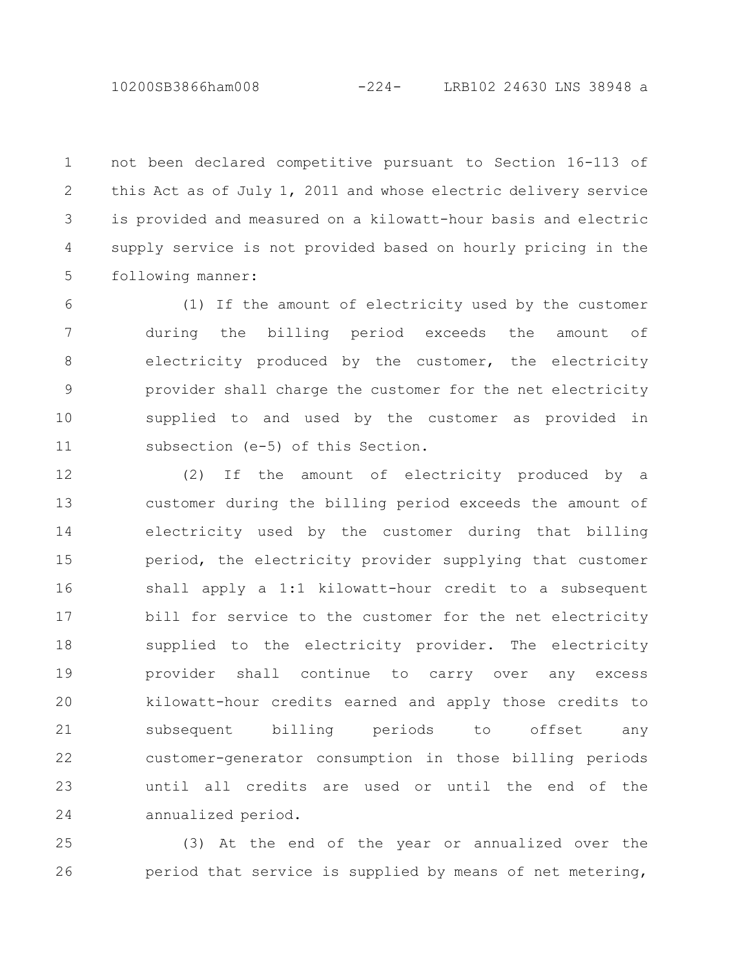not been declared competitive pursuant to Section 16-113 of this Act as of July 1, 2011 and whose electric delivery service is provided and measured on a kilowatt-hour basis and electric supply service is not provided based on hourly pricing in the following manner: 1 2 3 4 5

(1) If the amount of electricity used by the customer during the billing period exceeds the amount of electricity produced by the customer, the electricity provider shall charge the customer for the net electricity supplied to and used by the customer as provided in subsection (e-5) of this Section. 6 7 8 9 10 11

(2) If the amount of electricity produced by a customer during the billing period exceeds the amount of electricity used by the customer during that billing period, the electricity provider supplying that customer shall apply a 1:1 kilowatt-hour credit to a subsequent bill for service to the customer for the net electricity supplied to the electricity provider. The electricity provider shall continue to carry over any excess kilowatt-hour credits earned and apply those credits to subsequent billing periods to offset any customer-generator consumption in those billing periods until all credits are used or until the end of the annualized period. 12 13 14 15 16 17 18 19 20 21 22 23 24

(3) At the end of the year or annualized over the period that service is supplied by means of net metering, 25 26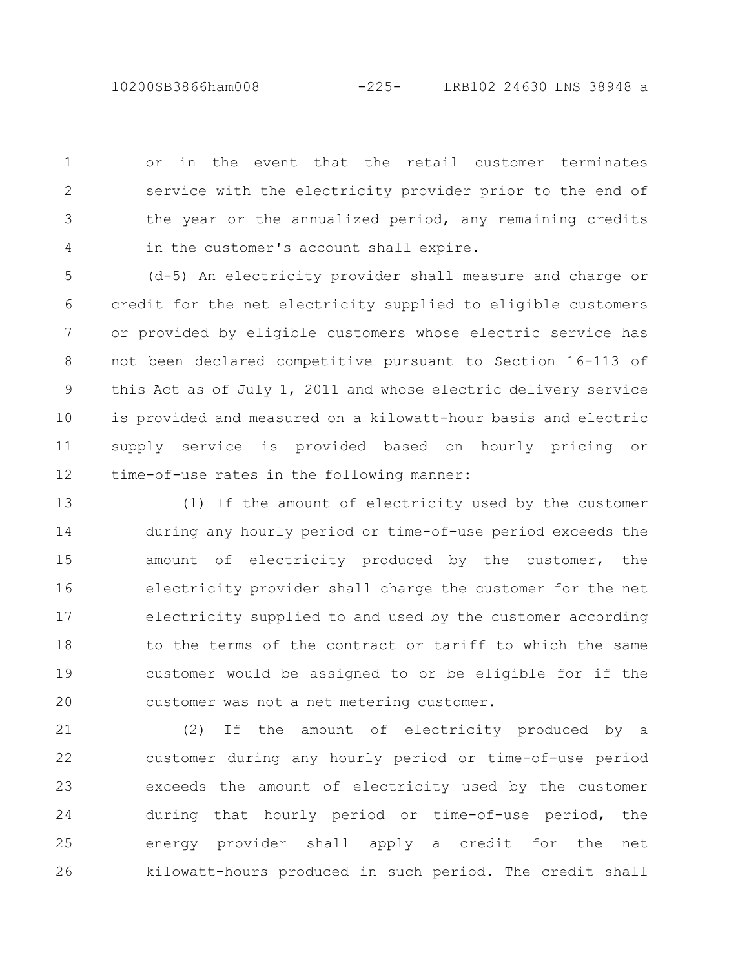10200SB3866ham008 -225- LRB102 24630 LNS 38948 a

or in the event that the retail customer terminates service with the electricity provider prior to the end of the year or the annualized period, any remaining credits in the customer's account shall expire. 1 2 3 4

(d-5) An electricity provider shall measure and charge or credit for the net electricity supplied to eligible customers or provided by eligible customers whose electric service has not been declared competitive pursuant to Section 16-113 of this Act as of July 1, 2011 and whose electric delivery service is provided and measured on a kilowatt-hour basis and electric supply service is provided based on hourly pricing or time-of-use rates in the following manner: 5 6 7 8 9 10 11 12

(1) If the amount of electricity used by the customer during any hourly period or time-of-use period exceeds the amount of electricity produced by the customer, the electricity provider shall charge the customer for the net electricity supplied to and used by the customer according to the terms of the contract or tariff to which the same customer would be assigned to or be eligible for if the customer was not a net metering customer. 13 14 15 16 17 18 19 20

(2) If the amount of electricity produced by a customer during any hourly period or time-of-use period exceeds the amount of electricity used by the customer during that hourly period or time-of-use period, the energy provider shall apply a credit for the net kilowatt-hours produced in such period. The credit shall 21 22 23 24 25 26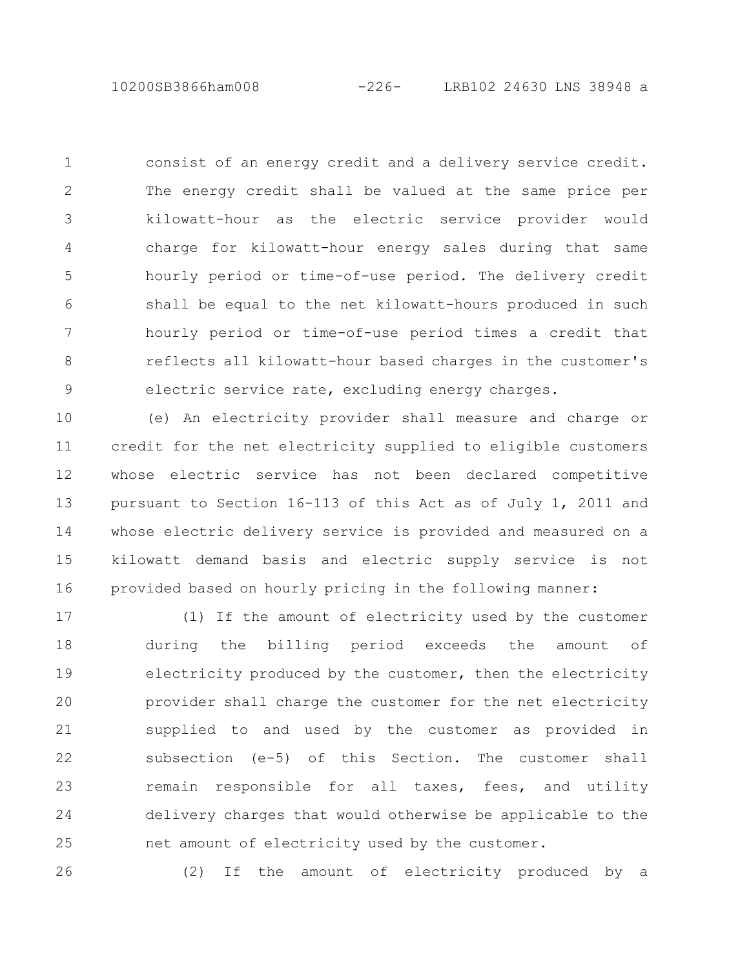consist of an energy credit and a delivery service credit. The energy credit shall be valued at the same price per kilowatt-hour as the electric service provider would charge for kilowatt-hour energy sales during that same hourly period or time-of-use period. The delivery credit shall be equal to the net kilowatt-hours produced in such hourly period or time-of-use period times a credit that reflects all kilowatt-hour based charges in the customer's electric service rate, excluding energy charges. 1 2 3 4 5 6 7 8 9

(e) An electricity provider shall measure and charge or credit for the net electricity supplied to eligible customers whose electric service has not been declared competitive pursuant to Section 16-113 of this Act as of July 1, 2011 and whose electric delivery service is provided and measured on a kilowatt demand basis and electric supply service is not provided based on hourly pricing in the following manner: 10 11 12 13 14 15 16

(1) If the amount of electricity used by the customer during the billing period exceeds the amount of electricity produced by the customer, then the electricity provider shall charge the customer for the net electricity supplied to and used by the customer as provided in subsection (e-5) of this Section. The customer shall remain responsible for all taxes, fees, and utility delivery charges that would otherwise be applicable to the net amount of electricity used by the customer. 17 18 19 20 21 22 23 24 25

26

(2) If the amount of electricity produced by a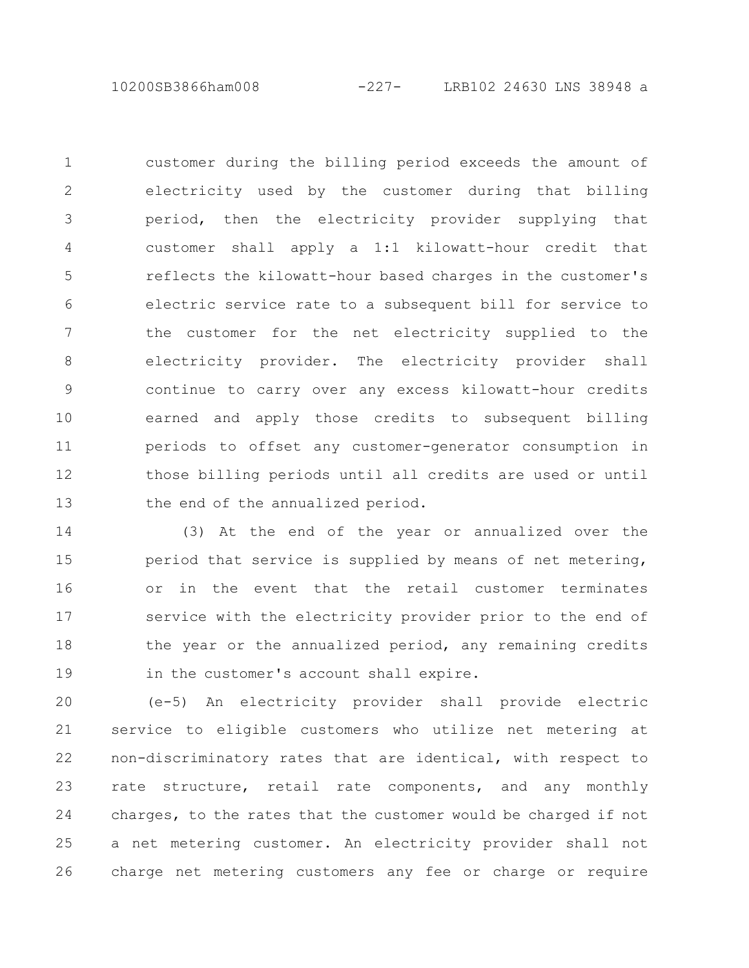10200SB3866ham008 -227- LRB102 24630 LNS 38948 a

customer during the billing period exceeds the amount of electricity used by the customer during that billing period, then the electricity provider supplying that customer shall apply a 1:1 kilowatt-hour credit that reflects the kilowatt-hour based charges in the customer's electric service rate to a subsequent bill for service to the customer for the net electricity supplied to the electricity provider. The electricity provider shall continue to carry over any excess kilowatt-hour credits earned and apply those credits to subsequent billing periods to offset any customer-generator consumption in those billing periods until all credits are used or until the end of the annualized period. 1 2 3 4 5 6 7 8 9 10 11 12 13

(3) At the end of the year or annualized over the period that service is supplied by means of net metering, or in the event that the retail customer terminates service with the electricity provider prior to the end of the year or the annualized period, any remaining credits in the customer's account shall expire. 14 15 16 17 18 19

(e-5) An electricity provider shall provide electric service to eligible customers who utilize net metering at non-discriminatory rates that are identical, with respect to rate structure, retail rate components, and any monthly charges, to the rates that the customer would be charged if not a net metering customer. An electricity provider shall not charge net metering customers any fee or charge or require 20 21 22 23 24 25 26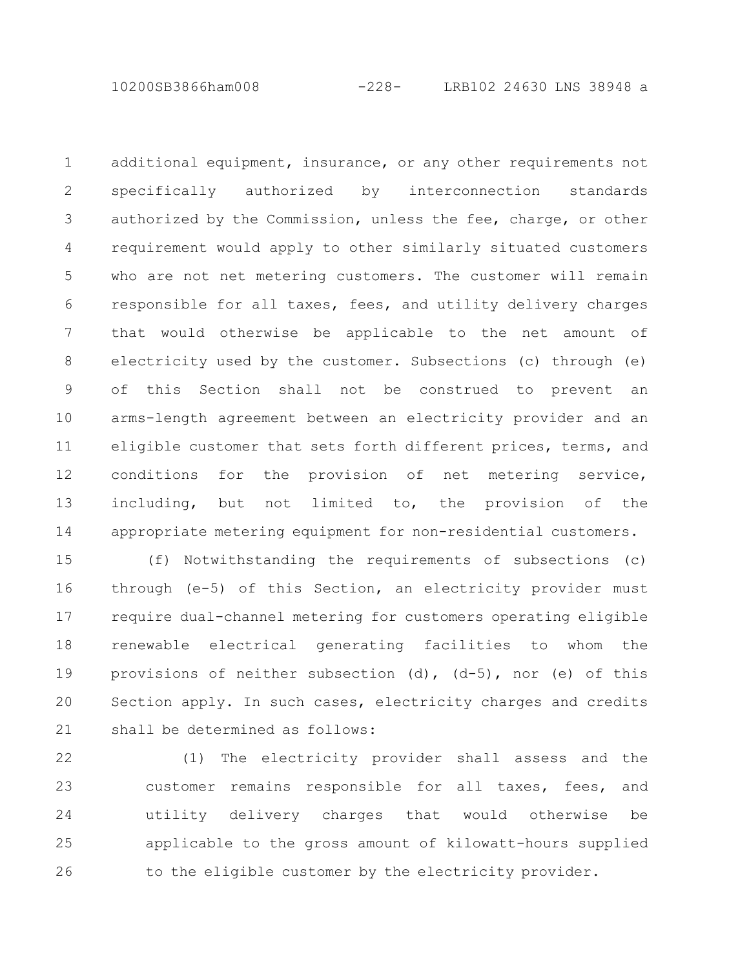10200SB3866ham008 -228- LRB102 24630 LNS 38948 a

additional equipment, insurance, or any other requirements not specifically authorized by interconnection standards authorized by the Commission, unless the fee, charge, or other requirement would apply to other similarly situated customers who are not net metering customers. The customer will remain responsible for all taxes, fees, and utility delivery charges that would otherwise be applicable to the net amount of electricity used by the customer. Subsections (c) through (e) of this Section shall not be construed to prevent an arms-length agreement between an electricity provider and an eligible customer that sets forth different prices, terms, and conditions for the provision of net metering service, including, but not limited to, the provision of the appropriate metering equipment for non-residential customers. 1 2 3 4 5 6 7 8 9 10 11 12 13 14

(f) Notwithstanding the requirements of subsections (c) through (e-5) of this Section, an electricity provider must require dual-channel metering for customers operating eligible renewable electrical generating facilities to whom the provisions of neither subsection (d), (d-5), nor (e) of this Section apply. In such cases, electricity charges and credits shall be determined as follows: 15 16 17 18 19 20 21

(1) The electricity provider shall assess and the customer remains responsible for all taxes, fees, and utility delivery charges that would otherwise be applicable to the gross amount of kilowatt-hours supplied to the eligible customer by the electricity provider. 22 23 24 25 26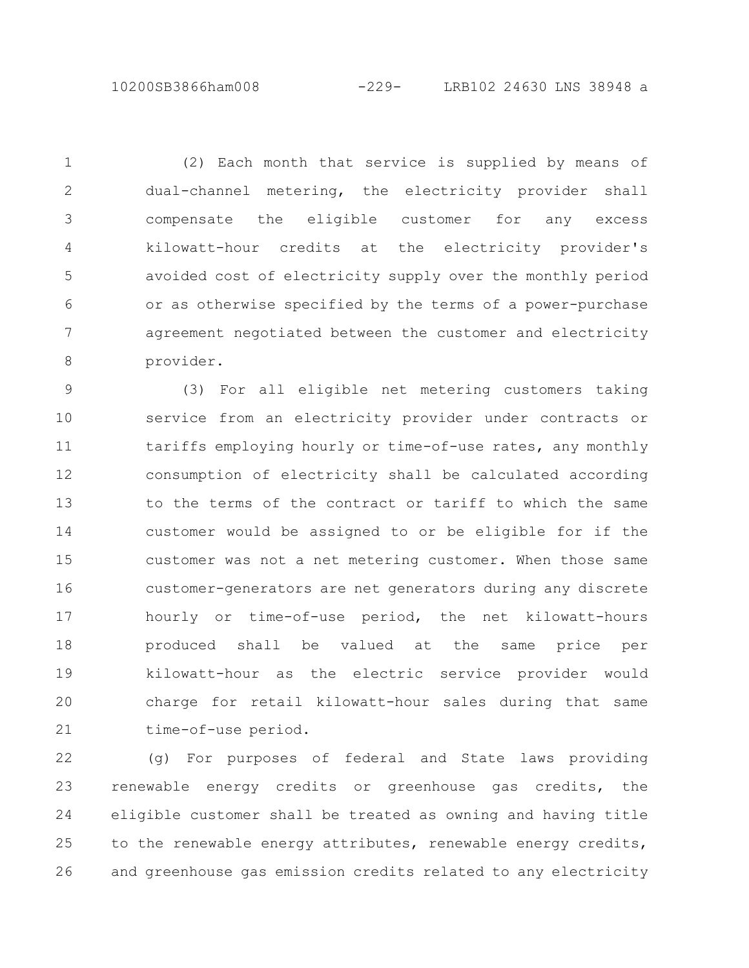(2) Each month that service is supplied by means of dual-channel metering, the electricity provider shall compensate the eligible customer for any excess kilowatt-hour credits at the electricity provider's avoided cost of electricity supply over the monthly period or as otherwise specified by the terms of a power-purchase agreement negotiated between the customer and electricity provider. 1 2 3 4 5 6 7 8

(3) For all eligible net metering customers taking service from an electricity provider under contracts or tariffs employing hourly or time-of-use rates, any monthly consumption of electricity shall be calculated according to the terms of the contract or tariff to which the same customer would be assigned to or be eligible for if the customer was not a net metering customer. When those same customer-generators are net generators during any discrete hourly or time-of-use period, the net kilowatt-hours produced shall be valued at the same price per kilowatt-hour as the electric service provider would charge for retail kilowatt-hour sales during that same time-of-use period. 9 10 11 12 13 14 15 16 17 18 19 20 21

(g) For purposes of federal and State laws providing renewable energy credits or greenhouse gas credits, the eligible customer shall be treated as owning and having title to the renewable energy attributes, renewable energy credits, and greenhouse gas emission credits related to any electricity 22 23 24 25 26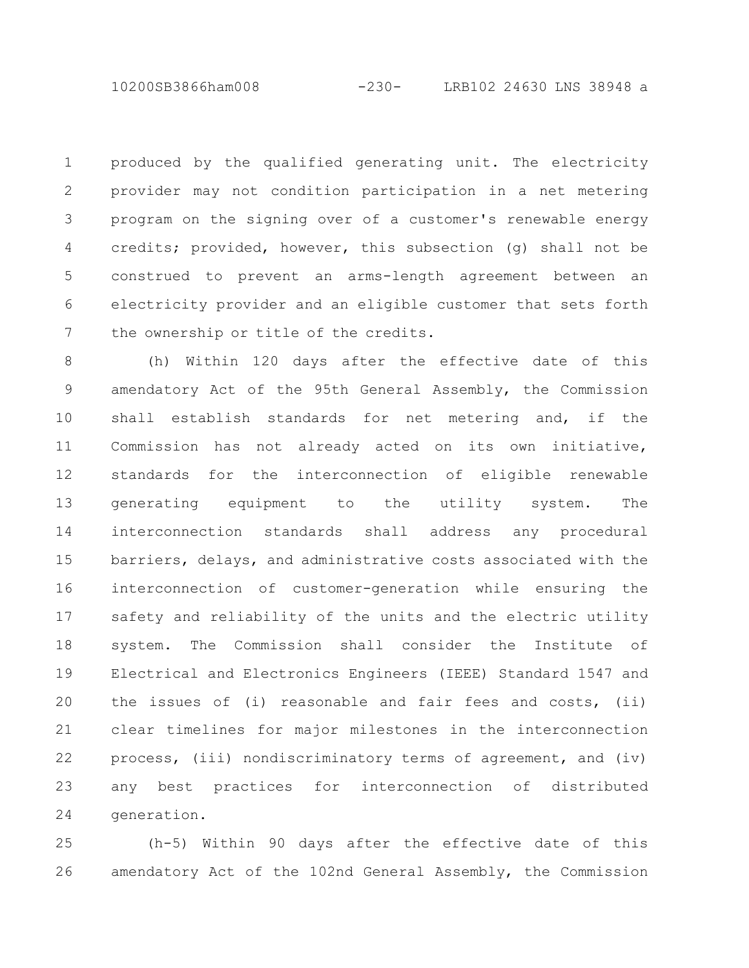10200SB3866ham008 -230- LRB102 24630 LNS 38948 a

produced by the qualified generating unit. The electricity provider may not condition participation in a net metering program on the signing over of a customer's renewable energy credits; provided, however, this subsection (g) shall not be construed to prevent an arms-length agreement between an electricity provider and an eligible customer that sets forth the ownership or title of the credits. 1 2 3 4 5 6 7

(h) Within 120 days after the effective date of this amendatory Act of the 95th General Assembly, the Commission shall establish standards for net metering and, if the Commission has not already acted on its own initiative, standards for the interconnection of eligible renewable generating equipment to the utility system. The interconnection standards shall address any procedural barriers, delays, and administrative costs associated with the interconnection of customer-generation while ensuring the safety and reliability of the units and the electric utility system. The Commission shall consider the Institute of Electrical and Electronics Engineers (IEEE) Standard 1547 and the issues of (i) reasonable and fair fees and costs, (ii) clear timelines for major milestones in the interconnection process, (iii) nondiscriminatory terms of agreement, and (iv) any best practices for interconnection of distributed generation. 8 9 10 11 12 13 14 15 16 17 18 19 20 21 22 23 24

(h-5) Within 90 days after the effective date of this amendatory Act of the 102nd General Assembly, the Commission 25 26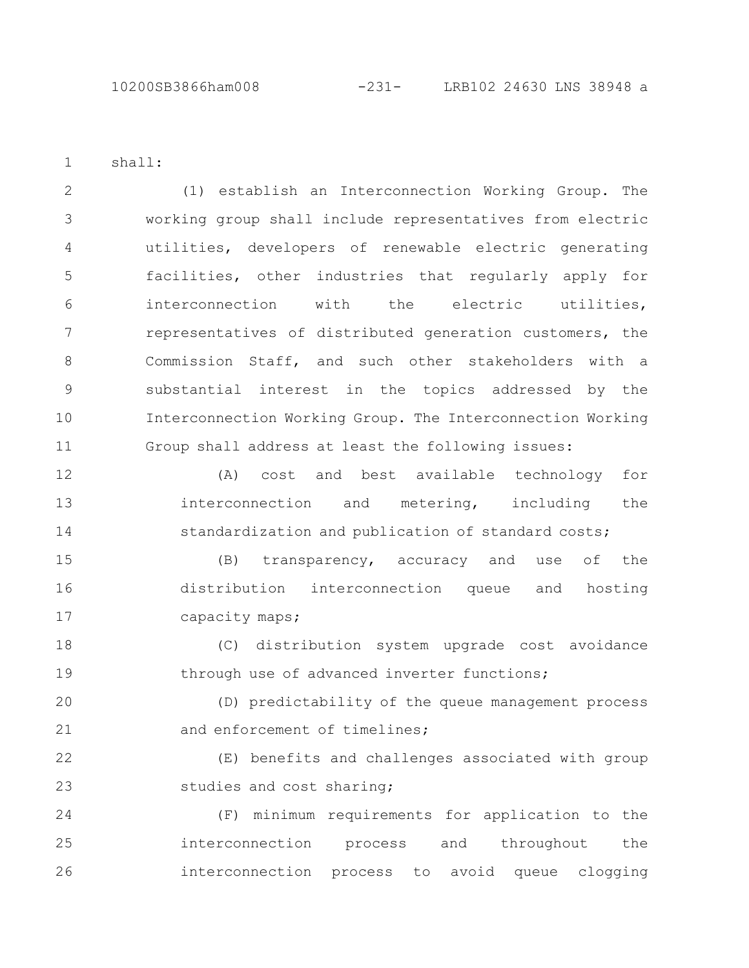shall: 1

(1) establish an Interconnection Working Group. The working group shall include representatives from electric utilities, developers of renewable electric generating facilities, other industries that regularly apply for interconnection with the electric utilities, representatives of distributed generation customers, the Commission Staff, and such other stakeholders with a substantial interest in the topics addressed by the Interconnection Working Group. The Interconnection Working Group shall address at least the following issues: 2 3 4 5 6 7 8 9 10 11

(A) cost and best available technology for interconnection and metering, including the standardization and publication of standard costs; 12 13 14

(B) transparency, accuracy and use of the distribution interconnection queue and hosting capacity maps; 15 16 17

(C) distribution system upgrade cost avoidance through use of advanced inverter functions; 18 19

(D) predictability of the queue management process and enforcement of timelines; 20 21

(E) benefits and challenges associated with group studies and cost sharing; 22 23

(F) minimum requirements for application to the interconnection process and throughout the interconnection process to avoid queue clogging 24 25 26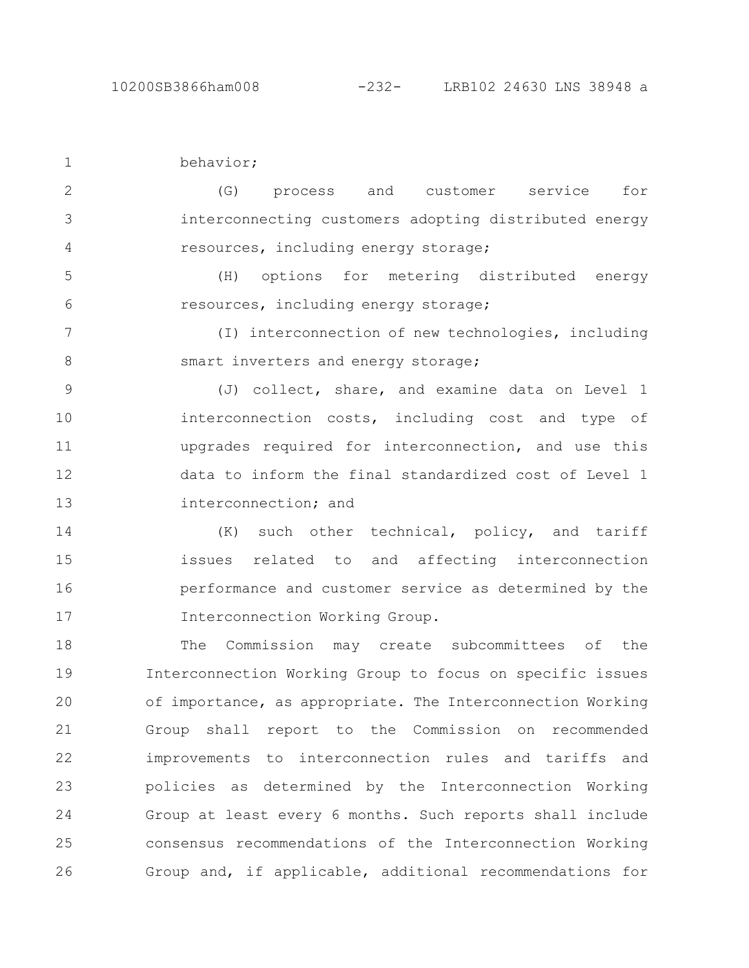```
behavior;
1
```
(G) process and customer service for interconnecting customers adopting distributed energy resources, including energy storage; 2 3 4

(H) options for metering distributed energy resources, including energy storage; 5 6

(I) interconnection of new technologies, including smart inverters and energy storage; 7 8

(J) collect, share, and examine data on Level 1 interconnection costs, including cost and type of upgrades required for interconnection, and use this data to inform the final standardized cost of Level 1 interconnection; and 9 10 11 12 13

(K) such other technical, policy, and tariff issues related to and affecting interconnection performance and customer service as determined by the Interconnection Working Group. 14 15 16 17

The Commission may create subcommittees of the Interconnection Working Group to focus on specific issues of importance, as appropriate. The Interconnection Working Group shall report to the Commission on recommended improvements to interconnection rules and tariffs and policies as determined by the Interconnection Working Group at least every 6 months. Such reports shall include consensus recommendations of the Interconnection Working Group and, if applicable, additional recommendations for 18 19 20 21 22 23 24 25 26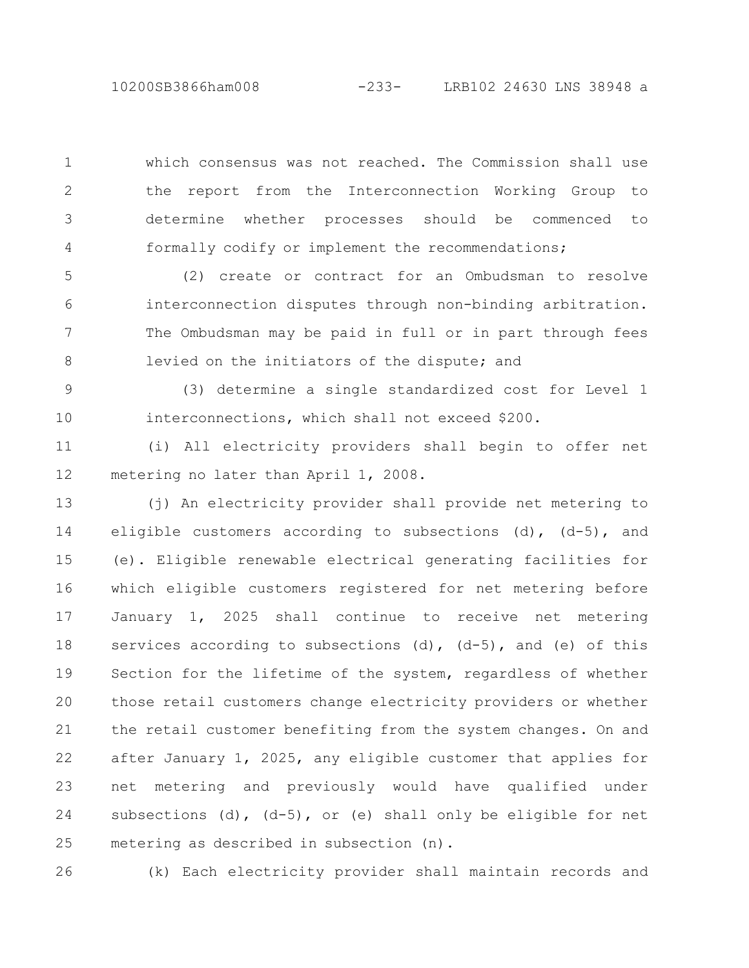which consensus was not reached. The Commission shall use the report from the Interconnection Working Group to determine whether processes should be commenced to formally codify or implement the recommendations; 1 2 3 4

(2) create or contract for an Ombudsman to resolve interconnection disputes through non-binding arbitration. The Ombudsman may be paid in full or in part through fees levied on the initiators of the dispute; and 5 6 7 8

(3) determine a single standardized cost for Level 1 interconnections, which shall not exceed \$200. 9 10

(i) All electricity providers shall begin to offer net metering no later than April 1, 2008. 11 12

(j) An electricity provider shall provide net metering to eligible customers according to subsections (d), (d-5), and (e). Eligible renewable electrical generating facilities for which eligible customers registered for net metering before January 1, 2025 shall continue to receive net metering services according to subsections (d),  $(d-5)$ , and (e) of this Section for the lifetime of the system, regardless of whether those retail customers change electricity providers or whether the retail customer benefiting from the system changes. On and after January 1, 2025, any eligible customer that applies for net metering and previously would have qualified under subsections (d), (d-5), or (e) shall only be eligible for net metering as described in subsection (n). 13 14 15 16 17 18 19 20 21 22 23 24 25

26

(k) Each electricity provider shall maintain records and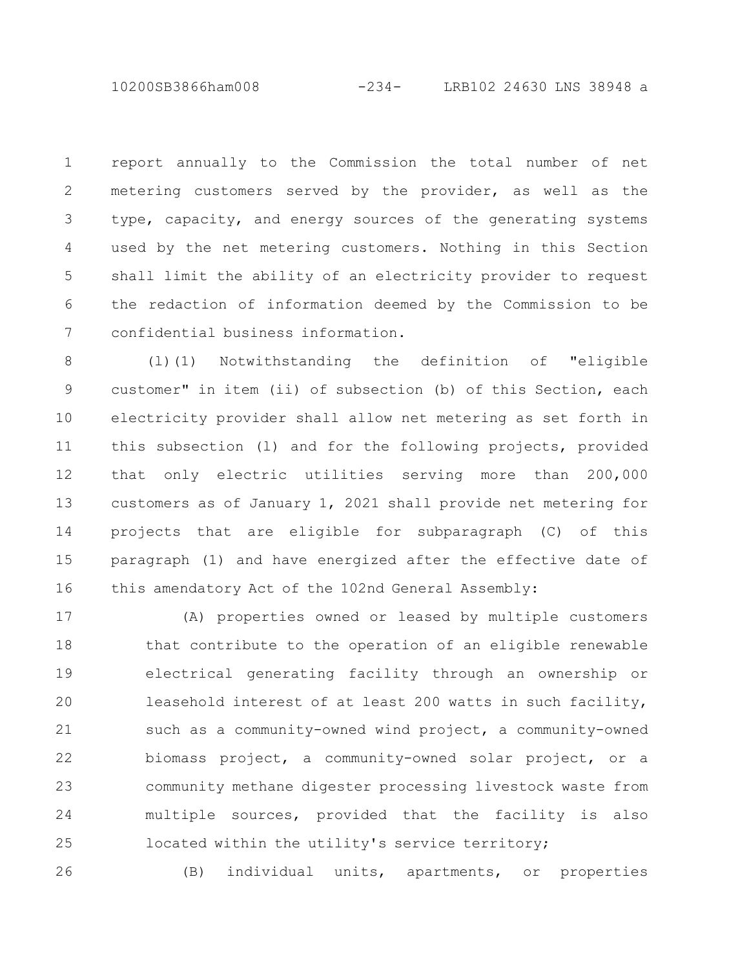10200SB3866ham008 -234- LRB102 24630 LNS 38948 a

report annually to the Commission the total number of net metering customers served by the provider, as well as the type, capacity, and energy sources of the generating systems used by the net metering customers. Nothing in this Section shall limit the ability of an electricity provider to request the redaction of information deemed by the Commission to be confidential business information. 1 2 3 4 5 6 7

(l)(1) Notwithstanding the definition of "eligible customer" in item (ii) of subsection (b) of this Section, each electricity provider shall allow net metering as set forth in this subsection (l) and for the following projects, provided that only electric utilities serving more than 200,000 customers as of January 1, 2021 shall provide net metering for projects that are eligible for subparagraph (C) of this paragraph (1) and have energized after the effective date of this amendatory Act of the 102nd General Assembly: 8 9 10 11 12 13 14 15 16

(A) properties owned or leased by multiple customers that contribute to the operation of an eligible renewable electrical generating facility through an ownership or leasehold interest of at least 200 watts in such facility, such as a community-owned wind project, a community-owned biomass project, a community-owned solar project, or a community methane digester processing livestock waste from multiple sources, provided that the facility is also located within the utility's service territory; 17 18 19 20 21 22 23 24 25

26

(B) individual units, apartments, or properties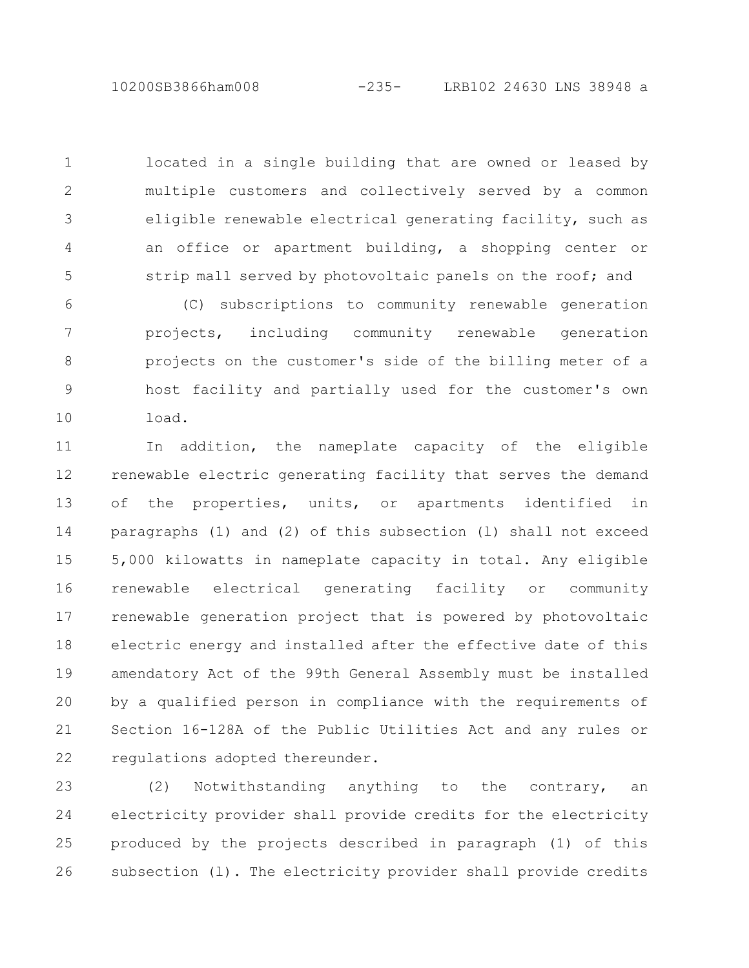located in a single building that are owned or leased by multiple customers and collectively served by a common eligible renewable electrical generating facility, such as an office or apartment building, a shopping center or strip mall served by photovoltaic panels on the roof; and 1 2 3 4 5

(C) subscriptions to community renewable generation projects, including community renewable generation projects on the customer's side of the billing meter of a host facility and partially used for the customer's own load. 6 7 8 9 10

In addition, the nameplate capacity of the eligible renewable electric generating facility that serves the demand of the properties, units, or apartments identified in paragraphs (1) and (2) of this subsection (l) shall not exceed 5,000 kilowatts in nameplate capacity in total. Any eligible renewable electrical generating facility or community renewable generation project that is powered by photovoltaic electric energy and installed after the effective date of this amendatory Act of the 99th General Assembly must be installed by a qualified person in compliance with the requirements of Section 16-128A of the Public Utilities Act and any rules or regulations adopted thereunder. 11 12 13 14 15 16 17 18 19 20 21 22

(2) Notwithstanding anything to the contrary, an electricity provider shall provide credits for the electricity produced by the projects described in paragraph (1) of this subsection (l). The electricity provider shall provide credits 23 24 25 26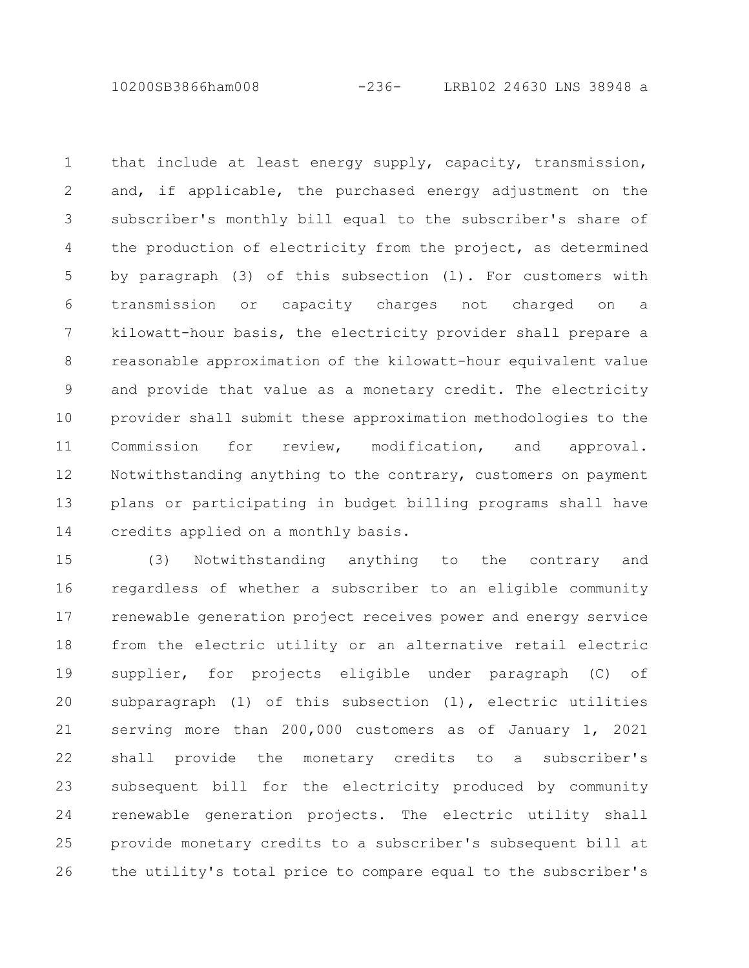10200SB3866ham008 -236- LRB102 24630 LNS 38948 a

that include at least energy supply, capacity, transmission, and, if applicable, the purchased energy adjustment on the subscriber's monthly bill equal to the subscriber's share of the production of electricity from the project, as determined by paragraph (3) of this subsection (l). For customers with transmission or capacity charges not charged on a kilowatt-hour basis, the electricity provider shall prepare a reasonable approximation of the kilowatt-hour equivalent value and provide that value as a monetary credit. The electricity provider shall submit these approximation methodologies to the Commission for review, modification, and approval. Notwithstanding anything to the contrary, customers on payment plans or participating in budget billing programs shall have credits applied on a monthly basis. 1 2 3 4 5 6 7 8 9 10 11 12 13 14

(3) Notwithstanding anything to the contrary and regardless of whether a subscriber to an eligible community renewable generation project receives power and energy service from the electric utility or an alternative retail electric supplier, for projects eligible under paragraph (C) of subparagraph (1) of this subsection (1), electric utilities serving more than 200,000 customers as of January 1, 2021 shall provide the monetary credits to a subscriber's subsequent bill for the electricity produced by community renewable generation projects. The electric utility shall provide monetary credits to a subscriber's subsequent bill at the utility's total price to compare equal to the subscriber's 15 16 17 18 19 20 21 22 23 24 25 26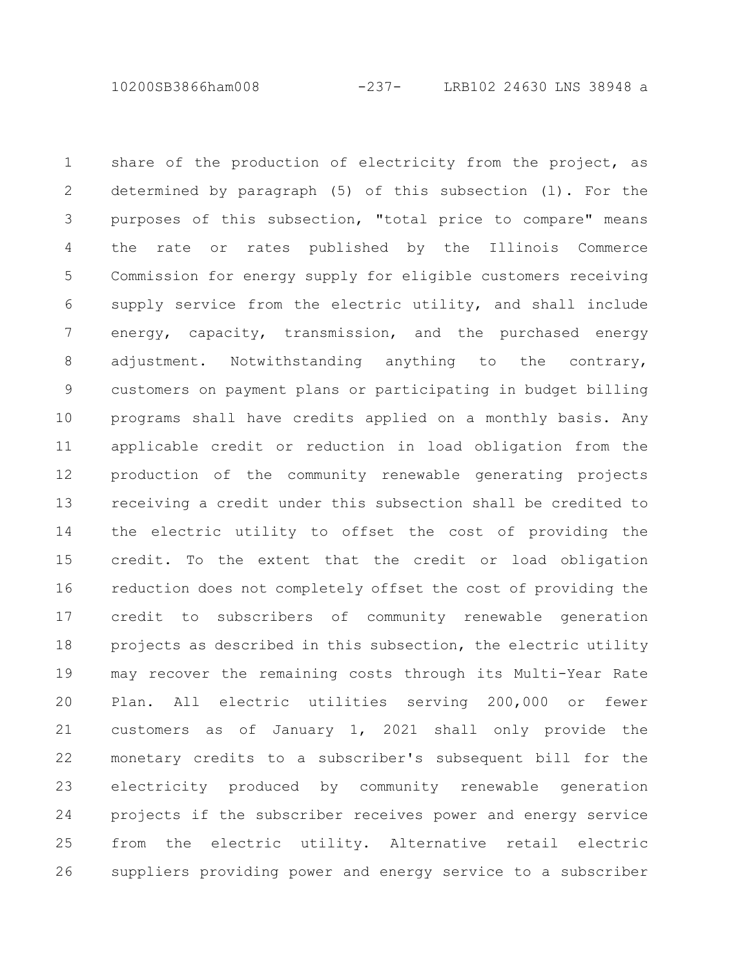10200SB3866ham008 -237- LRB102 24630 LNS 38948 a

share of the production of electricity from the project, as determined by paragraph (5) of this subsection (l). For the purposes of this subsection, "total price to compare" means the rate or rates published by the Illinois Commerce Commission for energy supply for eligible customers receiving supply service from the electric utility, and shall include energy, capacity, transmission, and the purchased energy adjustment. Notwithstanding anything to the contrary, customers on payment plans or participating in budget billing programs shall have credits applied on a monthly basis. Any applicable credit or reduction in load obligation from the production of the community renewable generating projects receiving a credit under this subsection shall be credited to the electric utility to offset the cost of providing the credit. To the extent that the credit or load obligation reduction does not completely offset the cost of providing the credit to subscribers of community renewable generation projects as described in this subsection, the electric utility may recover the remaining costs through its Multi-Year Rate Plan. All electric utilities serving 200,000 or fewer customers as of January 1, 2021 shall only provide the monetary credits to a subscriber's subsequent bill for the electricity produced by community renewable generation projects if the subscriber receives power and energy service from the electric utility. Alternative retail electric suppliers providing power and energy service to a subscriber 1 2 3 4 5 6 7 8 9 10 11 12 13 14 15 16 17 18 19 20 21 22 23 24 25 26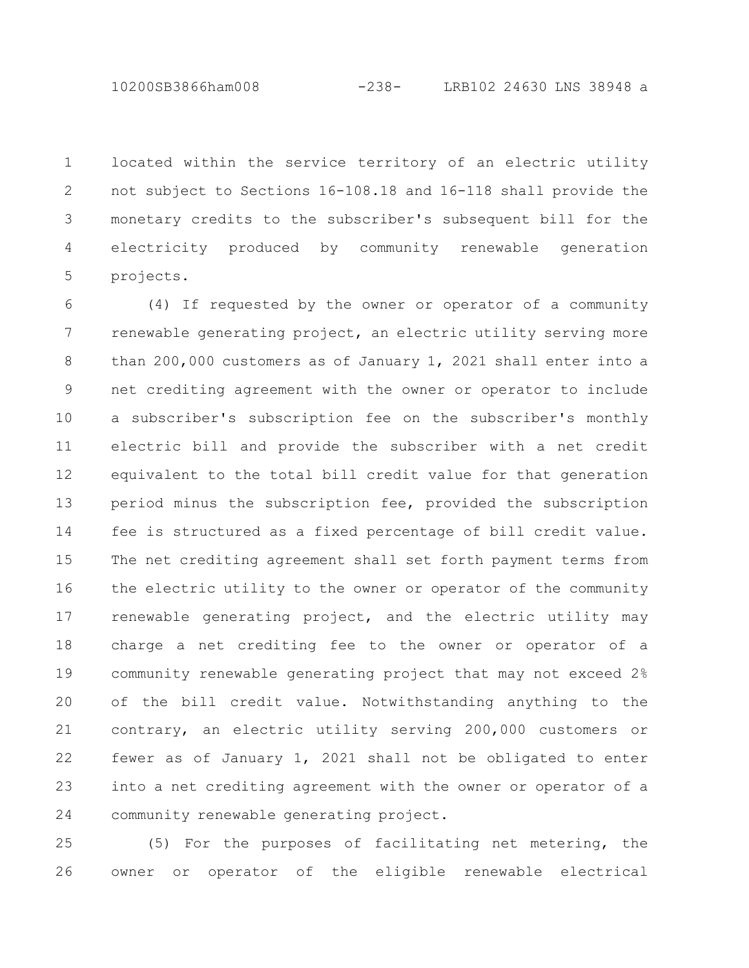located within the service territory of an electric utility not subject to Sections 16-108.18 and 16-118 shall provide the monetary credits to the subscriber's subsequent bill for the electricity produced by community renewable generation projects. 1 2 3 4 5

(4) If requested by the owner or operator of a community renewable generating project, an electric utility serving more than 200,000 customers as of January 1, 2021 shall enter into a net crediting agreement with the owner or operator to include a subscriber's subscription fee on the subscriber's monthly electric bill and provide the subscriber with a net credit equivalent to the total bill credit value for that generation period minus the subscription fee, provided the subscription fee is structured as a fixed percentage of bill credit value. The net crediting agreement shall set forth payment terms from the electric utility to the owner or operator of the community renewable generating project, and the electric utility may charge a net crediting fee to the owner or operator of a community renewable generating project that may not exceed 2% of the bill credit value. Notwithstanding anything to the contrary, an electric utility serving 200,000 customers or fewer as of January 1, 2021 shall not be obligated to enter into a net crediting agreement with the owner or operator of a community renewable generating project. 6 7 8 9 10 11 12 13 14 15 16 17 18 19 20 21 22 23 24

(5) For the purposes of facilitating net metering, the owner or operator of the eligible renewable electrical 25 26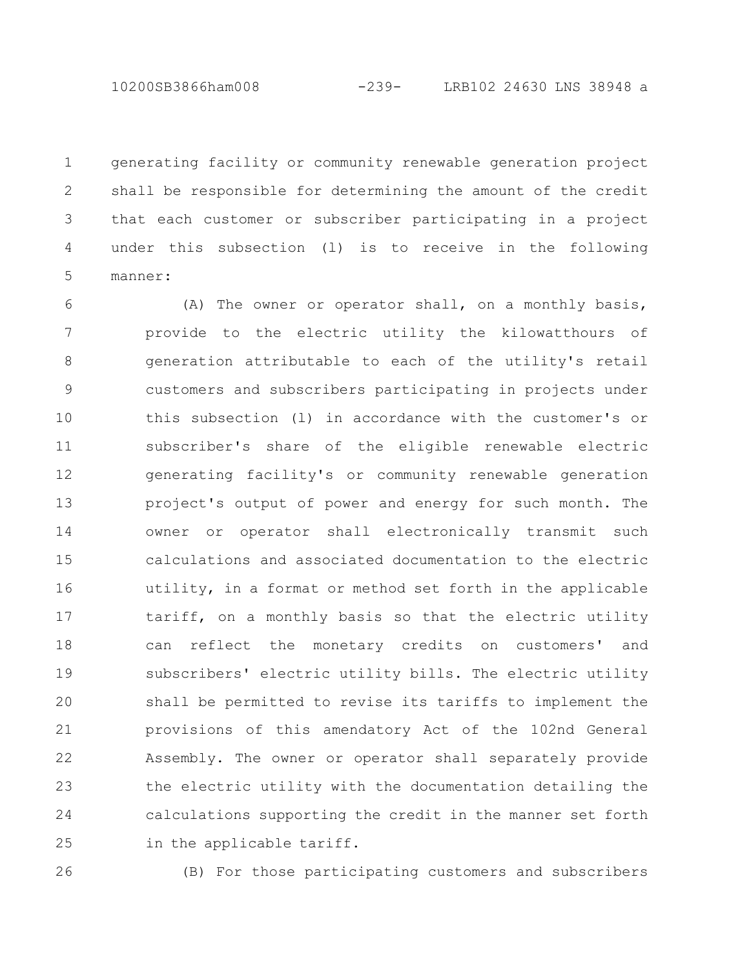generating facility or community renewable generation project shall be responsible for determining the amount of the credit that each customer or subscriber participating in a project under this subsection (l) is to receive in the following manner: 1 2 3 4 5

(A) The owner or operator shall, on a monthly basis, provide to the electric utility the kilowatthours of generation attributable to each of the utility's retail customers and subscribers participating in projects under this subsection (l) in accordance with the customer's or subscriber's share of the eligible renewable electric generating facility's or community renewable generation project's output of power and energy for such month. The owner or operator shall electronically transmit such calculations and associated documentation to the electric utility, in a format or method set forth in the applicable tariff, on a monthly basis so that the electric utility can reflect the monetary credits on customers' and subscribers' electric utility bills. The electric utility shall be permitted to revise its tariffs to implement the provisions of this amendatory Act of the 102nd General Assembly. The owner or operator shall separately provide the electric utility with the documentation detailing the calculations supporting the credit in the manner set forth in the applicable tariff. 6 7 8 9 10 11 12 13 14 15 16 17 18 19 20 21 22 23 24 25

26

(B) For those participating customers and subscribers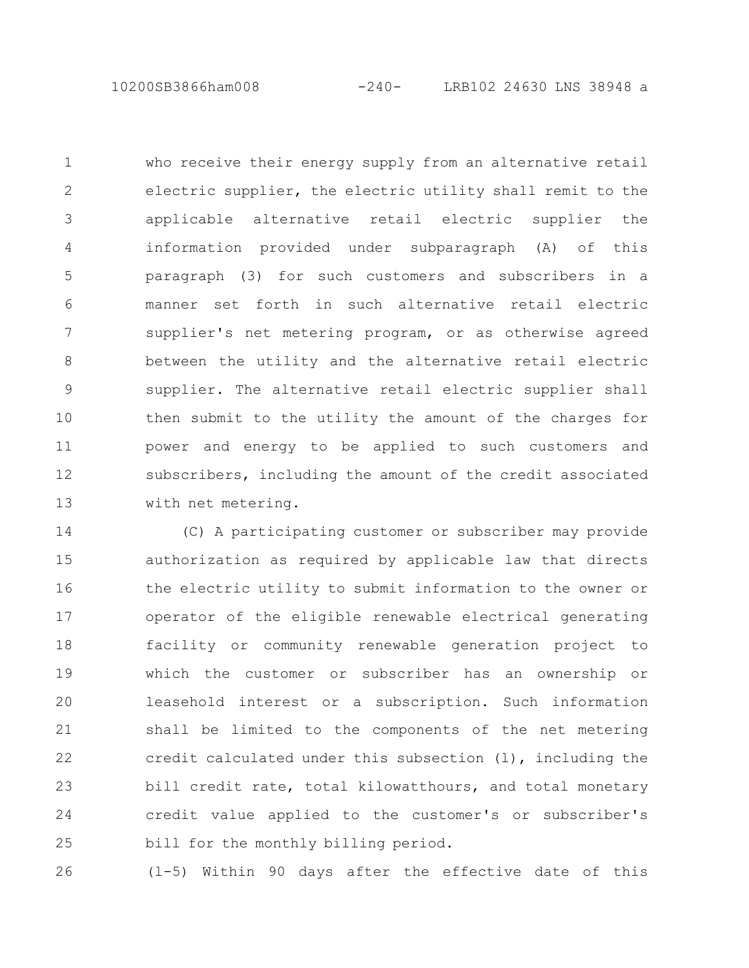who receive their energy supply from an alternative retail electric supplier, the electric utility shall remit to the applicable alternative retail electric supplier the information provided under subparagraph (A) of this paragraph (3) for such customers and subscribers in a manner set forth in such alternative retail electric supplier's net metering program, or as otherwise agreed between the utility and the alternative retail electric supplier. The alternative retail electric supplier shall then submit to the utility the amount of the charges for power and energy to be applied to such customers and subscribers, including the amount of the credit associated with net metering. 1 2 3 4 5 6 7 8 9 10 11 12 13

(C) A participating customer or subscriber may provide authorization as required by applicable law that directs the electric utility to submit information to the owner or operator of the eligible renewable electrical generating facility or community renewable generation project to which the customer or subscriber has an ownership or leasehold interest or a subscription. Such information shall be limited to the components of the net metering credit calculated under this subsection (l), including the bill credit rate, total kilowatthours, and total monetary credit value applied to the customer's or subscriber's bill for the monthly billing period. 14 15 16 17 18 19 20 21 22 23 24 25

(l-5) Within 90 days after the effective date of this 26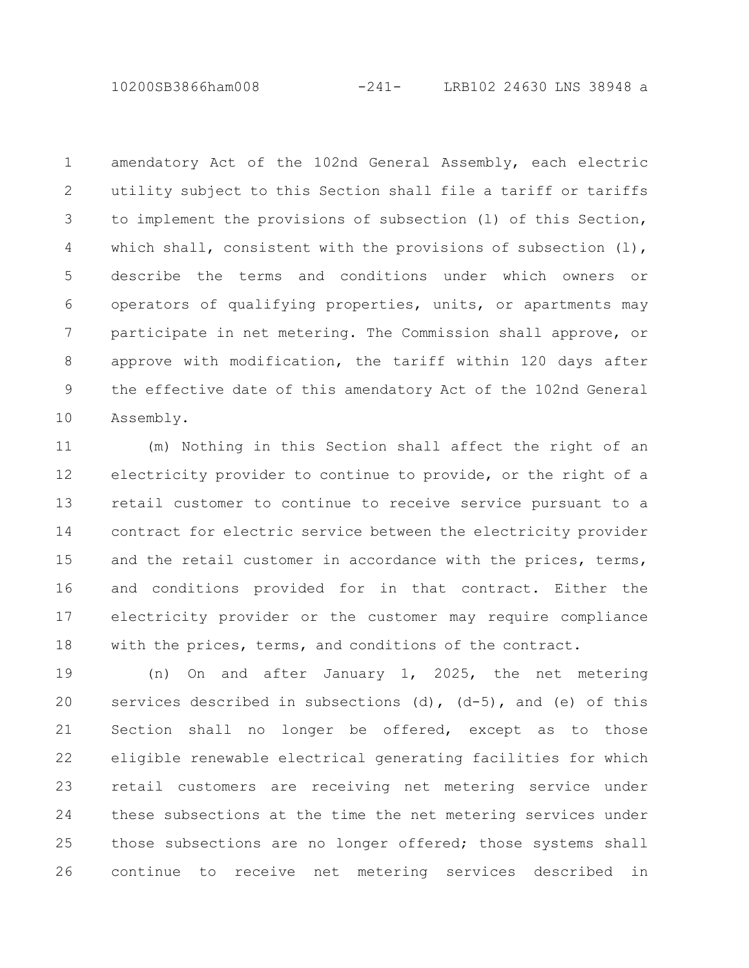10200SB3866ham008 -241- LRB102 24630 LNS 38948 a

amendatory Act of the 102nd General Assembly, each electric utility subject to this Section shall file a tariff or tariffs to implement the provisions of subsection (l) of this Section, which shall, consistent with the provisions of subsection  $(1)$ , describe the terms and conditions under which owners or operators of qualifying properties, units, or apartments may participate in net metering. The Commission shall approve, or approve with modification, the tariff within 120 days after the effective date of this amendatory Act of the 102nd General Assembly. 1 2 3 4 5 6 7 8 9 10

(m) Nothing in this Section shall affect the right of an electricity provider to continue to provide, or the right of a retail customer to continue to receive service pursuant to a contract for electric service between the electricity provider and the retail customer in accordance with the prices, terms, and conditions provided for in that contract. Either the electricity provider or the customer may require compliance with the prices, terms, and conditions of the contract. 11 12 13 14 15 16 17 18

(n) On and after January 1, 2025, the net metering services described in subsections (d),  $(d-5)$ , and (e) of this Section shall no longer be offered, except as to those eligible renewable electrical generating facilities for which retail customers are receiving net metering service under these subsections at the time the net metering services under those subsections are no longer offered; those systems shall continue to receive net metering services described in 19 20 21 22 23 24 25 26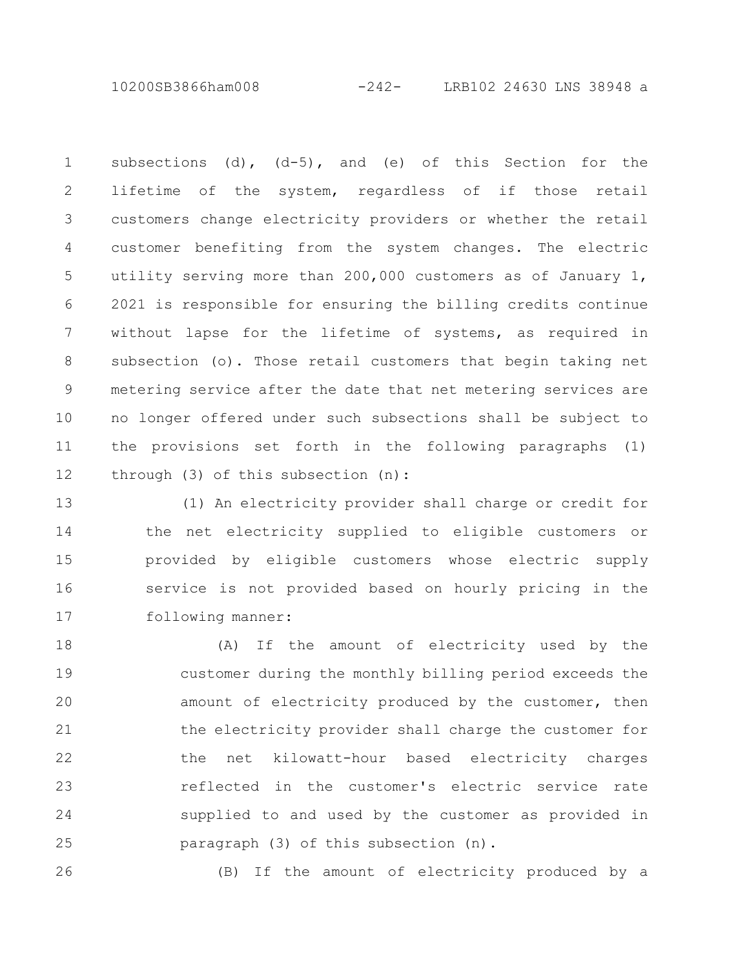10200SB3866ham008 -242- LRB102 24630 LNS 38948 a

subsections (d),  $(d-5)$ , and (e) of this Section for the lifetime of the system, regardless of if those retail customers change electricity providers or whether the retail customer benefiting from the system changes. The electric utility serving more than 200,000 customers as of January 1, 2021 is responsible for ensuring the billing credits continue without lapse for the lifetime of systems, as required in subsection (o). Those retail customers that begin taking net metering service after the date that net metering services are no longer offered under such subsections shall be subject to the provisions set forth in the following paragraphs (1) through (3) of this subsection (n): 1 2 3 4 5 6 7 8 9 10 11 12

(1) An electricity provider shall charge or credit for the net electricity supplied to eligible customers or provided by eligible customers whose electric supply service is not provided based on hourly pricing in the following manner: 13 14 15 16 17

(A) If the amount of electricity used by the customer during the monthly billing period exceeds the amount of electricity produced by the customer, then the electricity provider shall charge the customer for the net kilowatt-hour based electricity charges reflected in the customer's electric service rate supplied to and used by the customer as provided in paragraph (3) of this subsection (n). 18 19 20 21 22 23 24 25

26

(B) If the amount of electricity produced by a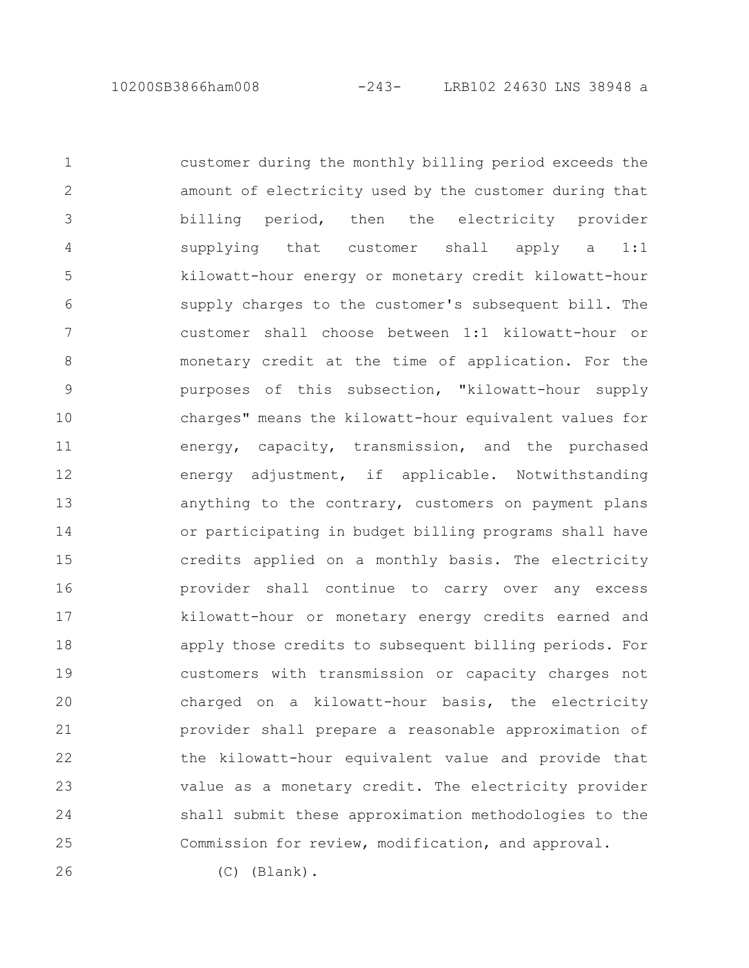customer during the monthly billing period exceeds the amount of electricity used by the customer during that billing period, then the electricity provider supplying that customer shall apply a 1:1 kilowatt-hour energy or monetary credit kilowatt-hour supply charges to the customer's subsequent bill. The customer shall choose between 1:1 kilowatt-hour or monetary credit at the time of application. For the purposes of this subsection, "kilowatt-hour supply charges" means the kilowatt-hour equivalent values for energy, capacity, transmission, and the purchased energy adjustment, if applicable. Notwithstanding anything to the contrary, customers on payment plans or participating in budget billing programs shall have credits applied on a monthly basis. The electricity provider shall continue to carry over any excess kilowatt-hour or monetary energy credits earned and apply those credits to subsequent billing periods. For customers with transmission or capacity charges not charged on a kilowatt-hour basis, the electricity provider shall prepare a reasonable approximation of the kilowatt-hour equivalent value and provide that value as a monetary credit. The electricity provider shall submit these approximation methodologies to the Commission for review, modification, and approval. 1 2 3 4 5 6 7 8 9 10 11 12 13 14 15 16 17 18 19 20 21 22 23 24 25

(C) (Blank).

26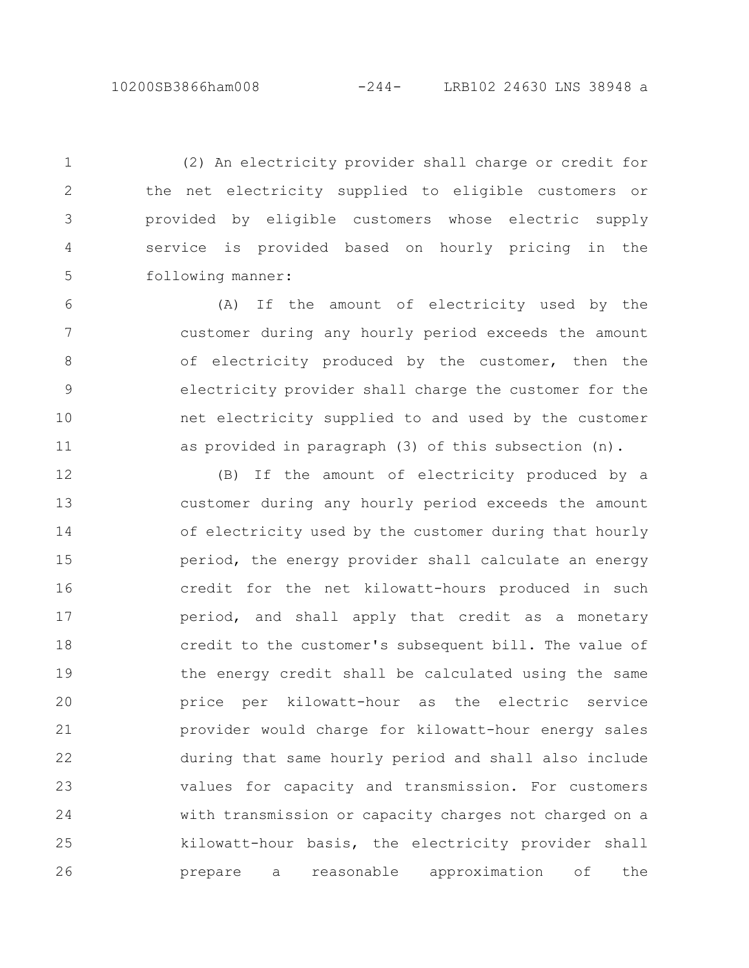(2) An electricity provider shall charge or credit for the net electricity supplied to eligible customers or provided by eligible customers whose electric supply service is provided based on hourly pricing in the following manner: 1 2 3 4 5

(A) If the amount of electricity used by the customer during any hourly period exceeds the amount of electricity produced by the customer, then the electricity provider shall charge the customer for the net electricity supplied to and used by the customer as provided in paragraph (3) of this subsection (n). 6 7 8 9 10 11

(B) If the amount of electricity produced by a customer during any hourly period exceeds the amount of electricity used by the customer during that hourly period, the energy provider shall calculate an energy credit for the net kilowatt-hours produced in such period, and shall apply that credit as a monetary credit to the customer's subsequent bill. The value of the energy credit shall be calculated using the same price per kilowatt-hour as the electric service provider would charge for kilowatt-hour energy sales during that same hourly period and shall also include values for capacity and transmission. For customers with transmission or capacity charges not charged on a kilowatt-hour basis, the electricity provider shall prepare a reasonable approximation of the 12 13 14 15 16 17 18 19 20 21 22 23 24 25 26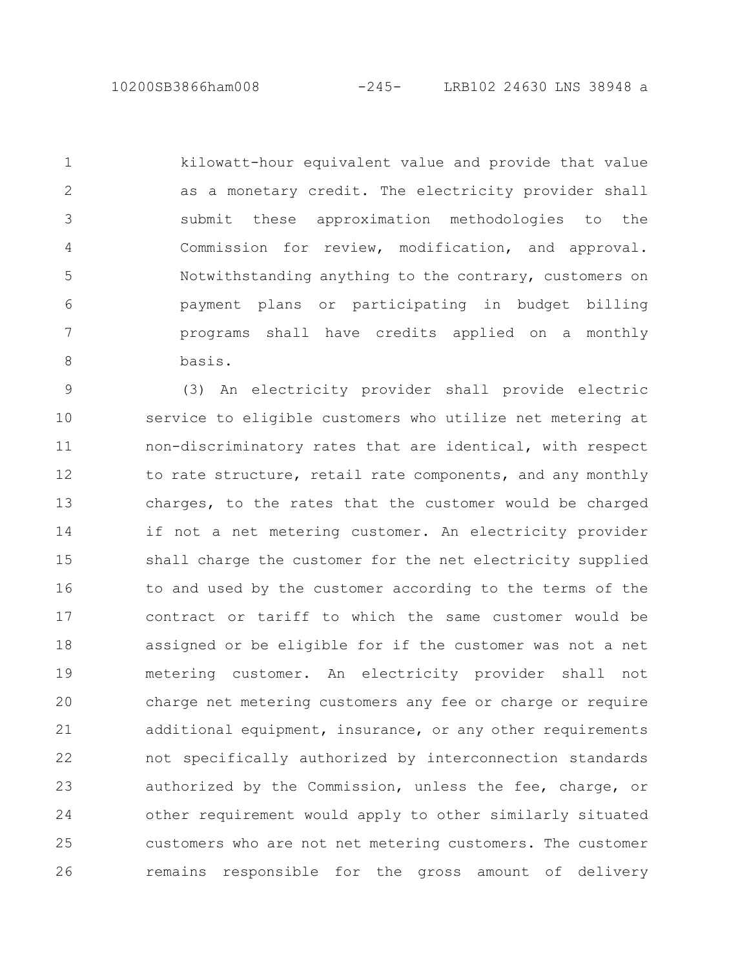kilowatt-hour equivalent value and provide that value as a monetary credit. The electricity provider shall submit these approximation methodologies to the Commission for review, modification, and approval. Notwithstanding anything to the contrary, customers on payment plans or participating in budget billing programs shall have credits applied on a monthly basis. 1 2 3 4 5 6 7 8

(3) An electricity provider shall provide electric service to eligible customers who utilize net metering at non-discriminatory rates that are identical, with respect to rate structure, retail rate components, and any monthly charges, to the rates that the customer would be charged if not a net metering customer. An electricity provider shall charge the customer for the net electricity supplied to and used by the customer according to the terms of the contract or tariff to which the same customer would be assigned or be eligible for if the customer was not a net metering customer. An electricity provider shall not charge net metering customers any fee or charge or require additional equipment, insurance, or any other requirements not specifically authorized by interconnection standards authorized by the Commission, unless the fee, charge, or other requirement would apply to other similarly situated customers who are not net metering customers. The customer remains responsible for the gross amount of delivery 9 10 11 12 13 14 15 16 17 18 19 20 21 22 23 24 25 26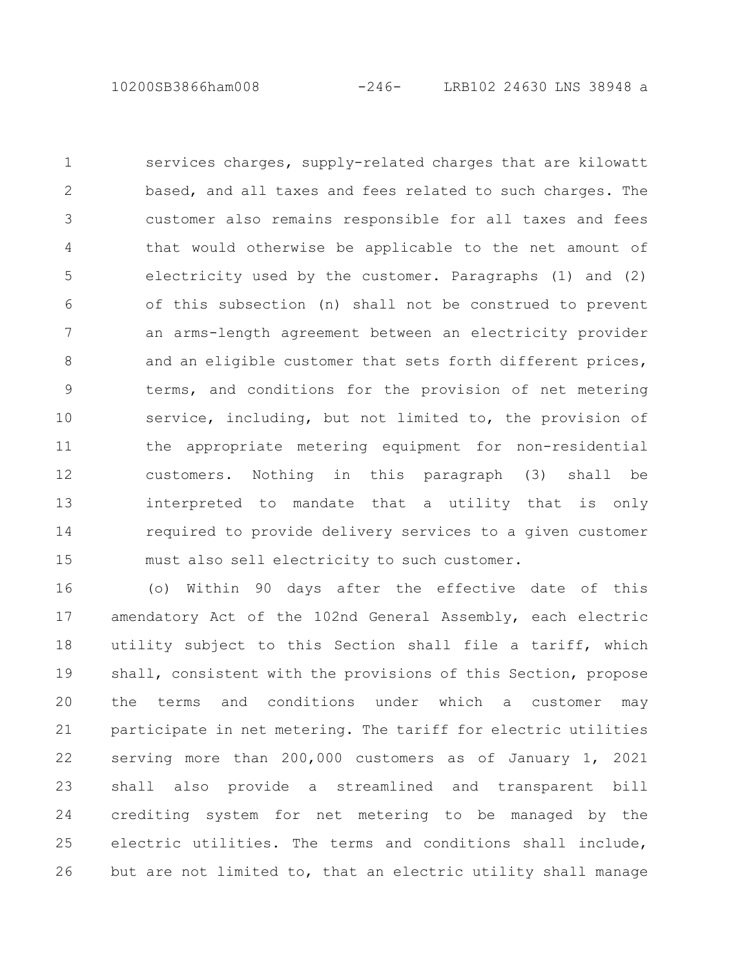services charges, supply-related charges that are kilowatt based, and all taxes and fees related to such charges. The customer also remains responsible for all taxes and fees that would otherwise be applicable to the net amount of electricity used by the customer. Paragraphs (1) and (2) of this subsection (n) shall not be construed to prevent an arms-length agreement between an electricity provider and an eligible customer that sets forth different prices, terms, and conditions for the provision of net metering service, including, but not limited to, the provision of the appropriate metering equipment for non-residential customers. Nothing in this paragraph (3) shall be interpreted to mandate that a utility that is only required to provide delivery services to a given customer must also sell electricity to such customer. 1 2 3 4 5 6 7 8 9 10 11 12 13 14 15

(o) Within 90 days after the effective date of this amendatory Act of the 102nd General Assembly, each electric utility subject to this Section shall file a tariff, which shall, consistent with the provisions of this Section, propose the terms and conditions under which a customer may participate in net metering. The tariff for electric utilities serving more than 200,000 customers as of January 1, 2021 shall also provide a streamlined and transparent bill crediting system for net metering to be managed by the electric utilities. The terms and conditions shall include, but are not limited to, that an electric utility shall manage 16 17 18 19 20 21 22 23 24 25 26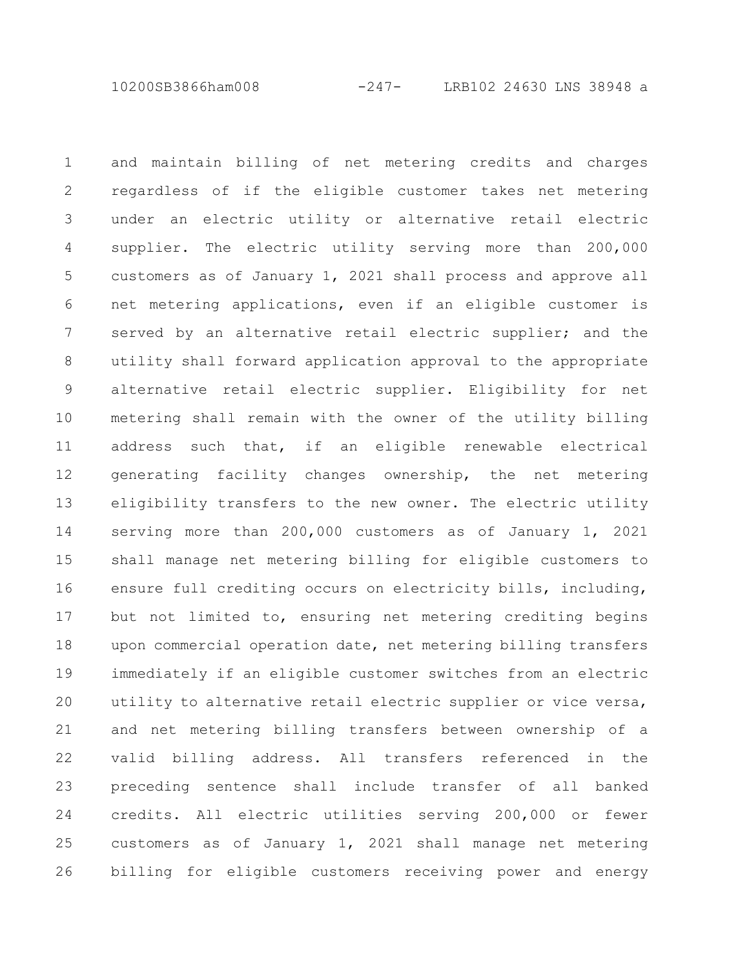10200SB3866ham008 -247- LRB102 24630 LNS 38948 a

and maintain billing of net metering credits and charges regardless of if the eligible customer takes net metering under an electric utility or alternative retail electric supplier. The electric utility serving more than 200,000 customers as of January 1, 2021 shall process and approve all net metering applications, even if an eligible customer is served by an alternative retail electric supplier; and the utility shall forward application approval to the appropriate alternative retail electric supplier. Eligibility for net metering shall remain with the owner of the utility billing address such that, if an eligible renewable electrical generating facility changes ownership, the net metering eligibility transfers to the new owner. The electric utility serving more than 200,000 customers as of January 1, 2021 shall manage net metering billing for eligible customers to ensure full crediting occurs on electricity bills, including, but not limited to, ensuring net metering crediting begins upon commercial operation date, net metering billing transfers immediately if an eligible customer switches from an electric utility to alternative retail electric supplier or vice versa, and net metering billing transfers between ownership of a valid billing address. All transfers referenced in the preceding sentence shall include transfer of all banked credits. All electric utilities serving 200,000 or fewer customers as of January 1, 2021 shall manage net metering billing for eligible customers receiving power and energy 1 2 3 4 5 6 7 8 9 10 11 12 13 14 15 16 17 18 19 20 21 22 23 24 25 26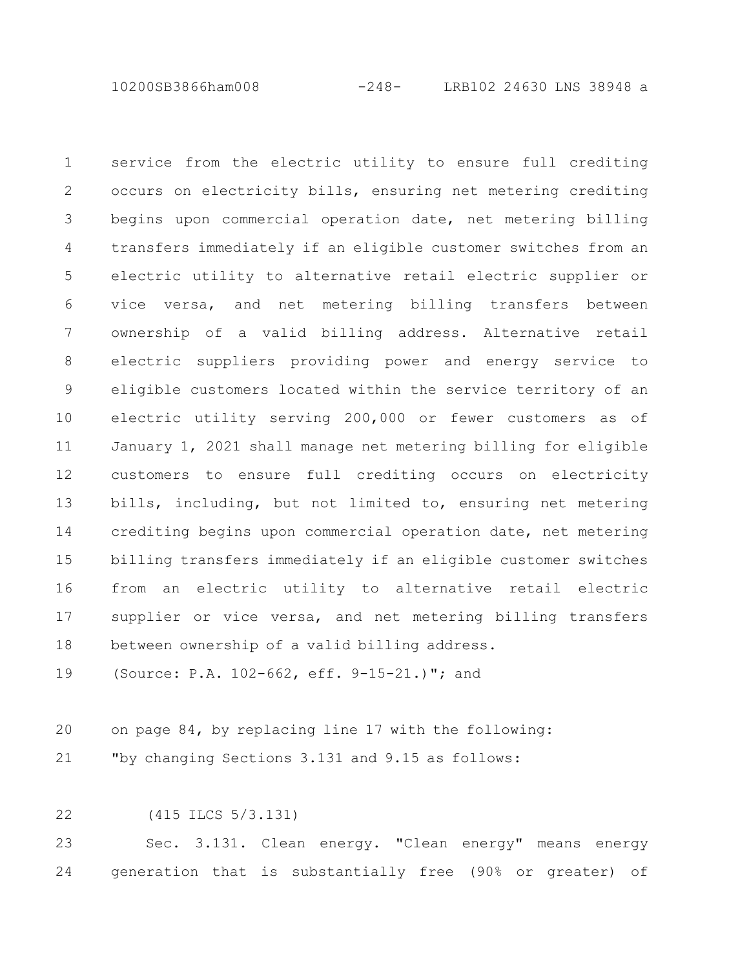10200SB3866ham008 -248- LRB102 24630 LNS 38948 a

service from the electric utility to ensure full crediting occurs on electricity bills, ensuring net metering crediting begins upon commercial operation date, net metering billing transfers immediately if an eligible customer switches from an electric utility to alternative retail electric supplier or vice versa, and net metering billing transfers between ownership of a valid billing address. Alternative retail electric suppliers providing power and energy service to eligible customers located within the service territory of an electric utility serving 200,000 or fewer customers as of January 1, 2021 shall manage net metering billing for eligible customers to ensure full crediting occurs on electricity bills, including, but not limited to, ensuring net metering crediting begins upon commercial operation date, net metering billing transfers immediately if an eligible customer switches from an electric utility to alternative retail electric supplier or vice versa, and net metering billing transfers between ownership of a valid billing address. 1 2 3 4 5 6 7 8 9 10 11 12 13 14 15 16 17 18

(Source: P.A. 102-662, eff. 9-15-21.)"; and 19

on page 84, by replacing line 17 with the following: 20

"by changing Sections 3.131 and 9.15 as follows: 21

(415 ILCS 5/3.131) 22

Sec. 3.131. Clean energy. "Clean energy" means energy generation that is substantially free (90% or greater) of 23 24